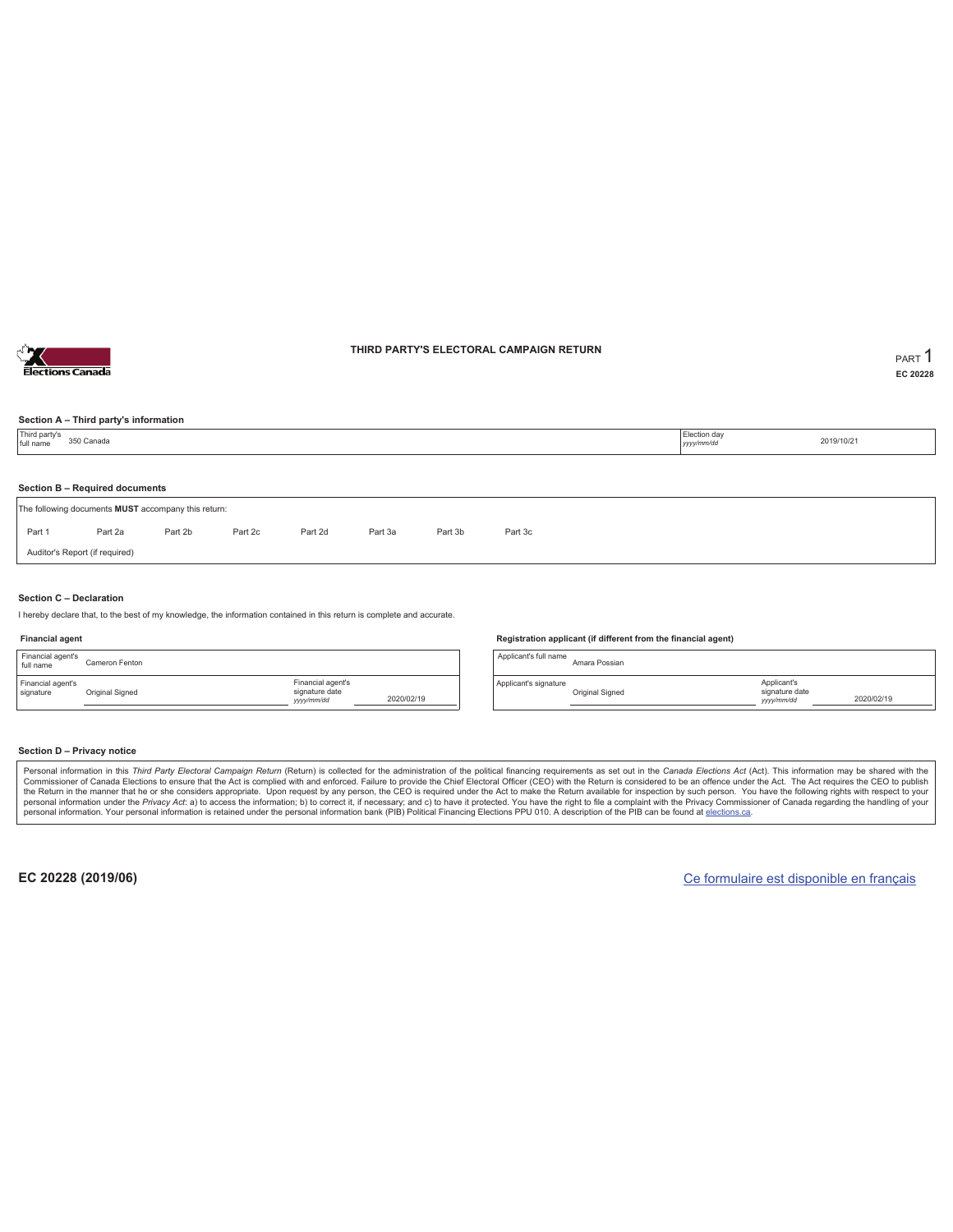

### **THIRD PARTY'S ELECTORAL CAMPAIGN RETURN PART** 1

**EC 20228**

### **Section A – Third party's information**

| Section B - Required documents                                                      | Third party's<br>full name | 350 Canada |  |  |  | Election day<br>yyyy/mm/dd | 2019/10/21 |  |
|-------------------------------------------------------------------------------------|----------------------------|------------|--|--|--|----------------------------|------------|--|
| The following documents MUST accompany this return:                                 |                            |            |  |  |  |                            |            |  |
|                                                                                     |                            |            |  |  |  |                            |            |  |
| Part 2d<br>Part 2b<br>Part 2c<br>Part 3b<br>Part 3c<br>Part 1<br>Part 2a<br>Part 3a |                            |            |  |  |  |                            |            |  |
| Auditor's Report (if required)                                                      |                            |            |  |  |  |                            |            |  |

#### **Section C – Declaration**

I hereby declare that, to the best of my knowledge, the information contained in this return is complete and accurate.

#### **Financial agent**

| Financial agent's<br>full name | Cameron Fenton  |                                                  |            |
|--------------------------------|-----------------|--------------------------------------------------|------------|
| Financial agent's<br>signature | Original Signed | Financial agent's<br>signature date<br>yyy/mm/dd | 2020/02/19 |

#### **Registration applicant (if different from the financial agent)**

Applicant's full name<br>Amara Possian Applicant's signature Original Signed Applicant's signature date *yyyy/mm/dd* 2020/02/19

#### **Section D – Privacy notice**

Personal information in this Third Party Electoral Campaign Return (Return) is collected for the administration of the political financing requirements as set out in the Canada Elections Act (Act). This information may be Commissioner of Canada Elections to ensure that the Act is complied with and enforced. Failure to provide the Chief Electoral Officer (CEO) with the Return is considered to be an offence under the Act. The Act requires the personal information. Your personal information is retained under the personal information bank (PIB) Political Financing Elections PPU 010. A description of the PIB can be found at elections.ca.

**EC 20228 (2019/06)** Ce formulaire est disponible en français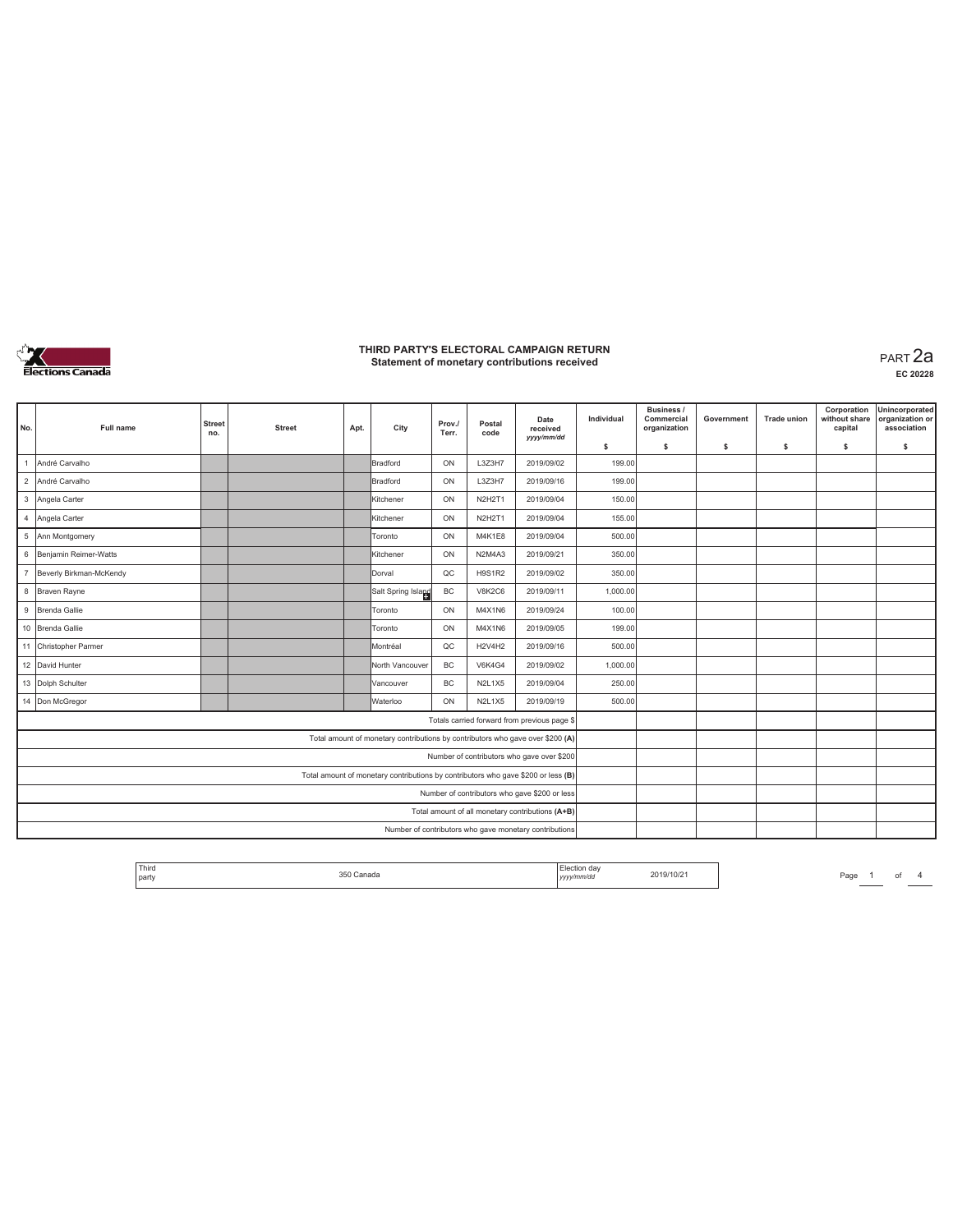

**EC 20228**

|                |                         |                      |               |      |                                                                                   |                 |                |                                                        |            | <b>Business /</b>          |            |                    | Corporation              | Unincorporated                 |
|----------------|-------------------------|----------------------|---------------|------|-----------------------------------------------------------------------------------|-----------------|----------------|--------------------------------------------------------|------------|----------------------------|------------|--------------------|--------------------------|--------------------------------|
| No.            | <b>Full name</b>        | <b>Street</b><br>no. | <b>Street</b> | Apt. | City                                                                              | Prov./<br>Terr. | Postal<br>code | Date<br>received<br>yyyy/mm/dd                         | Individual | Commercial<br>organization | Government | <b>Trade union</b> | without share<br>capital | organization or<br>association |
|                |                         |                      |               |      |                                                                                   |                 |                |                                                        | \$         | s                          | s          | s                  | \$                       | s                              |
| $\overline{1}$ | André Carvalho          |                      |               |      | Bradford                                                                          | ON              | L3Z3H7         | 2019/09/02                                             | 199.00     |                            |            |                    |                          |                                |
| $\overline{2}$ | André Carvalho          |                      |               |      | Bradford                                                                          | ON              | L3Z3H7         | 2019/09/16                                             | 199.00     |                            |            |                    |                          |                                |
| $\mathbf{3}$   | Angela Carter           |                      |               |      | Kitchener                                                                         | ON              | <b>N2H2T1</b>  | 2019/09/04                                             | 150.00     |                            |            |                    |                          |                                |
| $\overline{4}$ | Angela Carter           |                      |               |      | Kitchener                                                                         | ON              | N2H2T1         | 2019/09/04                                             | 155.00     |                            |            |                    |                          |                                |
| 5              | Ann Montgomery          |                      |               |      | Toronto                                                                           | ON              | M4K1E8         | 2019/09/04                                             | 500.00     |                            |            |                    |                          |                                |
| 6              | Benjamin Reimer-Watts   |                      |               |      | Kitchener                                                                         | ON              | N2M4A3         | 2019/09/21                                             | 350.00     |                            |            |                    |                          |                                |
| $\overline{7}$ | Beverly Birkman-McKendy |                      |               |      | Dorval                                                                            | QC              | <b>H9S1R2</b>  | 2019/09/02                                             | 350.00     |                            |            |                    |                          |                                |
| 8              | Braven Rayne            |                      |               |      | Salt Spring Island                                                                | BC              | V8K2C6         | 2019/09/11                                             | 1,000.00   |                            |            |                    |                          |                                |
| $\mathsf g$    | Brenda Gallie           |                      |               |      | Toronto                                                                           | ON              | M4X1N6         | 2019/09/24                                             | 100.00     |                            |            |                    |                          |                                |
|                | 10 Brenda Gallie        |                      |               |      | Toronto                                                                           | ON              | M4X1N6         | 2019/09/05                                             | 199.00     |                            |            |                    |                          |                                |
|                | 11 Christopher Parmer   |                      |               |      | Montréal                                                                          | $_{\text{OC}}$  | <b>H2V4H2</b>  | 2019/09/16                                             | 500.00     |                            |            |                    |                          |                                |
|                | 12 David Hunter         |                      |               |      | North Vancouver                                                                   | <b>BC</b>       | <b>V6K4G4</b>  | 2019/09/02                                             | 1,000.00   |                            |            |                    |                          |                                |
|                | 13 Dolph Schulter       |                      |               |      | Vancouver                                                                         | <b>BC</b>       | N2L1X5         | 2019/09/04                                             | 250.00     |                            |            |                    |                          |                                |
|                | 14 Don McGregor         |                      |               |      | Waterloo                                                                          | ON              | N2L1X5         | 2019/09/19                                             | 500.00     |                            |            |                    |                          |                                |
|                |                         |                      |               |      |                                                                                   |                 |                | Totals carried forward from previous page \$           |            |                            |            |                    |                          |                                |
|                |                         |                      |               |      | Total amount of monetary contributions by contributors who gave over \$200 (A)    |                 |                |                                                        |            |                            |            |                    |                          |                                |
|                |                         |                      |               |      |                                                                                   |                 |                | Number of contributors who gave over \$200             |            |                            |            |                    |                          |                                |
|                |                         |                      |               |      | Total amount of monetary contributions by contributors who gave \$200 or less (B) |                 |                |                                                        |            |                            |            |                    |                          |                                |
|                |                         |                      |               |      |                                                                                   |                 |                | Number of contributors who gave \$200 or less          |            |                            |            |                    |                          |                                |
|                |                         |                      |               |      |                                                                                   |                 |                | Total amount of all monetary contributions (A+B)       |            |                            |            |                    |                          |                                |
|                |                         |                      |               |      |                                                                                   |                 |                | Number of contributors who gave monetary contributions |            |                            |            |                    |                          |                                |

Election day<br>yyyy/mm/dd **Third** The Control 2019/10/21 Page 1 of 4 The Page 1 of 4 Third Page 1 of 4 Third Page 1 of 4 Third Page 1 of 4 Third Page 1 of 4 Third Page 1 of 4 Third Page 1 of 4 Third Page 1 of 4 Third Page 1 of 4 Third Page 1 of 4 T 350 Canada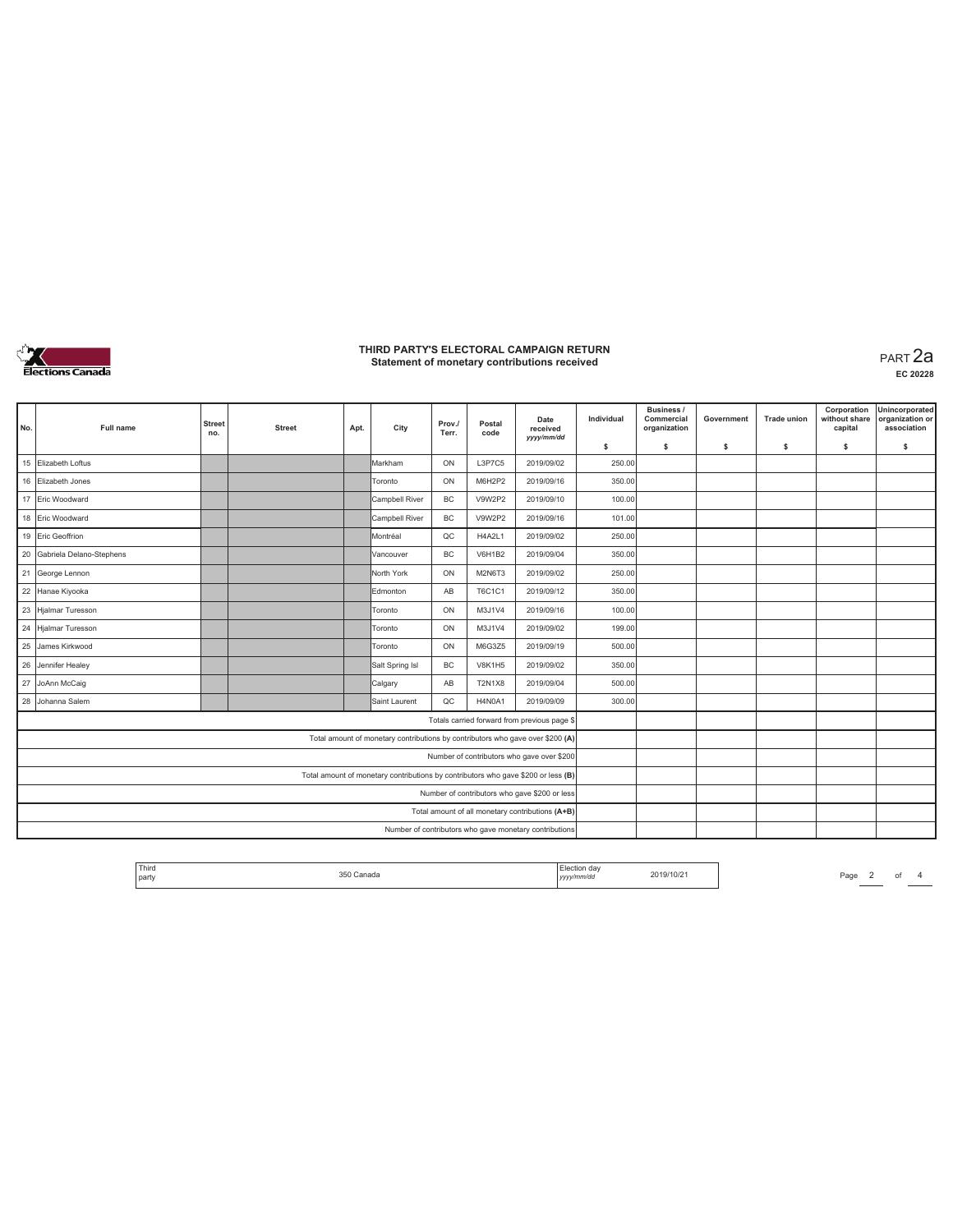

**EC 20228**

|     |                             |                      |               |      |                                                                                   |                 |                | Date                                                   | Individual | <b>Business /</b><br>Commercial | Government | <b>Trade union</b> | Corporation<br>without share | Unincorporated<br>organization or |
|-----|-----------------------------|----------------------|---------------|------|-----------------------------------------------------------------------------------|-----------------|----------------|--------------------------------------------------------|------------|---------------------------------|------------|--------------------|------------------------------|-----------------------------------|
| No. | <b>Full name</b>            | <b>Street</b><br>no. | <b>Street</b> | Apt. | City                                                                              | Prov./<br>Terr. | Postal<br>code | received<br>vyyy/mm/dd                                 |            | organization                    |            |                    | capital                      | association                       |
|     |                             |                      |               |      |                                                                                   |                 |                |                                                        | \$         | s                               | s          | -S                 | \$                           | s                                 |
| 15  | Elizabeth Loftus            |                      |               |      | Markham                                                                           | ON              | L3P7C5         | 2019/09/02                                             | 250.00     |                                 |            |                    |                              |                                   |
|     | 16 Elizabeth Jones          |                      |               |      | Toronto                                                                           | ON              | M6H2P2         | 2019/09/16                                             | 350.00     |                                 |            |                    |                              |                                   |
|     | 17 Eric Woodward            |                      |               |      | Campbell River                                                                    | <b>BC</b>       | V9W2P2         | 2019/09/10                                             | 100.00     |                                 |            |                    |                              |                                   |
|     | 18 Eric Woodward            |                      |               |      | Campbell River                                                                    | BC              | V9W2P2         | 2019/09/16                                             | 101.00     |                                 |            |                    |                              |                                   |
|     | 19 Eric Geoffrion           |                      |               |      | Montréal                                                                          | QC              | H4A2L1         | 2019/09/02                                             | 250.00     |                                 |            |                    |                              |                                   |
|     | 20 Gabriela Delano-Stephens |                      |               |      | Vancouver                                                                         | <b>BC</b>       | <b>V6H1B2</b>  | 2019/09/04                                             | 350.00     |                                 |            |                    |                              |                                   |
|     | 21 George Lennon            |                      |               |      | North York                                                                        | ON              | M2N6T3         | 2019/09/02                                             | 250.00     |                                 |            |                    |                              |                                   |
|     | 22 Hanae Kiyooka            |                      |               |      | Edmonton                                                                          | AB              | T6C1C1         | 2019/09/12                                             | 350.00     |                                 |            |                    |                              |                                   |
|     | 23 Hjalmar Turesson         |                      |               |      | Toronto                                                                           | ON              | M3J1V4         | 2019/09/16                                             | 100.00     |                                 |            |                    |                              |                                   |
|     | 24 Hjalmar Turesson         |                      |               |      | Toronto                                                                           | ON              | M3J1V4         | 2019/09/02                                             | 199.00     |                                 |            |                    |                              |                                   |
| 25  | James Kirkwood              |                      |               |      | Toronto                                                                           | ON              | M6G3Z5         | 2019/09/19                                             | 500.00     |                                 |            |                    |                              |                                   |
|     | 26 Jennifer Healey          |                      |               |      | Salt Spring Isl                                                                   | <b>BC</b>       | <b>V8K1H5</b>  | 2019/09/02                                             | 350.00     |                                 |            |                    |                              |                                   |
|     | 27 JoAnn McCaig             |                      |               |      | Calgary                                                                           | AB              | <b>T2N1X8</b>  | 2019/09/04                                             | 500.00     |                                 |            |                    |                              |                                   |
|     | 28 Johanna Salem            |                      |               |      | Saint Laurent                                                                     | $_{\text{OC}}$  | H4N0A1         | 2019/09/09                                             | 300.00     |                                 |            |                    |                              |                                   |
|     |                             |                      |               |      |                                                                                   |                 |                | Totals carried forward from previous page \$           |            |                                 |            |                    |                              |                                   |
|     |                             |                      |               |      | Total amount of monetary contributions by contributors who gave over \$200 (A)    |                 |                |                                                        |            |                                 |            |                    |                              |                                   |
|     |                             |                      |               |      |                                                                                   |                 |                | Number of contributors who gave over \$200             |            |                                 |            |                    |                              |                                   |
|     |                             |                      |               |      | Total amount of monetary contributions by contributors who gave \$200 or less (B) |                 |                |                                                        |            |                                 |            |                    |                              |                                   |
|     |                             |                      |               |      |                                                                                   |                 |                | Number of contributors who gave \$200 or less          |            |                                 |            |                    |                              |                                   |
|     |                             |                      |               |      |                                                                                   |                 |                | Total amount of all monetary contributions (A+B)       |            |                                 |            |                    |                              |                                   |
|     |                             |                      |               |      |                                                                                   |                 |                | Number of contributors who gave monetary contributions |            |                                 |            |                    |                              |                                   |

| 2019/10/21<br>35<br>Canada<br>party<br>mm/ao<br>.<br>,,,, |
|-----------------------------------------------------------|
|-----------------------------------------------------------|

*Page* 2 of 4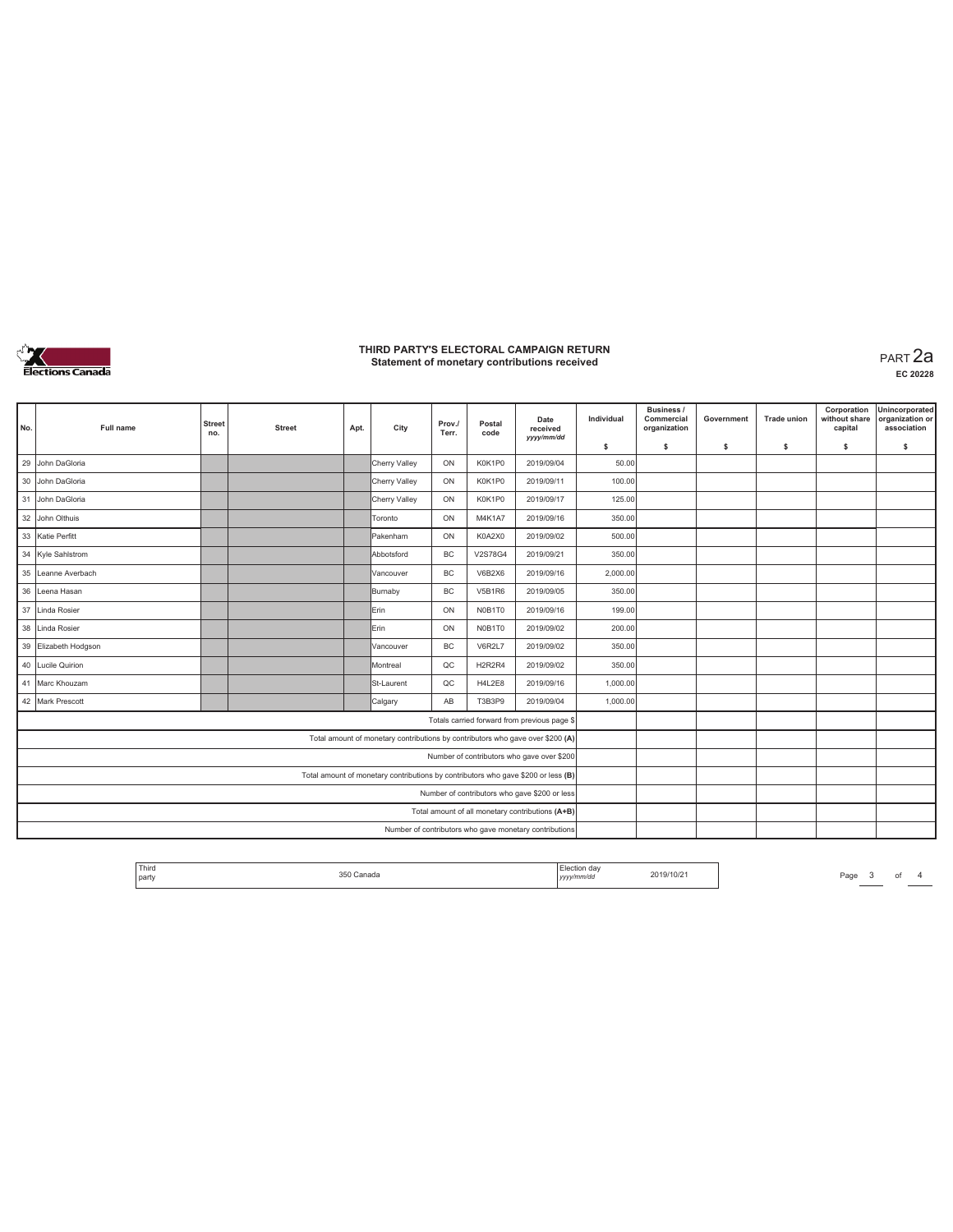

**EC 20228**

| No. | Full name         | <b>Street</b><br>no. | <b>Street</b> | Apt. | City                                                                              | Prov./<br>Terr. | Postal<br>code                               | Date<br>received<br>yyyy/mm/dd                         | Individual | <b>Business /</b><br>Commercial<br>organization | Government | <b>Trade union</b> | Corporation<br>without share<br>capital | Unincorporated<br>organization or<br>association |
|-----|-------------------|----------------------|---------------|------|-----------------------------------------------------------------------------------|-----------------|----------------------------------------------|--------------------------------------------------------|------------|-------------------------------------------------|------------|--------------------|-----------------------------------------|--------------------------------------------------|
|     |                   |                      |               |      |                                                                                   |                 |                                              |                                                        | \$         | -S                                              | s          | s                  | \$                                      | s                                                |
| 29  | John DaGloria     |                      |               |      | Cherry Valley                                                                     | ON              | K0K1P0                                       | 2019/09/04                                             | 50.00      |                                                 |            |                    |                                         |                                                  |
| 30  | John DaGloria     |                      |               |      | Cherry Valley                                                                     | ON              | K0K1P0                                       | 2019/09/11                                             | 100.00     |                                                 |            |                    |                                         |                                                  |
| 31  | John DaGloria     |                      |               |      | Cherry Valley                                                                     | ON              | K0K1P0                                       | 2019/09/17                                             | 125.00     |                                                 |            |                    |                                         |                                                  |
| 32  | John Olthuis      |                      |               |      | Toronto                                                                           | ON              | M4K1A7                                       | 2019/09/16                                             | 350.00     |                                                 |            |                    |                                         |                                                  |
| 33  | Katie Perfitt     |                      |               |      | Pakenham                                                                          | ON              | K0A2X0                                       | 2019/09/02                                             | 500.00     |                                                 |            |                    |                                         |                                                  |
| 34  | Kyle Sahlstrom    |                      |               |      | Abbotsford                                                                        | BC              | V2S78G4                                      | 2019/09/21                                             | 350.00     |                                                 |            |                    |                                         |                                                  |
| 35  | Leanne Averbach   |                      |               |      | Vancouver                                                                         | <b>BC</b>       | V6B2X6                                       | 2019/09/16                                             | 2,000.00   |                                                 |            |                    |                                         |                                                  |
| 36  | Leena Hasan       |                      |               |      | Burnaby                                                                           | BC              | <b>V5B1R6</b>                                | 2019/09/05                                             | 350.00     |                                                 |            |                    |                                         |                                                  |
| 37  | Linda Rosier      |                      |               |      | Erin                                                                              | ON              | N0B1T0                                       | 2019/09/16                                             | 199.00     |                                                 |            |                    |                                         |                                                  |
| 38  | Linda Rosier      |                      |               |      | <b>I</b> Erin                                                                     | ON              | N0B1T0                                       | 2019/09/02                                             | 200.00     |                                                 |            |                    |                                         |                                                  |
| 39  | Elizabeth Hodgson |                      |               |      | Vancouver                                                                         | <b>BC</b>       | V6R2L7                                       | 2019/09/02                                             | 350.00     |                                                 |            |                    |                                         |                                                  |
| 40  | Lucile Quirion    |                      |               |      | Montreal                                                                          | QC              | H <sub>2</sub> R <sub>2</sub> R <sub>4</sub> | 2019/09/02                                             | 350.00     |                                                 |            |                    |                                         |                                                  |
| 41  | Marc Khouzam      |                      |               |      | St-Laurent                                                                        | QC              | <b>H4L2E8</b>                                | 2019/09/16                                             | 1,000.00   |                                                 |            |                    |                                         |                                                  |
|     | 42 Mark Prescott  |                      |               |      | Calgary                                                                           | AB              | T3B3P9                                       | 2019/09/04                                             | 1,000.00   |                                                 |            |                    |                                         |                                                  |
|     |                   |                      |               |      |                                                                                   |                 |                                              | Totals carried forward from previous page \$           |            |                                                 |            |                    |                                         |                                                  |
|     |                   |                      |               |      | Total amount of monetary contributions by contributors who gave over \$200 (A)    |                 |                                              |                                                        |            |                                                 |            |                    |                                         |                                                  |
|     |                   |                      |               |      |                                                                                   |                 |                                              | Number of contributors who gave over \$200             |            |                                                 |            |                    |                                         |                                                  |
|     |                   |                      |               |      | Total amount of monetary contributions by contributors who gave \$200 or less (B) |                 |                                              |                                                        |            |                                                 |            |                    |                                         |                                                  |
|     |                   |                      |               |      |                                                                                   |                 |                                              | Number of contributors who gave \$200 or less          |            |                                                 |            |                    |                                         |                                                  |
|     |                   |                      |               |      |                                                                                   |                 |                                              | Total amount of all monetary contributions (A+B)       |            |                                                 |            |                    |                                         |                                                  |
|     |                   |                      |               |      |                                                                                   |                 |                                              | Number of contributors who gave monetary contributions |            |                                                 |            |                    |                                         |                                                  |

Election day<br>yyyy/mm/dd **Third** The Cliente Constant Cliente Constant Cliente Constant Cliente Constant Page 3 of 4 Third Page 3 of 4 Third Page 3 of 4 Third Page 3 of 4 Third Page 3 of 4 Third Page 3 of 4 Third Page 3 of 4 Third Page 3 of 4 Thir 350 Canada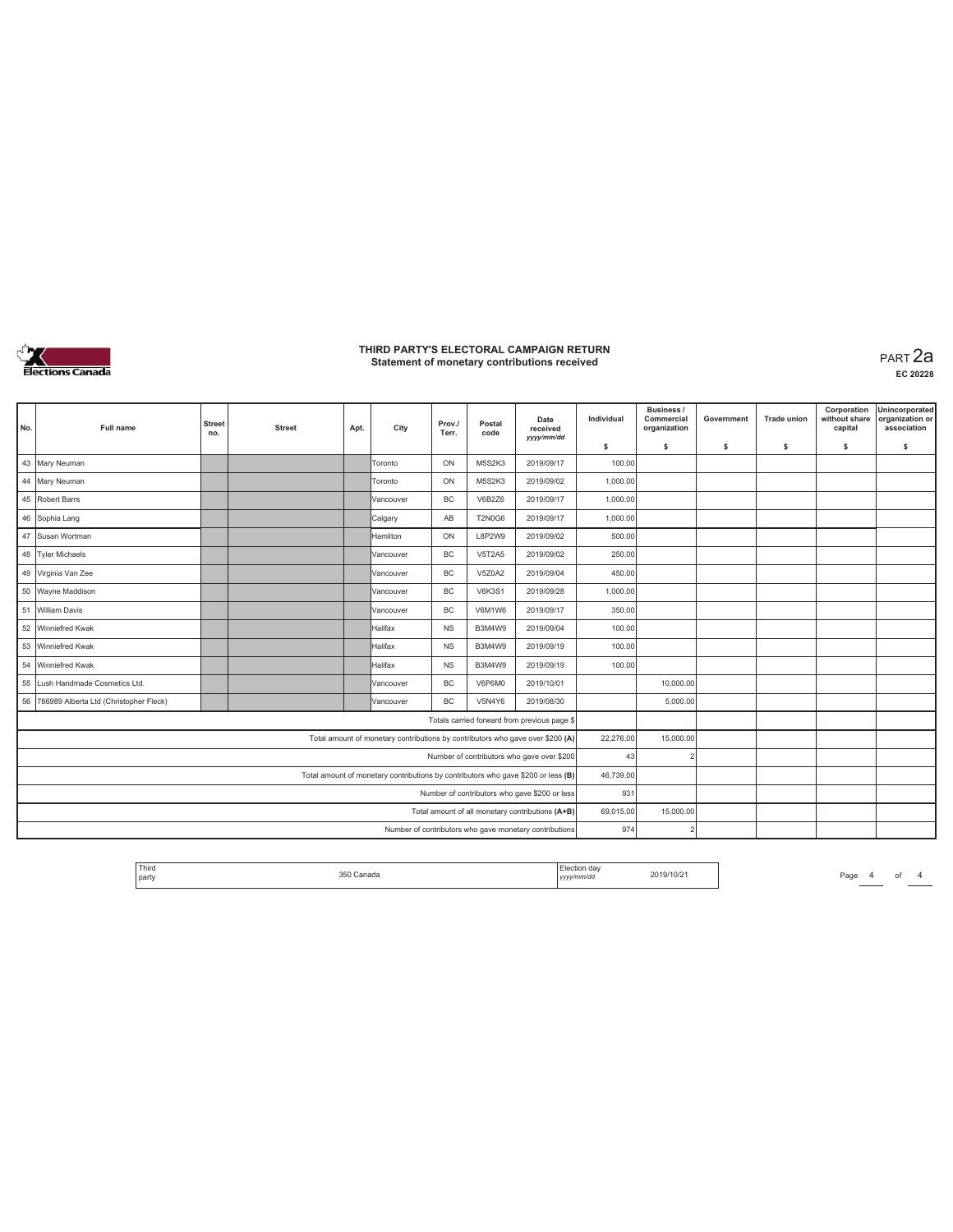

**EC 20228**

| No. | <b>Full name</b>                          | <b>Street</b><br>no. | <b>Street</b> | Apt. | City                                                                              | Prov./<br>Terr. | Postal<br>code | Date<br>received<br>yyyy/mm/dd                         | Individual | <b>Business /</b><br>Commercial<br>organization | Government | <b>Trade union</b> | Corporation<br>without share<br>capital | Unincorporated<br>organization or<br>association |
|-----|-------------------------------------------|----------------------|---------------|------|-----------------------------------------------------------------------------------|-----------------|----------------|--------------------------------------------------------|------------|-------------------------------------------------|------------|--------------------|-----------------------------------------|--------------------------------------------------|
|     |                                           |                      |               |      |                                                                                   |                 |                |                                                        | \$         | s                                               | \$         | s                  | \$                                      | s                                                |
| 43  | Mary Neuman                               |                      |               |      | Toronto                                                                           | ON              | M5S2K3         | 2019/09/17                                             | 100.00     |                                                 |            |                    |                                         |                                                  |
|     | 44 Mary Neuman                            |                      |               |      | Toronto                                                                           | ON              | M5S2K3         | 2019/09/02                                             | 1,000.00   |                                                 |            |                    |                                         |                                                  |
|     | 45 Robert Barrs                           |                      |               |      | Vancouver                                                                         | BC              | V6B2Z6         | 2019/09/17                                             | 1,000.00   |                                                 |            |                    |                                         |                                                  |
|     | 46 Sophia Lang                            |                      |               |      | Calgary                                                                           | AB              | <b>T2N0G6</b>  | 2019/09/17                                             | 1,000.00   |                                                 |            |                    |                                         |                                                  |
|     | 47 Susan Wortman                          |                      |               |      | Hamilton                                                                          | ON              | L8P2W9         | 2019/09/02                                             | 500.00     |                                                 |            |                    |                                         |                                                  |
|     | 48 Tyler Michaels                         |                      |               |      | Vancouver                                                                         | <b>BC</b>       | <b>V5T2A5</b>  | 2019/09/02                                             | 250.00     |                                                 |            |                    |                                         |                                                  |
|     | 49 Virginia Van Zee                       |                      |               |      | Vancouver                                                                         | <b>BC</b>       | V5Z0A2         | 2019/09/04                                             | 450.00     |                                                 |            |                    |                                         |                                                  |
|     | 50 Wayne Maddison                         |                      |               |      | Vancouver                                                                         | <b>BC</b>       | <b>V6K3S1</b>  | 2019/09/28                                             | 1,000.00   |                                                 |            |                    |                                         |                                                  |
|     | 51 William Davis                          |                      |               |      | Vancouver                                                                         | <b>BC</b>       | <b>V6M1W6</b>  | 2019/09/17                                             | 350.00     |                                                 |            |                    |                                         |                                                  |
|     | 52 Winniefred Kwak                        |                      |               |      | Halifax                                                                           | <b>NS</b>       | B3M4W9         | 2019/09/04                                             | 100.00     |                                                 |            |                    |                                         |                                                  |
|     | 53 Winniefred Kwak                        |                      |               |      | Halifax                                                                           | <b>NS</b>       | B3M4W9         | 2019/09/19                                             | 100.00     |                                                 |            |                    |                                         |                                                  |
| 54  | Winniefred Kwak                           |                      |               |      | Halifax                                                                           | <b>NS</b>       | B3M4W9         | 2019/09/19                                             | 100.00     |                                                 |            |                    |                                         |                                                  |
| 55  | Lush Handmade Cosmetics Ltd.              |                      |               |      | Vancouver                                                                         | <b>BC</b>       | V6P6M0         | 2019/10/01                                             |            | 10,000.00                                       |            |                    |                                         |                                                  |
|     | 56 786989 Alberta Ltd (Christopher Fleck) |                      |               |      | Vancouver                                                                         | <b>BC</b>       | <b>V5N4Y6</b>  | 2019/08/30                                             |            | 5,000.00                                        |            |                    |                                         |                                                  |
|     |                                           |                      |               |      |                                                                                   |                 |                | Totals carried forward from previous page \$           |            |                                                 |            |                    |                                         |                                                  |
|     |                                           |                      |               |      | Total amount of monetary contributions by contributors who gave over \$200 (A)    |                 |                |                                                        | 22,276.00  | 15,000.00                                       |            |                    |                                         |                                                  |
|     |                                           |                      |               |      |                                                                                   |                 |                | Number of contributors who gave over \$200             | 43         |                                                 |            |                    |                                         |                                                  |
|     |                                           |                      |               |      | Total amount of monetary contributions by contributors who gave \$200 or less (B) |                 |                |                                                        | 46,739.00  |                                                 |            |                    |                                         |                                                  |
|     |                                           |                      |               |      |                                                                                   |                 |                | Number of contributors who gave \$200 or less          | 931        |                                                 |            |                    |                                         |                                                  |
|     |                                           |                      |               |      |                                                                                   |                 |                | Total amount of all monetary contributions (A+B)       | 69,015.00  | 15,000.00                                       |            |                    |                                         |                                                  |
|     |                                           |                      |               |      |                                                                                   |                 |                | Number of contributors who gave monetary contributions | 974        |                                                 |            |                    |                                         |                                                  |

| 2019/10/2<br>`anada<br><b>party</b><br>v/mm/dc<br>.<br>,,,, |
|-------------------------------------------------------------|
|-------------------------------------------------------------|

*Page* 4 of 4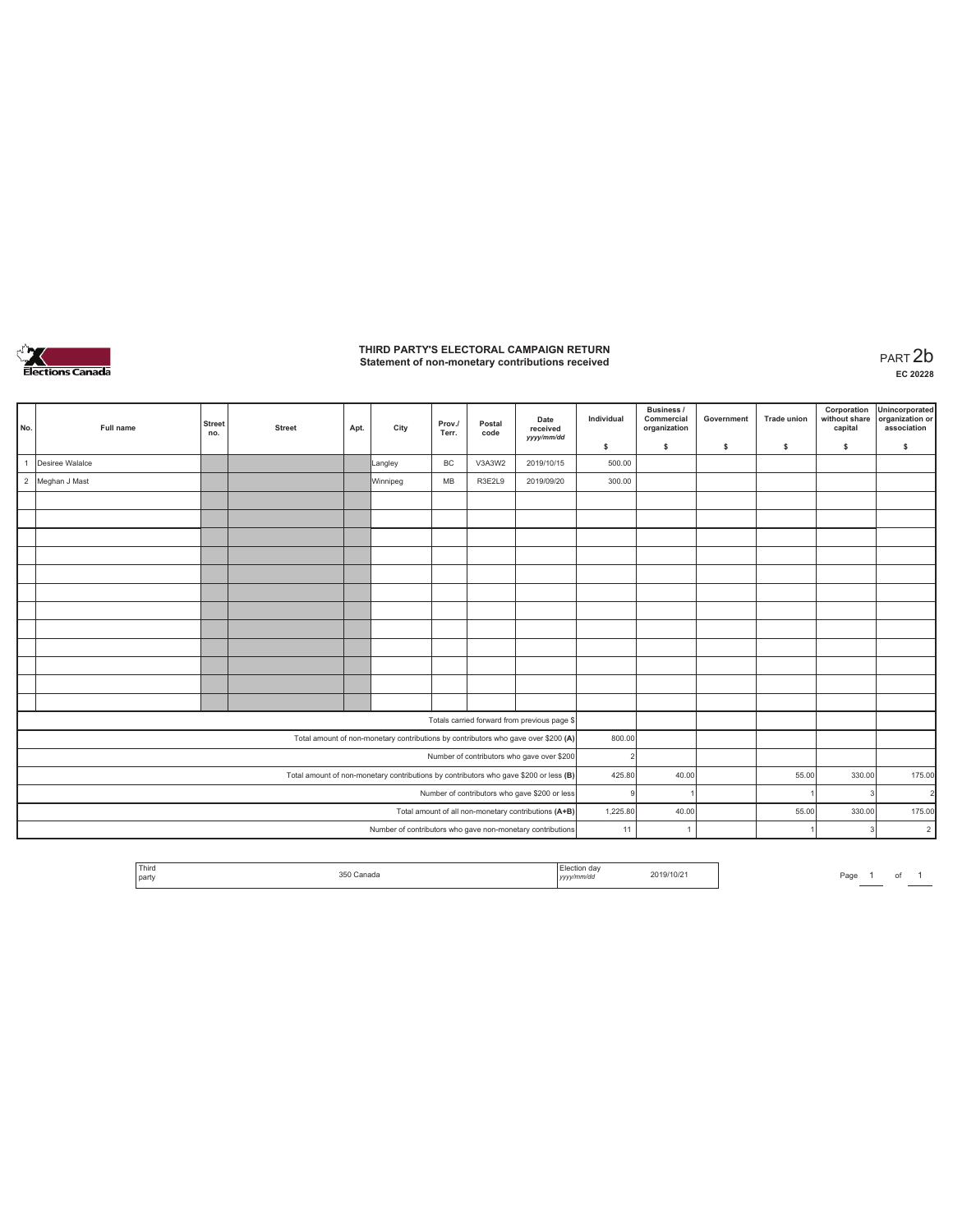

**EC 20228**

| No. | Full name       | <b>Street</b><br>no. | <b>Street</b> | Apt. | City                                                                                  | Prov./<br>Terr. | Postal<br>code | Date<br>received<br>yyyy/mm/dd                             | Individual     | Business /<br>Commercial<br>organization | Government   | Trade union | Corporation<br>without share<br>capital | Unincorporated<br>organization or<br>association |
|-----|-----------------|----------------------|---------------|------|---------------------------------------------------------------------------------------|-----------------|----------------|------------------------------------------------------------|----------------|------------------------------------------|--------------|-------------|-----------------------------------------|--------------------------------------------------|
|     |                 |                      |               |      |                                                                                       |                 |                |                                                            | \$             | \$                                       | $\mathsf{s}$ | s           | \$                                      | \$                                               |
|     | Desiree Walalce |                      |               |      | Langley                                                                               | <b>BC</b>       | V3A3W2         | 2019/10/15                                                 | 500.00         |                                          |              |             |                                         |                                                  |
|     | 2 Meghan J Mast |                      |               |      | Winnipeg                                                                              | MB              | R3E2L9         | 2019/09/20                                                 | 300.00         |                                          |              |             |                                         |                                                  |
|     |                 |                      |               |      |                                                                                       |                 |                |                                                            |                |                                          |              |             |                                         |                                                  |
|     |                 |                      |               |      |                                                                                       |                 |                |                                                            |                |                                          |              |             |                                         |                                                  |
|     |                 |                      |               |      |                                                                                       |                 |                |                                                            |                |                                          |              |             |                                         |                                                  |
|     |                 |                      |               |      |                                                                                       |                 |                |                                                            |                |                                          |              |             |                                         |                                                  |
|     |                 |                      |               |      |                                                                                       |                 |                |                                                            |                |                                          |              |             |                                         |                                                  |
|     |                 |                      |               |      |                                                                                       |                 |                |                                                            |                |                                          |              |             |                                         |                                                  |
|     |                 |                      |               |      |                                                                                       |                 |                |                                                            |                |                                          |              |             |                                         |                                                  |
|     |                 |                      |               |      |                                                                                       |                 |                |                                                            |                |                                          |              |             |                                         |                                                  |
|     |                 |                      |               |      |                                                                                       |                 |                |                                                            |                |                                          |              |             |                                         |                                                  |
|     |                 |                      |               |      |                                                                                       |                 |                |                                                            |                |                                          |              |             |                                         |                                                  |
|     |                 |                      |               |      |                                                                                       |                 |                |                                                            |                |                                          |              |             |                                         |                                                  |
|     |                 |                      |               |      |                                                                                       |                 |                |                                                            |                |                                          |              |             |                                         |                                                  |
|     |                 |                      |               |      |                                                                                       |                 |                | Totals carried forward from previous page \$               |                |                                          |              |             |                                         |                                                  |
|     |                 |                      |               |      | Total amount of non-monetary contributions by contributors who gave over \$200 (A)    |                 |                |                                                            | 800.00         |                                          |              |             |                                         |                                                  |
|     |                 |                      |               |      |                                                                                       |                 |                | Number of contributors who gave over \$200                 | $\overline{2}$ |                                          |              |             |                                         |                                                  |
|     |                 |                      |               |      | Total amount of non-monetary contributions by contributors who gave \$200 or less (B) |                 |                |                                                            | 425.80         | 40.00                                    |              | 55.00       | 330.00                                  | 175.00                                           |
|     |                 |                      |               |      |                                                                                       |                 |                | Number of contributors who gave \$200 or less              | $\mathbf{Q}$   |                                          |              |             | $\overline{\mathbf{3}}$                 | $\overline{2}$                                   |
|     |                 |                      |               |      |                                                                                       |                 |                | Total amount of all non-monetary contributions (A+B)       | 1,225.80       | 40.00                                    |              | 55.00       | 330.00                                  | 175.00                                           |
|     |                 |                      |               |      |                                                                                       |                 |                | Number of contributors who gave non-monetary contributions | 11             | $\overline{1}$                           |              |             | $\overline{3}$                          | $\overline{2}$                                   |

| ' Thirc<br>party | . | <br>2019/10/21 | $P_{AO}$ | _____ |  |  |
|------------------|---|----------------|----------|-------|--|--|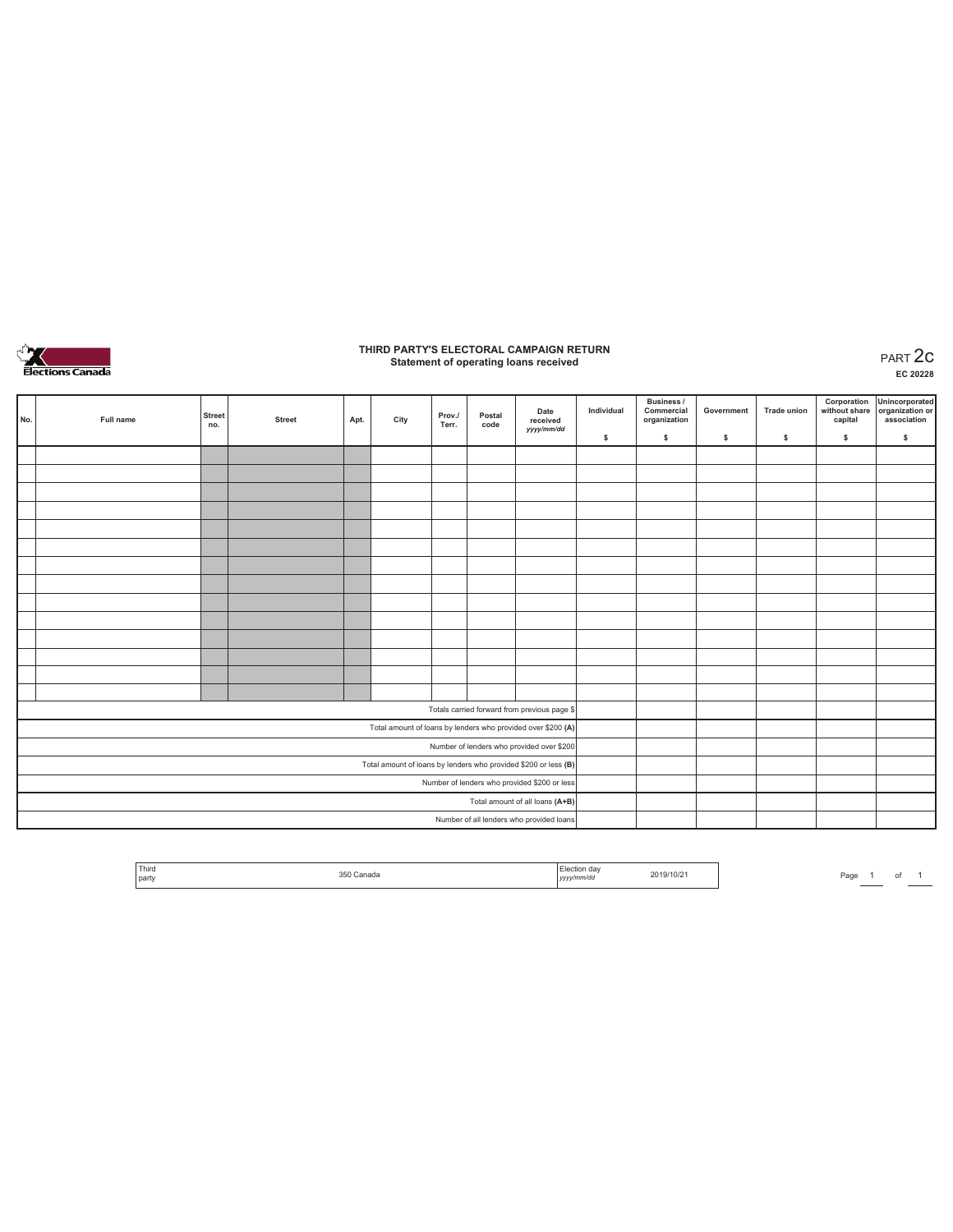

## **THIRD PARTY'S ELECTORAL CAMPAIGN RETURN Statement of operating loans received** PART 2c

**EC 20228**

| No. | Full name | <b>Street</b><br>no. | <b>Street</b> | Apt. | City | Prov./<br>Terr. | Postal<br>code | Date<br>received<br>yyyy/mm/dd                                  | Individual | Business /<br>Commercial<br>organization | Government | <b>Trade union</b> | Corporation<br>without share<br>capital | Unincorporated<br>organization or<br>association |
|-----|-----------|----------------------|---------------|------|------|-----------------|----------------|-----------------------------------------------------------------|------------|------------------------------------------|------------|--------------------|-----------------------------------------|--------------------------------------------------|
|     |           |                      |               |      |      |                 |                |                                                                 | \$         | s.                                       | s          | \$                 | \$                                      | \$                                               |
|     |           |                      |               |      |      |                 |                |                                                                 |            |                                          |            |                    |                                         |                                                  |
|     |           |                      |               |      |      |                 |                |                                                                 |            |                                          |            |                    |                                         |                                                  |
|     |           |                      |               |      |      |                 |                |                                                                 |            |                                          |            |                    |                                         |                                                  |
|     |           |                      |               |      |      |                 |                |                                                                 |            |                                          |            |                    |                                         |                                                  |
|     |           |                      |               |      |      |                 |                |                                                                 |            |                                          |            |                    |                                         |                                                  |
|     |           |                      |               |      |      |                 |                |                                                                 |            |                                          |            |                    |                                         |                                                  |
|     |           |                      |               |      |      |                 |                |                                                                 |            |                                          |            |                    |                                         |                                                  |
|     |           |                      |               |      |      |                 |                |                                                                 |            |                                          |            |                    |                                         |                                                  |
|     |           |                      |               |      |      |                 |                |                                                                 |            |                                          |            |                    |                                         |                                                  |
|     |           |                      |               |      |      |                 |                |                                                                 |            |                                          |            |                    |                                         |                                                  |
|     |           |                      |               |      |      |                 |                |                                                                 |            |                                          |            |                    |                                         |                                                  |
|     |           |                      |               |      |      |                 |                |                                                                 |            |                                          |            |                    |                                         |                                                  |
|     |           |                      |               |      |      |                 |                |                                                                 |            |                                          |            |                    |                                         |                                                  |
|     |           |                      |               |      |      |                 |                |                                                                 |            |                                          |            |                    |                                         |                                                  |
|     |           |                      |               |      |      |                 |                | Totals carried forward from previous page \$                    |            |                                          |            |                    |                                         |                                                  |
|     |           |                      |               |      |      |                 |                | Total amount of loans by lenders who provided over \$200 (A)    |            |                                          |            |                    |                                         |                                                  |
|     |           |                      |               |      |      |                 |                | Number of lenders who provided over \$200                       |            |                                          |            |                    |                                         |                                                  |
|     |           |                      |               |      |      |                 |                | Total amount of loans by lenders who provided \$200 or less (B) |            |                                          |            |                    |                                         |                                                  |
|     |           |                      |               |      |      |                 |                | Number of lenders who provided \$200 or less                    |            |                                          |            |                    |                                         |                                                  |
|     |           |                      |               |      |      |                 |                | Total amount of all loans (A+B)                                 |            |                                          |            |                    |                                         |                                                  |
|     |           |                      |               |      |      |                 |                | Number of all lenders who provided loans                        |            |                                          |            |                    |                                         |                                                  |

| Third |             | Election dav            |           |
|-------|-------------|-------------------------|-----------|
| party | Canada<br>. | vv/mm/do<br>,,,,<br>___ | 2019/10/2 |

Page  $1$  of  $1$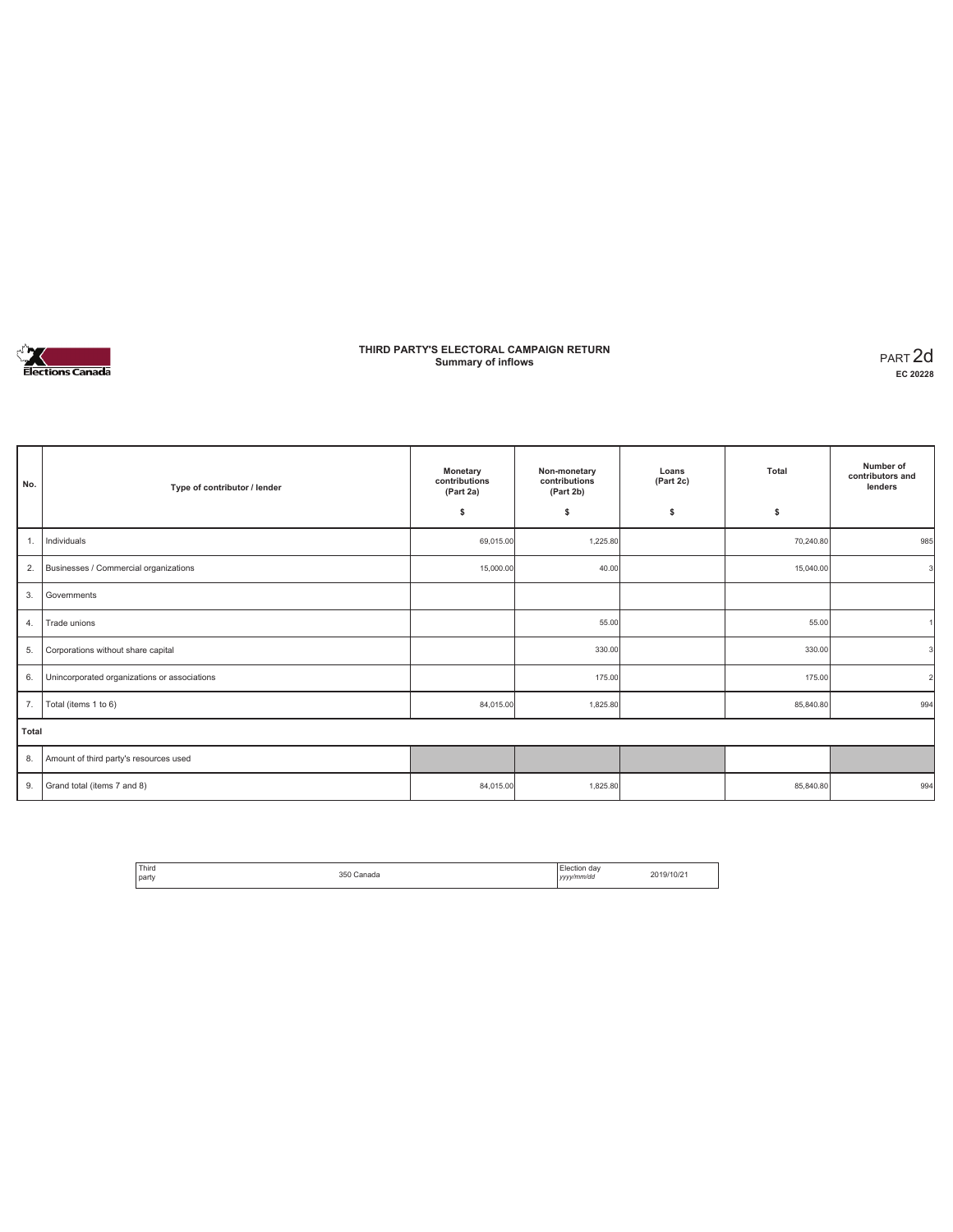

### **THIRD PARTY'S ELECTORAL CAMPAIGN RETURN Summary of inflows** PART 2d

**EC 20228**

| No.   | Type of contributor / lender                 | Monetary<br>contributions<br>(Part 2a) | Non-monetary<br>contributions<br>(Part 2b) | Loans<br>(Part 2c) | Total     | Number of<br>contributors and<br>lenders |
|-------|----------------------------------------------|----------------------------------------|--------------------------------------------|--------------------|-----------|------------------------------------------|
|       |                                              | \$                                     | \$                                         | \$                 | \$        |                                          |
| 1.    | Individuals                                  | 69,015.00                              | 1,225.80                                   |                    | 70,240.80 | 985                                      |
| 2.    | Businesses / Commercial organizations        | 15,000.00                              | 40.00                                      |                    | 15,040.00 | 3l                                       |
| 3.    | Governments                                  |                                        |                                            |                    |           |                                          |
| 4.    | Trade unions                                 |                                        | 55.00                                      |                    | 55.00     |                                          |
| 5.    | Corporations without share capital           |                                        | 330.00                                     |                    | 330.00    | ٩                                        |
| 6.    | Unincorporated organizations or associations |                                        | 175.00                                     |                    | 175.00    | $\mathcal{D}$                            |
| 7.    | Total (items 1 to 6)                         | 84,015.00                              | 1,825.80                                   |                    | 85,840.80 | 994                                      |
| Total |                                              |                                        |                                            |                    |           |                                          |
| 8.    | Amount of third party's resources used       |                                        |                                            |                    |           |                                          |
| 9.    | Grand total (items 7 and 8)                  | 84,015.00                              | 1,825.80                                   |                    | 85,840.80 | 994                                      |

| Third | 350 Canada | Election day | 2019/10/21 |
|-------|------------|--------------|------------|
| party | .          | yyyy/mm/dd   |            |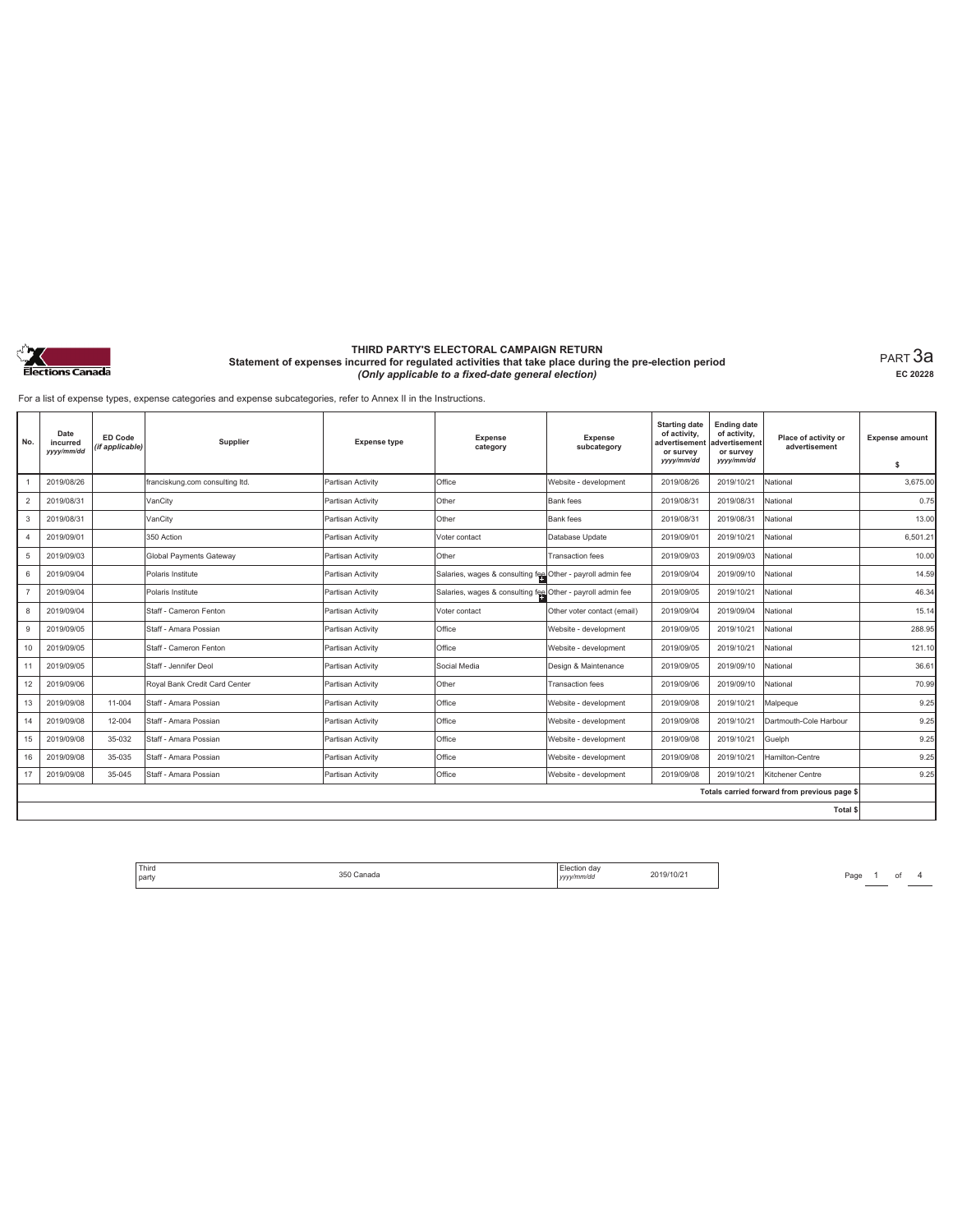

PART 3a **EC 20228**

For a list of expense types, expense categories and expense subcategories, refer to Annex II in the Instructions.

| No.            | Date<br>incurred<br>yyyy/mm/dd | ED Code<br>(if applicable) | Supplier                        | <b>Expense type</b> | <b>Expense</b><br>category                                 | Expense<br>subcategory      | <b>Starting date</b><br>of activity,<br>advertisement<br>or survey<br>yyyy/mm/dd | <b>Ending date</b><br>of activity,<br>advertisement<br>or survey<br>yyyy/mm/dd | Place of activity or<br>advertisement        | <b>Expense amount</b><br>-S |
|----------------|--------------------------------|----------------------------|---------------------------------|---------------------|------------------------------------------------------------|-----------------------------|----------------------------------------------------------------------------------|--------------------------------------------------------------------------------|----------------------------------------------|-----------------------------|
|                | 2019/08/26                     |                            | franciskung.com consulting ltd. | Partisan Activity   | Office                                                     | Website - development       | 2019/08/26                                                                       | 2019/10/21                                                                     | National                                     | 3.675.00                    |
| $\overline{2}$ | 2019/08/31                     |                            | VanCity                         | Partisan Activity   | Other                                                      | Bank fees                   | 2019/08/31                                                                       | 2019/08/31                                                                     | National                                     | 0.75                        |
| 3              | 2019/08/31                     |                            | VanCity                         | Partisan Activity   | Other                                                      | Bank fees                   | 2019/08/31                                                                       | 2019/08/31                                                                     | National                                     | 13.00                       |
| 4              | 2019/09/01                     |                            | 350 Action                      | Partisan Activity   | Voter contact                                              | Database Update             | 2019/09/01                                                                       | 2019/10/21                                                                     | National                                     | 6.501.21                    |
| 5              | 2019/09/03                     |                            | <b>Global Payments Gateway</b>  | Partisan Activity   | Other                                                      | <b>Transaction</b> fees     | 2019/09/03                                                                       | 2019/09/03                                                                     | National                                     | 10.00                       |
| 6              | 2019/09/04                     |                            | Polaris Institute               | Partisan Activity   | Salaries, wages & consulting fee Other - payroll admin fee |                             | 2019/09/04                                                                       | 2019/09/10                                                                     | National                                     | 14.59                       |
|                | 2019/09/04                     |                            | Polaris Institute               | Partisan Activity   | Salaries, wages & consulting fee Other - payroll admin fee |                             | 2019/09/05                                                                       | 2019/10/21                                                                     | National                                     | 46.34                       |
| 8              | 2019/09/04                     |                            | Staff - Cameron Fenton          | Partisan Activity   | Voter contact                                              | Other voter contact (email) | 2019/09/04                                                                       | 2019/09/04                                                                     | National                                     | 15.14                       |
| 9              | 2019/09/05                     |                            | Staff - Amara Possian           | Partisan Activity   | Office                                                     | Website - development       | 2019/09/05                                                                       | 2019/10/21                                                                     | National                                     | 288.95                      |
| 10             | 2019/09/05                     |                            | Staff - Cameron Fenton          | Partisan Activity   | Office                                                     | Website - development       | 2019/09/05                                                                       | 2019/10/21                                                                     | National                                     | 121.10                      |
| 11             | 2019/09/05                     |                            | Staff - Jennifer Deol           | Partisan Activity   | Social Media                                               | Design & Maintenance        | 2019/09/05                                                                       | 2019/09/10                                                                     | National                                     | 36.61                       |
| 12             | 2019/09/06                     |                            | Royal Bank Credit Card Center   | Partisan Activity   | Other                                                      | <b>Transaction</b> fees     | 2019/09/06                                                                       | 2019/09/10                                                                     | National                                     | 70.99                       |
| 13             | 2019/09/08                     | 11-004                     | Staff - Amara Possian           | Partisan Activity   | Office                                                     | Website - development       | 2019/09/08                                                                       | 2019/10/21                                                                     | Malpeque                                     | 9.25                        |
| 14             | 2019/09/08                     | 12-004                     | Staff - Amara Possian           | Partisan Activity   | Office                                                     | Website - development       | 2019/09/08                                                                       | 2019/10/21                                                                     | Dartmouth-Cole Harbour                       | 9.25                        |
| 15             | 2019/09/08                     | 35-032                     | Staff - Amara Possian           | Partisan Activity   | Office                                                     | Website - development       | 2019/09/08                                                                       | 2019/10/21                                                                     | Guelph                                       | 9.25                        |
| 16             | 2019/09/08                     | 35-035                     | Staff - Amara Possian           | Partisan Activity   | Office                                                     | Website - development       | 2019/09/08                                                                       | 2019/10/21                                                                     | Hamilton-Centre                              | 9.25                        |
| 17             | 2019/09/08                     | 35-045                     | Staff - Amara Possian           | Partisan Activity   | Office                                                     | Website - development       | 2019/09/08                                                                       | 2019/10/21                                                                     | Kitchener Centre                             | 9.25                        |
|                |                                |                            |                                 |                     |                                                            |                             |                                                                                  |                                                                                | Totals carried forward from previous page \$ |                             |
|                |                                |                            |                                 |                     |                                                            |                             |                                                                                  |                                                                                | Total \$                                     |                             |

Flection day 2019/10/21 Page 1 of 4 Property 2019/10/21 Page 1 of 4 Third<br>arty and the studies of the SSD Canada and the studies of the studies of the SSD Canada and the SSD Canada and t<br>arty *yyy/mm/dd* 2019/10/21 party 350 Canada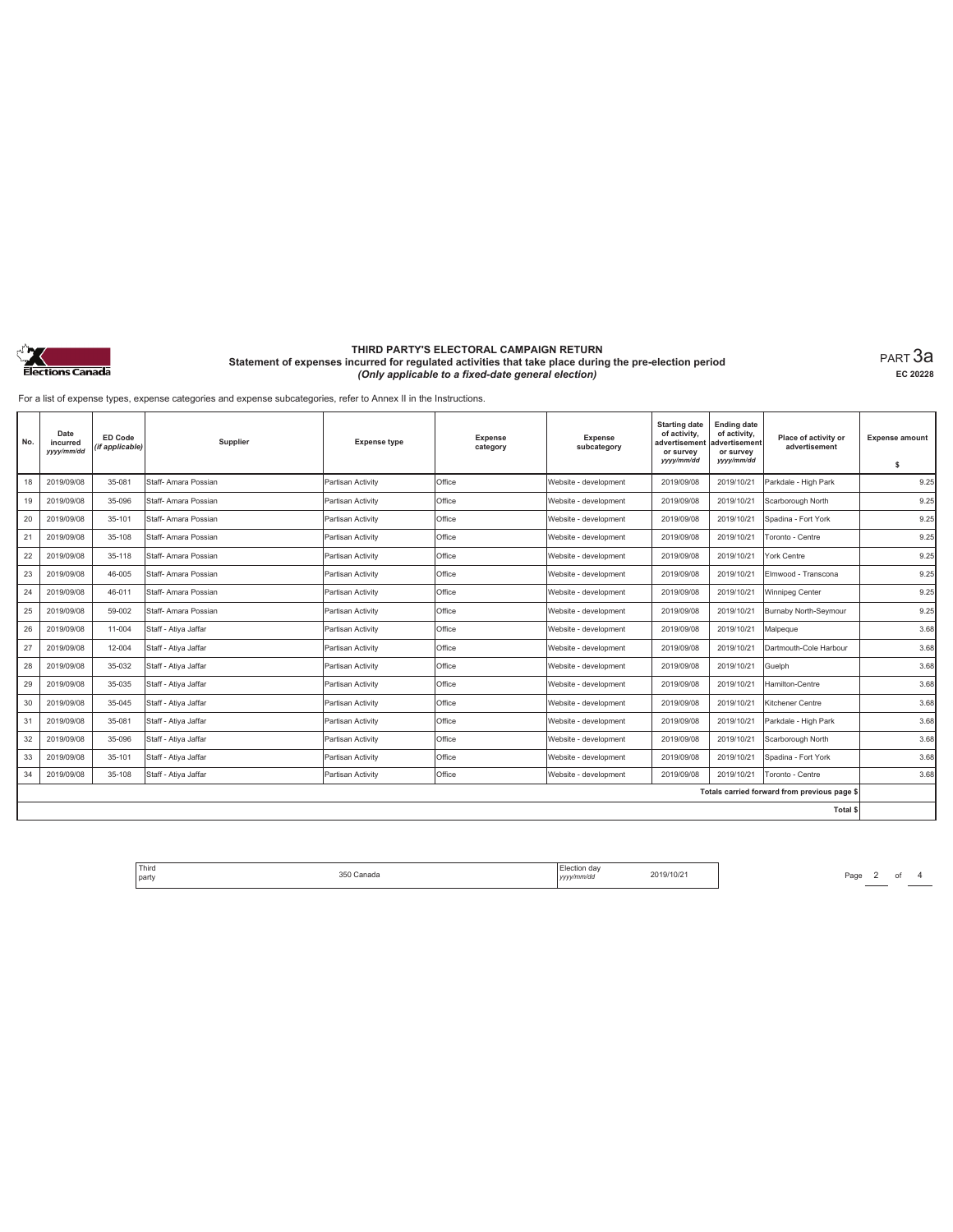

PART 3a **EC 20228**

For a list of expense types, expense categories and expense subcategories, refer to Annex II in the Instructions.

| No. | Date<br>incurred<br>yyyy/mm/dd | ED Code<br>(if applicable) | Supplier             | <b>Expense type</b> | <b>Expense</b><br>category | Expense<br>subcategory | <b>Starting date</b><br>of activity,<br>advertisement<br>or survey<br>yyyy/mm/dd | <b>Ending date</b><br>of activity,<br>advertisement<br>or survey<br>yyyy/mm/dd | Place of activity or<br>advertisement        | <b>Expense amount</b><br>s |
|-----|--------------------------------|----------------------------|----------------------|---------------------|----------------------------|------------------------|----------------------------------------------------------------------------------|--------------------------------------------------------------------------------|----------------------------------------------|----------------------------|
| 18  | 2019/09/08                     | 35-081                     | Staff- Amara Possian | Partisan Activity   | Office                     | Website - development  | 2019/09/08                                                                       | 2019/10/21                                                                     | Parkdale - High Park                         | 9.25                       |
| 19  | 2019/09/08                     | 35-096                     | Staff- Amara Possian | Partisan Activity   | Office                     | Website - development  | 2019/09/08                                                                       | 2019/10/21                                                                     | Scarborough North                            | 9.25                       |
| 20  | 2019/09/08                     | 35-101                     | Staff- Amara Possian | Partisan Activity   | Office                     | Website - development  | 2019/09/08                                                                       | 2019/10/21                                                                     | Spadina - Fort York                          | 9.25                       |
| 21  | 2019/09/08                     | 35-108                     | Staff- Amara Possian | Partisan Activity   | Office                     | Website - development  | 2019/09/08                                                                       | 2019/10/21                                                                     | Toronto - Centre                             | 9.25                       |
| 22  | 2019/09/08                     | 35-118                     | Staff- Amara Possian | Partisan Activity   | Office                     | Website - development  | 2019/09/08                                                                       | 2019/10/21                                                                     | York Centre                                  | 9.25                       |
| 23  | 2019/09/08                     | 46-005                     | Staff- Amara Possian | Partisan Activity   | Office                     | Website - development  | 2019/09/08                                                                       | 2019/10/21                                                                     | Elmwood - Transcona                          | 9.25                       |
| 24  | 2019/09/08                     | 46-011                     | Staff- Amara Possian | Partisan Activity   | Office                     | Website - development  | 2019/09/08                                                                       | 2019/10/21                                                                     | Winnipeg Center                              | 9.25                       |
| 25  | 2019/09/08                     | 59-002                     | Staff- Amara Possian | Partisan Activity   | Office                     | Website - development  | 2019/09/08                                                                       | 2019/10/21                                                                     | Burnaby North-Seymour                        | 9.25                       |
| 26  | 2019/09/08                     | 11-004                     | Staff - Ativa Jaffar | Partisan Activity   | Office                     | Website - development  | 2019/09/08                                                                       | 2019/10/21                                                                     | Malpeque                                     | 3.68                       |
| 27  | 2019/09/08                     | 12-004                     | Staff - Atiya Jaffar | Partisan Activity   | Office                     | Website - development  | 2019/09/08                                                                       | 2019/10/21                                                                     | Dartmouth-Cole Harbour                       | 3.68                       |
| 28  | 2019/09/08                     | 35-032                     | Staff - Atiya Jaffar | Partisan Activity   | Office                     | Website - development  | 2019/09/08                                                                       | 2019/10/21                                                                     | Guelph                                       | 3.68                       |
| 29  | 2019/09/08                     | 35-035                     | Staff - Atiya Jaffar | Partisan Activity   | Office                     | Website - development  | 2019/09/08                                                                       | 2019/10/21                                                                     | Hamilton-Centre                              | 3.68                       |
| 30  | 2019/09/08                     | 35-045                     | Staff - Atiya Jaffar | Partisan Activity   | Office                     | Website - development  | 2019/09/08                                                                       | 2019/10/21                                                                     | Kitchener Centre                             | 3.68                       |
| 31  | 2019/09/08                     | 35-081                     | Staff - Atiya Jaffar | Partisan Activity   | Office                     | Website - development  | 2019/09/08                                                                       | 2019/10/21                                                                     | Parkdale - High Park                         | 3.68                       |
| 32  | 2019/09/08                     | 35-096                     | Staff - Atiya Jaffar | Partisan Activity   | Office                     | Website - development  | 2019/09/08                                                                       | 2019/10/21                                                                     | Scarborough North                            | 3.68                       |
| 33  | 2019/09/08                     | 35-101                     | Staff - Atiya Jaffar | Partisan Activity   | Office                     | Website - development  | 2019/09/08                                                                       | 2019/10/21                                                                     | Spadina - Fort York                          | 3.68                       |
| 34  | 2019/09/08                     | 35-108                     | Staff - Atiya Jaffar | Partisan Activity   | Office                     | Website - development  | 2019/09/08                                                                       | 2019/10/21                                                                     | Toronto - Centre                             | 3.68                       |
|     |                                |                            |                      |                     |                            |                        |                                                                                  |                                                                                | Totals carried forward from previous page \$ |                            |
|     |                                |                            |                      |                     |                            |                        |                                                                                  |                                                                                | <b>Total \$</b>                              |                            |

Flection day 2019/10/21 Page 2 of 4 Property 2019/10/21 Third<br>arty and the studies of the SSD Canada and the studies of the studies of the SSD Canada and the SSD Canada and t<br>arty *yyy/mm/dd* 2019/10/21 party 350 Canada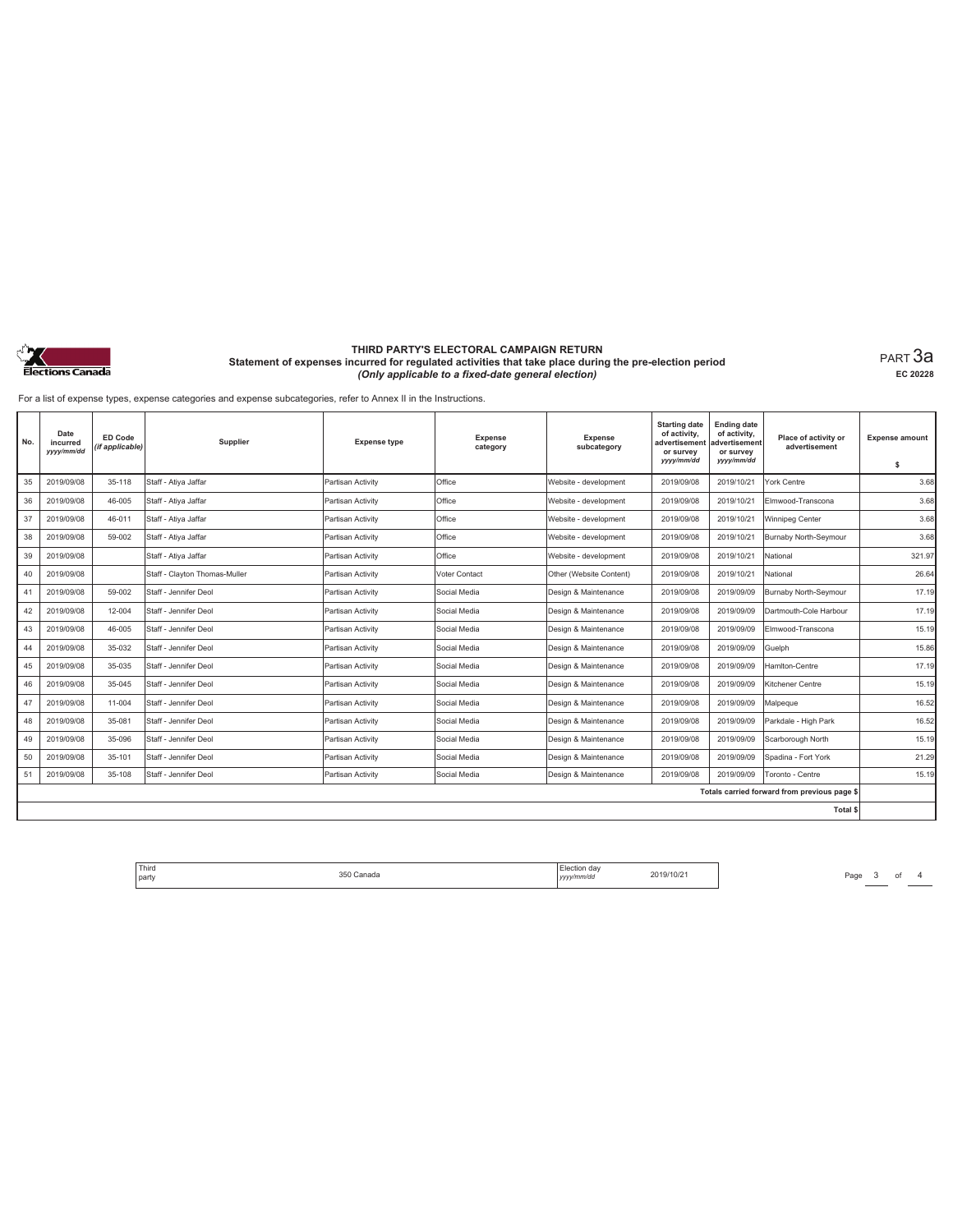

PART 3a **EC 20228**

For a list of expense types, expense categories and expense subcategories, refer to Annex II in the Instructions.

| No. | Date<br>incurred<br>yyyy/mm/dd | <b>ED Code</b><br>(if applicable) | Supplier                      | <b>Expense type</b> | <b>Expense</b><br>category | Expense<br>subcategory  | <b>Starting date</b><br>of activity,<br>advertisement<br>or survey<br>yyyy/mm/dd | <b>Ending date</b><br>of activity,<br>advertisement<br>or survey<br>yyyy/mm/dd | Place of activity or<br>advertisement        | <b>Expense amount</b><br>s |
|-----|--------------------------------|-----------------------------------|-------------------------------|---------------------|----------------------------|-------------------------|----------------------------------------------------------------------------------|--------------------------------------------------------------------------------|----------------------------------------------|----------------------------|
| 35  | 2019/09/08                     | 35-118                            | Staff - Atiya Jaffar          | Partisan Activity   | Office                     | Website - development   | 2019/09/08                                                                       | 2019/10/21                                                                     | York Centre                                  | 3.68                       |
| 36  | 2019/09/08                     | 46-005                            | Staff - Atiya Jaffar          | Partisan Activity   | Office                     | Website - development   | 2019/09/08                                                                       | 2019/10/21                                                                     | Elmwood-Transcona                            | 3.68                       |
| 37  | 2019/09/08                     | 46-011                            | Staff - Ativa Jaffar          | Partisan Activity   | Office                     | Website - development   | 2019/09/08                                                                       | 2019/10/21                                                                     | Winnipeg Center                              | 3.68                       |
| 38  | 2019/09/08                     | 59-002                            | Staff - Atiya Jaffar          | Partisan Activity   | Office                     | Website - development   | 2019/09/08                                                                       | 2019/10/21                                                                     | Burnaby North-Seymour                        | 3.68                       |
| 39  | 2019/09/08                     |                                   | Staff - Atiya Jaffar          | Partisan Activity   | Office                     | Website - development   | 2019/09/08                                                                       | 2019/10/21                                                                     | National                                     | 321.97                     |
| 40  | 2019/09/08                     |                                   | Staff - Clayton Thomas-Muller | Partisan Activity   | Voter Contact              | Other (Website Content) | 2019/09/08                                                                       | 2019/10/21                                                                     | National                                     | 26.64                      |
| 41  | 2019/09/08                     | 59-002                            | Staff - Jennifer Deol         | Partisan Activity   | Social Media               | Design & Maintenance    | 2019/09/08                                                                       | 2019/09/09                                                                     | Burnaby North-Seymour                        | 17.19                      |
| 42  | 2019/09/08                     | 12-004                            | Staff - Jennifer Deol         | Partisan Activity   | Social Media               | Design & Maintenance    | 2019/09/08                                                                       | 2019/09/09                                                                     | Dartmouth-Cole Harbour                       | 17.19                      |
| 43  | 2019/09/08                     | 46-005                            | Staff - Jennifer Deol         | Partisan Activity   | Social Media               | Design & Maintenance    | 2019/09/08                                                                       | 2019/09/09                                                                     | Elmwood-Transcona                            | 15.19                      |
| 44  | 2019/09/08                     | 35-032                            | Staff - Jennifer Deol         | Partisan Activity   | Social Media               | Design & Maintenance    | 2019/09/08                                                                       | 2019/09/09                                                                     | Guelph                                       | 15.86                      |
| 45  | 2019/09/08                     | 35-035                            | Staff - Jennifer Deol         | Partisan Activity   | Social Media               | Design & Maintenance    | 2019/09/08                                                                       | 2019/09/09                                                                     | Hamiton-Centre                               | 17.19                      |
| 46  | 2019/09/08                     | 35-045                            | Staff - Jennifer Deol         | Partisan Activity   | Social Media               | Design & Maintenance    | 2019/09/08                                                                       | 2019/09/09                                                                     | Kitchener Centre                             | 15.19                      |
| 47  | 2019/09/08                     | 11-004                            | Staff - Jennifer Deol         | Partisan Activity   | Social Media               | Design & Maintenance    | 2019/09/08                                                                       | 2019/09/09                                                                     | Malpeque                                     | 16.52                      |
| 48  | 2019/09/08                     | 35-081                            | Staff - Jennifer Deol         | Partisan Activity   | Social Media               | Design & Maintenance    | 2019/09/08                                                                       | 2019/09/09                                                                     | Parkdale - High Park                         | 16.52                      |
| 49  | 2019/09/08                     | 35-096                            | Staff - Jennifer Deol         | Partisan Activity   | Social Media               | Design & Maintenance    | 2019/09/08                                                                       | 2019/09/09                                                                     | Scarborough North                            | 15.19                      |
| 50  | 2019/09/08                     | 35-101                            | Staff - Jennifer Deol         | Partisan Activity   | Social Media               | Design & Maintenance    | 2019/09/08                                                                       | 2019/09/09                                                                     | Spadina - Fort York                          | 21.29                      |
| 51  | 2019/09/08                     | 35-108                            | Staff - Jennifer Deol         | Partisan Activity   | Social Media               | Design & Maintenance    | 2019/09/08                                                                       | 2019/09/09                                                                     | Toronto - Centre                             | 15.19                      |
|     |                                |                                   |                               |                     |                            |                         |                                                                                  |                                                                                | Totals carried forward from previous page \$ |                            |
|     |                                |                                   |                               |                     |                            |                         |                                                                                  |                                                                                | Total \$                                     |                            |

Flection day 2019/10/21 Page 3 of 4 Property 2019/10/21 Third<br>arty and the studies of the SSD Canada and the studies of the studies of the SSD Canada and the SSD Canada and t<br>arty *yyy/mm/dd* 2019/10/21 party 350 Canada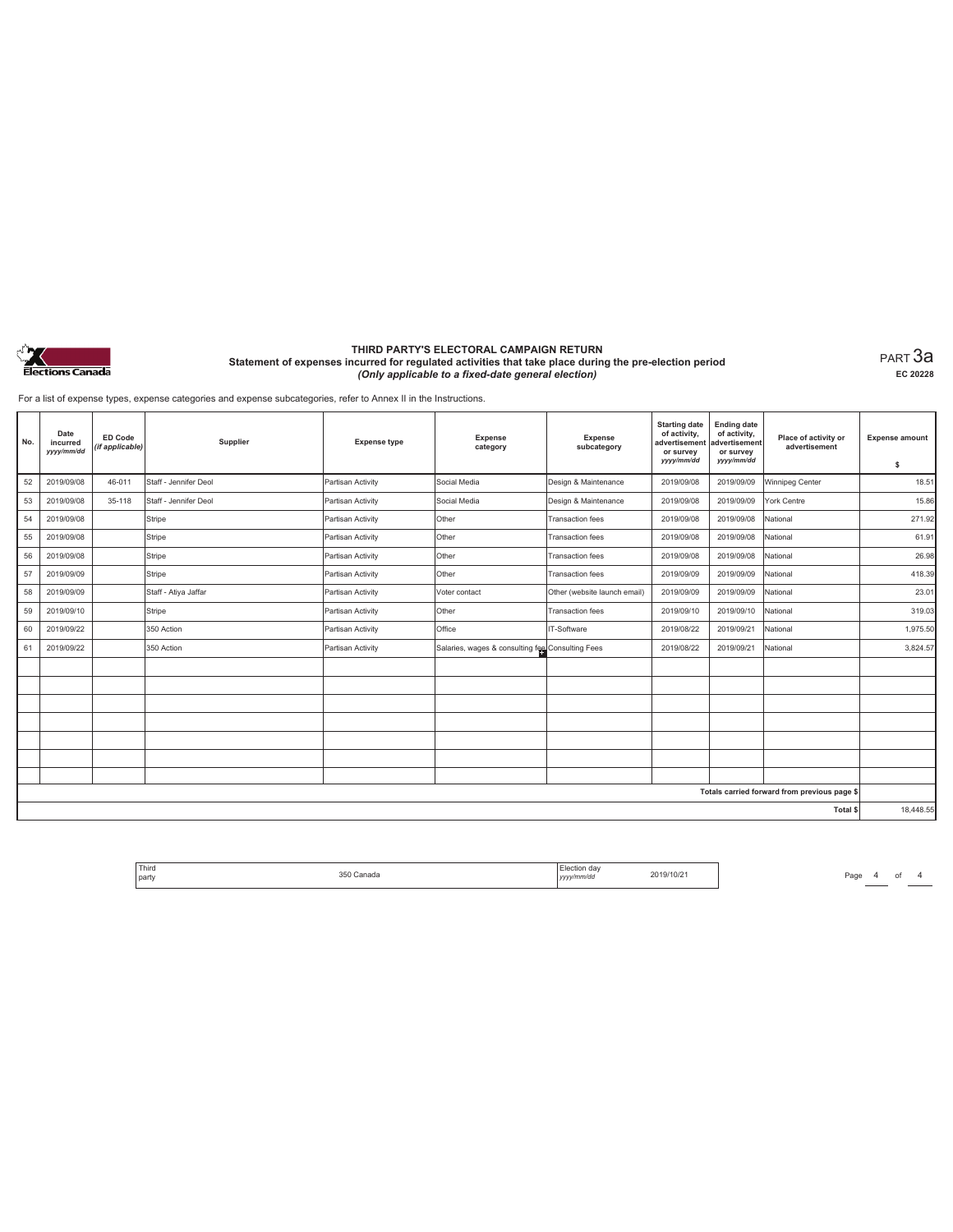

PART 3a **EC 20228**

For a list of expense types, expense categories and expense subcategories, refer to Annex II in the Instructions.

| No. | Date<br>incurred<br>yyyy/mm/dd | ED Code<br>(if applicable) | Supplier              | <b>Expense type</b> | Expense<br>category                              | Expense<br>subcategory       | <b>Starting date</b><br>of activity,<br>advertisement<br>or survey<br>yyyy/mm/dd | <b>Ending date</b><br>of activity,<br>advertisement<br>or survey<br>yyyy/mm/dd | Place of activity or<br>advertisement        | <b>Expense amount</b><br>\$ |
|-----|--------------------------------|----------------------------|-----------------------|---------------------|--------------------------------------------------|------------------------------|----------------------------------------------------------------------------------|--------------------------------------------------------------------------------|----------------------------------------------|-----------------------------|
| 52  | 2019/09/08                     | 46-011                     | Staff - Jennifer Deol | Partisan Activity   | Social Media                                     | Design & Maintenance         | 2019/09/08                                                                       | 2019/09/09                                                                     | Winnipeg Center                              | 18.51                       |
| 53  | 2019/09/08                     | 35-118                     | Staff - Jennifer Deol | Partisan Activity   | Social Media                                     | Design & Maintenance         | 2019/09/08                                                                       | 2019/09/09                                                                     | York Centre                                  | 15.86                       |
| 54  | 2019/09/08                     |                            | Stripe                | Partisan Activity   | Other                                            | <b>Transaction fees</b>      | 2019/09/08                                                                       | 2019/09/08                                                                     | National                                     | 271.92                      |
| 55  | 2019/09/08                     |                            | Stripe                | Partisan Activity   | Other                                            | <b>Transaction fees</b>      | 2019/09/08                                                                       | 2019/09/08                                                                     | National                                     | 61.91                       |
| 56  | 2019/09/08                     |                            | Stripe                | Partisan Activity   | Other                                            | <b>Transaction fees</b>      | 2019/09/08                                                                       | 2019/09/08                                                                     | National                                     | 26.98                       |
| 57  | 2019/09/09                     |                            | Stripe                | Partisan Activity   | Other                                            | <b>Transaction fees</b>      | 2019/09/09                                                                       | 2019/09/09                                                                     | National                                     | 418.39                      |
| 58  | 2019/09/09                     |                            | Staff - Atiya Jaffar  | Partisan Activity   | Voter contact                                    | Other (website launch email) | 2019/09/09                                                                       | 2019/09/09                                                                     | National                                     | 23.01                       |
| 59  | 2019/09/10                     |                            | Stripe                | Partisan Activity   | Other                                            | <b>Transaction fees</b>      | 2019/09/10                                                                       | 2019/09/10                                                                     | National                                     | 319.03                      |
| 60  | 2019/09/22                     |                            | 350 Action            | Partisan Activity   | Office                                           | IT-Software                  | 2019/08/22                                                                       | 2019/09/21                                                                     | National                                     | 1,975.50                    |
| 61  | 2019/09/22                     |                            | 350 Action            | Partisan Activity   | Salaries, wages & consulting fee Consulting Fees |                              | 2019/08/22                                                                       | 2019/09/21                                                                     | National                                     | 3,824.57                    |
|     |                                |                            |                       |                     |                                                  |                              |                                                                                  |                                                                                |                                              |                             |
|     |                                |                            |                       |                     |                                                  |                              |                                                                                  |                                                                                |                                              |                             |
|     |                                |                            |                       |                     |                                                  |                              |                                                                                  |                                                                                |                                              |                             |
|     |                                |                            |                       |                     |                                                  |                              |                                                                                  |                                                                                |                                              |                             |
|     |                                |                            |                       |                     |                                                  |                              |                                                                                  |                                                                                |                                              |                             |
|     |                                |                            |                       |                     |                                                  |                              |                                                                                  |                                                                                |                                              |                             |
|     |                                |                            |                       |                     |                                                  |                              |                                                                                  |                                                                                |                                              |                             |
|     |                                |                            |                       |                     |                                                  |                              |                                                                                  |                                                                                | Totals carried forward from previous page \$ |                             |
|     |                                |                            |                       |                     |                                                  |                              |                                                                                  |                                                                                | Total \$                                     | 18,448.55                   |

Election day 2019/10/21 Page 4 of 4 Page 4 of 4 Election day Third<br>arty and the studies of the SSD Canada and the studies of the studies of the SSD Canada and the SSD Canada and t<br>arty *yyy/mm/dd* 2019/10/21 party 350 Canada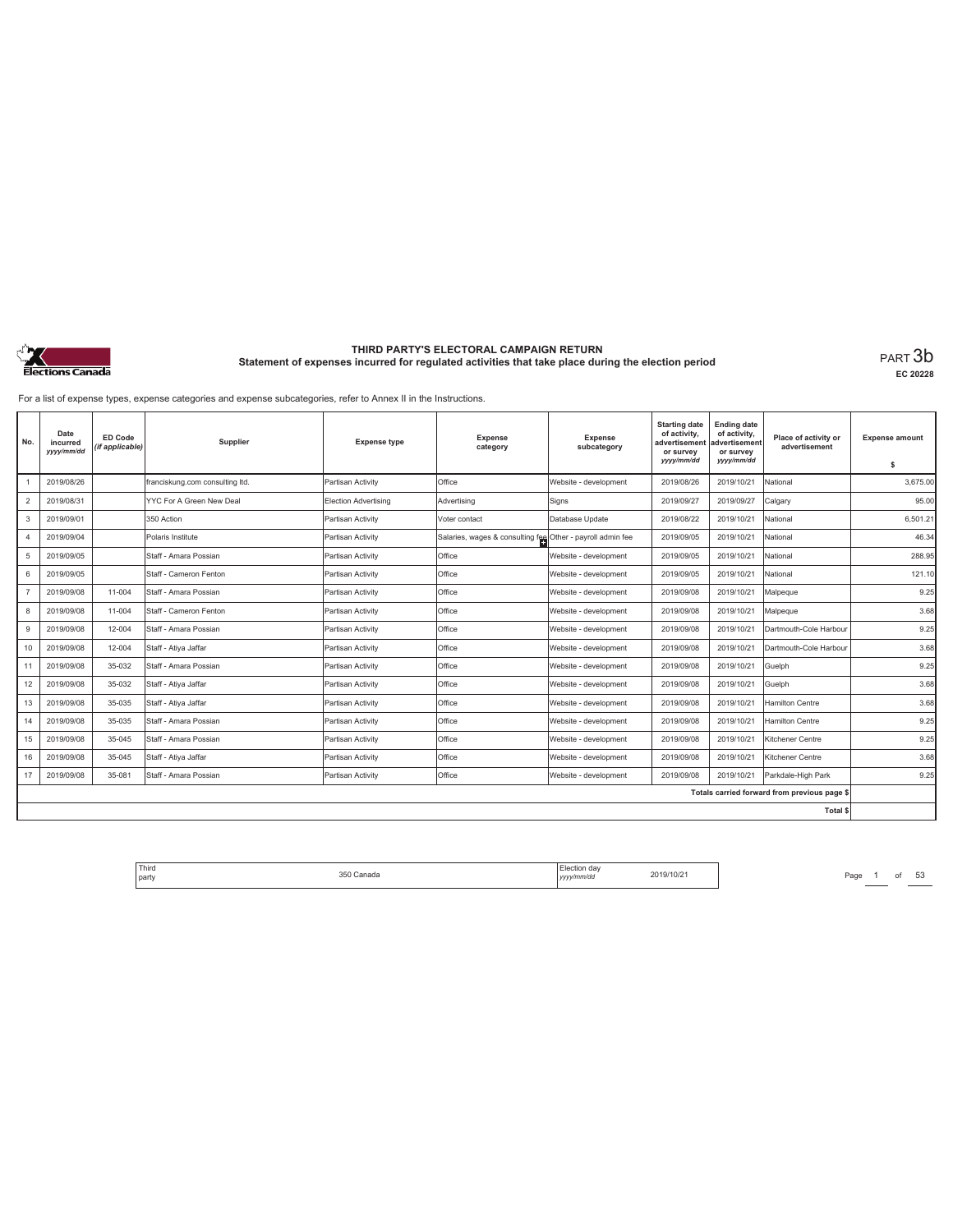

**EC 20228**

For a list of expense types, expense categories and expense subcategories, refer to Annex II in the Instructions.

| No.            | Date<br>incurred<br>yyyy/mm/dd | ED Code<br>(if applicable) | Supplier                        | <b>Expense type</b>         | <b>Expense</b><br>category                                 | <b>Expense</b><br>subcategory | <b>Starting date</b><br>of activity.<br>advertisement<br>or survey<br>yyyy/mm/dd | <b>Ending date</b><br>of activity,<br>advertisement<br>or survey<br>yyyy/mm/dd | Place of activity or<br>advertisement        | <b>Expense amount</b><br>s |
|----------------|--------------------------------|----------------------------|---------------------------------|-----------------------------|------------------------------------------------------------|-------------------------------|----------------------------------------------------------------------------------|--------------------------------------------------------------------------------|----------------------------------------------|----------------------------|
|                | 2019/08/26                     |                            | franciskung.com consulting ltd. | Partisan Activity           | Office                                                     | Website - development         | 2019/08/26                                                                       | 2019/10/21                                                                     | National                                     | 3.675.00                   |
| $\overline{c}$ | 2019/08/31                     |                            | YYC For A Green New Deal        | <b>Election Advertising</b> | Advertising                                                | Signs                         | 2019/09/27                                                                       | 2019/09/27                                                                     | Calgary                                      | 95.00                      |
| 3              | 2019/09/01                     |                            | 350 Action                      | Partisan Activity           | Voter contact                                              | Database Update               | 2019/08/22                                                                       | 2019/10/21                                                                     | National                                     | 6.501.21                   |
| $\overline{4}$ | 2019/09/04                     |                            | Polaris Institute               | Partisan Activity           | Salaries, wages & consulting fee Other - payroll admin fee |                               | 2019/09/05                                                                       | 2019/10/21                                                                     | National                                     | 46.34                      |
| 5              | 2019/09/05                     |                            | Staff - Amara Possian           | Partisan Activity           | Office                                                     | Website - development         | 2019/09/05                                                                       | 2019/10/21                                                                     | National                                     | 288.95                     |
| 6              | 2019/09/05                     |                            | Staff - Cameron Fenton          | Partisan Activity           | Office                                                     | Website - development         | 2019/09/05                                                                       | 2019/10/21                                                                     | National                                     | 121.10                     |
| $\overline{7}$ | 2019/09/08                     | 11-004                     | Staff - Amara Possian           | Partisan Activity           | Office                                                     | Website - development         | 2019/09/08                                                                       | 2019/10/21                                                                     | Malpeque                                     | 9.25                       |
| 8              | 2019/09/08                     | 11-004                     | Staff - Cameron Fenton          | Partisan Activity           | Office                                                     | Website - development         | 2019/09/08                                                                       | 2019/10/21                                                                     | Malpeque                                     | 3.68                       |
| $\overline{9}$ | 2019/09/08                     | 12-004                     | Staff - Amara Possian           | Partisan Activity           | Office                                                     | Website - development         | 2019/09/08                                                                       | 2019/10/21                                                                     | Dartmouth-Cole Harbour                       | 9.25                       |
| 10             | 2019/09/08                     | 12-004                     | Staff - Ativa Jaffar            | Partisan Activity           | Office                                                     | Website - development         | 2019/09/08                                                                       | 2019/10/21                                                                     | Dartmouth-Cole Harbour                       | 3.68                       |
| 11             | 2019/09/08                     | 35-032                     | Staff - Amara Possian           | Partisan Activity           | Office                                                     | Website - development         | 2019/09/08                                                                       | 2019/10/21                                                                     | Guelph                                       | 9.25                       |
| 12             | 2019/09/08                     | 35-032                     | Staff - Atiya Jaffar            | Partisan Activity           | Office                                                     | Website - development         | 2019/09/08                                                                       | 2019/10/21                                                                     | Guelph                                       | 3.68                       |
| 13             | 2019/09/08                     | 35-035                     | Staff - Atiya Jaffar            | Partisan Activity           | Office                                                     | Website - development         | 2019/09/08                                                                       | 2019/10/21                                                                     | <b>Hamilton Centre</b>                       | 3.68                       |
| 14             | 2019/09/08                     | 35-035                     | Staff - Amara Possian           | Partisan Activity           | Office                                                     | Website - development         | 2019/09/08                                                                       | 2019/10/21                                                                     | <b>Hamilton Centre</b>                       | 9.25                       |
| 15             | 2019/09/08                     | 35-045                     | Staff - Amara Possian           | Partisan Activity           | Office                                                     | Website - development         | 2019/09/08                                                                       | 2019/10/21                                                                     | Kitchener Centre                             | 9.25                       |
| 16             | 2019/09/08                     | 35-045                     | Staff - Ativa Jaffar            | Partisan Activity           | Office                                                     | Website - development         | 2019/09/08                                                                       | 2019/10/21                                                                     | Kitchener Centre                             | 3.68                       |
| 17             | 2019/09/08                     | 35-081                     | Staff - Amara Possian           | Partisan Activity           | Office                                                     | Website - development         | 2019/09/08                                                                       | 2019/10/21                                                                     | Parkdale-High Park                           | 9.25                       |
|                |                                |                            |                                 |                             |                                                            |                               |                                                                                  |                                                                                | Totals carried forward from previous page \$ |                            |
|                |                                |                            |                                 |                             |                                                            |                               |                                                                                  |                                                                                | Total \$                                     |                            |

Third The Same 1 of 53 The Section of the Section of the Section of the Section of the Section of the Section of the Section of the Section of the Section of the Section of the Section of the Section of the Section of the party 350 Canada Election day *yyyy/mm/dd* 2019/10/21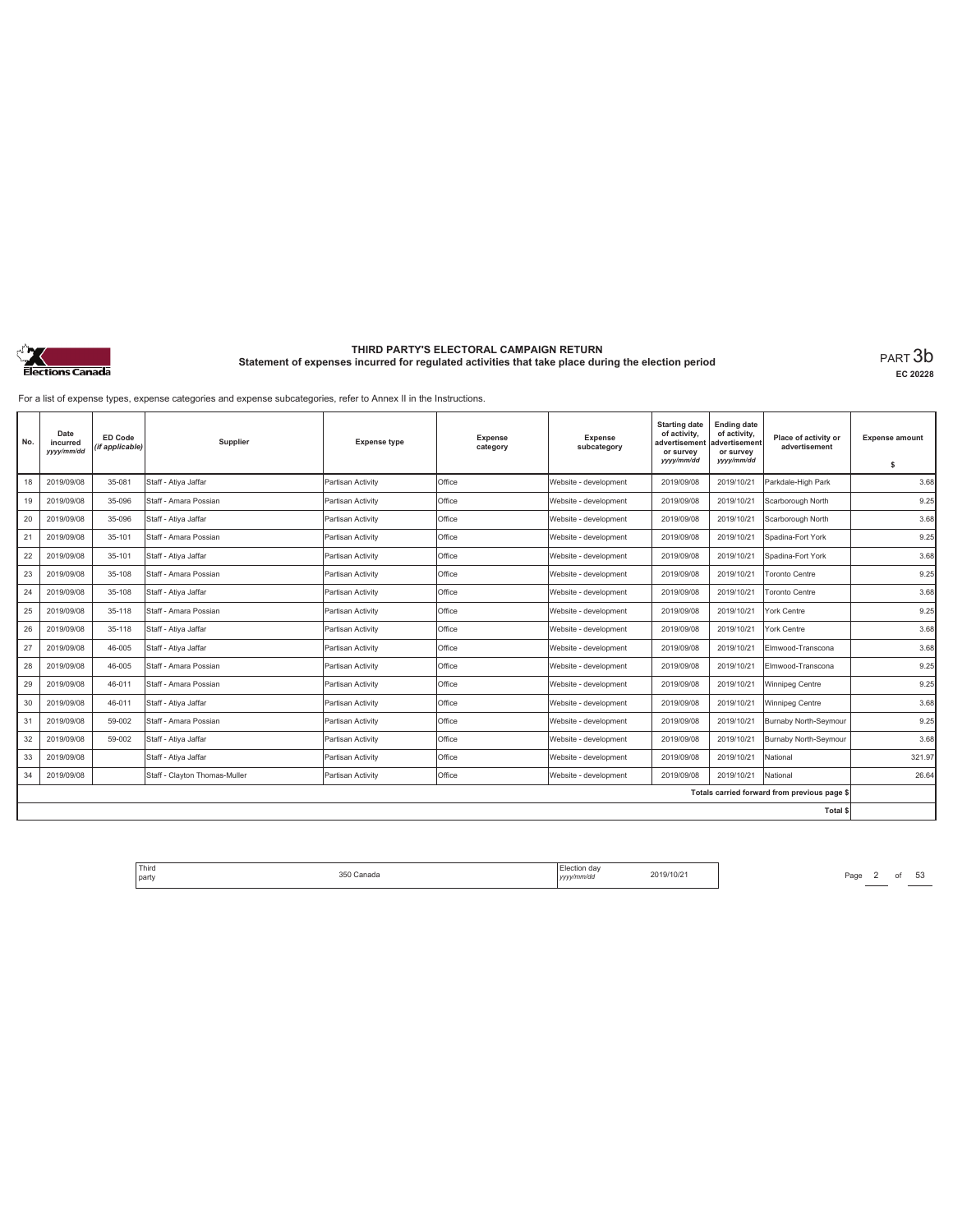

**EC 20228**

For a list of expense types, expense categories and expense subcategories, refer to Annex II in the Instructions.

| No. | Date<br>incurred<br>yyyy/mm/dd | ED Code<br>(if applicable) | Supplier                      | <b>Expense type</b> | <b>Expense</b><br>category | Expense<br>subcategory | <b>Starting date</b><br>of activity,<br>advertisement<br>or survey<br>yyyy/mm/dd | <b>Ending date</b><br>of activity,<br>advertisement<br>or survey<br>yyyy/mm/dd | Place of activity or<br>advertisement        | <b>Expense amount</b><br>\$ |
|-----|--------------------------------|----------------------------|-------------------------------|---------------------|----------------------------|------------------------|----------------------------------------------------------------------------------|--------------------------------------------------------------------------------|----------------------------------------------|-----------------------------|
| 18  | 2019/09/08                     | 35-081                     | Staff - Atiya Jaffar          | Partisan Activity   | Office                     | Website - development  | 2019/09/08                                                                       | 2019/10/21                                                                     | Parkdale-High Park                           | 3.68                        |
| 19  | 2019/09/08                     | 35-096                     | Staff - Amara Possian         | Partisan Activity   | Office                     | Website - development  | 2019/09/08                                                                       | 2019/10/21                                                                     | Scarborough North                            | 9.25                        |
| 20  | 2019/09/08                     | 35-096                     | Staff - Ativa Jaffar          | Partisan Activity   | Office                     | Website - development  | 2019/09/08                                                                       | 2019/10/21                                                                     | Scarborough North                            | 3.68                        |
| 21  | 2019/09/08                     | 35-101                     | Staff - Amara Possian         | Partisan Activity   | Office                     | Website - development  | 2019/09/08                                                                       | 2019/10/21                                                                     | Spadina-Fort York                            | 9.25                        |
| 22  | 2019/09/08                     | 35-101                     | Staff - Ativa Jaffar          | Partisan Activity   | Office                     | Website - development  | 2019/09/08                                                                       | 2019/10/21                                                                     | Spadina-Fort York                            | 3.68                        |
| 23  | 2019/09/08                     | 35-108                     | Staff - Amara Possian         | Partisan Activity   | Office                     | Website - development  | 2019/09/08                                                                       | 2019/10/21                                                                     | <b>Toronto Centre</b>                        | 9.25                        |
| 24  | 2019/09/08                     | 35-108                     | Staff - Atiya Jaffar          | Partisan Activity   | Office                     | Website - development  | 2019/09/08                                                                       | 2019/10/21                                                                     | <b>Toronto Centre</b>                        | 3.68                        |
| 25  | 2019/09/08                     | 35-118                     | Staff - Amara Possian         | Partisan Activity   | Office                     | Website - development  | 2019/09/08                                                                       | 2019/10/21                                                                     | York Centre                                  | 9.25                        |
| 26  | 2019/09/08                     | 35-118                     | Staff - Ativa Jaffar          | Partisan Activity   | Office                     | Website - development  | 2019/09/08                                                                       | 2019/10/21                                                                     | York Centre                                  | 3.68                        |
| 27  | 2019/09/08                     | 46-005                     | Staff - Ativa Jaffar          | Partisan Activity   | Office                     | Website - development  | 2019/09/08                                                                       | 2019/10/21                                                                     | Elmwood-Transcona                            | 3.68                        |
| 28  | 2019/09/08                     | 46-005                     | Staff - Amara Possian         | Partisan Activity   | Office                     | Website - development  | 2019/09/08                                                                       | 2019/10/21                                                                     | Elmwood-Transcona                            | 9.25                        |
| 29  | 2019/09/08                     | 46-011                     | Staff - Amara Possian         | Partisan Activity   | Office                     | Website - development  | 2019/09/08                                                                       | 2019/10/21                                                                     | Winnipeg Centre                              | 9.25                        |
| 30  | 2019/09/08                     | 46-011                     | Staff - Atiya Jaffar          | Partisan Activity   | Office                     | Website - development  | 2019/09/08                                                                       | 2019/10/21                                                                     | Winnipeg Centre                              | 3.68                        |
| 31  | 2019/09/08                     | 59-002                     | Staff - Amara Possian         | Partisan Activity   | Office                     | Website - development  | 2019/09/08                                                                       | 2019/10/21                                                                     | Burnaby North-Seymour                        | 9.25                        |
| 32  | 2019/09/08                     | 59-002                     | Staff - Atiya Jaffar          | Partisan Activity   | Office                     | Website - development  | 2019/09/08                                                                       | 2019/10/21                                                                     | Burnaby North-Seymour                        | 3.68                        |
| 33  | 2019/09/08                     |                            | Staff - Ativa Jaffar          | Partisan Activity   | Office                     | Website - development  | 2019/09/08                                                                       | 2019/10/21                                                                     | National                                     | 321.97                      |
| 34  | 2019/09/08                     |                            | Staff - Clayton Thomas-Muller | Partisan Activity   | Office                     | Website - development  | 2019/09/08                                                                       | 2019/10/21                                                                     | National                                     | 26.64                       |
|     |                                |                            |                               |                     |                            |                        |                                                                                  |                                                                                | Totals carried forward from previous page \$ |                             |
|     |                                |                            |                               |                     |                            |                        |                                                                                  |                                                                                | <b>Total \$</b>                              |                             |

Third The Same 2 of 53<br>
party Page 2 of 53<br>
party 2019/10/21 Page 2 of 53 party 350 Canada Election day *yyyy/mm/dd* 2019/10/21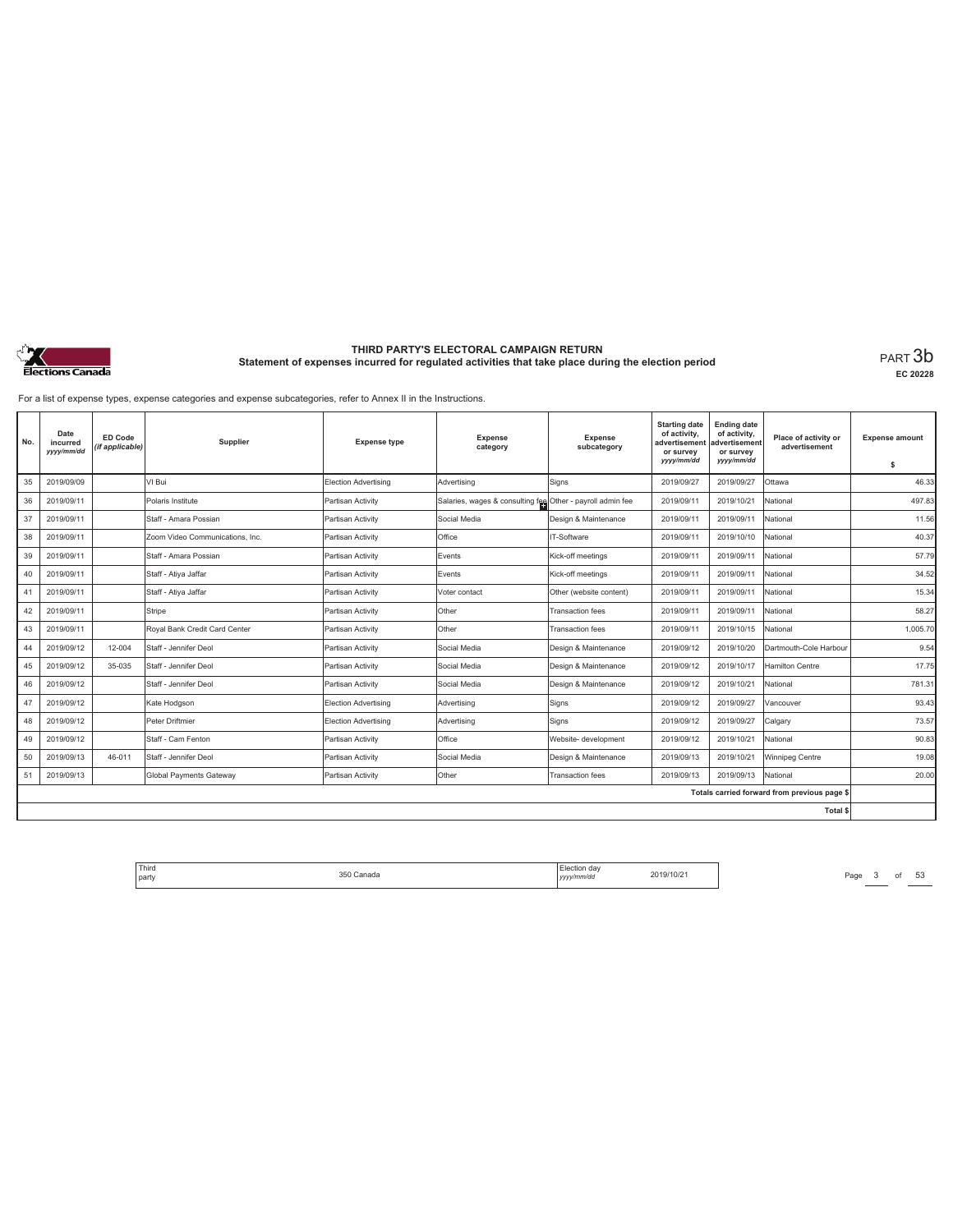

**EC 20228**

For a list of expense types, expense categories and expense subcategories, refer to Annex II in the Instructions.

| No. | Date<br>incurred<br>yyy/mm/dd | ED Code<br>(if applicable) | Supplier                        | <b>Expense type</b>         | Expense<br>category                                        | Expense<br>subcategory  | <b>Starting date</b><br>of activity,<br>advertisement<br>or survey<br>yyyy/mm/dd | <b>Ending date</b><br>of activity,<br>advertisement<br>or survey<br>yyyy/mm/dd | Place of activity or<br>advertisement        | <b>Expense amount</b><br>\$ |
|-----|-------------------------------|----------------------------|---------------------------------|-----------------------------|------------------------------------------------------------|-------------------------|----------------------------------------------------------------------------------|--------------------------------------------------------------------------------|----------------------------------------------|-----------------------------|
| 35  | 2019/09/09                    |                            | VI Bui                          | Election Advertising        | Advertising                                                | Signs                   | 2019/09/27                                                                       | 2019/09/27                                                                     | Ottawa                                       | 46.33                       |
| 36  | 2019/09/11                    |                            | Polaris Institute               | Partisan Activity           | Salaries, wages & consulting fee Other - payroll admin fee |                         | 2019/09/11                                                                       | 2019/10/21                                                                     | National                                     | 497.83                      |
| 37  | 2019/09/11                    |                            | Staff - Amara Possian           | Partisan Activity           | Social Media                                               | Design & Maintenance    | 2019/09/11                                                                       | 2019/09/11                                                                     | National                                     | 11.56                       |
| 38  | 2019/09/11                    |                            | Zoom Video Communications, Inc. | Partisan Activity           | Office                                                     | IT-Software             | 2019/09/11                                                                       | 2019/10/10                                                                     | National                                     | 40.37                       |
| 39  | 2019/09/11                    |                            | Staff - Amara Possian           | Partisan Activity           | Events                                                     | Kick-off meetings       | 2019/09/11                                                                       | 2019/09/11                                                                     | National                                     | 57.79                       |
| 40  | 2019/09/11                    |                            | Staff - Atiya Jaffar            | Partisan Activity           | Events                                                     | Kick-off meetings       | 2019/09/11                                                                       | 2019/09/11                                                                     | National                                     | 34.52                       |
| 41  | 2019/09/11                    |                            | Staff - Atiya Jaffar            | Partisan Activity           | Voter contact                                              | Other (website content) | 2019/09/11                                                                       | 2019/09/11                                                                     | National                                     | 15.34                       |
| 42  | 2019/09/11                    |                            | Stripe                          | Partisan Activity           | Other                                                      | <b>Transaction fees</b> | 2019/09/11                                                                       | 2019/09/11                                                                     | National                                     | 58.27                       |
| 43  | 2019/09/11                    |                            | Royal Bank Credit Card Center   | Partisan Activity           | Other                                                      | <b>Transaction fees</b> | 2019/09/11                                                                       | 2019/10/15                                                                     | National                                     | 1,005.70                    |
| 44  | 2019/09/12                    | 12-004                     | Staff - Jennifer Deol           | Partisan Activity           | Social Media                                               | Design & Maintenance    | 2019/09/12                                                                       | 2019/10/20                                                                     | Dartmouth-Cole Harbour                       | 9.54                        |
| 45  | 2019/09/12                    | 35-035                     | Staff - Jennifer Deol           | Partisan Activity           | Social Media                                               | Design & Maintenance    | 2019/09/12                                                                       | 2019/10/17                                                                     | <b>Hamilton Centre</b>                       | 17.75                       |
| 46  | 2019/09/12                    |                            | Staff - Jennifer Deol           | Partisan Activity           | Social Media                                               | Design & Maintenance    | 2019/09/12                                                                       | 2019/10/21                                                                     | National                                     | 781.31                      |
| 47  | 2019/09/12                    |                            | Kate Hodgson                    | Election Advertising        | Advertisina                                                | Signs                   | 2019/09/12                                                                       | 2019/09/27                                                                     | Vancouver                                    | 93.43                       |
| 48  | 2019/09/12                    |                            | Peter Driftmier                 | <b>Election Advertising</b> | Advertising                                                | Signs                   | 2019/09/12                                                                       | 2019/09/27                                                                     | Calgary                                      | 73.57                       |
| 49  | 2019/09/12                    |                            | Staff - Cam Fenton              | Partisan Activity           | Office                                                     | Website- development    | 2019/09/12                                                                       | 2019/10/21                                                                     | National                                     | 90.83                       |
| 50  | 2019/09/13                    | 46-011                     | Staff - Jennifer Deol           | Partisan Activity           | Social Media                                               | Design & Maintenance    | 2019/09/13                                                                       | 2019/10/21                                                                     | Winnipeg Centre                              | 19.08                       |
| 51  | 2019/09/13                    |                            | <b>Global Payments Gateway</b>  | Partisan Activity           | Other                                                      | <b>Transaction</b> fees | 2019/09/13                                                                       | 2019/09/13                                                                     | National                                     | 20.00                       |
|     |                               |                            |                                 |                             |                                                            |                         |                                                                                  |                                                                                | Totals carried forward from previous page \$ |                             |
|     |                               |                            |                                 |                             |                                                            |                         |                                                                                  |                                                                                | <b>Total \$</b>                              |                             |

Third The Same 350 Canada 350 Canada 2019/10/21 Page 3 of 53 party 350 Canada Election day *yyyy/mm/dd* 2019/10/21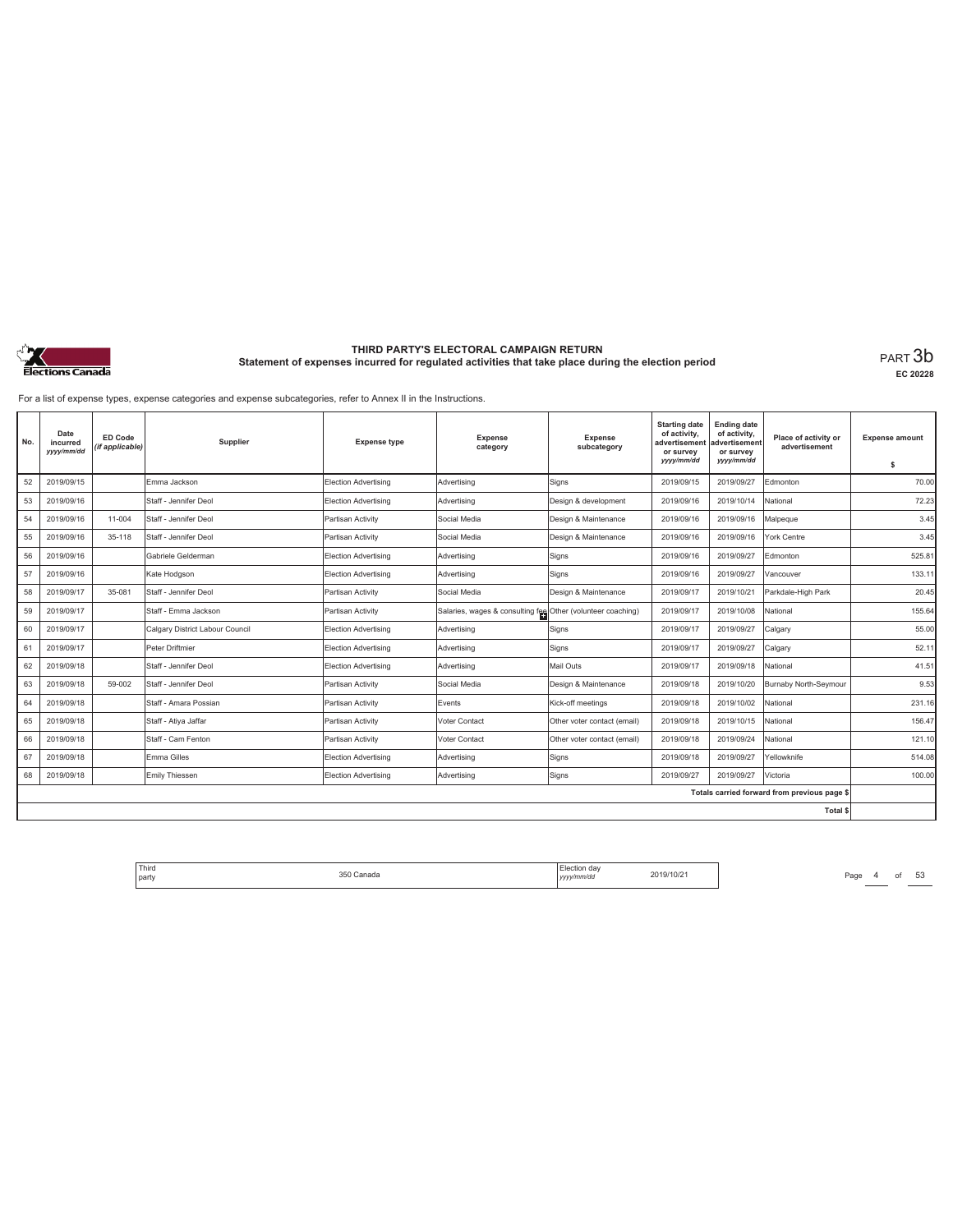

**EC 20228**

For a list of expense types, expense categories and expense subcategories, refer to Annex II in the Instructions.

| No. | Date<br>incurred<br>yyy/mm/dd | ED Code<br>(if applicable) | Supplier                        | <b>Expense type</b>         | Expense<br>category                                         | Expense<br>subcategory      | <b>Starting date</b><br>of activity,<br>advertisement<br>or survey<br>yyyy/mm/dd | <b>Ending date</b><br>of activity,<br>advertisement<br>or survey<br>yyyy/mm/dd | Place of activity or<br>advertisement        | <b>Expense amount</b><br>\$ |
|-----|-------------------------------|----------------------------|---------------------------------|-----------------------------|-------------------------------------------------------------|-----------------------------|----------------------------------------------------------------------------------|--------------------------------------------------------------------------------|----------------------------------------------|-----------------------------|
| 52  | 2019/09/15                    |                            | Emma Jackson                    | <b>Election Advertising</b> | Advertising                                                 | Signs                       | 2019/09/15                                                                       | 2019/09/27                                                                     | Edmonton                                     | 70.00                       |
| 53  | 2019/09/16                    |                            | Staff - Jennifer Deol           | Election Advertising        | Advertising                                                 | Design & development        | 2019/09/16                                                                       | 2019/10/14                                                                     | National                                     | 72.23                       |
| 54  | 2019/09/16                    | 11-004                     | Staff - Jennifer Deol           | Partisan Activity           | Social Media                                                | Design & Maintenance        | 2019/09/16                                                                       | 2019/09/16                                                                     | Malpeque                                     | 3.45                        |
| 55  | 2019/09/16                    | 35-118                     | Staff - Jennifer Deol           | Partisan Activity           | Social Media                                                | Design & Maintenance        | 2019/09/16                                                                       | 2019/09/16                                                                     | York Centre                                  | 3.45                        |
| 56  | 2019/09/16                    |                            | Gabriele Gelderman              | Election Advertising        | Advertising                                                 | Signs                       | 2019/09/16                                                                       | 2019/09/27                                                                     | Edmonton                                     | 525.81                      |
| 57  | 2019/09/16                    |                            | Kate Hodgson                    | Election Advertising        | Advertising                                                 | Signs                       | 2019/09/16                                                                       | 2019/09/27                                                                     | Vancouver                                    | 133.11                      |
| 58  | 2019/09/17                    | 35-081                     | Staff - Jennifer Deol           | Partisan Activity           | Social Media                                                | Design & Maintenance        | 2019/09/17                                                                       | 2019/10/21                                                                     | Parkdale-High Park                           | 20.45                       |
| 59  | 2019/09/17                    |                            | Staff - Emma Jackson            | Partisan Activity           | Salaries, wages & consulting fee Other (volunteer coaching) |                             | 2019/09/17                                                                       | 2019/10/08                                                                     | National                                     | 155.64                      |
| 60  | 2019/09/17                    |                            | Calgary District Labour Council | Election Advertising        | Advertising                                                 | Signs                       | 2019/09/17                                                                       | 2019/09/27                                                                     | Calgary                                      | 55.00                       |
| 61  | 2019/09/17                    |                            | Peter Driftmier                 | Election Advertising        | Advertisina                                                 | Signs                       | 2019/09/17                                                                       | 2019/09/27                                                                     | Calgary                                      | 52.11                       |
| 62  | 2019/09/18                    |                            | Staff - Jennifer Deol           | Election Advertising        | Advertising                                                 | Mail Outs                   | 2019/09/17                                                                       | 2019/09/18                                                                     | National                                     | 41.51                       |
| 63  | 2019/09/18                    | 59-002                     | Staff - Jennifer Deol           | Partisan Activity           | Social Media                                                | Design & Maintenance        | 2019/09/18                                                                       | 2019/10/20                                                                     | Burnaby North-Seymour                        | 9.53                        |
| 64  | 2019/09/18                    |                            | Staff - Amara Possian           | Partisan Activity           | Events                                                      | Kick-off meetings           | 2019/09/18                                                                       | 2019/10/02                                                                     | National                                     | 231.16                      |
| 65  | 2019/09/18                    |                            | Staff - Atiya Jaffar            | Partisan Activity           | Voter Contact                                               | Other voter contact (email) | 2019/09/18                                                                       | 2019/10/15                                                                     | National                                     | 156.47                      |
| 66  | 2019/09/18                    |                            | Staff - Cam Fenton              | Partisan Activity           | Voter Contact                                               | Other voter contact (email) | 2019/09/18                                                                       | 2019/09/24                                                                     | National                                     | 121.10                      |
| 67  | 2019/09/18                    |                            | Emma Gilles                     | Election Advertising        | Advertisina                                                 | Signs                       | 2019/09/18                                                                       | 2019/09/27                                                                     | Yellowknife                                  | 514.08                      |
| 68  | 2019/09/18                    |                            | Emily Thiessen                  | Election Advertising        | Advertisina                                                 | Signs                       | 2019/09/27                                                                       | 2019/09/27                                                                     | Victoria                                     | 100.00                      |
|     |                               |                            |                                 |                             |                                                             |                             |                                                                                  |                                                                                | Totals carried forward from previous page \$ |                             |
|     |                               |                            |                                 |                             |                                                             |                             |                                                                                  |                                                                                | <b>Total \$</b>                              |                             |

Third The Samuel Channel Channel Channel Channel Channel Channel Channel Channel Channel Channel Channel Channel Channel Channel Channel Channel Channel Channel Channel Channel Channel Channel Channel Channel Channel Chann party 350 Canada Election day *yyyy/mm/dd* 2019/10/21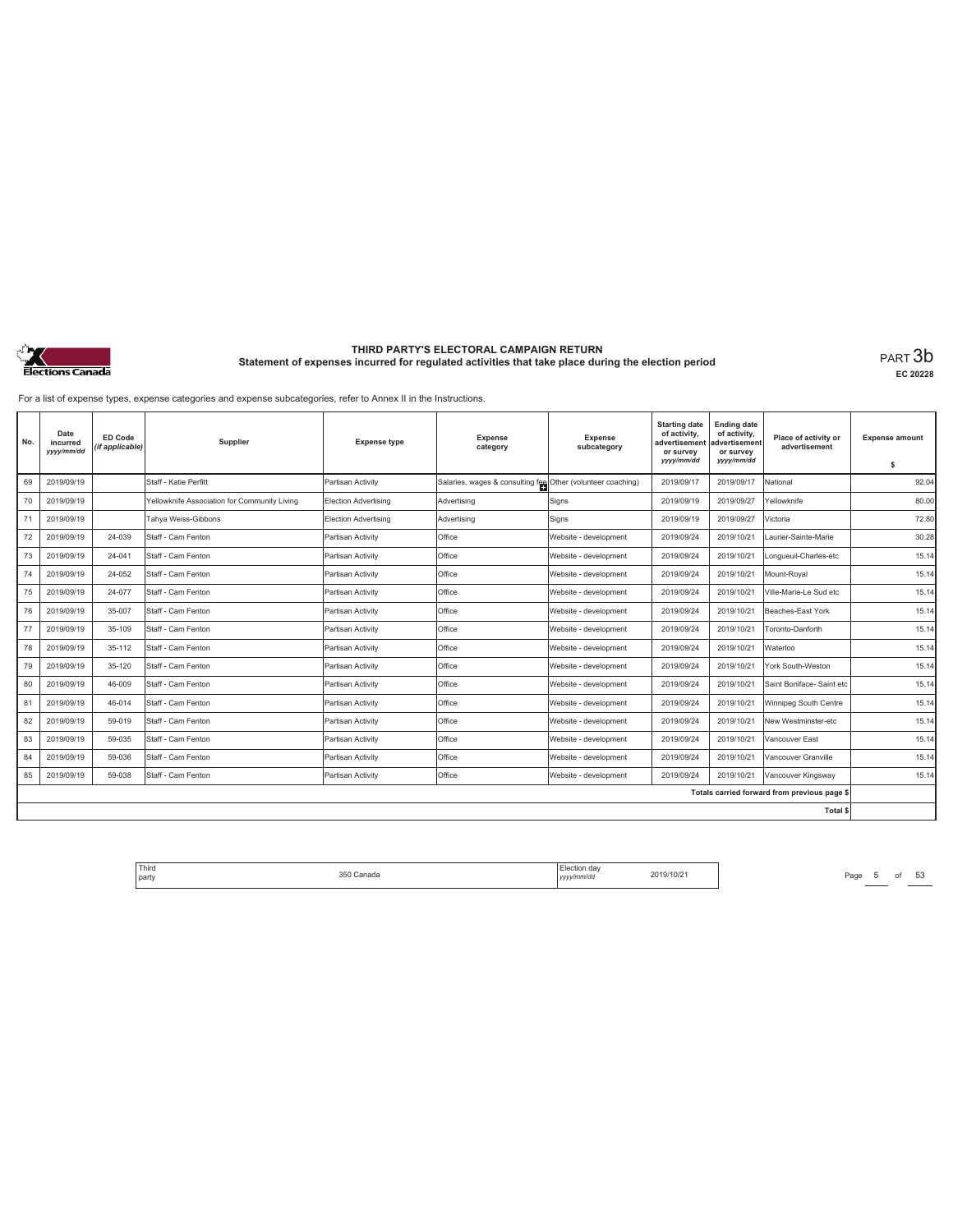

**EC 20228**

For a list of expense types, expense categories and expense subcategories, refer to Annex II in the Instructions.

| No. | Date<br>incurred<br>yyyy/mm/dd | ED Code<br>(if applicable) | Supplier                                     | <b>Expense type</b>  | <b>Expense</b><br>category                                  | Expense<br>subcategory | <b>Starting date</b><br>of activity,<br>advertisement<br>or survey<br>yyyy/mm/dd | <b>Ending date</b><br>of activity,<br>advertisement<br>or survey<br>yyyy/mm/dd | Place of activity or<br>advertisement        | <b>Expense amount</b><br>\$ |
|-----|--------------------------------|----------------------------|----------------------------------------------|----------------------|-------------------------------------------------------------|------------------------|----------------------------------------------------------------------------------|--------------------------------------------------------------------------------|----------------------------------------------|-----------------------------|
| 69  | 2019/09/19                     |                            | Staff - Katie Perfitt                        | Partisan Activity    | Salaries, wages & consulting fee Other (volunteer coaching) |                        | 2019/09/17                                                                       | 2019/09/17                                                                     | National                                     | 92.04                       |
| 70  | 2019/09/19                     |                            | Yellowknife Association for Community Living | Election Advertising | Advertising                                                 | Signs                  | 2019/09/19                                                                       | 2019/09/27                                                                     | Yellowknife                                  | 80.00                       |
| 71  | 2019/09/19                     |                            | Tahva Weiss-Gibbons                          | Election Advertising | Advertising                                                 | Signs                  | 2019/09/19                                                                       | 2019/09/27                                                                     | Victoria                                     | 72.80                       |
| 72  | 2019/09/19                     | 24-039                     | Staff - Cam Fenton                           | Partisan Activity    | Office                                                      | Website - development  | 2019/09/24                                                                       | 2019/10/21                                                                     | Laurier-Sainte-Marie                         | 30.28                       |
| 73  | 2019/09/19                     | 24-041                     | Staff - Cam Fenton                           | Partisan Activity    | Office                                                      | Website - development  | 2019/09/24                                                                       | 2019/10/21                                                                     | Longueuil-Charles-etc                        | 15.14                       |
| 74  | 2019/09/19                     | 24-052                     | Staff - Cam Fenton                           | Partisan Activity    | Office                                                      | Website - development  | 2019/09/24                                                                       | 2019/10/21                                                                     | Mount-Roval                                  | 15.14                       |
| 75  | 2019/09/19                     | 24-077                     | Staff - Cam Fenton                           | Partisan Activity    | Office                                                      | Website - development  | 2019/09/24                                                                       | 2019/10/21                                                                     | Ville-Marie-Le Sud etc                       | 15.14                       |
| 76  | 2019/09/19                     | 35-007                     | Staff - Cam Fenton                           | Partisan Activity    | Office                                                      | Website - development  | 2019/09/24                                                                       | 2019/10/21                                                                     | Beaches-East York                            | 15.14                       |
| 77  | 2019/09/19                     | 35-109                     | Staff - Cam Fenton                           | Partisan Activity    | Office                                                      | Website - development  | 2019/09/24                                                                       | 2019/10/21                                                                     | Toronto-Danforth                             | 15.14                       |
| 78  | 2019/09/19                     | 35-112                     | Staff - Cam Fenton                           | Partisan Activity    | Office                                                      | Website - development  | 2019/09/24                                                                       | 2019/10/21                                                                     | Waterloo                                     | 15.14                       |
| 79  | 2019/09/19                     | 35-120                     | Staff - Cam Fenton                           | Partisan Activity    | Office                                                      | Website - development  | 2019/09/24                                                                       | 2019/10/21                                                                     | York South-Weston                            | 15.14                       |
| 80  | 2019/09/19                     | 46-009                     | Staff - Cam Fenton                           | Partisan Activity    | Office                                                      | Website - development  | 2019/09/24                                                                       | 2019/10/21                                                                     | Saint Boniface- Saint etc                    | 15.14                       |
| 81  | 2019/09/19                     | 46-014                     | Staff - Cam Fenton                           | Partisan Activity    | Office                                                      | Website - development  | 2019/09/24                                                                       | 2019/10/21                                                                     | Winnipeg South Centre                        | 15.14                       |
| 82  | 2019/09/19                     | 59-019                     | Staff - Cam Fenton                           | Partisan Activity    | Office                                                      | Website - development  | 2019/09/24                                                                       | 2019/10/21                                                                     | New Westminster-etc                          | 15.14                       |
| 83  | 2019/09/19                     | 59-035                     | Staff - Cam Fenton                           | Partisan Activity    | Office                                                      | Website - development  | 2019/09/24                                                                       | 2019/10/21                                                                     | Vancouver East                               | 15.14                       |
| 84  | 2019/09/19                     | 59-036                     | Staff - Cam Fenton                           | Partisan Activity    | Office                                                      | Website - development  | 2019/09/24                                                                       | 2019/10/21                                                                     | Vancouver Granville                          | 15.14                       |
| 85  | 2019/09/19                     | 59-038                     | Staff - Cam Fenton                           | Partisan Activity    | Office                                                      | Website - development  | 2019/09/24                                                                       | 2019/10/21                                                                     | Vancouver Kingsway                           | 15.14                       |
|     |                                |                            |                                              |                      |                                                             |                        |                                                                                  |                                                                                | Totals carried forward from previous page \$ |                             |
|     |                                |                            |                                              |                      |                                                             |                        |                                                                                  |                                                                                | Total \$                                     |                             |

Third Election day Election day 2019/10/21 Page 5 of 53 Page 5 of 53 party 350 Canada Election day *yyyy/mm/dd* 2019/10/21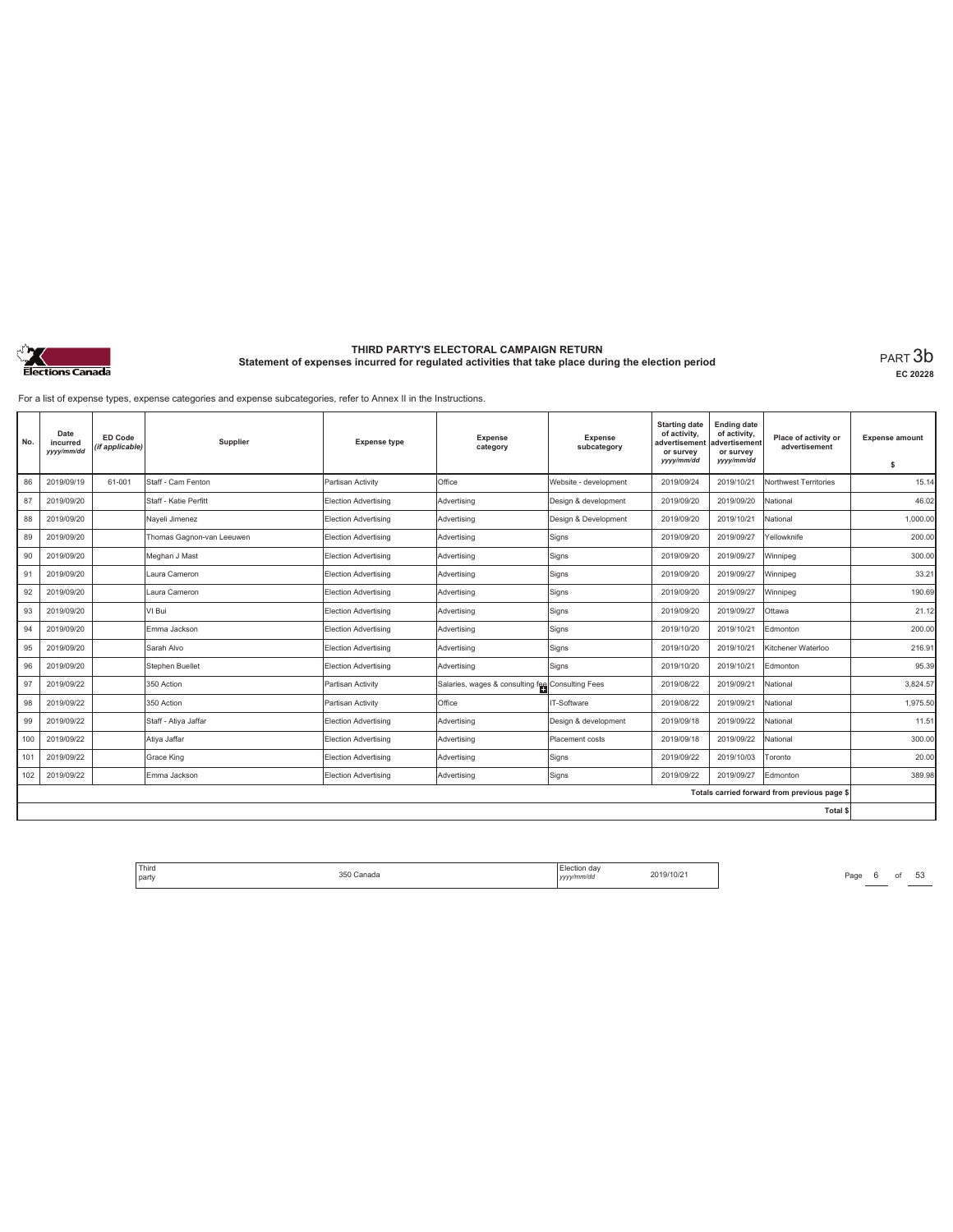

**EC 20228**

For a list of expense types, expense categories and expense subcategories, refer to Annex II in the Instructions.

| No. | Date<br>incurred<br>yyyy/mm/dd | <b>ED Code</b><br>(if applicable) | Supplier                  | <b>Expense type</b>         | <b>Expense</b><br>category                       | Expense<br>subcategory | <b>Starting date</b><br>of activity,<br>advertisement<br>or survey<br>yyyy/mm/dd | <b>Ending date</b><br>of activity,<br>advertisement<br>or survey<br>yyyy/mm/dd | Place of activity or<br>advertisement        | <b>Expense amount</b> |
|-----|--------------------------------|-----------------------------------|---------------------------|-----------------------------|--------------------------------------------------|------------------------|----------------------------------------------------------------------------------|--------------------------------------------------------------------------------|----------------------------------------------|-----------------------|
|     |                                |                                   |                           |                             |                                                  |                        |                                                                                  |                                                                                |                                              | s                     |
| 86  | 2019/09/19                     | 61-001                            | Staff - Cam Fenton        | Partisan Activity           | Office                                           | Website - development  | 2019/09/24                                                                       | 2019/10/21                                                                     | Northwest Territories                        | 15.14                 |
| 87  | 2019/09/20                     |                                   | Staff - Katie Perfitt     | Election Advertising        | Advertising                                      | Design & development   | 2019/09/20                                                                       | 2019/09/20                                                                     | National                                     | 46.02                 |
| 88  | 2019/09/20                     |                                   | Nayeli Jimenez            | <b>Election Advertising</b> | Advertising                                      | Design & Development   | 2019/09/20                                                                       | 2019/10/21                                                                     | National                                     | 1,000.00              |
| 89  | 2019/09/20                     |                                   | Thomas Gagnon-van Leeuwen | Election Advertising        | Advertising                                      | Signs                  | 2019/09/20                                                                       | 2019/09/27                                                                     | Yellowknife                                  | 200.00                |
| 90  | 2019/09/20                     |                                   | Meghan J Mast             | Election Advertising        | Advertising                                      | Signs                  | 2019/09/20                                                                       | 2019/09/27                                                                     | Winnipeg                                     | 300.00                |
| 91  | 2019/09/20                     |                                   | Laura Cameron             | <b>Election Advertising</b> | Advertising                                      | Signs                  | 2019/09/20                                                                       | 2019/09/27                                                                     | Winnipeg                                     | 33.21                 |
| 92  | 2019/09/20                     |                                   | Laura Cameron             | Election Advertising        | Advertising                                      | Signs                  | 2019/09/20                                                                       | 2019/09/27                                                                     | Winnipeg                                     | 190.69                |
| 93  | 2019/09/20                     |                                   | VI Bui                    | Election Advertising        | Advertising                                      | Signs                  | 2019/09/20                                                                       | 2019/09/27                                                                     | Ottawa                                       | 21.12                 |
| 94  | 2019/09/20                     |                                   | Emma Jackson              | <b>Election Advertising</b> | Advertising                                      | Signs                  | 2019/10/20                                                                       | 2019/10/21                                                                     | Edmonton                                     | 200.00                |
| 95  | 2019/09/20                     |                                   | Sarah Alvo                | Election Advertising        | Advertising                                      | Signs                  | 2019/10/20                                                                       | 2019/10/21                                                                     | Kitchener Waterloo                           | 216.91                |
| 96  | 2019/09/20                     |                                   | Stephen Buellet           | <b>Election Advertising</b> | Advertising                                      | Signs                  | 2019/10/20                                                                       | 2019/10/21                                                                     | Edmonton                                     | 95.39                 |
| 97  | 2019/09/22                     |                                   | 350 Action                | Partisan Activity           | Salaries, wages & consulting fee Consulting Fees |                        | 2019/08/22                                                                       | 2019/09/21                                                                     | National                                     | 3,824.57              |
| 98  | 2019/09/22                     |                                   | 350 Action                | Partisan Activity           | Office                                           | IT-Software            | 2019/08/22                                                                       | 2019/09/21                                                                     | National                                     | 1,975.50              |
| 99  | 2019/09/22                     |                                   | Staff - Atiya Jaffar      | <b>Election Advertising</b> | Advertising                                      | Design & development   | 2019/09/18                                                                       | 2019/09/22                                                                     | National                                     | 11.51                 |
| 100 | 2019/09/22                     |                                   | Atiya Jaffar              | <b>Election Advertising</b> | Advertising                                      | Placement costs        | 2019/09/18                                                                       | 2019/09/22                                                                     | National                                     | 300.00                |
| 101 | 2019/09/22                     |                                   | Grace King                | <b>Election Advertising</b> | Advertising                                      | Signs                  | 2019/09/22                                                                       | 2019/10/03                                                                     | Toronto                                      | 20.00                 |
| 102 | 2019/09/22                     |                                   | Emma Jackson              | Election Advertising        | Advertising                                      | Signs                  | 2019/09/22                                                                       | 2019/09/27                                                                     | Edmonton                                     | 389.98                |
|     |                                |                                   |                           |                             |                                                  |                        |                                                                                  |                                                                                | Totals carried forward from previous page \$ |                       |
|     |                                |                                   |                           |                             |                                                  |                        |                                                                                  |                                                                                | Total \$                                     |                       |

Third Election day Election day 2019/10/21 Page 6 of 53 Page 6 of 53 party 350 Canada Election day *yyyy/mm/dd* 2019/10/21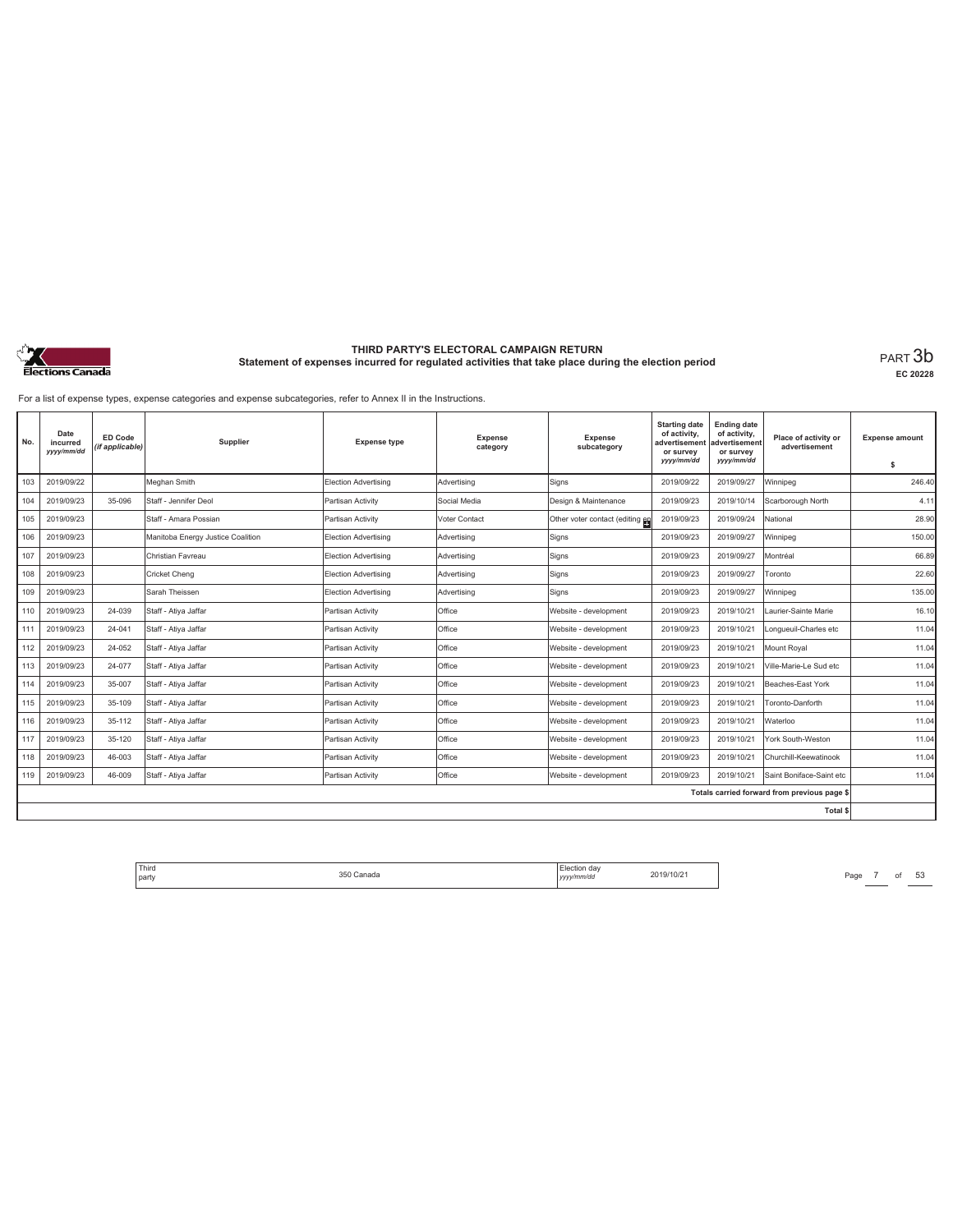

**EC 20228**

For a list of expense types, expense categories and expense subcategories, refer to Annex II in the Instructions.

| No. | Date<br>incurred<br>yyyy/mm/dd | ED Code<br>(if applicable) | Supplier                          | <b>Expense type</b>         | <b>Expense</b><br>category | Expense<br>subcategory          | <b>Starting date</b><br>of activity,<br>advertisement<br>or survey<br>yyyy/mm/dd | <b>Ending date</b><br>of activity,<br>advertisement<br>or survey<br>yyyy/mm/dd | Place of activity or<br>advertisement        | <b>Expense amount</b><br>s |
|-----|--------------------------------|----------------------------|-----------------------------------|-----------------------------|----------------------------|---------------------------------|----------------------------------------------------------------------------------|--------------------------------------------------------------------------------|----------------------------------------------|----------------------------|
| 103 | 2019/09/22                     |                            | Meghan Smith                      | <b>Election Advertising</b> | Advertising                | Signs                           | 2019/09/22                                                                       | 2019/09/27                                                                     | Winnipea                                     | 246.40                     |
| 104 | 2019/09/23                     | 35-096                     | Staff - Jennifer Deol             | Partisan Activity           | Social Media               | Design & Maintenance            | 2019/09/23                                                                       | 2019/10/14                                                                     | Scarborough North                            | 4.11                       |
| 105 | 2019/09/23                     |                            | Staff - Amara Possian             | Partisan Activity           | Voter Contact              | Other voter contact (editing en | 2019/09/23                                                                       | 2019/09/24                                                                     | National                                     | 28.90                      |
| 106 | 2019/09/23                     |                            | Manitoba Energy Justice Coalition | <b>Election Advertising</b> | Advertising                | Signs                           | 2019/09/23                                                                       | 2019/09/27                                                                     | Winnipeg                                     | 150.00                     |
| 107 | 2019/09/23                     |                            | Christian Favreau                 | Election Advertising        | Advertising                | Signs                           | 2019/09/23                                                                       | 2019/09/27                                                                     | Montréal                                     | 66.89                      |
| 108 | 2019/09/23                     |                            | <b>Cricket Cheng</b>              | Election Advertising        | Advertising                | Signs                           | 2019/09/23                                                                       | 2019/09/27                                                                     | Toronto                                      | 22.60                      |
| 109 | 2019/09/23                     |                            | Sarah Theissen                    | Election Advertising        | Advertising                | Signs                           | 2019/09/23                                                                       | 2019/09/27                                                                     | Winnipeg                                     | 135.00                     |
| 110 | 2019/09/23                     | 24-039                     | Staff - Atiya Jaffar              | Partisan Activity           | Office                     | Website - development           | 2019/09/23                                                                       | 2019/10/21                                                                     | Laurier-Sainte Marie                         | 16.10                      |
| 111 | 2019/09/23                     | 24-041                     | Staff - Ativa Jaffar              | Partisan Activity           | Office                     | Website - development           | 2019/09/23                                                                       | 2019/10/21                                                                     | Longueuil-Charles etc                        | 11.04                      |
| 112 | 2019/09/23                     | 24-052                     | Staff - Ativa Jaffar              | Partisan Activity           | Office                     | Website - development           | 2019/09/23                                                                       | 2019/10/21                                                                     | Mount Roval                                  | 11.04                      |
| 113 | 2019/09/23                     | 24-077                     | Staff - Atiya Jaffar              | Partisan Activity           | Office                     | Website - development           | 2019/09/23                                                                       | 2019/10/21                                                                     | Ville-Marie-Le Sud etc                       | 11.04                      |
| 114 | 2019/09/23                     | 35-007                     | Staff - Atiya Jaffar              | Partisan Activity           | Office                     | Website - development           | 2019/09/23                                                                       | 2019/10/21                                                                     | Beaches-East York                            | 11.04                      |
| 115 | 2019/09/23                     | 35-109                     | Staff - Atiya Jaffar              | Partisan Activity           | Office                     | Website - development           | 2019/09/23                                                                       | 2019/10/21                                                                     | Toronto-Danforth                             | 11.04                      |
| 116 | 2019/09/23                     | 35-112                     | Staff - Atiya Jaffar              | Partisan Activity           | Office                     | Website - development           | 2019/09/23                                                                       | 2019/10/21                                                                     | Waterloo                                     | 11.04                      |
| 117 | 2019/09/23                     | 35-120                     | Staff - Atiya Jaffar              | Partisan Activity           | Office                     | Website - development           | 2019/09/23                                                                       | 2019/10/21                                                                     | York South-Weston                            | 11.04                      |
| 118 | 2019/09/23                     | 46-003                     | Staff - Ativa Jaffar              | Partisan Activity           | Office                     | Website - development           | 2019/09/23                                                                       | 2019/10/21                                                                     | Churchill-Keewatinook                        | 11.04                      |
| 119 | 2019/09/23                     | 46-009                     | Staff - Ativa Jaffar              | Partisan Activity           | Office                     | Website - development           | 2019/09/23                                                                       | 2019/10/21                                                                     | Saint Boniface-Saint etc                     | 11.04                      |
|     |                                |                            |                                   |                             |                            |                                 |                                                                                  |                                                                                | Totals carried forward from previous page \$ |                            |
|     |                                |                            |                                   |                             |                            |                                 |                                                                                  |                                                                                | Total \$                                     |                            |

Third Election day Election day 2019/10/21 Page 7 of 53 Page 7 of 53 party 350 Canada Election day *yyyy/mm/dd* 2019/10/21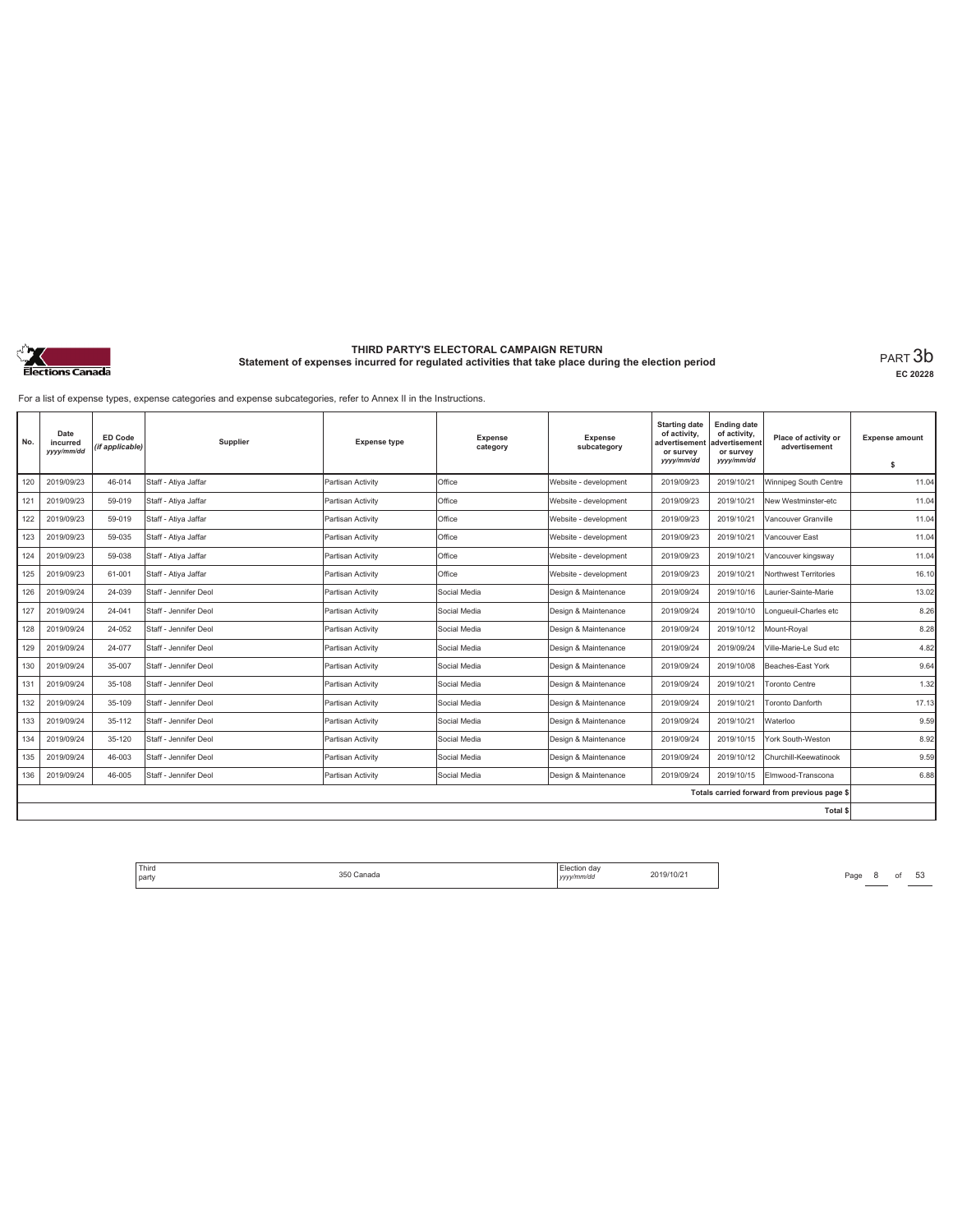

**EC 20228**

For a list of expense types, expense categories and expense subcategories, refer to Annex II in the Instructions.

| No. | Date<br>incurred<br>yyyy/mm/dd | ED Code<br>(if applicable) | Supplier              | <b>Expense type</b> | <b>Expense</b><br>category | <b>Expense</b><br>subcategory | <b>Starting date</b><br>of activity,<br>advertisemen<br>or survey<br>yyyy/mm/dd | <b>Ending date</b><br>of activity,<br>advertisement<br>or survey<br>yyyy/mm/dd | Place of activity or<br>advertisement        | <b>Expense amount</b><br>s |
|-----|--------------------------------|----------------------------|-----------------------|---------------------|----------------------------|-------------------------------|---------------------------------------------------------------------------------|--------------------------------------------------------------------------------|----------------------------------------------|----------------------------|
| 120 | 2019/09/23                     | 46-014                     | Staff - Atiya Jaffar  | Partisan Activity   | Office                     | Website - development         | 2019/09/23                                                                      | 2019/10/21                                                                     | Winnipeg South Centre                        | 11.04                      |
| 121 | 2019/09/23                     | 59-019                     | Staff - Atiya Jaffar  | Partisan Activity   | Office                     | Website - development         | 2019/09/23                                                                      | 2019/10/21                                                                     | New Westminster-etc                          | 11.04                      |
| 122 | 2019/09/23                     | 59-019                     | Staff - Ativa Jaffar  | Partisan Activity   | Office                     | Website - development         | 2019/09/23                                                                      | 2019/10/21                                                                     | Vancouver Granville                          | 11.04                      |
| 123 | 2019/09/23                     | 59-035                     | Staff - Atiya Jaffar  | Partisan Activity   | Office                     | Website - development         | 2019/09/23                                                                      | 2019/10/21                                                                     | Vancouver East                               | 11.04                      |
| 124 | 2019/09/23                     | 59-038                     | Staff - Atiya Jaffar  | Partisan Activity   | Office                     | Website - development         | 2019/09/23                                                                      | 2019/10/21                                                                     | Vancouver kingsway                           | 11.04                      |
| 125 | 2019/09/23                     | 61-001                     | Staff - Atiya Jaffar  | Partisan Activity   | Office                     | Website - development         | 2019/09/23                                                                      | 2019/10/21                                                                     | Northwest Territories                        | 16.10                      |
| 126 | 2019/09/24                     | 24-039                     | Staff - Jennifer Deol | Partisan Activity   | Social Media               | Design & Maintenance          | 2019/09/24                                                                      | 2019/10/16                                                                     | Laurier-Sainte-Marie                         | 13.02                      |
| 127 | 2019/09/24                     | 24-041                     | Staff - Jennifer Deol | Partisan Activity   | Social Media               | Design & Maintenance          | 2019/09/24                                                                      | 2019/10/10                                                                     | Longueuil-Charles etc                        | 8.26                       |
| 128 | 2019/09/24                     | 24-052                     | Staff - Jennifer Deol | Partisan Activity   | Social Media               | Design & Maintenance          | 2019/09/24                                                                      | 2019/10/12                                                                     | Mount-Roval                                  | 8.28                       |
| 129 | 2019/09/24                     | 24-077                     | Staff - Jennifer Deol | Partisan Activity   | Social Media               | Design & Maintenance          | 2019/09/24                                                                      | 2019/09/24                                                                     | Ville-Marie-Le Sud etc                       | 4.82                       |
| 130 | 2019/09/24                     | 35-007                     | Staff - Jennifer Deol | Partisan Activity   | Social Media               | Design & Maintenance          | 2019/09/24                                                                      | 2019/10/08                                                                     | Beaches-East York                            | 9.64                       |
| 131 | 2019/09/24                     | 35-108                     | Staff - Jennifer Deol | Partisan Activity   | Social Media               | Design & Maintenance          | 2019/09/24                                                                      | 2019/10/21                                                                     | <b>Toronto Centre</b>                        | 1.32                       |
| 132 | 2019/09/24                     | 35-109                     | Staff - Jennifer Deol | Partisan Activity   | Social Media               | Design & Maintenance          | 2019/09/24                                                                      | 2019/10/21                                                                     | <b>Toronto Danforth</b>                      | 17.13                      |
| 133 | 2019/09/24                     | 35-112                     | Staff - Jennifer Deol | Partisan Activity   | Social Media               | Design & Maintenance          | 2019/09/24                                                                      | 2019/10/21                                                                     | Waterloo                                     | 9.59                       |
| 134 | 2019/09/24                     | 35-120                     | Staff - Jennifer Deol | Partisan Activity   | Social Media               | Design & Maintenance          | 2019/09/24                                                                      | 2019/10/15                                                                     | York South-Weston                            | 8.92                       |
| 135 | 2019/09/24                     | 46-003                     | Staff - Jennifer Deol | Partisan Activity   | Social Media               | Design & Maintenance          | 2019/09/24                                                                      | 2019/10/12                                                                     | Churchill-Keewatinook                        | 9.59                       |
| 136 | 2019/09/24                     | 46-005                     | Staff - Jennifer Deol | Partisan Activity   | Social Media               | Design & Maintenance          | 2019/09/24                                                                      | 2019/10/15                                                                     | Elmwood-Transcona                            | 6.88                       |
|     |                                |                            |                       |                     |                            |                               |                                                                                 |                                                                                | Totals carried forward from previous page \$ |                            |
|     |                                |                            |                       |                     |                            |                               |                                                                                 |                                                                                | Total \$                                     |                            |

Third Election day Election day 2019/10/21 Page 8 of 53 Page 8 of 53 party 350 Canada Election day *yyyy/mm/dd* 2019/10/21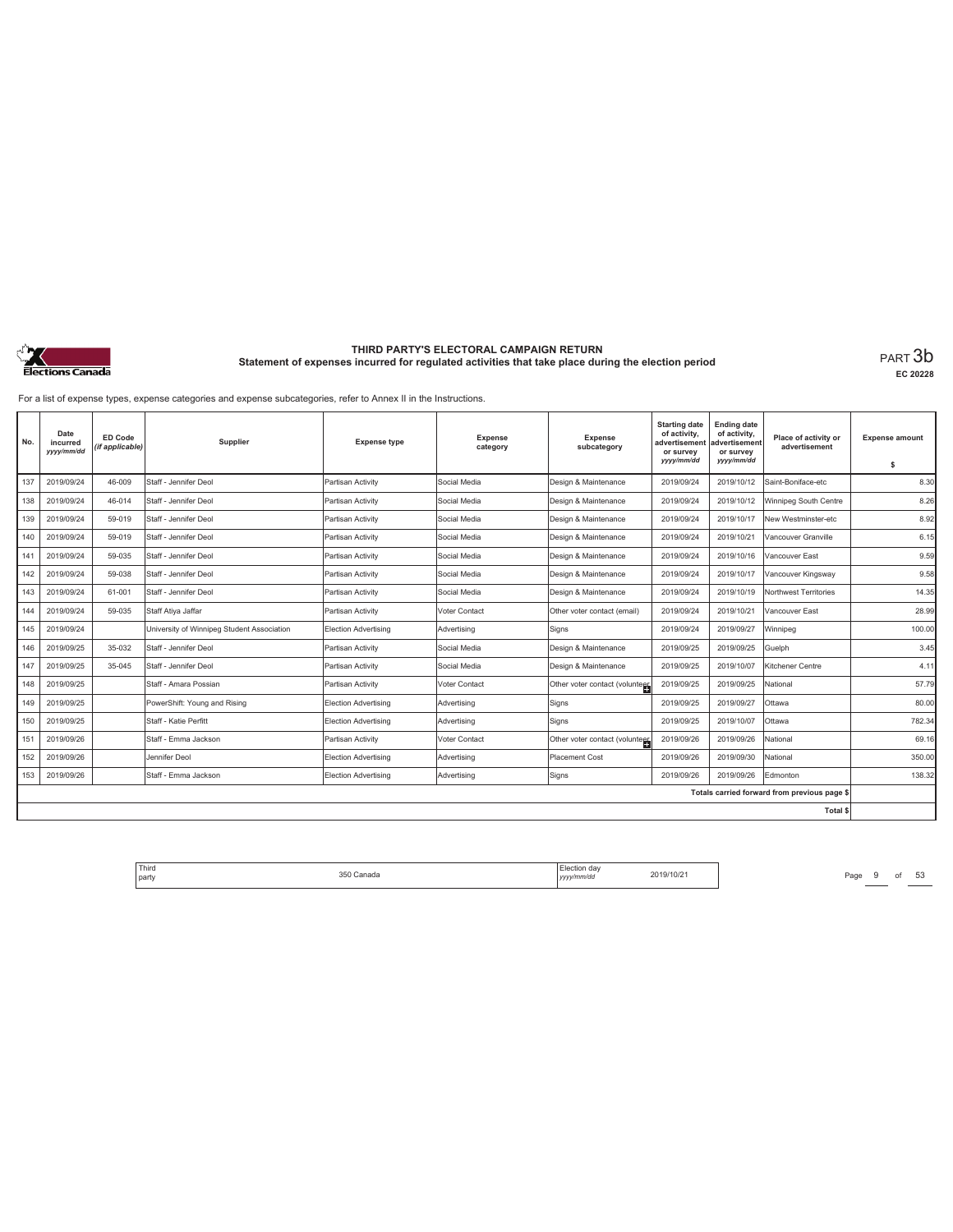

**EC 20228**

For a list of expense types, expense categories and expense subcategories, refer to Annex II in the Instructions.

| No. | Date<br>incurred<br>yyy/mm/dd | ED Code<br>(if applicable) | Supplier                                   | <b>Expense type</b>         | <b>Expense</b><br>category | <b>Expense</b><br>subcategory  | <b>Starting date</b><br>of activity.<br>advertisement<br>or survey<br>yyyy/mm/dd | <b>Ending date</b><br>of activity,<br>advertisement<br>or survey<br>yyyy/mm/dd | Place of activity or<br>advertisement        | <b>Expense amount</b><br>\$ |
|-----|-------------------------------|----------------------------|--------------------------------------------|-----------------------------|----------------------------|--------------------------------|----------------------------------------------------------------------------------|--------------------------------------------------------------------------------|----------------------------------------------|-----------------------------|
| 137 | 2019/09/24                    | 46-009                     | Staff - Jennifer Deol                      | Partisan Activity           | Social Media               | Design & Maintenance           | 2019/09/24                                                                       | 2019/10/12                                                                     | Saint-Boniface-etc                           | 8.30                        |
| 138 | 2019/09/24                    | 46-014                     | Staff - Jennifer Deol                      | Partisan Activity           | Social Media               | Design & Maintenance           | 2019/09/24                                                                       | 2019/10/12                                                                     | Winnipeg South Centre                        | 8.26                        |
| 139 | 2019/09/24                    | 59-019                     | Staff - Jennifer Deol                      | Partisan Activity           | Social Media               | Design & Maintenance           | 2019/09/24                                                                       | 2019/10/17                                                                     | New Westminster-etc                          | 8.92                        |
| 140 | 2019/09/24                    | 59-019                     | Staff - Jennifer Deol                      | Partisan Activity           | Social Media               | Design & Maintenance           | 2019/09/24                                                                       | 2019/10/21                                                                     | Vancouver Granville                          | 6.15                        |
| 141 | 2019/09/24                    | 59-035                     | Staff - Jennifer Deol                      | Partisan Activity           | Social Media               | Design & Maintenance           | 2019/09/24                                                                       | 2019/10/16                                                                     | Vancouver East                               | 9.59                        |
| 142 | 2019/09/24                    | 59-038                     | Staff - Jennifer Deol                      | Partisan Activity           | Social Media               | Design & Maintenance           | 2019/09/24                                                                       | 2019/10/17                                                                     | Vancouver Kingsway                           | 9.58                        |
| 143 | 2019/09/24                    | 61-001                     | Staff - Jennifer Deol                      | Partisan Activity           | Social Media               | Design & Maintenance           | 2019/09/24                                                                       | 2019/10/19                                                                     | Northwest Territories                        | 14.35                       |
| 144 | 2019/09/24                    | 59-035                     | Staff Atiya Jaffar                         | Partisan Activity           | Voter Contact              | Other voter contact (email)    | 2019/09/24                                                                       | 2019/10/21                                                                     | Vancouver East                               | 28.99                       |
| 145 | 2019/09/24                    |                            | University of Winnipeg Student Association | <b>Election Advertising</b> | Advertising                | Signs                          | 2019/09/24                                                                       | 2019/09/27                                                                     | Winnipeg                                     | 100.00                      |
| 146 | 2019/09/25                    | 35-032                     | Staff - Jennifer Deol                      | Partisan Activity           | Social Media               | Design & Maintenance           | 2019/09/25                                                                       | 2019/09/25                                                                     | Guelph                                       | 3.45                        |
| 147 | 2019/09/25                    | 35-045                     | Staff - Jennifer Deol                      | Partisan Activity           | Social Media               | Design & Maintenance           | 2019/09/25                                                                       | 2019/10/07                                                                     | Kitchener Centre                             | 4.11                        |
| 148 | 2019/09/25                    |                            | Staff - Amara Possian                      | Partisan Activity           | Voter Contact              | Other voter contact (volunteer | 2019/09/25                                                                       | 2019/09/25                                                                     | National                                     | 57.79                       |
| 149 | 2019/09/25                    |                            | PowerShift: Young and Rising               | Election Advertising        | Advertisina                | Signs                          | 2019/09/25                                                                       | 2019/09/27                                                                     | Ottawa                                       | 80.00                       |
| 150 | 2019/09/25                    |                            | Staff - Katie Perfitt                      | Election Advertising        | Advertisina                | Signs                          | 2019/09/25                                                                       | 2019/10/07                                                                     | Ottawa                                       | 782.34                      |
| 151 | 2019/09/26                    |                            | Staff - Emma Jackson                       | Partisan Activity           | Voter Contact              | Other voter contact (voluntees | 2019/09/26                                                                       | 2019/09/26                                                                     | National                                     | 69.16                       |
| 152 | 2019/09/26                    |                            | Jennifer Deol                              | Election Advertising        | Advertisina                | <b>Placement Cost</b>          | 2019/09/26                                                                       | 2019/09/30                                                                     | National                                     | 350.00                      |
| 153 | 2019/09/26                    |                            | Staff - Emma Jackson                       | Election Advertising        | Advertisina                | Signs                          | 2019/09/26                                                                       | 2019/09/26                                                                     | Edmonton                                     | 138.32                      |
|     |                               |                            |                                            |                             |                            |                                |                                                                                  |                                                                                | Totals carried forward from previous page \$ |                             |
|     |                               |                            |                                            |                             |                            |                                |                                                                                  |                                                                                | <b>Total \$</b>                              |                             |

Third Election day Election day 2019/10/21 Page 9 of 53 Page 9 of 53 party 350 Canada Election day *yyyy/mm/dd* 2019/10/21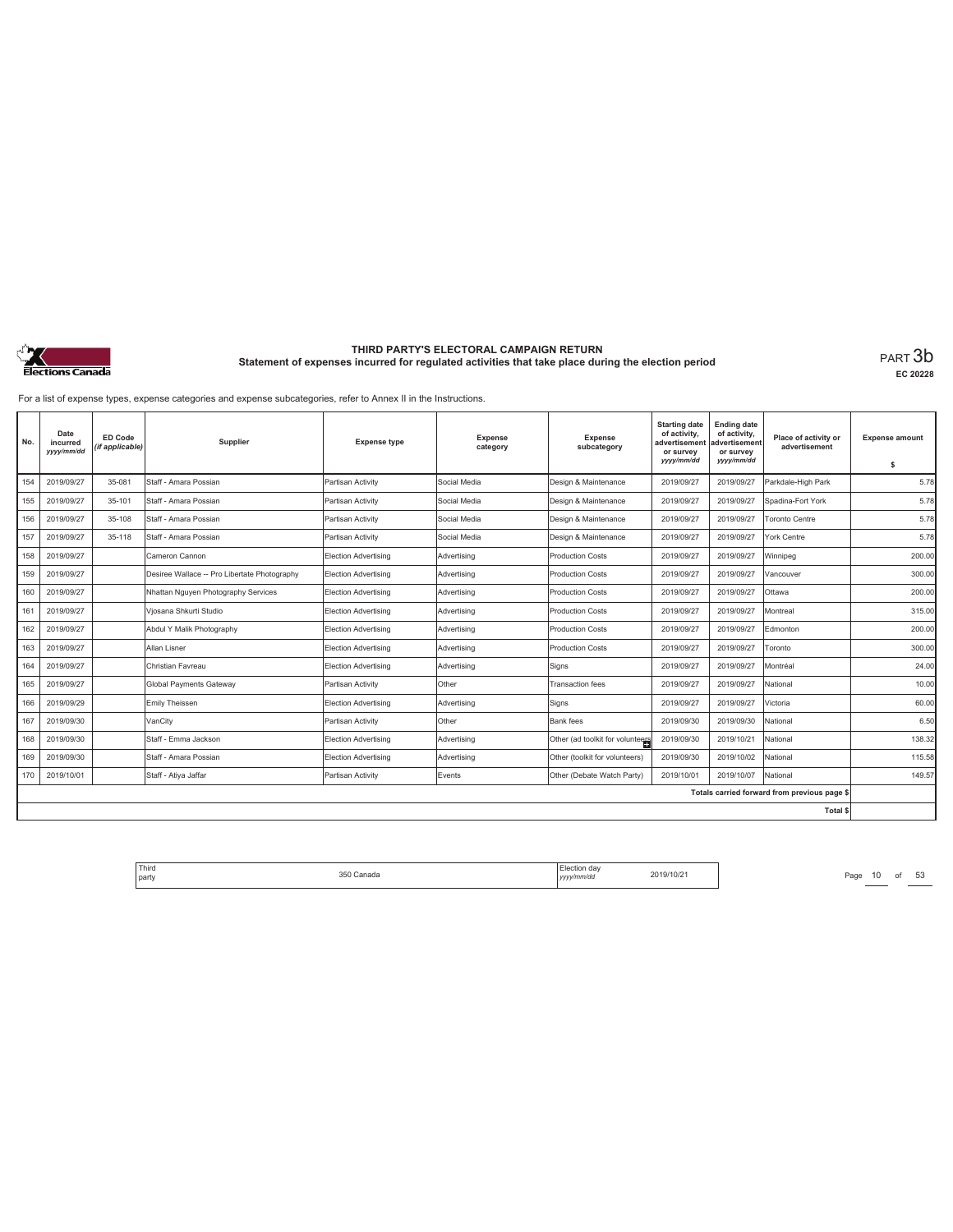

**EC 20228**

For a list of expense types, expense categories and expense subcategories, refer to Annex II in the Instructions.

| No. | Date<br>incurred<br>yyyy/mm/dd | ED Code<br>(if applicable) | Supplier                                     | <b>Expense type</b>  | <b>Expense</b><br>category | <b>Expense</b><br>subcategory    | <b>Starting date</b><br>of activity,<br>advertisement<br>or survey<br>yyyy/mm/dd | <b>Ending date</b><br>of activity,<br>advertisement<br>or survey<br>yyyy/mm/dd | Place of activity or<br>advertisement        | <b>Expense amount</b><br>s |
|-----|--------------------------------|----------------------------|----------------------------------------------|----------------------|----------------------------|----------------------------------|----------------------------------------------------------------------------------|--------------------------------------------------------------------------------|----------------------------------------------|----------------------------|
| 154 | 2019/09/27                     | 35-081                     | Staff - Amara Possian                        | Partisan Activity    | Social Media               | Design & Maintenance             | 2019/09/27                                                                       | 2019/09/27                                                                     | Parkdale-High Park                           | 5.78                       |
| 155 | 2019/09/27                     | 35-101                     | Staff - Amara Possian                        | Partisan Activity    | Social Media               | Design & Maintenance             | 2019/09/27                                                                       | 2019/09/27                                                                     | Spadina-Fort York                            | 5.78                       |
| 156 | 2019/09/27                     | 35-108                     | Staff - Amara Possian                        | Partisan Activity    | Social Media               | Design & Maintenance             | 2019/09/27                                                                       | 2019/09/27                                                                     | <b>Toronto Centre</b>                        | 5.78                       |
| 157 | 2019/09/27                     | 35-118                     | Staff - Amara Possian                        | Partisan Activity    | Social Media               | Design & Maintenance             | 2019/09/27                                                                       | 2019/09/27                                                                     | York Centre                                  | 5.78                       |
| 158 | 2019/09/27                     |                            | Cameron Cannon                               | Election Advertising | Advertising                | <b>Production Costs</b>          | 2019/09/27                                                                       | 2019/09/27                                                                     | Winnipeg                                     | 200.00                     |
| 159 | 2019/09/27                     |                            | Desiree Wallace -- Pro Libertate Photography | Election Advertising | Advertising                | <b>Production Costs</b>          | 2019/09/27                                                                       | 2019/09/27                                                                     | Vancouver                                    | 300.00                     |
| 160 | 2019/09/27                     |                            | Nhattan Nguyen Photography Services          | Election Advertising | Advertising                | <b>Production Costs</b>          | 2019/09/27                                                                       | 2019/09/27                                                                     | Ottawa                                       | 200.00                     |
| 161 | 2019/09/27                     |                            | Viosana Shkurti Studio                       | Election Advertising | Advertising                | <b>Production Costs</b>          | 2019/09/27                                                                       | 2019/09/27                                                                     | Montreal                                     | 315.00                     |
| 162 | 2019/09/27                     |                            | Abdul Y Malik Photography                    | Election Advertising | Advertisina                | Production Costs                 | 2019/09/27                                                                       | 2019/09/27                                                                     | Edmonton                                     | 200.00                     |
| 163 | 2019/09/27                     |                            | Allan Lisner                                 | Election Advertising | Advertising                | Production Costs                 | 2019/09/27                                                                       | 2019/09/27                                                                     | Toronto                                      | 300.00                     |
| 164 | 2019/09/27                     |                            | Christian Favreau                            | Election Advertising | Advertising                | Signs                            | 2019/09/27                                                                       | 2019/09/27                                                                     | Montréal                                     | 24.00                      |
| 165 | 2019/09/27                     |                            | Global Payments Gateway                      | Partisan Activity    | Other                      | <b>Transaction fees</b>          | 2019/09/27                                                                       | 2019/09/27                                                                     | National                                     | 10.00                      |
| 166 | 2019/09/29                     |                            | Emily Theissen                               | Election Advertising | Advertising                | Signs                            | 2019/09/27                                                                       | 2019/09/27                                                                     | Victoria                                     | 60.00                      |
| 167 | 2019/09/30                     |                            | VanCity                                      | Partisan Activity    | Other                      | Bank fees                        | 2019/09/30                                                                       | 2019/09/30                                                                     | National                                     | 6.50                       |
| 168 | 2019/09/30                     |                            | Staff - Emma Jackson                         | Election Advertising | Advertising                | Other (ad toolkit for volunteers | 2019/09/30                                                                       | 2019/10/21                                                                     | National                                     | 138.32                     |
| 169 | 2019/09/30                     |                            | Staff - Amara Possian                        | Election Advertising | Advertising                | Other (toolkit for volunteers)   | 2019/09/30                                                                       | 2019/10/02                                                                     | National                                     | 115.58                     |
| 170 | 2019/10/01                     |                            | Staff - Atiya Jaffar                         | Partisan Activity    | Events                     | Other (Debate Watch Party)       | 2019/10/01                                                                       | 2019/10/07                                                                     | National                                     | 149.57                     |
|     |                                |                            |                                              |                      |                            |                                  |                                                                                  |                                                                                | Totals carried forward from previous page \$ |                            |
|     |                                |                            |                                              |                      |                            |                                  |                                                                                  |                                                                                | Total \$                                     |                            |

Third The Chanada S50 Canada S50 Canada S50 Canada S50 Canada S50 Canada S50 Canada S50 Canada S50 Canada S50 Canada S50 Canada S50 Canada S50 Canada S50 Canada S50 Canada S50 Canada S50 Canada S50 Canada S50 Canada S50 Ca party 350 Canada Election day *yyyy/mm/dd* 2019/10/21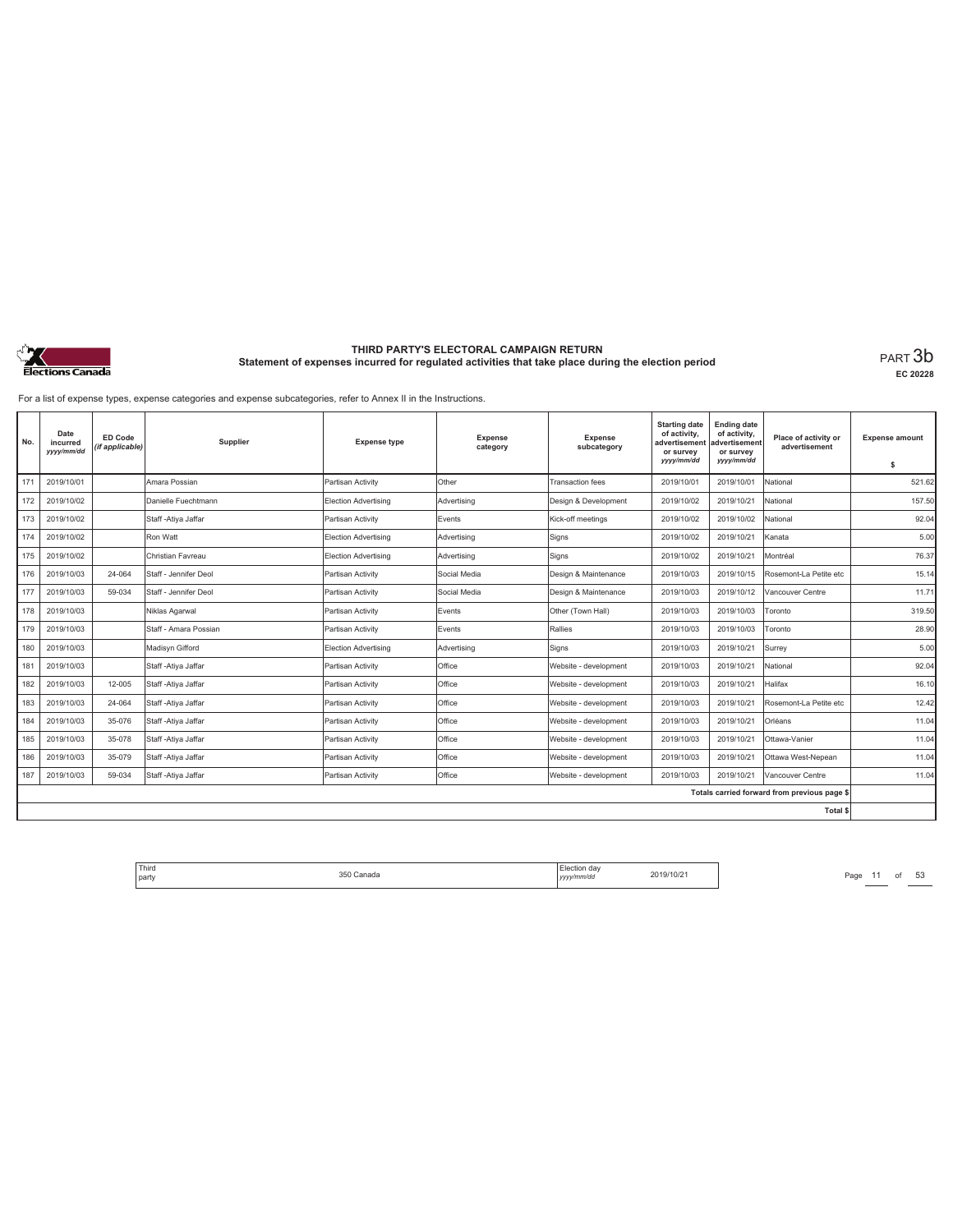

**EC 20228**

For a list of expense types, expense categories and expense subcategories, refer to Annex II in the Instructions.

| No. | Date<br>incurred<br>yyyy/mm/dd | ED Code<br>(if applicable) | Supplier              | <b>Expense type</b>         | Expense<br>category | Expense<br>subcategory  | <b>Starting date</b><br>of activity,<br>advertisement<br>or survey<br>yyyy/mm/dd | <b>Ending date</b><br>of activity,<br>advertisement<br>or survey<br>yyyy/mm/dd | Place of activity or<br>advertisement        | <b>Expense amount</b><br>s |
|-----|--------------------------------|----------------------------|-----------------------|-----------------------------|---------------------|-------------------------|----------------------------------------------------------------------------------|--------------------------------------------------------------------------------|----------------------------------------------|----------------------------|
| 171 | 2019/10/01                     |                            | Amara Possian         | Partisan Activity           | Other               | <b>Transaction fees</b> | 2019/10/01                                                                       | 2019/10/01                                                                     | National                                     | 521.62                     |
| 172 | 2019/10/02                     |                            | Danielle Fuechtmann   | <b>Election Advertising</b> | Advertising         | Design & Development    | 2019/10/02                                                                       | 2019/10/21                                                                     | National                                     | 157.50                     |
| 173 | 2019/10/02                     |                            | Staff - Atiya Jaffar  | Partisan Activity           | Events              | Kick-off meetings       | 2019/10/02                                                                       | 2019/10/02                                                                     | National                                     | 92.04                      |
| 174 | 2019/10/02                     |                            | Ron Watt              | <b>Election Advertising</b> | Advertising         | Signs                   | 2019/10/02                                                                       | 2019/10/21                                                                     | Kanata                                       | 5.00                       |
| 175 | 2019/10/02                     |                            | Christian Favreau     | Election Advertising        | Advertising         | Signs                   | 2019/10/02                                                                       | 2019/10/21                                                                     | Montréal                                     | 76.37                      |
| 176 | 2019/10/03                     | 24-064                     | Staff - Jennifer Deol | Partisan Activity           | Social Media        | Design & Maintenance    | 2019/10/03                                                                       | 2019/10/15                                                                     | Rosemont-La Petite etc                       | 15.14                      |
| 177 | 2019/10/03                     | 59-034                     | Staff - Jennifer Deol | Partisan Activity           | Social Media        | Design & Maintenance    | 2019/10/03                                                                       | 2019/10/12                                                                     | Vancouver Centre                             | 11.71                      |
| 178 | 2019/10/03                     |                            | Niklas Agarwal        | Partisan Activity           | Events              | Other (Town Hall)       | 2019/10/03                                                                       | 2019/10/03                                                                     | Toronto                                      | 319.50                     |
| 179 | 2019/10/03                     |                            | Staff - Amara Possian | Partisan Activity           | Events              | Rallies                 | 2019/10/03                                                                       | 2019/10/03                                                                     | Toronto                                      | 28.90                      |
| 180 | 2019/10/03                     |                            | Madisvn Gifford       | Election Advertising        | Advertising         | Signs                   | 2019/10/03                                                                       | 2019/10/21                                                                     | Surrey                                       | 5.00                       |
| 181 | 2019/10/03                     |                            | Staff - Atiya Jaffar  | Partisan Activity           | Office              | Website - development   | 2019/10/03                                                                       | 2019/10/21                                                                     | National                                     | 92.04                      |
| 182 | 2019/10/03                     | 12-005                     | Staff - Atiya Jaffar  | Partisan Activity           | Office              | Website - development   | 2019/10/03                                                                       | 2019/10/21                                                                     | Halifax                                      | 16.10                      |
| 183 | 2019/10/03                     | 24-064                     | Staff - Atiya Jaffar  | Partisan Activity           | Office              | Website - development   | 2019/10/03                                                                       | 2019/10/21                                                                     | Rosemont-La Petite etc                       | 12.42                      |
| 184 | 2019/10/03                     | 35-076                     | Staff - Ativa Jaffar  | Partisan Activity           | Office              | Website - development   | 2019/10/03                                                                       | 2019/10/21                                                                     | Orléans                                      | 11.04                      |
| 185 | 2019/10/03                     | 35-078                     | Staff - Atiya Jaffar  | Partisan Activity           | Office              | Website - development   | 2019/10/03                                                                       | 2019/10/21                                                                     | Ottawa-Vanier                                | 11.04                      |
| 186 | 2019/10/03                     | 35-079                     | Staff - Ativa Jaffar  | Partisan Activity           | Office              | Website - development   | 2019/10/03                                                                       | 2019/10/21                                                                     | Ottawa West-Nepean                           | 11.04                      |
| 187 | 2019/10/03                     | 59-034                     | Staff - Ativa Jaffar  | Partisan Activity           | Office              | Website - development   | 2019/10/03                                                                       | 2019/10/21                                                                     | Vancouver Centre                             | 11.04                      |
|     |                                |                            |                       |                             |                     |                         |                                                                                  |                                                                                | Totals carried forward from previous page \$ |                            |
|     |                                |                            |                       |                             |                     |                         |                                                                                  |                                                                                | Total \$                                     |                            |

Third The Same 11 of 53<br>
party Page 11 of 53<br>
party 2019/10/21 Page 11 of 53 party 350 Canada Election day *yyyy/mm/dd* 2019/10/21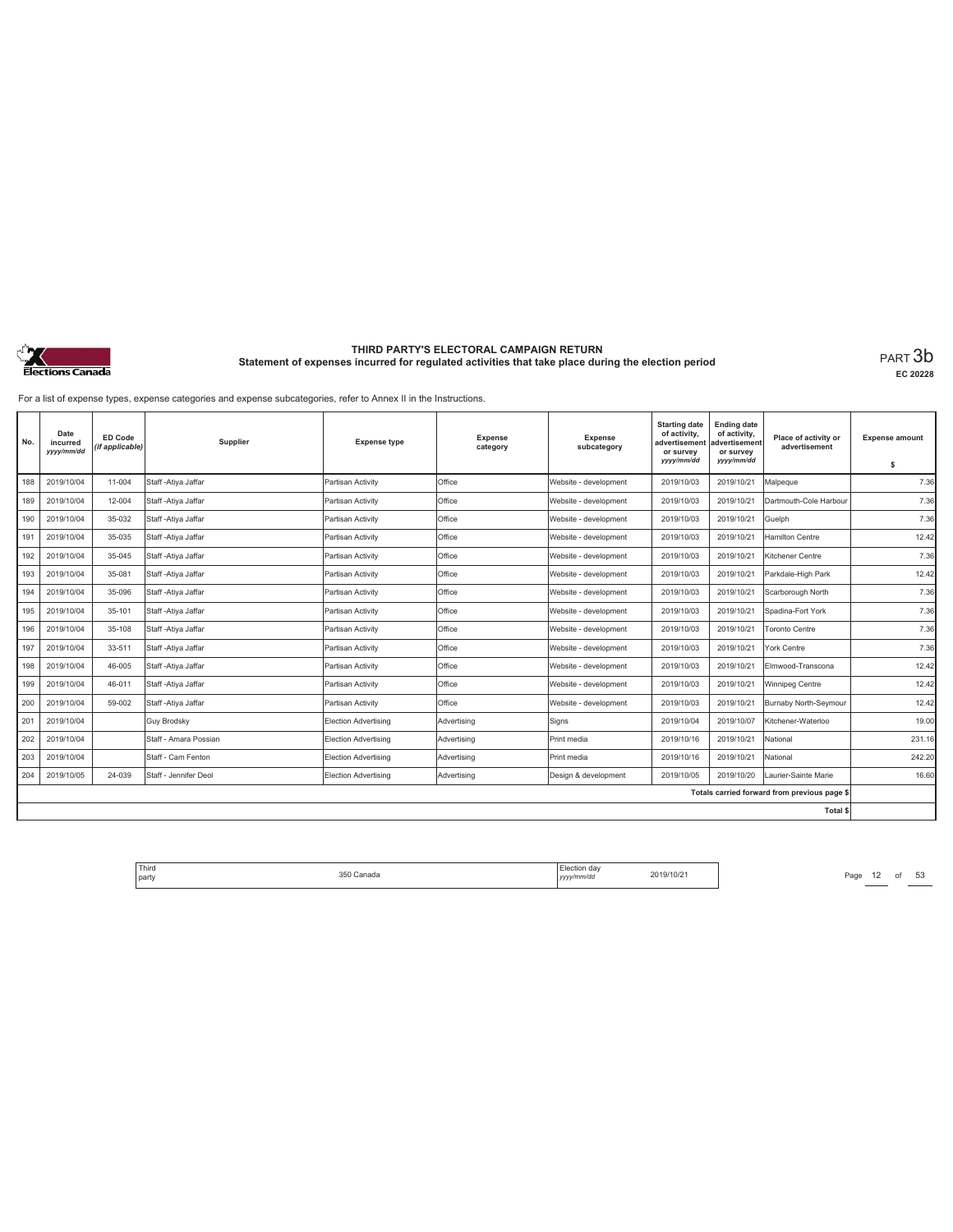

**EC 20228**

For a list of expense types, expense categories and expense subcategories, refer to Annex II in the Instructions.

| No. | Date<br>incurred<br>yyyy/mm/dd | ED Code<br>(if applicable) | Supplier              | <b>Expense type</b>         | Expense<br>category | <b>Expense</b><br>subcategory | <b>Starting date</b><br>of activity,<br>advertisemen<br>or survey<br>yyyy/mm/dd | <b>Ending date</b><br>of activity,<br>advertisement<br>or survey<br>yyyy/mm/dd | Place of activity or<br>advertisement        | <b>Expense amount</b><br>s |
|-----|--------------------------------|----------------------------|-----------------------|-----------------------------|---------------------|-------------------------------|---------------------------------------------------------------------------------|--------------------------------------------------------------------------------|----------------------------------------------|----------------------------|
| 188 | 2019/10/04                     | 11-004                     | Staff - Atiya Jaffar  | Partisan Activity           | Office              | Website - development         | 2019/10/03                                                                      | 2019/10/21                                                                     | Malpegue                                     | 7.36                       |
| 189 | 2019/10/04                     | 12-004                     | Staff - Atiya Jaffar  | Partisan Activity           | Office              | Website - development         | 2019/10/03                                                                      | 2019/10/21                                                                     | Dartmouth-Cole Harbour                       | 7.36                       |
| 190 | 2019/10/04                     | 35-032                     | Staff - Ativa Jaffar  | Partisan Activity           | Office              | Website - development         | 2019/10/03                                                                      | 2019/10/21                                                                     | Guelph                                       | 7.36                       |
| 191 | 2019/10/04                     | 35-035                     | Staff - Atiya Jaffar  | Partisan Activity           | Office              | Website - development         | 2019/10/03                                                                      | 2019/10/21                                                                     | Hamilton Centre                              | 12.42                      |
| 192 | 2019/10/04                     | 35-045                     | Staff - Atiya Jaffar  | Partisan Activity           | Office              | Website - development         | 2019/10/03                                                                      | 2019/10/21                                                                     | Kitchener Centre                             | 7.36                       |
| 193 | 2019/10/04                     | 35-081                     | Staff - Ativa Jaffar  | Partisan Activity           | Office              | Website - development         | 2019/10/03                                                                      | 2019/10/21                                                                     | Parkdale-High Park                           | 12.42                      |
| 194 | 2019/10/04                     | 35-096                     | Staff - Atiya Jaffar  | Partisan Activity           | Office              | Website - development         | 2019/10/03                                                                      | 2019/10/21                                                                     | Scarborough North                            | 7.36                       |
| 195 | 2019/10/04                     | 35-101                     | Staff - Atiya Jaffar  | Partisan Activity           | Office              | Website - development         | 2019/10/03                                                                      | 2019/10/21                                                                     | Spadina-Fort York                            | 7.36                       |
| 196 | 2019/10/04                     | 35-108                     | Staff - Ativa Jaffar  | Partisan Activity           | Office              | Website - development         | 2019/10/03                                                                      | 2019/10/21                                                                     | Toronto Centre                               | 7.36                       |
| 197 | 2019/10/04                     | 33-511                     | Staff - Ativa Jaffar  | Partisan Activity           | Office              | Website - development         | 2019/10/03                                                                      | 2019/10/21                                                                     | York Centre                                  | 7.36                       |
| 198 | 2019/10/04                     | 46-005                     | Staff - Atiya Jaffar  | Partisan Activity           | Office              | Website - development         | 2019/10/03                                                                      | 2019/10/21                                                                     | Elmwood-Transcona                            | 12.42                      |
| 199 | 2019/10/04                     | 46-011                     | Staff - Atiya Jaffar  | Partisan Activity           | Office              | Website - development         | 2019/10/03                                                                      | 2019/10/21                                                                     | Winnipeg Centre                              | 12.42                      |
| 200 | 2019/10/04                     | 59-002                     | Staff - Atiya Jaffar  | Partisan Activity           | Office              | Website - development         | 2019/10/03                                                                      | 2019/10/21                                                                     | Burnaby North-Seymour                        | 12.42                      |
| 201 | 2019/10/04                     |                            | <b>Guy Brodsky</b>    | Election Advertising        | Advertising         | Signs                         | 2019/10/04                                                                      | 2019/10/07                                                                     | Kitchener-Waterloo                           | 19.00                      |
| 202 | 2019/10/04                     |                            | Staff - Amara Possian | Election Advertising        | Advertising         | Print media                   | 2019/10/16                                                                      | 2019/10/21                                                                     | National                                     | 231.16                     |
| 203 | 2019/10/04                     |                            | Staff - Cam Fenton    | Election Advertising        | Advertisina         | Print media                   | 2019/10/16                                                                      | 2019/10/21                                                                     | National                                     | 242.20                     |
| 204 | 2019/10/05                     | 24-039                     | Staff - Jennifer Deol | <b>Election Advertising</b> | Advertising         | Design & development          | 2019/10/05                                                                      | 2019/10/20                                                                     | Laurier-Sainte Marie                         | 16.60                      |
|     |                                |                            |                       |                             |                     |                               |                                                                                 |                                                                                | Totals carried forward from previous page \$ |                            |
|     |                                |                            |                       |                             |                     |                               |                                                                                 |                                                                                | Total \$                                     |                            |

Third The Same 12 of 53<br>
party Page 12 of 53<br>
party 1999<br>
Page 12 of 53 party 350 Canada Election day *yyyy/mm/dd* 2019/10/21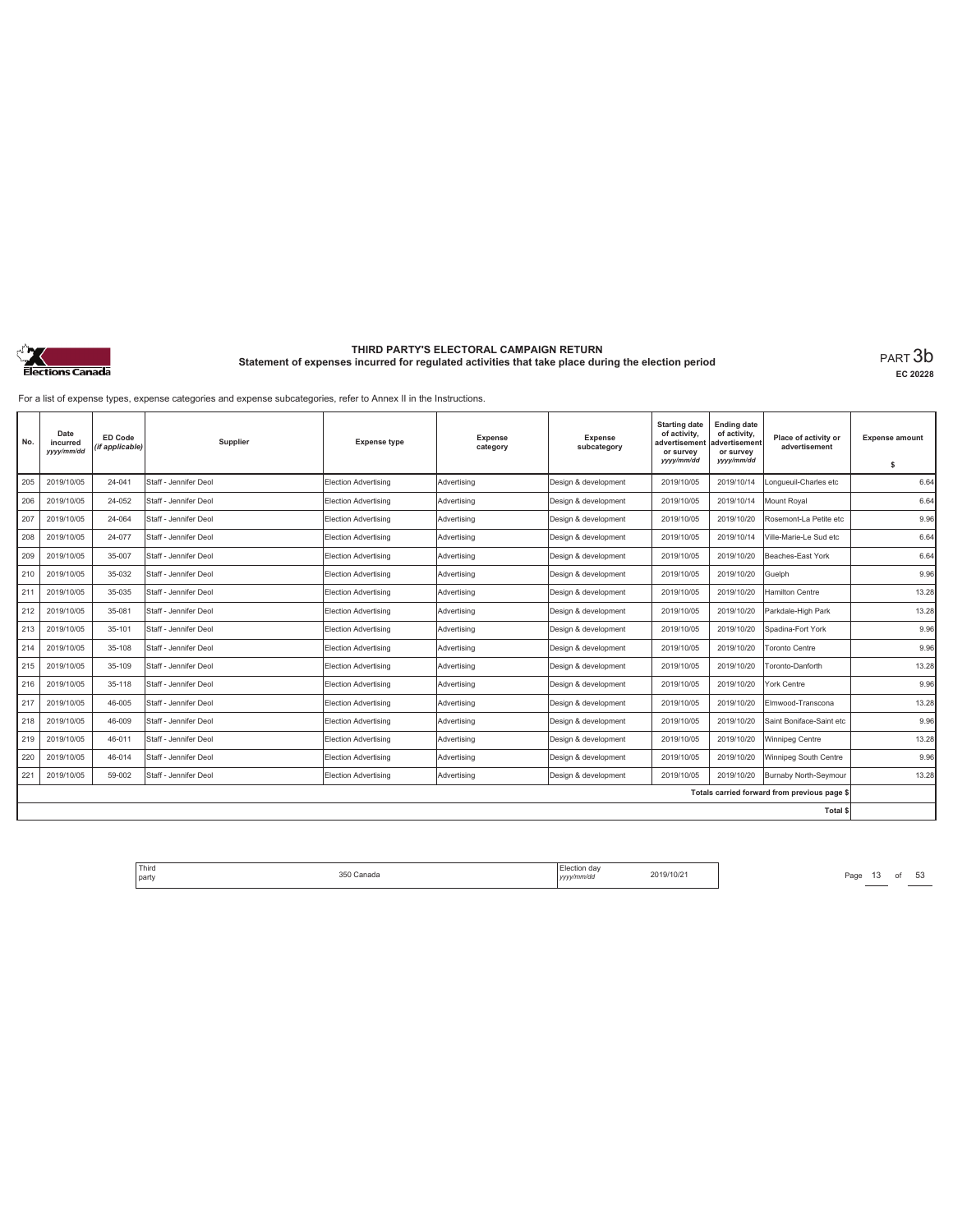

**EC 20228**

For a list of expense types, expense categories and expense subcategories, refer to Annex II in the Instructions.

| No. | Date<br>incurred<br>yyyy/mm/dd | <b>ED Code</b><br>(if applicable) | Supplier              | <b>Expense type</b>         | <b>Expense</b><br>category | <b>Expense</b><br>subcategory | <b>Starting date</b><br>of activity.<br>advertisement<br>or survey<br>yyyy/mm/dd | <b>Ending date</b><br>of activity,<br>advertisement<br>or survey<br>yyyy/mm/dd | Place of activity or<br>advertisement        | <b>Expense amount</b><br>s |
|-----|--------------------------------|-----------------------------------|-----------------------|-----------------------------|----------------------------|-------------------------------|----------------------------------------------------------------------------------|--------------------------------------------------------------------------------|----------------------------------------------|----------------------------|
| 205 | 2019/10/05                     | 24-041                            | Staff - Jennifer Deol | Election Advertising        | Advertisina                | Design & development          | 2019/10/05                                                                       | 2019/10/14                                                                     | Longueuil-Charles etc                        | 6.64                       |
| 206 | 2019/10/05                     | 24-052                            | Staff - Jennifer Deol | <b>Election Advertising</b> | Advertising                | Design & development          | 2019/10/05                                                                       | 2019/10/14                                                                     | <b>Mount Roval</b>                           | 6.64                       |
| 207 | 2019/10/05                     | 24-064                            | Staff - Jennifer Deol | Election Advertising        | Advertisina                | Design & development          | 2019/10/05                                                                       | 2019/10/20                                                                     | Rosemont-La Petite etc                       | 9.96                       |
| 208 | 2019/10/05                     | 24-077                            | Staff - Jennifer Deol | <b>Election Advertising</b> | Advertising                | Design & development          | 2019/10/05                                                                       | 2019/10/14                                                                     | Ville-Marie-Le Sud etc                       | 6.64                       |
| 209 | 2019/10/05                     | 35-007                            | Staff - Jennifer Deol | Election Advertising        | Advertisina                | Desian & development          | 2019/10/05                                                                       | 2019/10/20                                                                     | Beaches-East York                            | 6.64                       |
| 210 | 2019/10/05                     | 35-032                            | Staff - Jennifer Deol | Election Advertising        | Advertisina                | Design & development          | 2019/10/05                                                                       | 2019/10/20                                                                     | Guelph                                       | 9.96                       |
| 211 | 2019/10/05                     | 35-035                            | Staff - Jennifer Deol | Election Advertising        | Advertisina                | Design & development          | 2019/10/05                                                                       | 2019/10/20                                                                     | <b>Hamilton Centre</b>                       | 13.28                      |
| 212 | 2019/10/05                     | 35-081                            | Staff - Jennifer Deol | <b>Election Advertising</b> | Advertising                | Design & development          | 2019/10/05                                                                       | 2019/10/20                                                                     | Parkdale-High Park                           | 13.28                      |
| 213 | 2019/10/05                     | 35-101                            | Staff - Jennifer Deol | Election Advertising        | Advertisina                | Design & development          | 2019/10/05                                                                       | 2019/10/20                                                                     | Spadina-Fort York                            | 9.96                       |
| 214 | 2019/10/05                     | 35-108                            | Staff - Jennifer Deol | Election Advertising        | Advertisina                | Design & development          | 2019/10/05                                                                       | 2019/10/20                                                                     | <b>Toronto Centre</b>                        | 9.96                       |
| 215 | 2019/10/05                     | 35-109                            | Staff - Jennifer Deol | <b>Election Advertising</b> | Advertising                | Design & development          | 2019/10/05                                                                       | 2019/10/20                                                                     | Toronto-Danforth                             | 13.28                      |
| 216 | 2019/10/05                     | 35-118                            | Staff - Jennifer Deol | <b>Election Advertising</b> | Advertising                | Design & development          | 2019/10/05                                                                       | 2019/10/20                                                                     | York Centre                                  | 9.96                       |
| 217 | 2019/10/05                     | 46-005                            | Staff - Jennifer Deol | <b>Election Advertising</b> | Advertising                | Design & development          | 2019/10/05                                                                       | 2019/10/20                                                                     | Elmwood-Transcona                            | 13.28                      |
| 218 | 2019/10/05                     | 46-009                            | Staff - Jennifer Deol | <b>Election Advertising</b> | Advertising                | Design & development          | 2019/10/05                                                                       | 2019/10/20                                                                     | Saint Boniface-Saint etc                     | 9.96                       |
| 219 | 2019/10/05                     | 46-011                            | Staff - Jennifer Deol | <b>Election Advertising</b> | Advertising                | Design & development          | 2019/10/05                                                                       | 2019/10/20                                                                     | Winnipeg Centre                              | 13.28                      |
| 220 | 2019/10/05                     | 46-014                            | Staff - Jennifer Deol | Election Advertising        | Advertisina                | Desian & development          | 2019/10/05                                                                       | 2019/10/20                                                                     | Winnipeg South Centre                        | 9.96                       |
| 221 | 2019/10/05                     | 59-002                            | Staff - Jennifer Deol | Election Advertising        | Advertisina                | Design & development          | 2019/10/05                                                                       | 2019/10/20                                                                     | Burnaby North-Seymour                        | 13.28                      |
|     |                                |                                   |                       |                             |                            |                               |                                                                                  |                                                                                | Totals carried forward from previous page \$ |                            |
|     |                                |                                   |                       |                             |                            |                               |                                                                                  |                                                                                | Total \$                                     |                            |

Third The Same 1350 Canada 350 Canada 2019/10/21 Page 13 of 53 party 350 Canada Election day *yyyy/mm/dd* 2019/10/21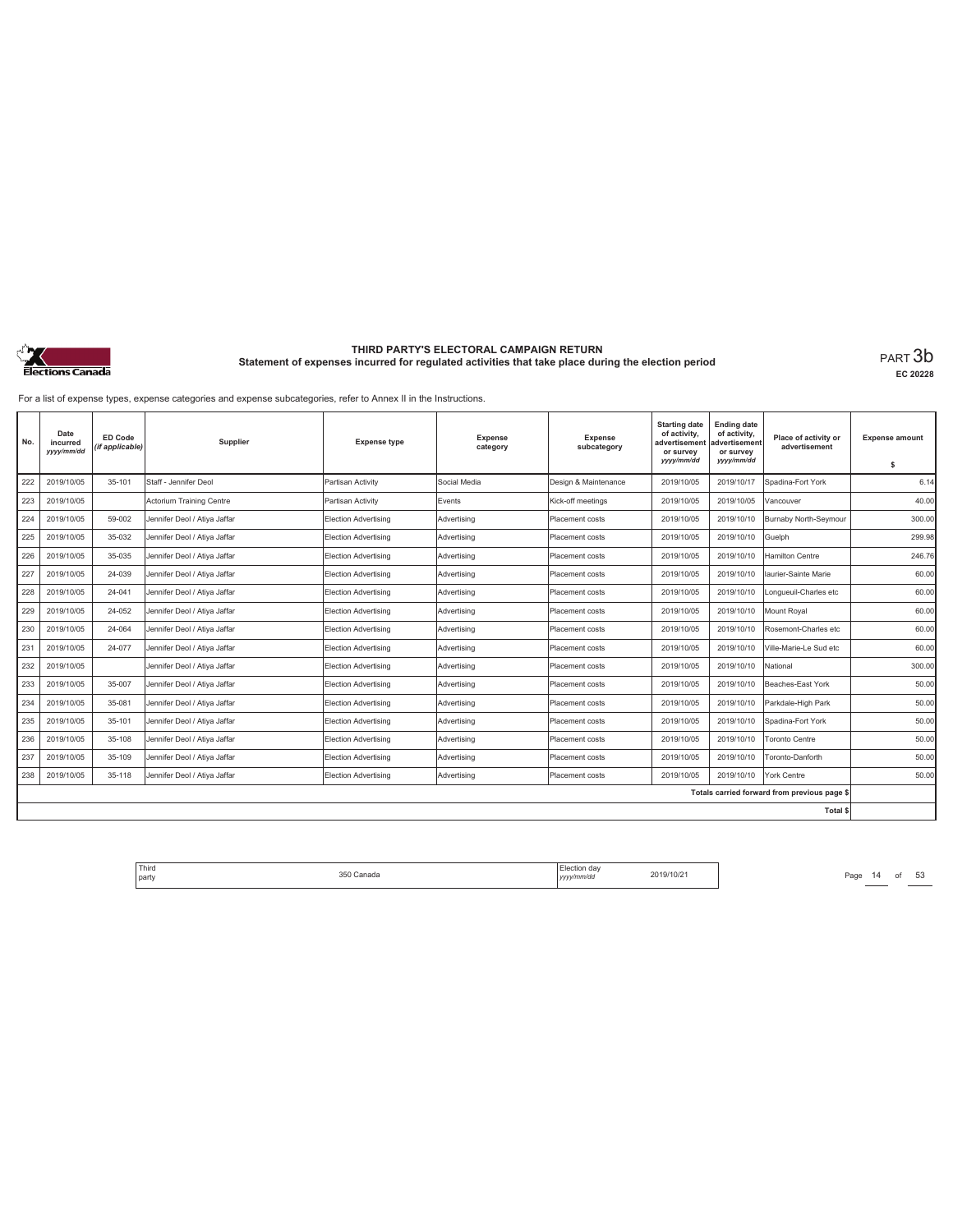

**EC 20228**

For a list of expense types, expense categories and expense subcategories, refer to Annex II in the Instructions.

| No. | Date<br>incurred<br>yyyy/mm/dd | <b>ED Code</b><br>(if applicable) | Supplier                     | <b>Expense type</b>         | <b>Expense</b><br>category | Expense<br>subcategory | <b>Starting date</b><br>of activity,<br>advertisement<br>or survey<br>yyyy/mm/dd | <b>Ending date</b><br>of activity,<br>advertisement<br>or survey<br>yyyy/mm/dd | Place of activity or<br>advertisement        | <b>Expense amount</b><br>\$ |
|-----|--------------------------------|-----------------------------------|------------------------------|-----------------------------|----------------------------|------------------------|----------------------------------------------------------------------------------|--------------------------------------------------------------------------------|----------------------------------------------|-----------------------------|
| 222 | 2019/10/05                     | 35-101                            | Staff - Jennifer Deol        | Partisan Activity           | Social Media               | Design & Maintenance   | 2019/10/05                                                                       | 2019/10/17                                                                     | Spadina-Fort York                            | 6.14                        |
| 223 | 2019/10/05                     |                                   | Actorium Training Centre     | Partisan Activity           | Events                     | Kick-off meetings      | 2019/10/05                                                                       | 2019/10/05                                                                     | Vancouver                                    | 40.00                       |
| 224 | 2019/10/05                     | 59-002                            | Jennifer Deol / Atiya Jaffar | Election Advertising        | Advertising                | Placement costs        | 2019/10/05                                                                       | 2019/10/10                                                                     | Burnaby North-Seymour                        | 300.00                      |
| 225 | 2019/10/05                     | 35-032                            | Jennifer Deol / Atiya Jaffar | Election Advertising        | Advertising                | <b>Placement costs</b> | 2019/10/05                                                                       | 2019/10/10                                                                     | Guelph                                       | 299.98                      |
| 226 | 2019/10/05                     | 35-035                            | Jennifer Deol / Atiya Jaffar | Election Advertising        | Advertising                | Placement costs        | 2019/10/05                                                                       | 2019/10/10                                                                     | <b>Hamilton Centre</b>                       | 246.76                      |
| 227 | 2019/10/05                     | 24-039                            | Jennifer Deol / Atiya Jaffar | Election Advertising        | Advertising                | Placement costs        | 2019/10/05                                                                       | 2019/10/10                                                                     | llaurier-Sainte Marie                        | 60.00                       |
| 228 | 2019/10/05                     | 24-041                            | Jennifer Deol / Atiya Jaffar | Election Advertising        | Advertising                | Placement costs        | 2019/10/05                                                                       | 2019/10/10                                                                     | Longueuil-Charles etc                        | 60.00                       |
| 229 | 2019/10/05                     | 24-052                            | Jennifer Deol / Atiya Jaffar | Election Advertising        | Advertising                | <b>Placement costs</b> | 2019/10/05                                                                       | 2019/10/10                                                                     | Mount Royal                                  | 60.00                       |
| 230 | 2019/10/05                     | 24-064                            | Jennifer Deol / Atiya Jaffar | Election Advertising        | Advertising                | Placement costs        | 2019/10/05                                                                       | 2019/10/10                                                                     | Rosemont-Charles etc                         | 60.00                       |
| 231 | 2019/10/05                     | 24-077                            | Jennifer Deol / Atiya Jaffar | Election Advertising        | Advertising                | Placement costs        | 2019/10/05                                                                       | 2019/10/10                                                                     | Ville-Marie-Le Sud etc                       | 60.00                       |
| 232 | 2019/10/05                     |                                   | Jennifer Deol / Atiya Jaffar | Election Advertising        | Advertisina                | <b>Placement costs</b> | 2019/10/05                                                                       | 2019/10/10                                                                     | National                                     | 300.00                      |
| 233 | 2019/10/05                     | 35-007                            | Jennifer Deol / Atiya Jaffar | <b>Election Advertising</b> | Advertising                | Placement costs        | 2019/10/05                                                                       | 2019/10/10                                                                     | Beaches-East York                            | 50.00                       |
| 234 | 2019/10/05                     | 35-081                            | Jennifer Deol / Ativa Jaffar | Election Advertising        | Advertisina                | Placement costs        | 2019/10/05                                                                       | 2019/10/10                                                                     | Parkdale-High Park                           | 50.00                       |
| 235 | 2019/10/05                     | 35-101                            | Jennifer Deol / Atiya Jaffar | Election Advertising        | Advertising                | Placement costs        | 2019/10/05                                                                       | 2019/10/10                                                                     | Spadina-Fort York                            | 50.00                       |
| 236 | 2019/10/05                     | 35-108                            | Jennifer Deol / Atiya Jaffar | <b>Election Advertising</b> | Advertising                | Placement costs        | 2019/10/05                                                                       | 2019/10/10                                                                     | <b>Toronto Centre</b>                        | 50.00                       |
| 237 | 2019/10/05                     | 35-109                            | Jennifer Deol / Atiya Jaffar | <b>Election Advertising</b> | Advertising                | Placement costs        | 2019/10/05                                                                       | 2019/10/10                                                                     | Toronto-Danforth                             | 50.00                       |
| 238 | 2019/10/05                     | 35-118                            | Jennifer Deol / Atiya Jaffar | Election Advertising        | Advertising                | Placement costs        | 2019/10/05                                                                       | 2019/10/10                                                                     | York Centre                                  | 50.00                       |
|     |                                |                                   |                              |                             |                            |                        |                                                                                  |                                                                                | Totals carried forward from previous page \$ |                             |
|     |                                |                                   |                              |                             |                            |                        |                                                                                  |                                                                                | Total \$                                     |                             |

Third The Same 14 of 53<br>
party Page 14 of 53<br>
party 2019/10/21 Page 14 of 53 party 350 Canada Election day *yyyy/mm/dd* 2019/10/21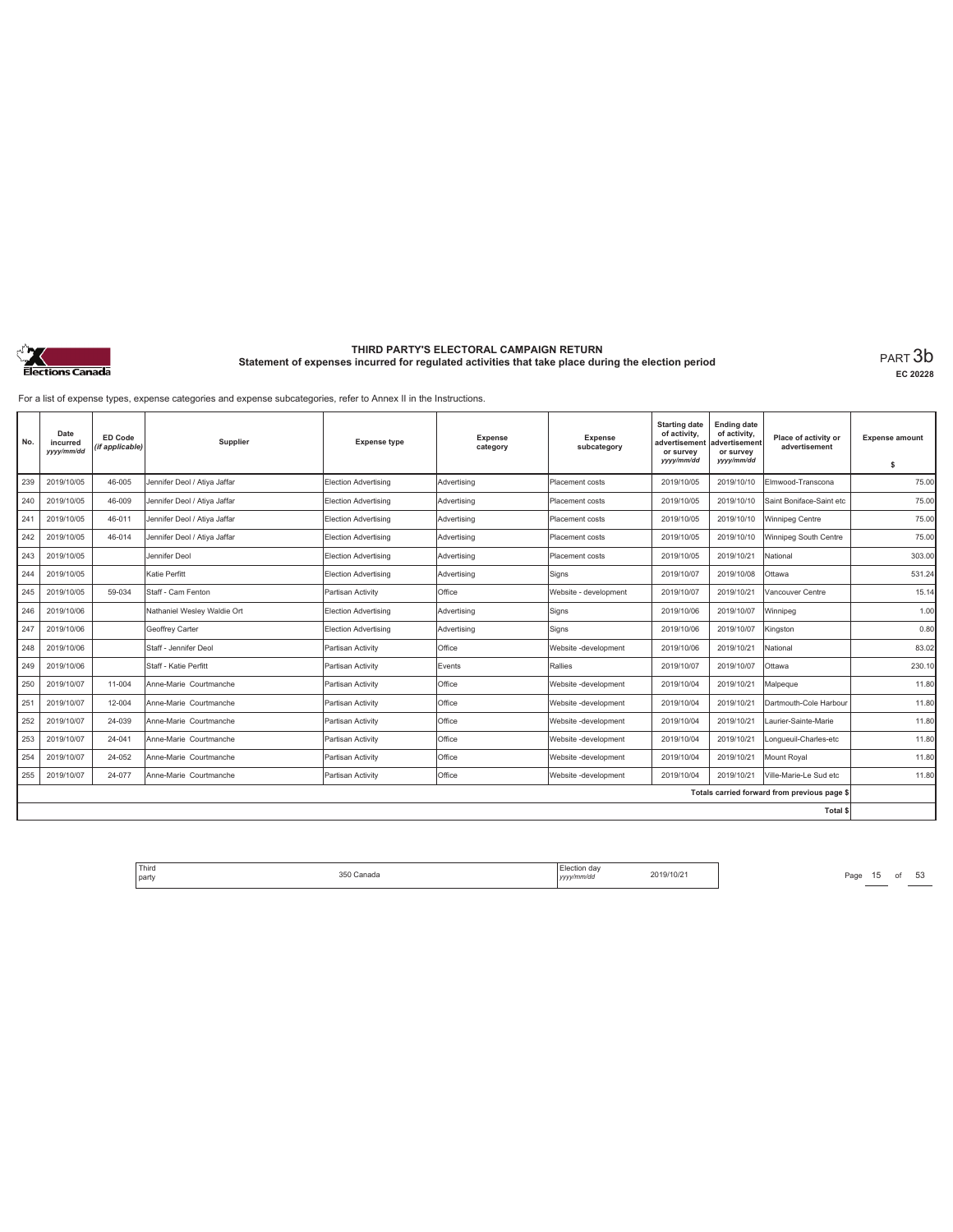

**EC 20228**

For a list of expense types, expense categories and expense subcategories, refer to Annex II in the Instructions.

| No. | Date<br>incurred<br>yyyy/mm/dd | ED Code<br>(if applicable) | Supplier                     | <b>Expense type</b>         | Expense<br>category | Expense<br>subcategory | <b>Starting date</b><br>of activity,<br>advertisement<br>or survey<br>yyyy/mm/dd | Ending date<br>of activity,<br>advertisement<br>or survey<br>yyyy/mm/dd | Place of activity or<br>advertisement        | <b>Expense amount</b><br>\$ |
|-----|--------------------------------|----------------------------|------------------------------|-----------------------------|---------------------|------------------------|----------------------------------------------------------------------------------|-------------------------------------------------------------------------|----------------------------------------------|-----------------------------|
| 239 | 2019/10/05                     | 46-005                     | Jennifer Deol / Atiya Jaffar | <b>Election Advertising</b> | Advertising         | Placement costs        | 2019/10/05                                                                       | 2019/10/10                                                              | Elmwood-Transcona                            | 75.00                       |
| 240 | 2019/10/05                     | 46-009                     | Jennifer Deol / Atiya Jaffar | Election Advertising        | Advertising         | Placement costs        | 2019/10/05                                                                       | 2019/10/10                                                              | Saint Boniface-Saint etc                     | 75.00                       |
| 241 | 2019/10/05                     | 46-011                     | Jennifer Deol / Atiya Jaffar | Election Advertising        | Advertising         | Placement costs        | 2019/10/05                                                                       | 2019/10/10                                                              | Winnipeg Centre                              | 75.00                       |
| 242 | 2019/10/05                     | 46-014                     | Jennifer Deol / Atiya Jaffar | <b>Election Advertising</b> | Advertising         | Placement costs        | 2019/10/05                                                                       | 2019/10/10                                                              | Winnipeg South Centre                        | 75.00                       |
| 243 | 2019/10/05                     |                            | Jennifer Deol                | Election Advertising        | Advertisina         | Placement costs        | 2019/10/05                                                                       | 2019/10/21                                                              | National                                     | 303.00                      |
| 244 | 2019/10/05                     |                            | Katie Perfitt                | Election Advertising        | Advertising         | Signs                  | 2019/10/07                                                                       | 2019/10/08                                                              | Ottawa                                       | 531.24                      |
| 245 | 2019/10/05                     | 59-034                     | Staff - Cam Fenton           | Partisan Activity           | Office              | Website - development  | 2019/10/07                                                                       | 2019/10/21                                                              | Vancouver Centre                             | 15.14                       |
| 246 | 2019/10/06                     |                            | Nathaniel Wesley Waldie Ort  | <b>Election Advertising</b> | Advertising         | Signs                  | 2019/10/06                                                                       | 2019/10/07                                                              | Winnipeg                                     | 1.00                        |
| 247 | 2019/10/06                     |                            | Geoffrey Carter              | <b>Election Advertising</b> | Advertising         | Signs                  | 2019/10/06                                                                       | 2019/10/07                                                              | Kingston                                     | 0.80                        |
| 248 | 2019/10/06                     |                            | Staff - Jennifer Deol        | Partisan Activity           | Office              | Website -development   | 2019/10/06                                                                       | 2019/10/21                                                              | National                                     | 83.02                       |
| 249 | 2019/10/06                     |                            | Staff - Katie Perfitt        | Partisan Activity           | Events              | Rallies                | 2019/10/07                                                                       | 2019/10/07                                                              | Ottawa                                       | 230.10                      |
| 250 | 2019/10/07                     | 11-004                     | Anne-Marie Courtmanche       | Partisan Activity           | Office              | Website -development   | 2019/10/04                                                                       | 2019/10/21                                                              | Malpeque                                     | 11.80                       |
| 251 | 2019/10/07                     | 12-004                     | Anne-Marie Courtmanche       | Partisan Activity           | Office              | Website -development   | 2019/10/04                                                                       | 2019/10/21                                                              | Dartmouth-Cole Harbour                       | 11.80                       |
| 252 | 2019/10/07                     | 24-039                     | Anne-Marie Courtmanche       | Partisan Activity           | Office              | Website -development   | 2019/10/04                                                                       | 2019/10/21                                                              | Laurier-Sainte-Marie                         | 11.80                       |
| 253 | 2019/10/07                     | 24-041                     | Anne-Marie Courtmanche       | Partisan Activity           | Office              | Website -development   | 2019/10/04                                                                       | 2019/10/21                                                              | Longueuil-Charles-etc                        | 11.80                       |
| 254 | 2019/10/07                     | 24-052                     | Anne-Marie Courtmanche       | Partisan Activity           | Office              | Website -development   | 2019/10/04                                                                       | 2019/10/21                                                              | Mount Royal                                  | 11.80                       |
| 255 | 2019/10/07                     | 24-077                     | Anne-Marie Courtmanche       | Partisan Activity           | Office              | Website -development   | 2019/10/04                                                                       | 2019/10/21                                                              | Ville-Marie-Le Sud etc                       | 11.80                       |
|     |                                |                            |                              |                             |                     |                        |                                                                                  |                                                                         | Totals carried forward from previous page \$ |                             |
|     |                                |                            |                              |                             |                     |                        |                                                                                  |                                                                         | <b>Total \$</b>                              |                             |

Third The SSO Canada 350 Canada 2019/10/21 Page 15 of 53 party 350 Canada Election day *yyyy/mm/dd* 2019/10/21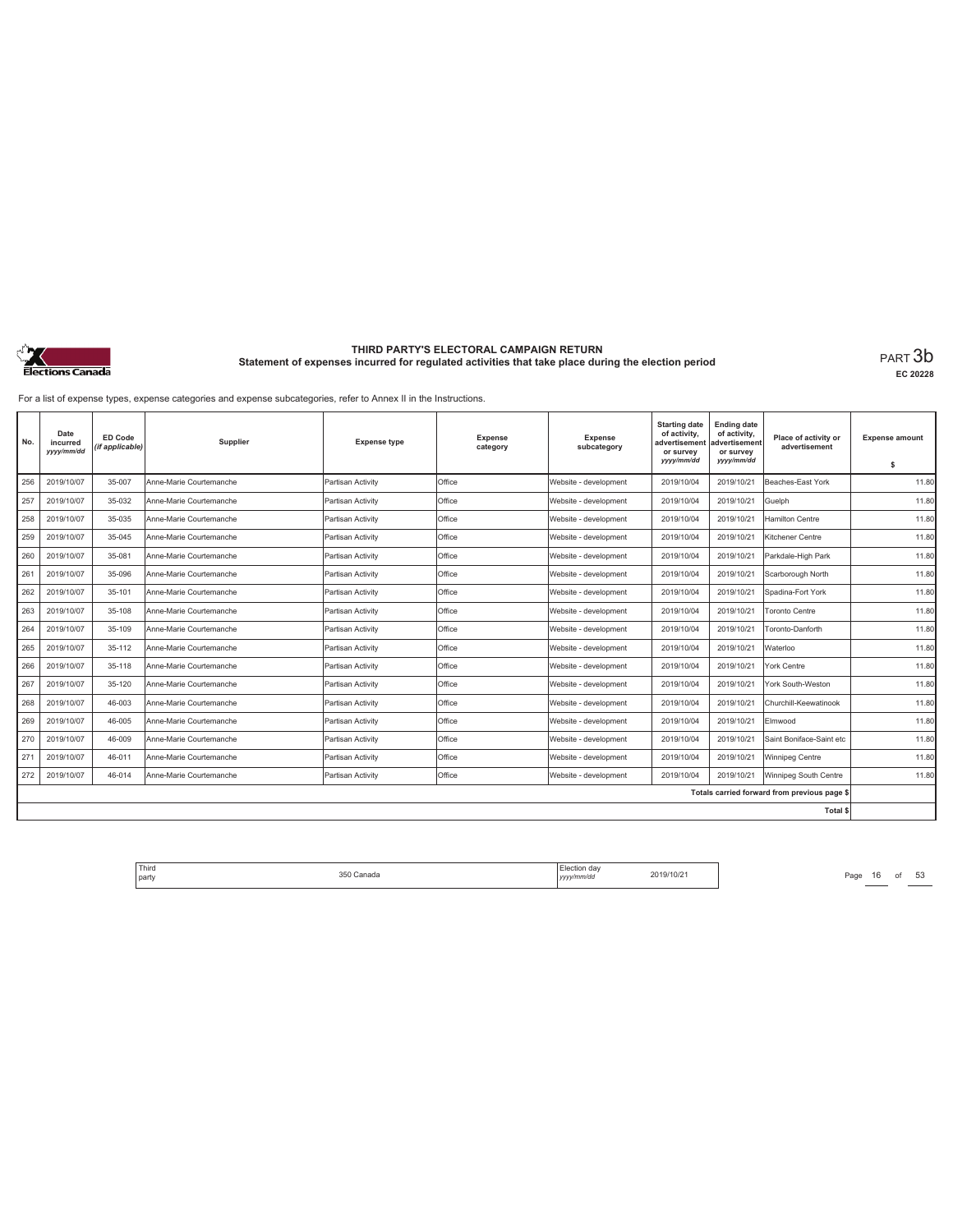

**EC 20228**

For a list of expense types, expense categories and expense subcategories, refer to Annex II in the Instructions.

| No. | Date<br>incurred<br>yyyy/mm/dd | ED Code<br>(if applicable) | Supplier                | <b>Expense type</b> | <b>Expense</b><br>category | <b>Expense</b><br>subcategory | <b>Starting date</b><br>of activity,<br>advertisement<br>or survey<br>yyyy/mm/dd | <b>Ending date</b><br>of activity,<br>advertisement<br>or survey<br>yyyy/mm/dd | Place of activity or<br>advertisement        | <b>Expense amount</b><br>s |
|-----|--------------------------------|----------------------------|-------------------------|---------------------|----------------------------|-------------------------------|----------------------------------------------------------------------------------|--------------------------------------------------------------------------------|----------------------------------------------|----------------------------|
| 256 | 2019/10/07                     | 35-007                     | Anne-Marie Courtemanche | Partisan Activity   | Office                     | Website - development         | 2019/10/04                                                                       | 2019/10/21                                                                     | Beaches-East York                            | 11.80                      |
| 257 | 2019/10/07                     | 35-032                     | Anne-Marie Courtemanche | Partisan Activity   | Office                     | Website - development         | 2019/10/04                                                                       | 2019/10/21                                                                     | Guelph                                       | 11.80                      |
| 258 | 2019/10/07                     | 35-035                     | Anne-Marie Courtemanche | Partisan Activity   | Office                     | Website - development         | 2019/10/04                                                                       | 2019/10/21                                                                     | <b>Hamilton Centre</b>                       | 11.80                      |
| 259 | 2019/10/07                     | 35-045                     | Anne-Marie Courtemanche | Partisan Activity   | Office                     | Website - development         | 2019/10/04                                                                       | 2019/10/21                                                                     | Kitchener Centre                             | 11.80                      |
| 260 | 2019/10/07                     | 35-081                     | Anne-Marie Courtemanche | Partisan Activity   | Office                     | Website - development         | 2019/10/04                                                                       | 2019/10/21                                                                     | Parkdale-High Park                           | 11.80                      |
| 261 | 2019/10/07                     | 35-096                     | Anne-Marie Courtemanche | Partisan Activity   | Office                     | Website - development         | 2019/10/04                                                                       | 2019/10/21                                                                     | Scarborough North                            | 11.80                      |
| 262 | 2019/10/07                     | 35-101                     | Anne-Marie Courtemanche | Partisan Activity   | Office                     | Website - development         | 2019/10/04                                                                       | 2019/10/21                                                                     | Spadina-Fort York                            | 11.80                      |
| 263 | 2019/10/07                     | 35-108                     | Anne-Marie Courtemanche | Partisan Activity   | Office                     | Website - development         | 2019/10/04                                                                       | 2019/10/21                                                                     | <b>Toronto Centre</b>                        | 11.80                      |
| 264 | 2019/10/07                     | 35-109                     | Anne-Marie Courtemanche | Partisan Activity   | Office                     | Website - development         | 2019/10/04                                                                       | 2019/10/21                                                                     | Toronto-Danforth                             | 11.80                      |
| 265 | 2019/10/07                     | 35-112                     | Anne-Marie Courtemanche | Partisan Activity   | Office                     | Website - development         | 2019/10/04                                                                       | 2019/10/21                                                                     | Waterloo                                     | 11.80                      |
| 266 | 2019/10/07                     | 35-118                     | Anne-Marie Courtemanche | Partisan Activity   | Office                     | Website - development         | 2019/10/04                                                                       | 2019/10/21                                                                     | York Centre                                  | 11.80                      |
| 267 | 2019/10/07                     | 35-120                     | Anne-Marie Courtemanche | Partisan Activity   | Office                     | Website - development         | 2019/10/04                                                                       | 2019/10/21                                                                     | York South-Weston                            | 11.80                      |
| 268 | 2019/10/07                     | 46-003                     | Anne-Marie Courtemanche | Partisan Activity   | Office                     | Website - development         | 2019/10/04                                                                       | 2019/10/21                                                                     | Churchill-Keewatinook                        | 11.80                      |
| 269 | 2019/10/07                     | 46-005                     | Anne-Marie Courtemanche | Partisan Activity   | Office                     | Website - development         | 2019/10/04                                                                       | 2019/10/21                                                                     | Elmwood                                      | 11.80                      |
| 270 | 2019/10/07                     | 46-009                     | Anne-Marie Courtemanche | Partisan Activity   | Office                     | Website - development         | 2019/10/04                                                                       | 2019/10/21                                                                     | Saint Boniface-Saint etc                     | 11.80                      |
| 271 | 2019/10/07                     | 46-011                     | Anne-Marie Courtemanche | Partisan Activity   | Office                     | Website - development         | 2019/10/04                                                                       | 2019/10/21                                                                     | Winnipeg Centre                              | 11.80                      |
| 272 | 2019/10/07                     | 46-014                     | Anne-Marie Courtemanche | Partisan Activity   | Office                     | Website - development         | 2019/10/04                                                                       | 2019/10/21                                                                     | Winnipeg South Centre                        | 11.80                      |
|     |                                |                            |                         |                     |                            |                               |                                                                                  |                                                                                | Totals carried forward from previous page \$ |                            |
|     |                                |                            |                         |                     |                            |                               |                                                                                  |                                                                                | Total \$                                     |                            |

Third Election day Election day 2019/10/21 Page 16 of 53 Page 16 of 53 party 350 Canada Election day *yyyy/mm/dd* 2019/10/21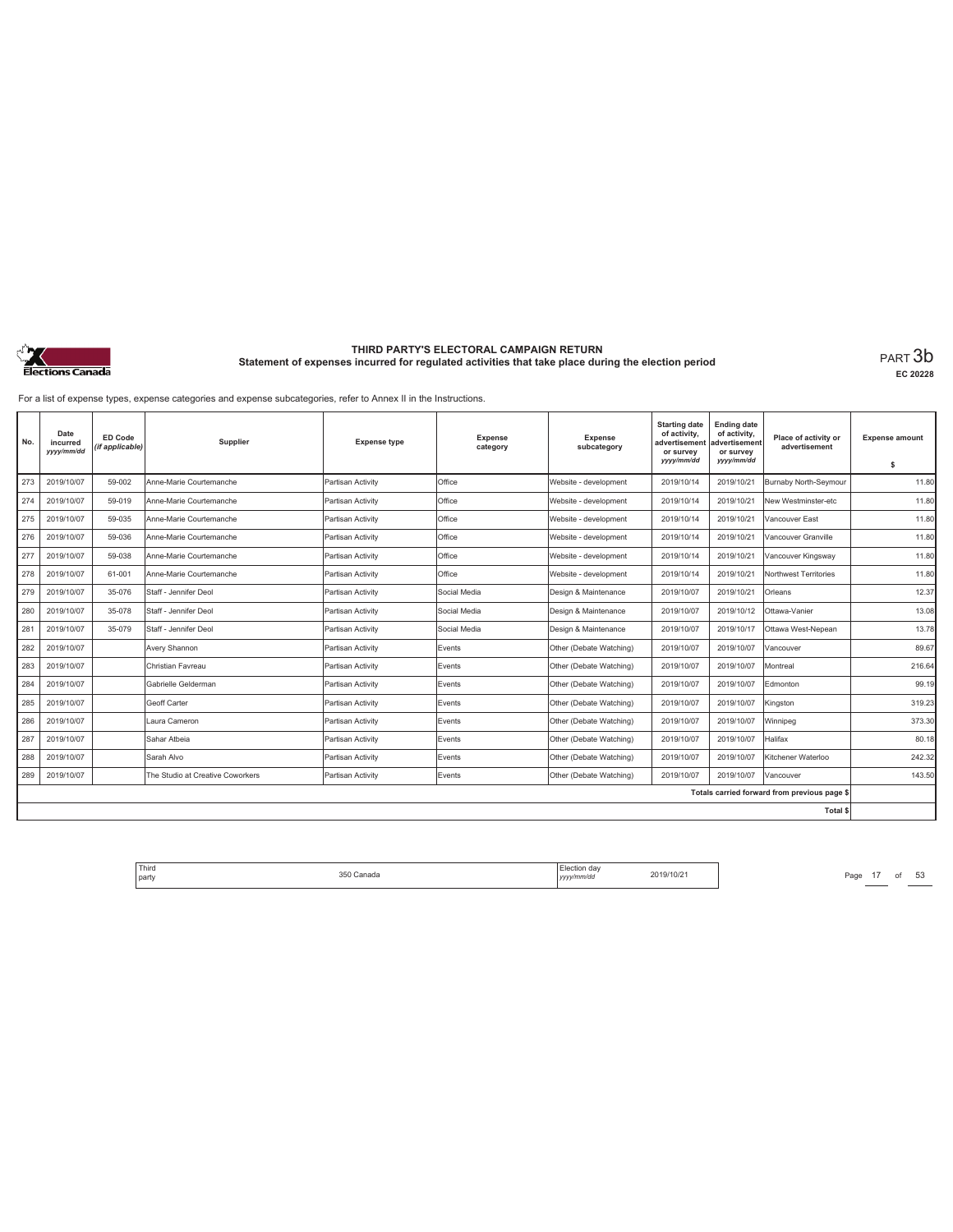

**EC 20228**

For a list of expense types, expense categories and expense subcategories, refer to Annex II in the Instructions.

| No. | Date<br>incurred<br>yyyy/mm/dd | <b>ED Code</b><br>(if applicable) | Supplier                         | <b>Expense type</b> | <b>Expense</b><br>category | <b>Expense</b><br>subcategory | <b>Starting date</b><br>of activity,<br>advertisement<br>or survey | <b>Ending date</b><br>of activity,<br>advertisement<br>or survey | Place of activity or<br>advertisement        | <b>Expense amount</b> |
|-----|--------------------------------|-----------------------------------|----------------------------------|---------------------|----------------------------|-------------------------------|--------------------------------------------------------------------|------------------------------------------------------------------|----------------------------------------------|-----------------------|
|     |                                |                                   |                                  |                     |                            |                               | yyyy/mm/dd                                                         | yyyy/mm/dd                                                       |                                              | s                     |
| 273 | 2019/10/07                     | 59-002                            | Anne-Marie Courtemanche          | Partisan Activity   | Office                     | Website - development         | 2019/10/14                                                         | 2019/10/21                                                       | Burnaby North-Seymour                        | 11.80                 |
| 274 | 2019/10/07                     | 59-019                            | Anne-Marie Courtemanche          | Partisan Activity   | Office                     | Website - development         | 2019/10/14                                                         | 2019/10/21                                                       | New Westminster-etc                          | 11.80                 |
| 275 | 2019/10/07                     | 59-035                            | Anne-Marie Courtemanche          | Partisan Activity   | Office                     | Website - development         | 2019/10/14                                                         | 2019/10/21                                                       | Vancouver East                               | 11.80                 |
| 276 | 2019/10/07                     | 59-036                            | Anne-Marie Courtemanche          | Partisan Activity   | Office                     | Website - development         | 2019/10/14                                                         | 2019/10/21                                                       | Vancouver Granville                          | 11.80                 |
| 277 | 2019/10/07                     | 59-038                            | Anne-Marie Courtemanche          | Partisan Activity   | Office                     | Website - development         | 2019/10/14                                                         | 2019/10/21                                                       | Vancouver Kingsway                           | 11.80                 |
| 278 | 2019/10/07                     | 61-001                            | Anne-Marie Courtemanche          | Partisan Activity   | Office                     | Website - development         | 2019/10/14                                                         | 2019/10/21                                                       | Northwest Territories                        | 11.80                 |
| 279 | 2019/10/07                     | 35-076                            | Staff - Jennifer Deol            | Partisan Activity   | Social Media               | Design & Maintenance          | 2019/10/07                                                         | 2019/10/21                                                       | Orleans                                      | 12.37                 |
| 280 | 2019/10/07                     | 35-078                            | Staff - Jennifer Deol            | Partisan Activity   | Social Media               | Design & Maintenance          | 2019/10/07                                                         | 2019/10/12                                                       | Ottawa-Vanier                                | 13.08                 |
| 281 | 2019/10/07                     | 35-079                            | Staff - Jennifer Deol            | Partisan Activity   | Social Media               | Design & Maintenance          | 2019/10/07                                                         | 2019/10/17                                                       | Ottawa West-Nepean                           | 13.78                 |
| 282 | 2019/10/07                     |                                   | Avery Shannon                    | Partisan Activity   | Events                     | Other (Debate Watching)       | 2019/10/07                                                         | 2019/10/07                                                       | Vancouver                                    | 89.67                 |
| 283 | 2019/10/07                     |                                   | Christian Favreau                | Partisan Activity   | Events                     | Other (Debate Watching)       | 2019/10/07                                                         | 2019/10/07                                                       | Montreal                                     | 216.64                |
| 284 | 2019/10/07                     |                                   | Gabrielle Gelderman              | Partisan Activity   | Events                     | Other (Debate Watching)       | 2019/10/07                                                         | 2019/10/07                                                       | Edmonton                                     | 99.19                 |
| 285 | 2019/10/07                     |                                   | Geoff Carter                     | Partisan Activity   | Events                     | Other (Debate Watching)       | 2019/10/07                                                         | 2019/10/07                                                       | Kingston                                     | 319.23                |
| 286 | 2019/10/07                     |                                   | Laura Cameron                    | Partisan Activity   | Events                     | Other (Debate Watching)       | 2019/10/07                                                         | 2019/10/07                                                       | Winnipeg                                     | 373.30                |
| 287 | 2019/10/07                     |                                   | Sahar Atbeia                     | Partisan Activity   | Events                     | Other (Debate Watching)       | 2019/10/07                                                         | 2019/10/07                                                       | Halifax                                      | 80.18                 |
| 288 | 2019/10/07                     |                                   | Sarah Alvo                       | Partisan Activity   | Events                     | Other (Debate Watching)       | 2019/10/07                                                         | 2019/10/07                                                       | Kitchener Waterloo                           | 242.32                |
| 289 | 2019/10/07                     |                                   | The Studio at Creative Coworkers | Partisan Activity   | Events                     | Other (Debate Watching)       | 2019/10/07                                                         | 2019/10/07                                                       | Vancouver                                    | 143.50                |
|     |                                |                                   |                                  |                     |                            |                               |                                                                    |                                                                  | Totals carried forward from previous page \$ |                       |
|     |                                |                                   |                                  |                     |                            |                               |                                                                    |                                                                  | Total \$                                     |                       |

Third Election day Election day 2019/10/21 Page 17 of 53 Page 17 of 53 party 350 Canada Election day *yyyy/mm/dd* 2019/10/21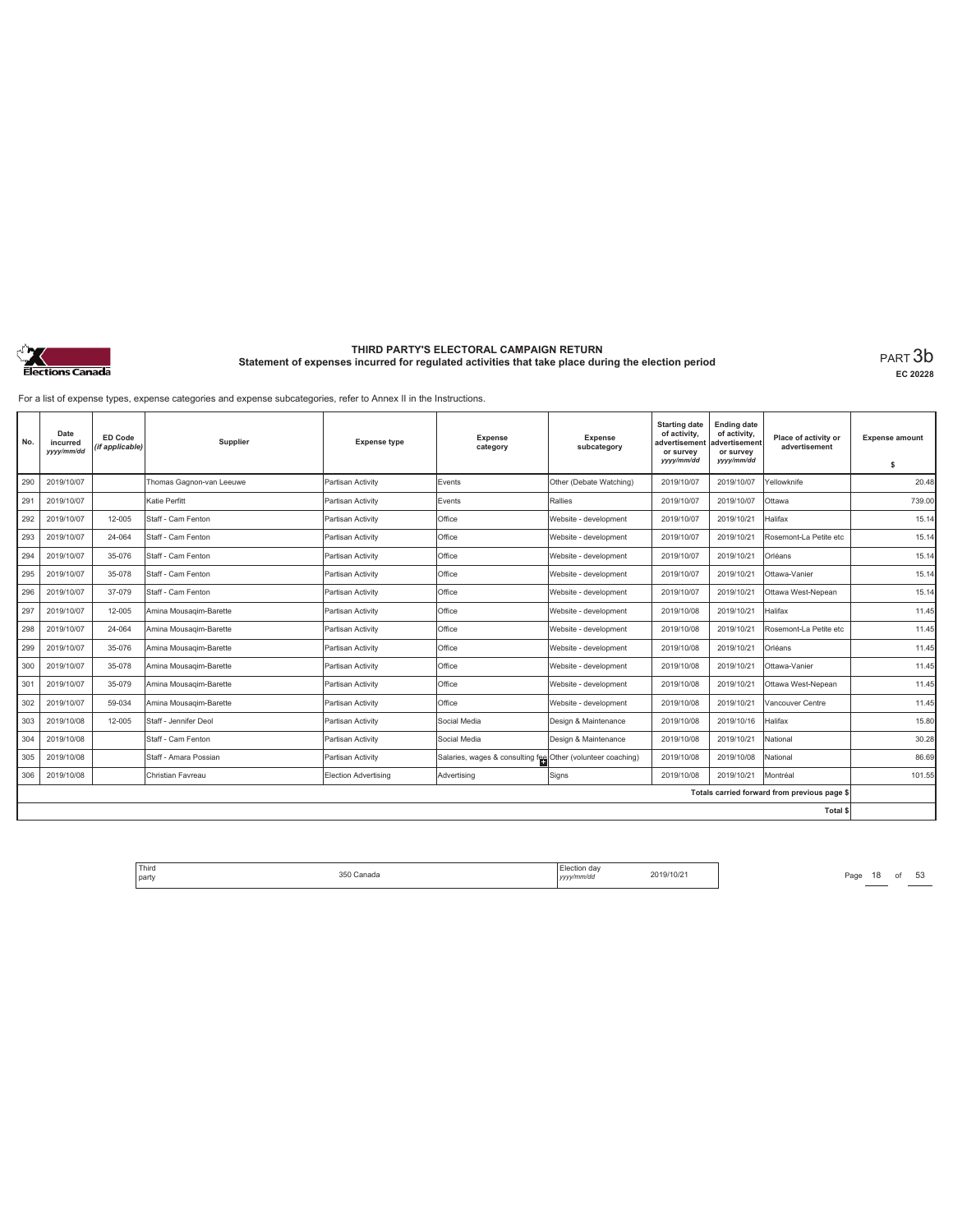

**EC 20228**

For a list of expense types, expense categories and expense subcategories, refer to Annex II in the Instructions.

| No. | Date<br>incurred<br>yyyy/mm/dd | ED Code<br>(if applicable) | Supplier                 | <b>Expense type</b>         | <b>Expense</b><br>category                                  | <b>Expense</b><br>subcategory | <b>Starting date</b><br>of activity,<br>advertisement<br>or survey<br>yyyy/mm/dd | <b>Ending date</b><br>of activity,<br>advertisement<br>or survey<br>yyyy/mm/dd | Place of activity or<br>advertisement        | <b>Expense amount</b><br>\$ |
|-----|--------------------------------|----------------------------|--------------------------|-----------------------------|-------------------------------------------------------------|-------------------------------|----------------------------------------------------------------------------------|--------------------------------------------------------------------------------|----------------------------------------------|-----------------------------|
| 290 | 2019/10/07                     |                            | Thomas Gagnon-van Leeuwe | Partisan Activity           | Events                                                      | Other (Debate Watching)       | 2019/10/07                                                                       | 2019/10/07                                                                     | Yellowknife                                  | 20.48                       |
| 291 | 2019/10/07                     |                            | Katie Perfitt            | Partisan Activity           | Events                                                      | Rallies                       | 2019/10/07                                                                       | 2019/10/07                                                                     | Ottawa                                       | 739.00                      |
| 292 | 2019/10/07                     | 12-005                     | Staff - Cam Fenton       | Partisan Activity           | Office                                                      | Website - development         | 2019/10/07                                                                       | 2019/10/21                                                                     | Halifax                                      | 15.14                       |
| 293 | 2019/10/07                     | 24-064                     | Staff - Cam Fenton       | Partisan Activity           | Office                                                      | Website - development         | 2019/10/07                                                                       | 2019/10/21                                                                     | Rosemont-La Petite etc                       | 15.14                       |
| 294 | 2019/10/07                     | 35-076                     | Staff - Cam Fenton       | Partisan Activity           | Office                                                      | Website - development         | 2019/10/07                                                                       | 2019/10/21                                                                     | Orléans                                      | 15.14                       |
| 295 | 2019/10/07                     | 35-078                     | Staff - Cam Fenton       | Partisan Activity           | Office                                                      | Website - development         | 2019/10/07                                                                       | 2019/10/21                                                                     | Ottawa-Vanier                                | 15.14                       |
| 296 | 2019/10/07                     | 37-079                     | Staff - Cam Fenton       | Partisan Activity           | Office                                                      | Website - development         | 2019/10/07                                                                       | 2019/10/21                                                                     | Ottawa West-Nepean                           | 15.14                       |
| 297 | 2019/10/07                     | 12-005                     | Amina Mousagim-Barette   | Partisan Activity           | Office                                                      | Website - development         | 2019/10/08                                                                       | 2019/10/21                                                                     | Halifax                                      | 11.45                       |
| 298 | 2019/10/07                     | 24-064                     | Amina Mousagim-Barette   | Partisan Activity           | Office                                                      | Website - development         | 2019/10/08                                                                       | 2019/10/21                                                                     | Rosemont-La Petite etc                       | 11.45                       |
| 299 | 2019/10/07                     | 35-076                     | Amina Mousagim-Barette   | Partisan Activity           | Office                                                      | Website - development         | 2019/10/08                                                                       | 2019/10/21                                                                     | Orléans                                      | 11.45                       |
| 300 | 2019/10/07                     | 35-078                     | Amina Mousagim-Barette   | Partisan Activity           | Office                                                      | Website - development         | 2019/10/08                                                                       | 2019/10/21                                                                     | Ottawa-Vanier                                | 11.45                       |
| 301 | 2019/10/07                     | 35-079                     | Amina Mousagim-Barette   | Partisan Activity           | Office                                                      | Website - development         | 2019/10/08                                                                       | 2019/10/21                                                                     | Ottawa West-Nepean                           | 11.45                       |
| 302 | 2019/10/07                     | 59-034                     | Amina Mousagim-Barette   | Partisan Activity           | Office                                                      | Website - development         | 2019/10/08                                                                       | 2019/10/21                                                                     | Vancouver Centre                             | 11.45                       |
| 303 | 2019/10/08                     | 12-005                     | Staff - Jennifer Deol    | Partisan Activity           | Social Media                                                | Design & Maintenance          | 2019/10/08                                                                       | 2019/10/16                                                                     | Halifax                                      | 15.80                       |
| 304 | 2019/10/08                     |                            | Staff - Cam Fenton       | Partisan Activity           | Social Media                                                | Design & Maintenance          | 2019/10/08                                                                       | 2019/10/21                                                                     | National                                     | 30.28                       |
| 305 | 2019/10/08                     |                            | Staff - Amara Possian    | Partisan Activity           | Salaries, wages & consulting fee Other (volunteer coaching) |                               | 2019/10/08                                                                       | 2019/10/08                                                                     | National                                     | 86.69                       |
| 306 | 2019/10/08                     |                            | Christian Favreau        | <b>Election Advertising</b> | Advertising                                                 | Signs                         | 2019/10/08                                                                       | 2019/10/21                                                                     | Montréal                                     | 101.55                      |
|     |                                |                            |                          |                             |                                                             |                               |                                                                                  |                                                                                | Totals carried forward from previous page \$ |                             |
|     |                                |                            |                          |                             |                                                             |                               |                                                                                  |                                                                                | Total \$                                     |                             |

Third Election day Election day 2019/10/21 Page 18 of 53 Page 18 of 53 party 350 Canada Election day *yyyy/mm/dd* 2019/10/21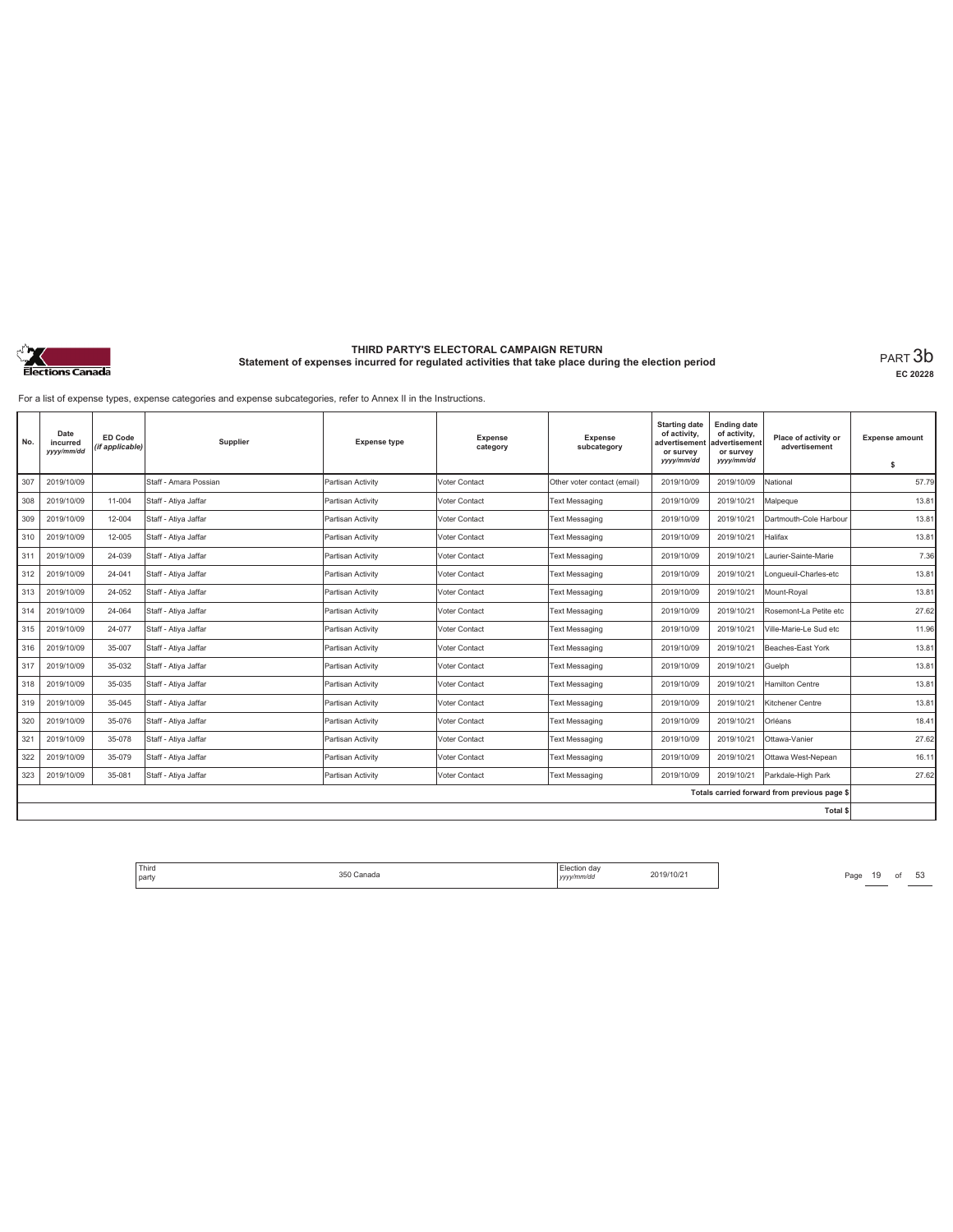

**EC 20228**

For a list of expense types, expense categories and expense subcategories, refer to Annex II in the Instructions.

| No. | Date<br>incurred<br>yyyy/mm/dd | <b>ED Code</b><br>(if applicable) | Supplier              | <b>Expense type</b> | <b>Expense</b><br>category | Expense<br>subcategory      | <b>Starting date</b><br>of activity,<br>advertisement<br>or survey<br>yyyy/mm/dd | <b>Ending date</b><br>of activity,<br>advertisement<br>or survey<br>yyyy/mm/dd | Place of activity or<br>advertisement        | <b>Expense amount</b><br>\$ |
|-----|--------------------------------|-----------------------------------|-----------------------|---------------------|----------------------------|-----------------------------|----------------------------------------------------------------------------------|--------------------------------------------------------------------------------|----------------------------------------------|-----------------------------|
| 307 | 2019/10/09                     |                                   | Staff - Amara Possian | Partisan Activity   | Voter Contact              | Other voter contact (email) | 2019/10/09                                                                       | 2019/10/09                                                                     | National                                     | 57.79                       |
| 308 | 2019/10/09                     | 11-004                            | Staff - Atiya Jaffar  | Partisan Activity   | Voter Contact              | <b>Text Messaging</b>       | 2019/10/09                                                                       | 2019/10/21                                                                     | Malpeque                                     | 13.81                       |
| 309 | 2019/10/09                     | 12-004                            | Staff - Ativa Jaffar  | Partisan Activity   | Voter Contact              | Text Messaging              | 2019/10/09                                                                       | 2019/10/21                                                                     | Dartmouth-Cole Harbour                       | 13.81                       |
| 310 | 2019/10/09                     | 12-005                            | Staff - Atiya Jaffar  | Partisan Activity   | Voter Contact              | <b>Text Messaging</b>       | 2019/10/09                                                                       | 2019/10/21                                                                     | Halifax                                      | 13.81                       |
| 311 | 2019/10/09                     | 24-039                            | Staff - Atiya Jaffar  | Partisan Activity   | Voter Contact              | <b>Text Messaging</b>       | 2019/10/09                                                                       | 2019/10/21                                                                     | Laurier-Sainte-Marie                         | 7.36                        |
| 312 | 2019/10/09                     | 24-041                            | Staff - Atiya Jaffar  | Partisan Activity   | Voter Contact              | <b>Text Messaging</b>       | 2019/10/09                                                                       | 2019/10/21                                                                     | Longueuil-Charles-etc                        | 13.81                       |
| 313 | 2019/10/09                     | 24-052                            | Staff - Atiya Jaffar  | Partisan Activity   | Voter Contact              | <b>Text Messaging</b>       | 2019/10/09                                                                       | 2019/10/21                                                                     | Mount-Roval                                  | 13.81                       |
| 314 | 2019/10/09                     | 24-064                            | Staff - Atiya Jaffar  | Partisan Activity   | Voter Contact              | <b>Text Messaging</b>       | 2019/10/09                                                                       | 2019/10/21                                                                     | Rosemont-La Petite etc                       | 27.62                       |
| 315 | 2019/10/09                     | 24-077                            | Staff - Atiya Jaffar  | Partisan Activity   | Voter Contact              | <b>Text Messaging</b>       | 2019/10/09                                                                       | 2019/10/21                                                                     | Ville-Marie-Le Sud etc                       | 11.96                       |
| 316 | 2019/10/09                     | 35-007                            | Staff - Atiya Jaffar  | Partisan Activity   | Voter Contact              | <b>Text Messaging</b>       | 2019/10/09                                                                       | 2019/10/21                                                                     | Beaches-East York                            | 13.81                       |
| 317 | 2019/10/09                     | 35-032                            | Staff - Atiya Jaffar  | Partisan Activity   | Voter Contact              | <b>Text Messaging</b>       | 2019/10/09                                                                       | 2019/10/21                                                                     | Guelph                                       | 13.81                       |
| 318 | 2019/10/09                     | 35-035                            | Staff - Atiya Jaffar  | Partisan Activity   | Voter Contact              | <b>Text Messaging</b>       | 2019/10/09                                                                       | 2019/10/21                                                                     | Hamilton Centre                              | 13.81                       |
| 319 | 2019/10/09                     | 35-045                            | Staff - Ativa Jaffar  | Partisan Activity   | Voter Contact              | <b>Text Messaging</b>       | 2019/10/09                                                                       | 2019/10/21                                                                     | Kitchener Centre                             | 13.81                       |
| 320 | 2019/10/09                     | 35-076                            | Staff - Atiya Jaffar  | Partisan Activity   | Voter Contact              | <b>Text Messaging</b>       | 2019/10/09                                                                       | 2019/10/21                                                                     | Orléans                                      | 18.41                       |
| 321 | 2019/10/09                     | 35-078                            | Staff - Atiya Jaffar  | Partisan Activity   | Voter Contact              | <b>Text Messaging</b>       | 2019/10/09                                                                       | 2019/10/21                                                                     | Ottawa-Vanier                                | 27.62                       |
| 322 | 2019/10/09                     | 35-079                            | Staff - Atiya Jaffar  | Partisan Activity   | Voter Contact              | <b>Text Messaging</b>       | 2019/10/09                                                                       | 2019/10/21                                                                     | Ottawa West-Nepean                           | 16.11                       |
| 323 | 2019/10/09                     | 35-081                            | Staff - Atiya Jaffar  | Partisan Activity   | Voter Contact              | <b>Text Messaging</b>       | 2019/10/09                                                                       | 2019/10/21                                                                     | Parkdale-High Park                           | 27.62                       |
|     |                                |                                   |                       |                     |                            |                             |                                                                                  |                                                                                | Totals carried forward from previous page \$ |                             |
|     |                                |                                   |                       |                     |                            |                             |                                                                                  |                                                                                | Total \$                                     |                             |

Third Election day Election day 2019/10/21 Page 19 of 53 Page 19 of 53 party 350 Canada Election day *yyyy/mm/dd* 2019/10/21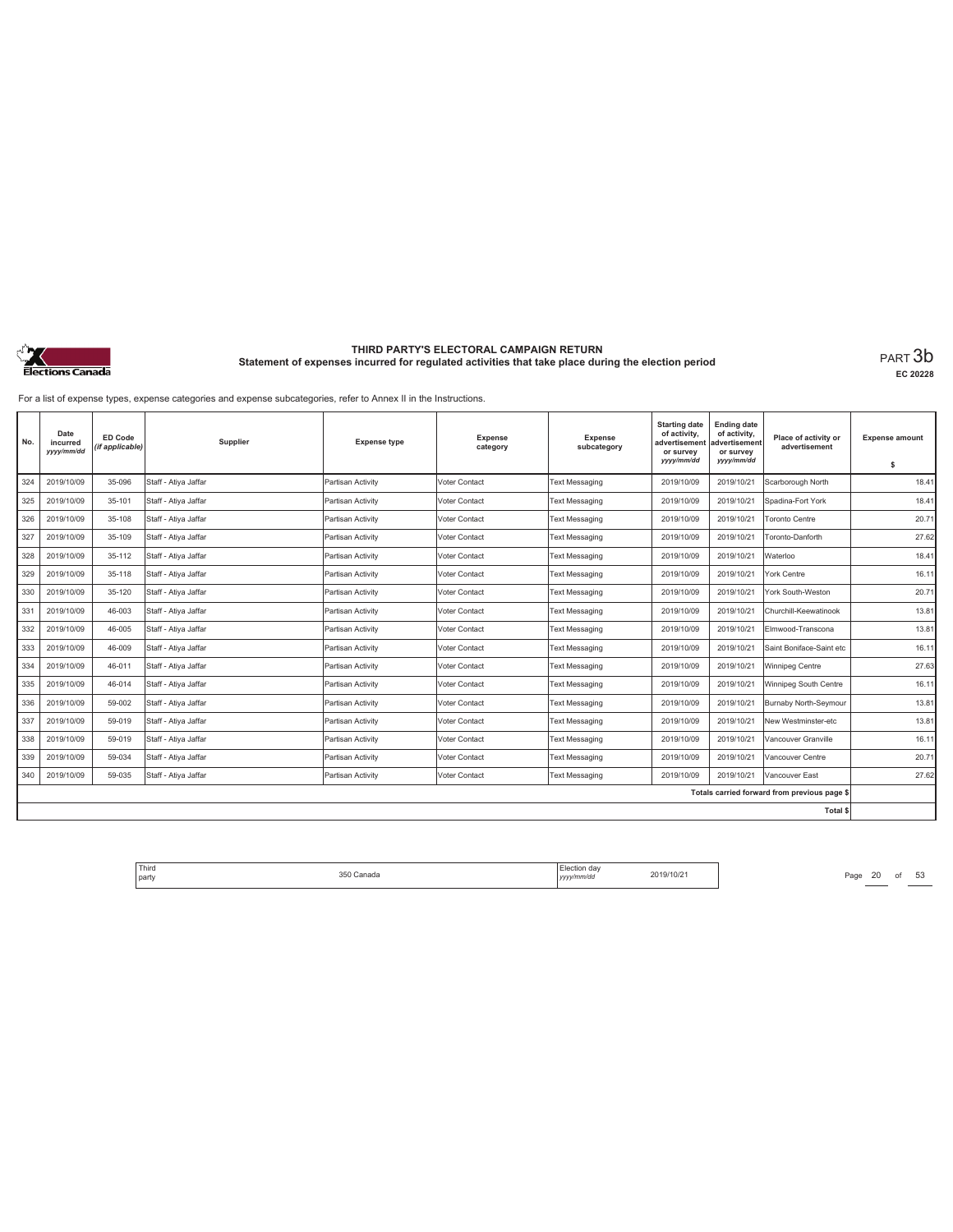

**EC 20228**

For a list of expense types, expense categories and expense subcategories, refer to Annex II in the Instructions.

| No. | Date<br>incurred<br>yyyy/mm/dd | <b>ED Code</b><br>(if applicable) | Supplier             | <b>Expense type</b> | <b>Expense</b><br>category | <b>Expense</b><br>subcategory | <b>Starting date</b><br>of activity,<br>advertisement<br>or survey<br>yyyy/mm/dd | <b>Ending date</b><br>of activity,<br>advertisement<br>or survey<br>yyyy/mm/dd | Place of activity or<br>advertisement        | <b>Expense amount</b><br>\$ |
|-----|--------------------------------|-----------------------------------|----------------------|---------------------|----------------------------|-------------------------------|----------------------------------------------------------------------------------|--------------------------------------------------------------------------------|----------------------------------------------|-----------------------------|
| 324 | 2019/10/09                     | 35-096                            | Staff - Atiya Jaffar | Partisan Activity   | Voter Contact              | <b>Text Messaging</b>         | 2019/10/09                                                                       | 2019/10/21                                                                     | Scarborough North                            | 18.41                       |
| 325 | 2019/10/09                     | 35-101                            | Staff - Atiya Jaffar | Partisan Activity   | Voter Contact              | <b>Text Messaging</b>         | 2019/10/09                                                                       | 2019/10/21                                                                     | Spadina-Fort York                            | 18.41                       |
| 326 | 2019/10/09                     | 35-108                            | Staff - Atiya Jaffar | Partisan Activity   | Voter Contact              | <b>Text Messaging</b>         | 2019/10/09                                                                       | 2019/10/21                                                                     | <b>Toronto Centre</b>                        | 20.71                       |
| 327 | 2019/10/09                     | 35-109                            | Staff - Atiya Jaffar | Partisan Activity   | <b>Voter Contact</b>       | <b>Text Messaging</b>         | 2019/10/09                                                                       | 2019/10/21                                                                     | Toronto-Danforth                             | 27.62                       |
| 328 | 2019/10/09                     | 35-112                            | Staff - Atiya Jaffar | Partisan Activity   | Voter Contact              | Text Messaging                | 2019/10/09                                                                       | 2019/10/21                                                                     | Waterloo                                     | 18.41                       |
| 329 | 2019/10/09                     | 35-118                            | Staff - Ativa Jaffar | Partisan Activity   | Voter Contact              | <b>Text Messaging</b>         | 2019/10/09                                                                       | 2019/10/21                                                                     | York Centre                                  | 16.11                       |
| 330 | 2019/10/09                     | 35-120                            | Staff - Atiya Jaffar | Partisan Activity   | <b>Voter Contact</b>       | <b>Text Messaging</b>         | 2019/10/09                                                                       | 2019/10/21                                                                     | York South-Weston                            | 20.71                       |
| 331 | 2019/10/09                     | 46-003                            | Staff - Atiya Jaffar | Partisan Activity   | Voter Contact              | Text Messaging                | 2019/10/09                                                                       | 2019/10/21                                                                     | Churchill-Keewatinook                        | 13.81                       |
| 332 | 2019/10/09                     | 46-005                            | Staff - Ativa Jaffar | Partisan Activity   | Voter Contact              | <b>Text Messaging</b>         | 2019/10/09                                                                       | 2019/10/21                                                                     | Elmwood-Transcona                            | 13.81                       |
| 333 | 2019/10/09                     | 46-009                            | Staff - Ativa Jaffar | Partisan Activity   | Voter Contact              | <b>Text Messaging</b>         | 2019/10/09                                                                       | 2019/10/21                                                                     | Saint Boniface-Saint etc                     | 16.11                       |
| 334 | 2019/10/09                     | 46-011                            | Staff - Atiya Jaffar | Partisan Activity   | Voter Contact              | Text Messaging                | 2019/10/09                                                                       | 2019/10/21                                                                     | Winnipeg Centre                              | 27.63                       |
| 335 | 2019/10/09                     | 46-014                            | Staff - Atiya Jaffar | Partisan Activity   | Voter Contact              | Text Messaging                | 2019/10/09                                                                       | 2019/10/21                                                                     | Winnipeg South Centre                        | 16.11                       |
| 336 | 2019/10/09                     | 59-002                            | Staff - Atiya Jaffar | Partisan Activity   | Voter Contact              | <b>Text Messaging</b>         | 2019/10/09                                                                       | 2019/10/21                                                                     | Burnaby North-Seymour                        | 13.81                       |
| 337 | 2019/10/09                     | 59-019                            | Staff - Atiya Jaffar | Partisan Activity   | Voter Contact              | <b>Text Messaging</b>         | 2019/10/09                                                                       | 2019/10/21                                                                     | New Westminster-etc                          | 13.81                       |
| 338 | 2019/10/09                     | 59-019                            | Staff - Atiya Jaffar | Partisan Activity   | Voter Contact              | <b>Text Messaging</b>         | 2019/10/09                                                                       | 2019/10/21                                                                     | Vancouver Granville                          | 16.11                       |
| 339 | 2019/10/09                     | 59-034                            | Staff - Atiya Jaffar | Partisan Activity   | Voter Contact              | <b>Text Messaging</b>         | 2019/10/09                                                                       | 2019/10/21                                                                     | Vancouver Centre                             | 20.71                       |
| 340 | 2019/10/09                     | 59-035                            | Staff - Atiya Jaffar | Partisan Activity   | Voter Contact              | <b>Text Messaging</b>         | 2019/10/09                                                                       | 2019/10/21                                                                     | Vancouver East                               | 27.62                       |
|     |                                |                                   |                      |                     |                            |                               |                                                                                  |                                                                                | Totals carried forward from previous page \$ |                             |
|     |                                |                                   |                      |                     |                            |                               |                                                                                  |                                                                                | Total \$                                     |                             |

Third The Chanada S50 Canada S50 Canada S50 Canada S50 Canada S50 Canada S50 Canada S50 Canada S50 Canada S50 Canada S50 Canada S50 Canada S50 Canada S50 Canada S50 Canada S50 Canada S50 Canada S50 Canada S50 Canada S50 Ca party 350 Canada Election day *yyyy/mm/dd* 2019/10/21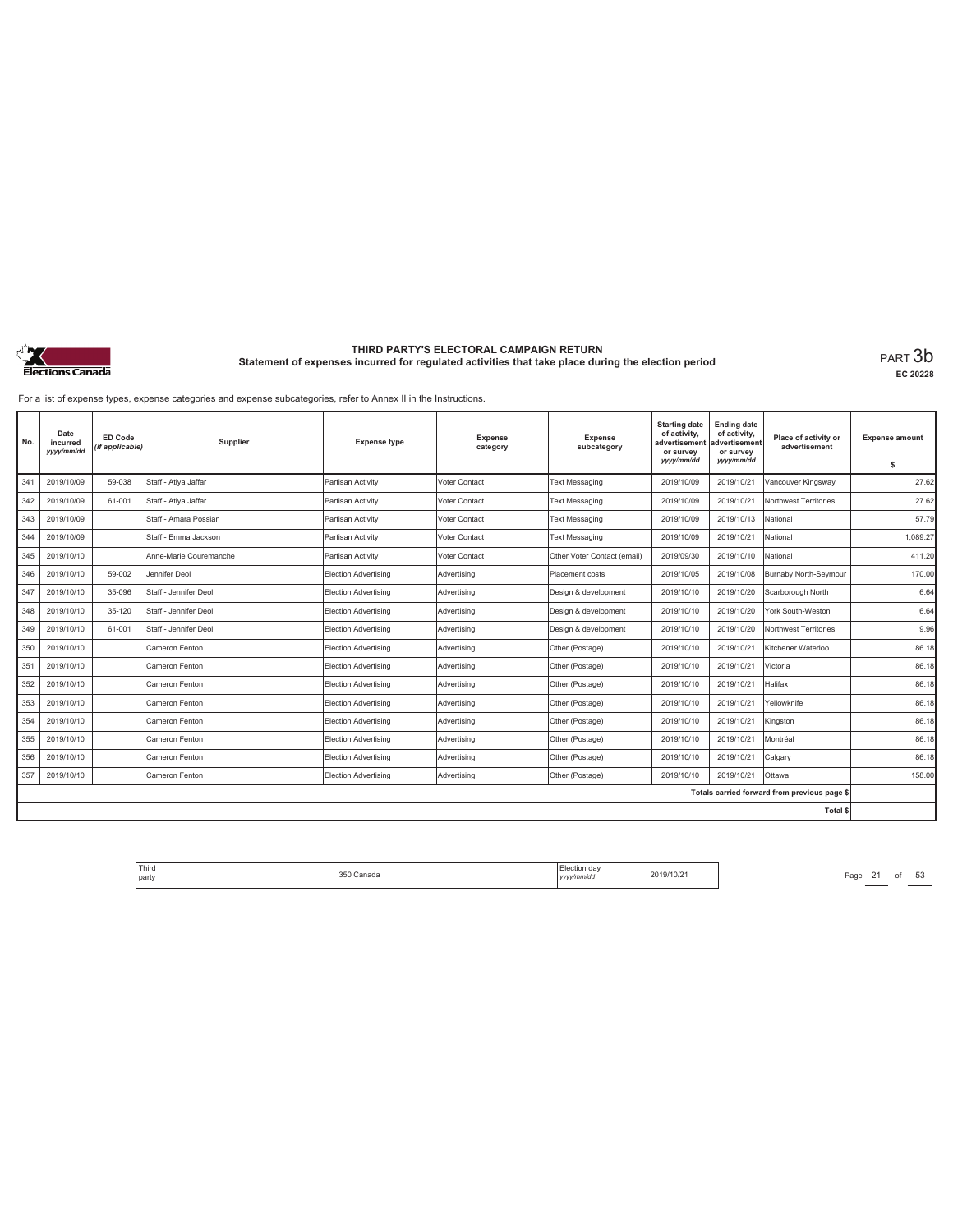

**EC 20228**

For a list of expense types, expense categories and expense subcategories, refer to Annex II in the Instructions.

| No. | Date<br>incurred<br>yyyy/mm/dd | <b>ED Code</b><br>(if applicable) | Supplier               | <b>Expense type</b>         | <b>Expense</b><br>category | Expense<br>subcategory      | <b>Starting date</b><br>of activity,<br>advertisement<br>or survey<br>yyyy/mm/dd | <b>Ending date</b><br>of activity,<br>advertisement<br>or survey<br>yyyy/mm/dd | Place of activity or<br>advertisement        | <b>Expense amount</b><br>\$ |
|-----|--------------------------------|-----------------------------------|------------------------|-----------------------------|----------------------------|-----------------------------|----------------------------------------------------------------------------------|--------------------------------------------------------------------------------|----------------------------------------------|-----------------------------|
| 341 | 2019/10/09                     | 59-038                            | Staff - Atiya Jaffar   | Partisan Activity           | Voter Contact              | <b>Text Messaging</b>       | 2019/10/09                                                                       | 2019/10/21                                                                     | Vancouver Kingsway                           | 27.62                       |
|     |                                |                                   |                        |                             |                            |                             |                                                                                  |                                                                                |                                              |                             |
| 342 | 2019/10/09                     | 61-001                            | Staff - Atiya Jaffar   | Partisan Activity           | Voter Contact              | <b>Text Messaging</b>       | 2019/10/09                                                                       | 2019/10/21                                                                     | Northwest Territories                        | 27.62                       |
| 343 | 2019/10/09                     |                                   | Staff - Amara Possian  | Partisan Activity           | Voter Contact              | <b>Text Messaging</b>       | 2019/10/09                                                                       | 2019/10/13                                                                     | National                                     | 57.79                       |
| 344 | 2019/10/09                     |                                   | Staff - Emma Jackson   | Partisan Activity           | Voter Contact              | <b>Text Messaging</b>       | 2019/10/09                                                                       | 2019/10/21                                                                     | National                                     | 1,089.27                    |
| 345 | 2019/10/10                     |                                   | Anne-Marie Couremanche | Partisan Activity           | Voter Contact              | Other Voter Contact (email) | 2019/09/30                                                                       | 2019/10/10                                                                     | National                                     | 411.20                      |
| 346 | 2019/10/10                     | 59-002                            | Jennifer Deol          | Election Advertising        | Advertising                | Placement costs             | 2019/10/05                                                                       | 2019/10/08                                                                     | Burnaby North-Seymour                        | 170.00                      |
| 347 | 2019/10/10                     | 35-096                            | Staff - Jennifer Deol  | <b>Election Advertising</b> | Advertising                | Design & development        | 2019/10/10                                                                       | 2019/10/20                                                                     | Scarborough North                            | 6.64                        |
| 348 | 2019/10/10                     | 35-120                            | Staff - Jennifer Deol  | Election Advertising        | Advertising                | Design & development        | 2019/10/10                                                                       | 2019/10/20                                                                     | York South-Weston                            | 6.64                        |
| 349 | 2019/10/10                     | 61-001                            | Staff - Jennifer Deol  | Election Advertising        | Advertisina                | Desian & development        | 2019/10/10                                                                       | 2019/10/20                                                                     | Northwest Territories                        | 9.96                        |
| 350 | 2019/10/10                     |                                   | Cameron Fenton         | Election Advertising        | Advertising                | Other (Postage)             | 2019/10/10                                                                       | 2019/10/21                                                                     | Kitchener Waterloo                           | 86.18                       |
| 351 | 2019/10/10                     |                                   | Cameron Fenton         | Election Advertising        | Advertising                | Other (Postage)             | 2019/10/10                                                                       | 2019/10/21                                                                     | Victoria                                     | 86.18                       |
| 352 | 2019/10/10                     |                                   | Cameron Fenton         | <b>Election Advertising</b> | Advertising                | Other (Postage)             | 2019/10/10                                                                       | 2019/10/21                                                                     | Halifax                                      | 86.18                       |
| 353 | 2019/10/10                     |                                   | Cameron Fenton         | Election Advertising        | Advertising                | Other (Postage)             | 2019/10/10                                                                       | 2019/10/21                                                                     | Yellowknife                                  | 86.18                       |
| 354 | 2019/10/10                     |                                   | Cameron Fenton         | <b>Election Advertising</b> | Advertising                | Other (Postage)             | 2019/10/10                                                                       | 2019/10/21                                                                     | Kingston                                     | 86.18                       |
| 355 | 2019/10/10                     |                                   | Cameron Fenton         | <b>Election Advertising</b> | Advertising                | Other (Postage)             | 2019/10/10                                                                       | 2019/10/21                                                                     | Montréal                                     | 86.18                       |
| 356 | 2019/10/10                     |                                   | Cameron Fenton         | Election Advertising        | Advertising                | Other (Postage)             | 2019/10/10                                                                       | 2019/10/21                                                                     | Calgary                                      | 86.18                       |
| 357 | 2019/10/10                     |                                   | Cameron Fenton         | Election Advertising        | Advertising                | Other (Postage)             | 2019/10/10                                                                       | 2019/10/21                                                                     | Ottawa                                       | 158.00                      |
|     |                                |                                   |                        |                             |                            |                             |                                                                                  |                                                                                | Totals carried forward from previous page \$ |                             |
|     |                                |                                   |                        |                             |                            |                             |                                                                                  |                                                                                | Total \$                                     |                             |

Third The Same 21 of 53<br>
party Page 21 of 53<br>
party 2019/10/21 Page 21 of 53 party 350 Canada Election day *yyyy/mm/dd* 2019/10/21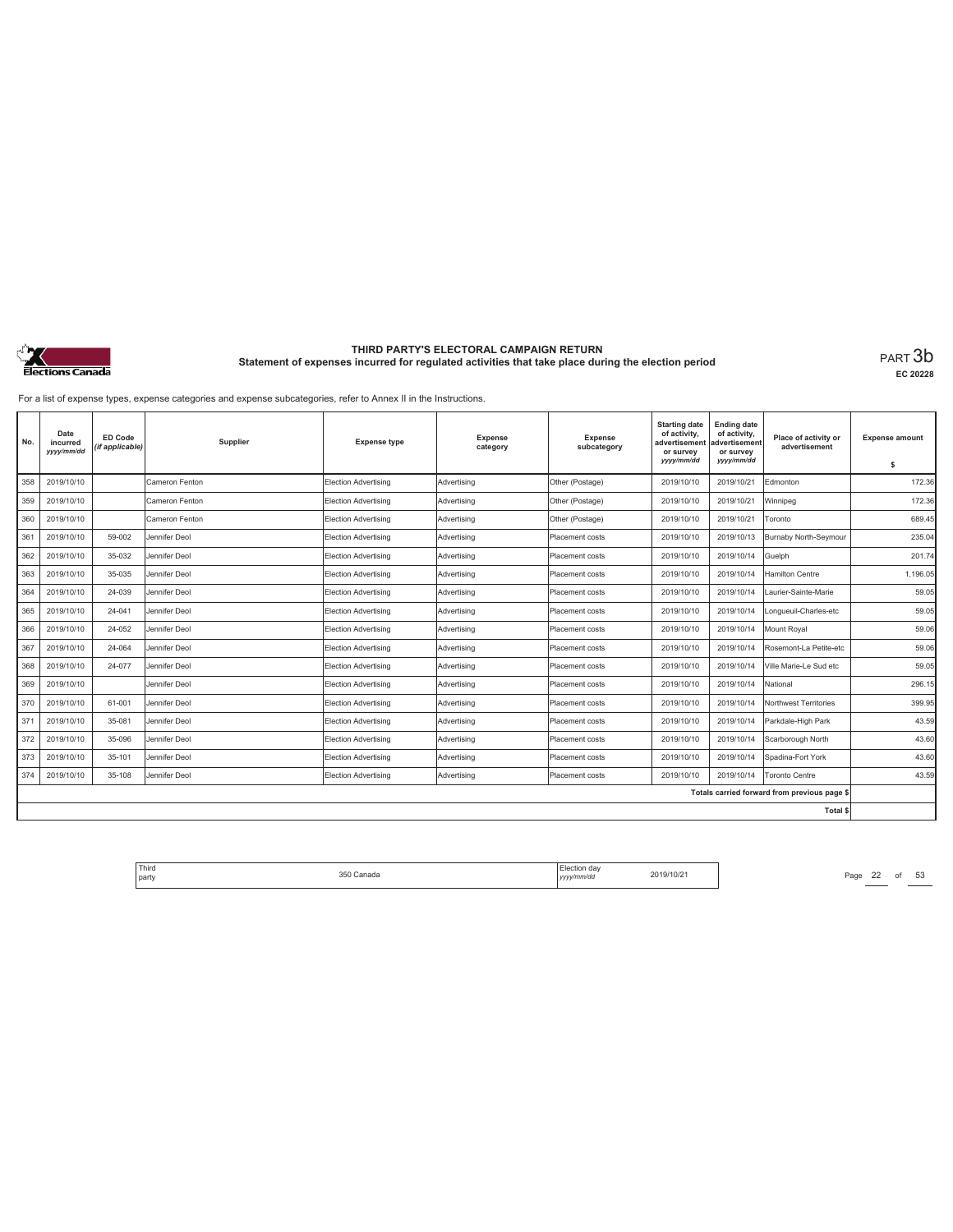

**EC 20228**

For a list of expense types, expense categories and expense subcategories, refer to Annex II in the Instructions.

| No. | Date<br>incurred<br>yyyy/mm/dd | ED Code<br>(if applicable) | Supplier       | <b>Expense type</b>         | <b>Expense</b><br>category | <b>Expense</b><br>subcategory | <b>Starting date</b><br>of activity,<br>advertisement<br>or survey<br>yyyy/mm/dd | <b>Ending date</b><br>of activity,<br>advertisement<br>or survey<br>yyyy/mm/dd | Place of activity or<br>advertisement        | <b>Expense amount</b><br>\$ |
|-----|--------------------------------|----------------------------|----------------|-----------------------------|----------------------------|-------------------------------|----------------------------------------------------------------------------------|--------------------------------------------------------------------------------|----------------------------------------------|-----------------------------|
| 358 | 2019/10/10                     |                            | Cameron Fenton | <b>Election Advertising</b> | Advertising                | Other (Postage)               | 2019/10/10                                                                       | 2019/10/21                                                                     | Edmonton                                     | 172.36                      |
|     |                                |                            | Cameron Fenton |                             |                            |                               |                                                                                  |                                                                                |                                              |                             |
| 359 | 2019/10/10                     |                            |                | Election Advertising        | Advertising                | Other (Postage)               | 2019/10/10                                                                       | 2019/10/21                                                                     | Winnipeg                                     | 172.36                      |
| 360 | 2019/10/10                     |                            | Cameron Fenton | Election Advertising        | Advertising                | Other (Postage)               | 2019/10/10                                                                       | 2019/10/21                                                                     | Toronto                                      | 689.45                      |
| 361 | 2019/10/10                     | 59-002                     | Jennifer Deol  | Election Advertising        | Advertising                | Placement costs               | 2019/10/10                                                                       | 2019/10/13                                                                     | Burnaby North-Seymour                        | 235.04                      |
| 362 | 2019/10/10                     | 35-032                     | Jennifer Deol  | Election Advertising        | Advertising                | Placement costs               | 2019/10/10                                                                       | 2019/10/14                                                                     | Guelph                                       | 201.74                      |
| 363 | 2019/10/10                     | 35-035                     | Jennifer Deol  | Election Advertising        | Advertising                | Placement costs               | 2019/10/10                                                                       | 2019/10/14                                                                     | <b>Hamilton Centre</b>                       | 1,196.05                    |
| 364 | 2019/10/10                     | 24-039                     | Jennifer Deol  | Election Advertising        | Advertising                | Placement costs               | 2019/10/10                                                                       | 2019/10/14                                                                     | Laurier-Sainte-Marie                         | 59.05                       |
| 365 | 2019/10/10                     | 24-041                     | Jennifer Deol  | <b>Election Advertising</b> | Advertising                | Placement costs               | 2019/10/10                                                                       | 2019/10/14                                                                     | Longueuil-Charles-etc                        | 59.05                       |
| 366 | 2019/10/10                     | 24-052                     | Jennifer Deol  | Election Advertising        | Advertising                | Placement costs               | 2019/10/10                                                                       | 2019/10/14                                                                     | Mount Roval                                  | 59.06                       |
| 367 | 2019/10/10                     | 24-064                     | Jennifer Deol  | Election Advertising        | Advertising                | Placement costs               | 2019/10/10                                                                       | 2019/10/14                                                                     | Rosemont-La Petite-etc                       | 59.06                       |
| 368 | 2019/10/10                     | 24-077                     | Jennifer Deol  | Election Advertising        | Advertisina                | Placement costs               | 2019/10/10                                                                       | 2019/10/14                                                                     | Ville Marie-Le Sud etc                       | 59.05                       |
| 369 | 2019/10/10                     |                            | Jennifer Deol  | Election Advertising        | Advertisina                | Placement costs               | 2019/10/10                                                                       | 2019/10/14                                                                     | National                                     | 296.15                      |
| 370 | 2019/10/10                     | 61-001                     | Jennifer Deol  | Election Advertising        | Advertising                | Placement costs               | 2019/10/10                                                                       | 2019/10/14                                                                     | Northwest Territories                        | 399.95                      |
| 371 | 2019/10/10                     | 35-081                     | Jennifer Deol  | Election Advertising        | Advertising                | Placement costs               | 2019/10/10                                                                       | 2019/10/14                                                                     | Parkdale-High Park                           | 43.59                       |
| 372 | 2019/10/10                     | 35-096                     | Jennifer Deol  | Election Advertising        | Advertising                | Placement costs               | 2019/10/10                                                                       | 2019/10/14                                                                     | Scarborough North                            | 43.60                       |
| 373 | 2019/10/10                     | 35-101                     | Jennifer Deol  | <b>Election Advertising</b> | Advertising                | Placement costs               | 2019/10/10                                                                       | 2019/10/14                                                                     | Spadina-Fort York                            | 43.60                       |
| 374 | 2019/10/10                     | 35-108                     | Jennifer Deol  | Election Advertising        | Advertising                | Placement costs               | 2019/10/10                                                                       | 2019/10/14                                                                     | <b>Toronto Centre</b>                        | 43.59                       |
|     |                                |                            |                |                             |                            |                               |                                                                                  |                                                                                | Totals carried forward from previous page \$ |                             |
|     |                                |                            |                |                             |                            |                               |                                                                                  |                                                                                | <b>Total \$</b>                              |                             |

Third The Same 22 of 53<br>
party Page 22 of 53<br>
party 2019/10/21 Page 22 of 53 party 350 Canada Election day *yyyy/mm/dd* 2019/10/21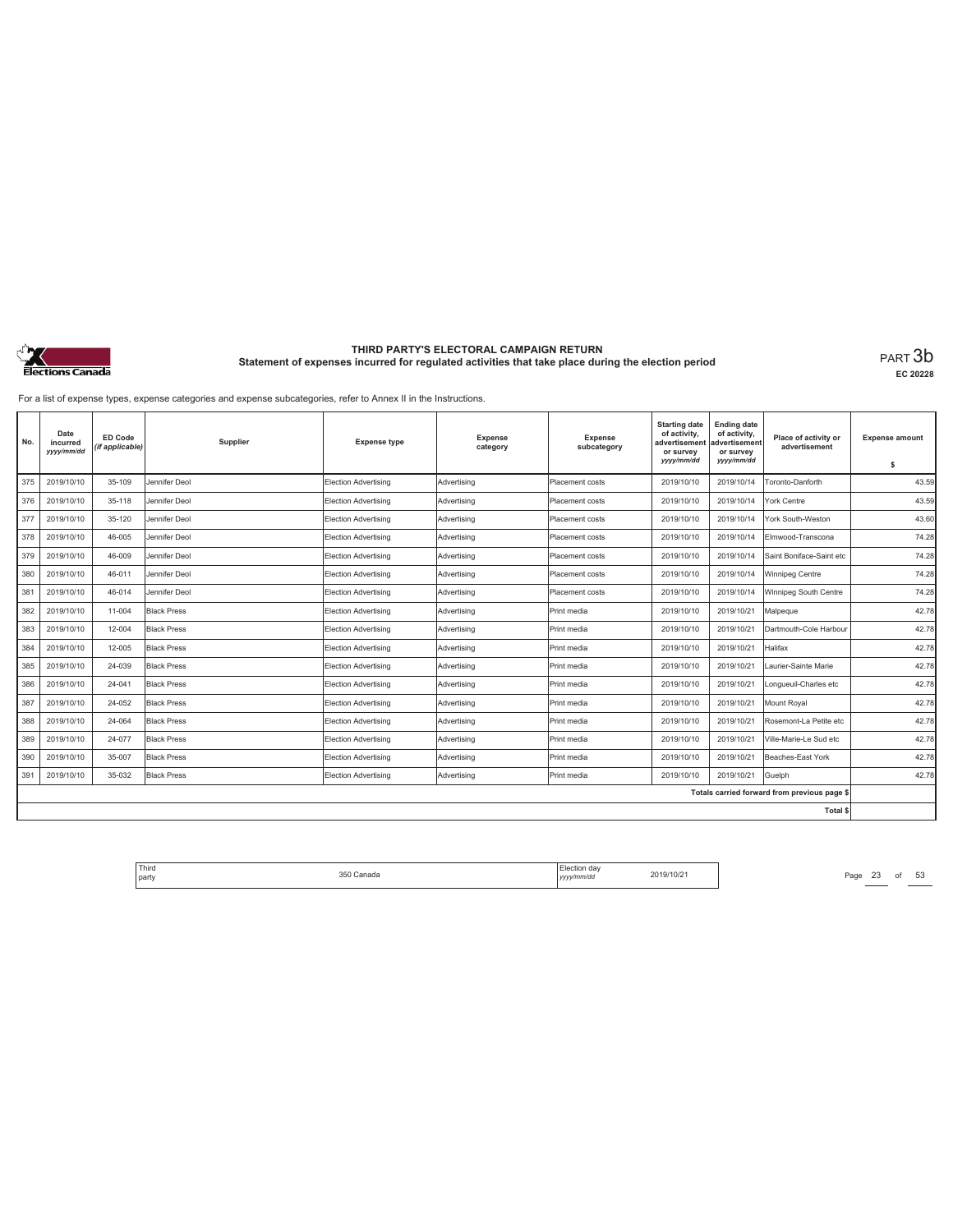

**EC 20228**

For a list of expense types, expense categories and expense subcategories, refer to Annex II in the Instructions.

| No. | Date<br>incurred<br>yyyy/mm/dd | ED Code<br>(if applicable) | Supplier           | <b>Expense type</b>         | <b>Expense</b><br>category | <b>Expense</b><br>subcategory | <b>Starting date</b><br>of activity,<br>advertisement<br>or survey<br>yyyy/mm/dd | <b>Ending date</b><br>of activity,<br>advertisement<br>or survey<br>yyyy/mm/dd | Place of activity or<br>advertisement        | <b>Expense amount</b><br>\$ |
|-----|--------------------------------|----------------------------|--------------------|-----------------------------|----------------------------|-------------------------------|----------------------------------------------------------------------------------|--------------------------------------------------------------------------------|----------------------------------------------|-----------------------------|
| 375 | 2019/10/10                     | 35-109                     | Jennifer Deol      | Election Advertising        | Advertising                | Placement costs               | 2019/10/10                                                                       | 2019/10/14                                                                     | Toronto-Danforth                             | 43.59                       |
| 376 | 2019/10/10                     | 35-118                     | Jennifer Deol      | Election Advertising        | Advertising                | Placement costs               | 2019/10/10                                                                       | 2019/10/14                                                                     | York Centre                                  | 43.59                       |
| 377 | 2019/10/10                     | 35-120                     | Jennifer Deol      | Election Advertising        | Advertisina                | Placement costs               | 2019/10/10                                                                       | 2019/10/14                                                                     | York South-Weston                            | 43.60                       |
| 378 | 2019/10/10                     | 46-005                     | Jennifer Deol      | Election Advertising        | Advertisina                | Placement costs               | 2019/10/10                                                                       | 2019/10/14                                                                     | Elmwood-Transcona                            | 74.28                       |
| 379 | 2019/10/10                     | 46-009                     | Jennifer Deol      | Election Advertising        | Advertising                | Placement costs               | 2019/10/10                                                                       | 2019/10/14                                                                     | Saint Boniface-Saint etc                     | 74.28                       |
| 380 | 2019/10/10                     | 46-011                     | Jennifer Deol      | Election Advertising        | Advertising                | Placement costs               | 2019/10/10                                                                       | 2019/10/14                                                                     | Winnipeg Centre                              | 74.28                       |
| 381 | 2019/10/10                     | 46-014                     | Jennifer Deol      | <b>Election Advertising</b> | Advertising                | Placement costs               | 2019/10/10                                                                       | 2019/10/14                                                                     | Winnipeg South Centre                        | 74.28                       |
| 382 | 2019/10/10                     | 11-004                     | <b>Black Press</b> | Election Advertising        | Advertising                | Print media                   | 2019/10/10                                                                       | 2019/10/21                                                                     | Malpeque                                     | 42.78                       |
| 383 | 2019/10/10                     | 12-004                     | <b>Black Press</b> | Election Advertising        | Advertisina                | Print media                   | 2019/10/10                                                                       | 2019/10/21                                                                     | Dartmouth-Cole Harbour                       | 42.78                       |
| 384 | 2019/10/10                     | 12-005                     | <b>Black Press</b> | Election Advertising        | Advertisina                | Print media                   | 2019/10/10                                                                       | 2019/10/21                                                                     | Halifax                                      | 42.78                       |
| 385 | 2019/10/10                     | 24-039                     | <b>Black Press</b> | Election Advertising        | Advertising                | Print media                   | 2019/10/10                                                                       | 2019/10/21                                                                     | Laurier-Sainte Marie                         | 42.78                       |
| 386 | 2019/10/10                     | 24-041                     | <b>Black Press</b> | Election Advertising        | Advertisina                | Print media                   | 2019/10/10                                                                       | 2019/10/21                                                                     | Longueuil-Charles etc                        | 42.78                       |
| 387 | 2019/10/10                     | 24-052                     | <b>Black Press</b> | <b>Election Advertising</b> | Advertising                | Print media                   | 2019/10/10                                                                       | 2019/10/21                                                                     | Mount Royal                                  | 42.78                       |
| 388 | 2019/10/10                     | 24-064                     | <b>Black Press</b> | <b>Election Advertising</b> | Advertising                | Print media                   | 2019/10/10                                                                       | 2019/10/21                                                                     | Rosemont-La Petite etc                       | 42.78                       |
| 389 | 2019/10/10                     | 24-077                     | <b>Black Press</b> | Election Advertising        | Advertising                | Print media                   | 2019/10/10                                                                       | 2019/10/21                                                                     | Ville-Marie-Le Sud etc                       | 42.78                       |
| 390 | 2019/10/10                     | 35-007                     | <b>Black Press</b> | <b>Election Advertising</b> | Advertising                | Print media                   | 2019/10/10                                                                       | 2019/10/21                                                                     | Beaches-East York                            | 42.78                       |
| 391 | 2019/10/10                     | 35-032                     | <b>Black Press</b> | Election Advertising        | Advertisina                | Print media                   | 2019/10/10                                                                       | 2019/10/21                                                                     | Guelph                                       | 42.78                       |
|     |                                |                            |                    |                             |                            |                               |                                                                                  |                                                                                | Totals carried forward from previous page \$ |                             |
|     |                                |                            |                    |                             |                            |                               |                                                                                  |                                                                                | <b>Total \$</b>                              |                             |

Third The Same 23 of 53<br>
party Page 23 of 53<br>
party 2019/10/21 Page 23 of 53 party 350 Canada Election day *yyyy/mm/dd* 2019/10/21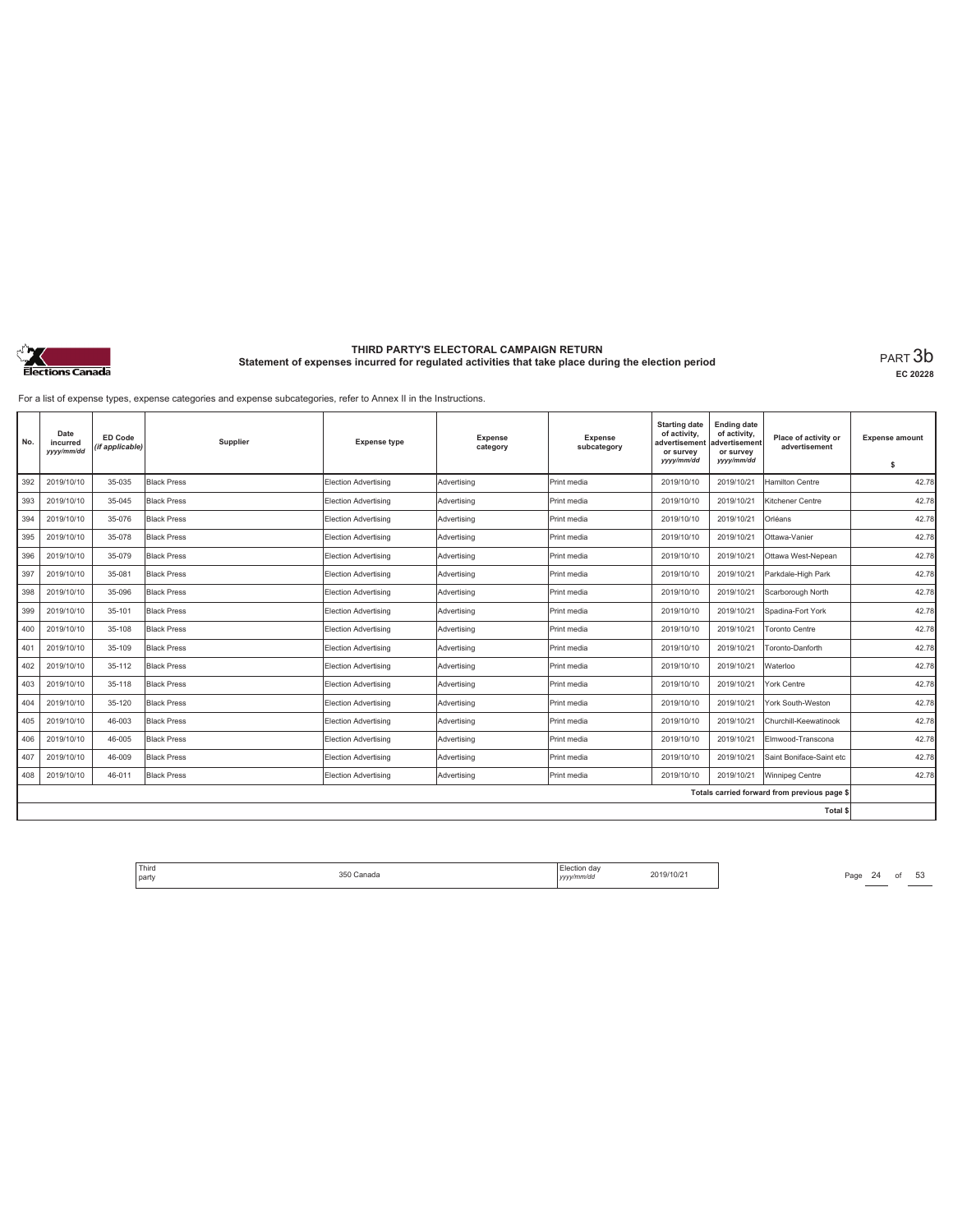

**EC 20228**

For a list of expense types, expense categories and expense subcategories, refer to Annex II in the Instructions.

| No. | Date<br>incurred<br>yyyy/mm/dd | ED Code<br>(if applicable) | Supplier           | <b>Expense type</b>         | <b>Expense</b><br>category | <b>Expense</b><br>subcategory | <b>Starting date</b><br>of activity,<br>advertisement<br>or survey<br>yyyy/mm/dd | <b>Ending date</b><br>of activity,<br>advertisement<br>or survey<br>yyyy/mm/dd | Place of activity or<br>advertisement        | <b>Expense amount</b><br>\$ |
|-----|--------------------------------|----------------------------|--------------------|-----------------------------|----------------------------|-------------------------------|----------------------------------------------------------------------------------|--------------------------------------------------------------------------------|----------------------------------------------|-----------------------------|
| 392 | 2019/10/10                     | 35-035                     | <b>Black Press</b> | Election Advertising        | Advertising                | Print media                   | 2019/10/10                                                                       | 2019/10/21                                                                     | Hamilton Centre                              | 42.78                       |
| 393 | 2019/10/10                     | 35-045                     | <b>Black Press</b> | Election Advertising        | Advertising                | Print media                   | 2019/10/10                                                                       | 2019/10/21                                                                     | Kitchener Centre                             | 42.78                       |
| 394 | 2019/10/10                     | 35-076                     | <b>Black Press</b> | Election Advertising        | Advertisina                | Print media                   | 2019/10/10                                                                       | 2019/10/21                                                                     | Orléans                                      | 42.78                       |
| 395 | 2019/10/10                     | 35-078                     | <b>Black Press</b> | Election Advertising        | Advertisina                | Print media                   | 2019/10/10                                                                       | 2019/10/21                                                                     | Ottawa-Vanier                                | 42.78                       |
| 396 | 2019/10/10                     | 35-079                     | <b>Black Press</b> | Election Advertising        | Advertising                | Print media                   | 2019/10/10                                                                       | 2019/10/21                                                                     | Ottawa West-Nepean                           | 42.78                       |
| 397 | 2019/10/10                     | 35-081                     | <b>Black Press</b> | Election Advertising        | Advertising                | Print media                   | 2019/10/10                                                                       | 2019/10/21                                                                     | Parkdale-High Park                           | 42.78                       |
| 398 | 2019/10/10                     | 35-096                     | <b>Black Press</b> | <b>Election Advertising</b> | Advertising                | Print media                   | 2019/10/10                                                                       | 2019/10/21                                                                     | Scarborough North                            | 42.78                       |
| 399 | 2019/10/10                     | 35-101                     | <b>Black Press</b> | Election Advertising        | Advertising                | Print media                   | 2019/10/10                                                                       | 2019/10/21                                                                     | Spadina-Fort York                            | 42.78                       |
| 400 | 2019/10/10                     | 35-108                     | <b>Black Press</b> | Election Advertising        | Advertisina                | Print media                   | 2019/10/10                                                                       | 2019/10/21                                                                     | Toronto Centre                               | 42.78                       |
| 401 | 2019/10/10                     | 35-109                     | <b>Black Press</b> | Election Advertising        | Advertisina                | Print media                   | 2019/10/10                                                                       | 2019/10/21                                                                     | Toronto-Danforth                             | 42.78                       |
| 402 | 2019/10/10                     | 35-112                     | <b>Black Press</b> | Election Advertising        | Advertising                | Print media                   | 2019/10/10                                                                       | 2019/10/21                                                                     | Waterloo                                     | 42.78                       |
| 403 | 2019/10/10                     | 35-118                     | <b>Black Press</b> | Election Advertising        | Advertisina                | Print media                   | 2019/10/10                                                                       | 2019/10/21                                                                     | York Centre                                  | 42.78                       |
| 404 | 2019/10/10                     | 35-120                     | <b>Black Press</b> | <b>Election Advertising</b> | Advertising                | Print media                   | 2019/10/10                                                                       | 2019/10/21                                                                     | York South-Weston                            | 42.78                       |
| 405 | 2019/10/10                     | 46-003                     | <b>Black Press</b> | <b>Election Advertising</b> | Advertising                | Print media                   | 2019/10/10                                                                       | 2019/10/21                                                                     | Churchill-Keewatinook                        | 42.78                       |
| 406 | 2019/10/10                     | 46-005                     | <b>Black Press</b> | Election Advertising        | Advertising                | Print media                   | 2019/10/10                                                                       | 2019/10/21                                                                     | Elmwood-Transcona                            | 42.78                       |
| 407 | 2019/10/10                     | 46-009                     | <b>Black Press</b> | Election Advertising        | Advertising                | Print media                   | 2019/10/10                                                                       | 2019/10/21                                                                     | Saint Boniface-Saint etc                     | 42.78                       |
| 408 | 2019/10/10                     | 46-011                     | <b>Black Press</b> | Election Advertising        | Advertisina                | Print media                   | 2019/10/10                                                                       | 2019/10/21                                                                     | Winnipeg Centre                              | 42.78                       |
|     |                                |                            |                    |                             |                            |                               |                                                                                  |                                                                                | Totals carried forward from previous page \$ |                             |
|     |                                |                            |                    |                             |                            |                               |                                                                                  |                                                                                | <b>Total \$</b>                              |                             |

Third Election day Election day 2019/10/21 Page 24 of 53 Page 24 of 53 party 350 Canada Election day *yyyy/mm/dd* 2019/10/21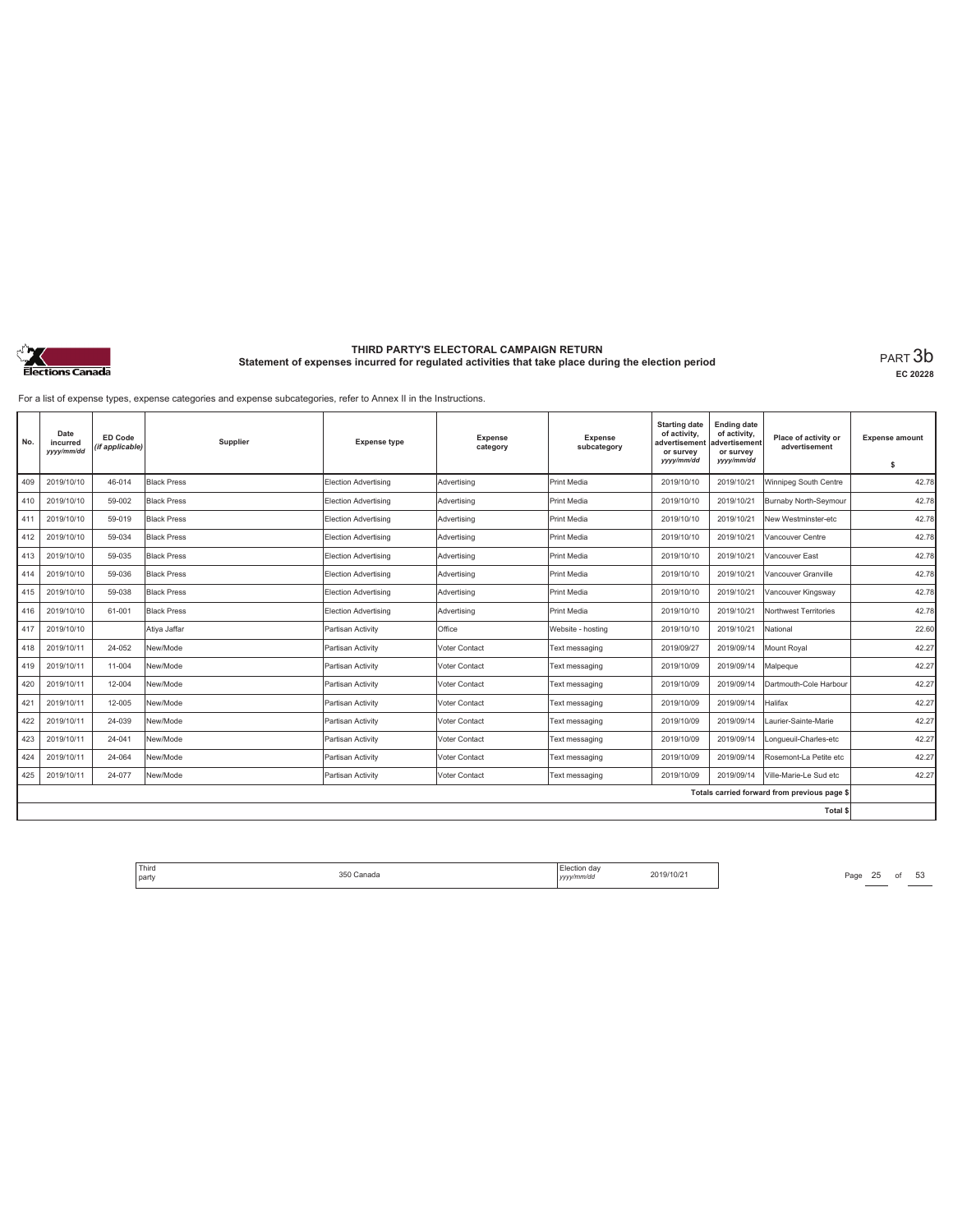

**EC 20228**

For a list of expense types, expense categories and expense subcategories, refer to Annex II in the Instructions.

| No. | Date<br>incurred<br>yyyy/mm/dd | ED Code<br>(if applicable) | Supplier           | <b>Expense type</b>  | Expense<br>category | <b>Expense</b><br>subcategory | <b>Starting date</b><br>of activity,<br>advertisement<br>or survey<br>yyyy/mm/dd | <b>Ending date</b><br>of activity,<br>advertisement<br>or survey<br>yyyy/mm/dd | Place of activity or<br>advertisement        | <b>Expense amount</b><br>\$ |
|-----|--------------------------------|----------------------------|--------------------|----------------------|---------------------|-------------------------------|----------------------------------------------------------------------------------|--------------------------------------------------------------------------------|----------------------------------------------|-----------------------------|
| 409 | 2019/10/10                     | 46-014                     | <b>Black Press</b> | Election Advertising | Advertising         | Print Media                   | 2019/10/10                                                                       | 2019/10/21                                                                     | Winnipeg South Centre                        | 42.78                       |
| 410 | 2019/10/10                     | 59-002                     | <b>Black Press</b> | Election Advertising | Advertising         | Print Media                   | 2019/10/10                                                                       | 2019/10/21                                                                     | Burnaby North-Seymour                        | 42.78                       |
| 411 | 2019/10/10                     | 59-019                     | <b>Black Press</b> | Election Advertising | Advertising         | Print Media                   | 2019/10/10                                                                       | 2019/10/21                                                                     | New Westminster-etc                          | 42.78                       |
| 412 | 2019/10/10                     | 59-034                     | <b>Black Press</b> | Election Advertising | Advertising         | Print Media                   | 2019/10/10                                                                       | 2019/10/21                                                                     | Vancouver Centre                             | 42.78                       |
| 413 | 2019/10/10                     | 59-035                     | <b>Black Press</b> | Election Advertising | Advertising         | Print Media                   | 2019/10/10                                                                       | 2019/10/21                                                                     | Vancouver East                               | 42.78                       |
| 414 | 2019/10/10                     | 59-036                     | <b>Black Press</b> | Election Advertising | Advertisina         | Print Media                   | 2019/10/10                                                                       | 2019/10/21                                                                     | Vancouver Granville                          | 42.78                       |
| 415 | 2019/10/10                     | 59-038                     | <b>Black Press</b> | Election Advertising | Advertising         | Print Media                   | 2019/10/10                                                                       | 2019/10/21                                                                     | Vancouver Kingsway                           | 42.78                       |
| 416 | 2019/10/10                     | 61-001                     | <b>Black Press</b> | Election Advertising | Advertising         | Print Media                   | 2019/10/10                                                                       | 2019/10/21                                                                     | Northwest Territories                        | 42.78                       |
| 417 | 2019/10/10                     |                            | Ativa Jaffar       | Partisan Activity    | Office              | Website - hostina             | 2019/10/10                                                                       | 2019/10/21                                                                     | National                                     | 22.60                       |
| 418 | 2019/10/11                     | 24-052                     | New/Mode           | Partisan Activity    | Voter Contact       | Text messaging                | 2019/09/27                                                                       | 2019/09/14                                                                     | Mount Royal                                  | 42.27                       |
| 419 | 2019/10/11                     | 11-004                     | New/Mode           | Partisan Activity    | Voter Contact       | Text messaging                | 2019/10/09                                                                       | 2019/09/14                                                                     | Malpeque                                     | 42.27                       |
| 420 | 2019/10/11                     | 12-004                     | New/Mode           | Partisan Activity    | Voter Contact       | Text messaging                | 2019/10/09                                                                       | 2019/09/14                                                                     | Dartmouth-Cole Harbour                       | 42.27                       |
| 421 | 2019/10/11                     | 12-005                     | New/Mode           | Partisan Activity    | Voter Contact       | Text messaging                | 2019/10/09                                                                       | 2019/09/14                                                                     | Halifax                                      | 42.27                       |
| 422 | 2019/10/11                     | 24-039                     | New/Mode           | Partisan Activity    | Voter Contact       | Text messaging                | 2019/10/09                                                                       | 2019/09/14                                                                     | Laurier-Sainte-Marie                         | 42.27                       |
| 423 | 2019/10/11                     | 24-041                     | New/Mode           | Partisan Activity    | Voter Contact       | Text messaging                | 2019/10/09                                                                       | 2019/09/14                                                                     | .ongueuil-Charles-etc                        | 42.27                       |
| 424 | 2019/10/11                     | 24-064                     | New/Mode           | Partisan Activity    | Voter Contact       | Text messaging                | 2019/10/09                                                                       | 2019/09/14                                                                     | Rosemont-La Petite etc                       | 42.27                       |
| 425 | 2019/10/11                     | 24-077                     | New/Mode           | Partisan Activity    | Voter Contact       | Text messaging                | 2019/10/09                                                                       | 2019/09/14                                                                     | Ville-Marie-Le Sud etc                       | 42.27                       |
|     |                                |                            |                    |                      |                     |                               |                                                                                  |                                                                                | Totals carried forward from previous page \$ |                             |
|     |                                |                            |                    |                      |                     |                               |                                                                                  |                                                                                | Total \$                                     |                             |

Third The SSO Canada 350 Canada 2019/10/21 Page 25 of 53 party 350 Canada Election day *yyyy/mm/dd* 2019/10/21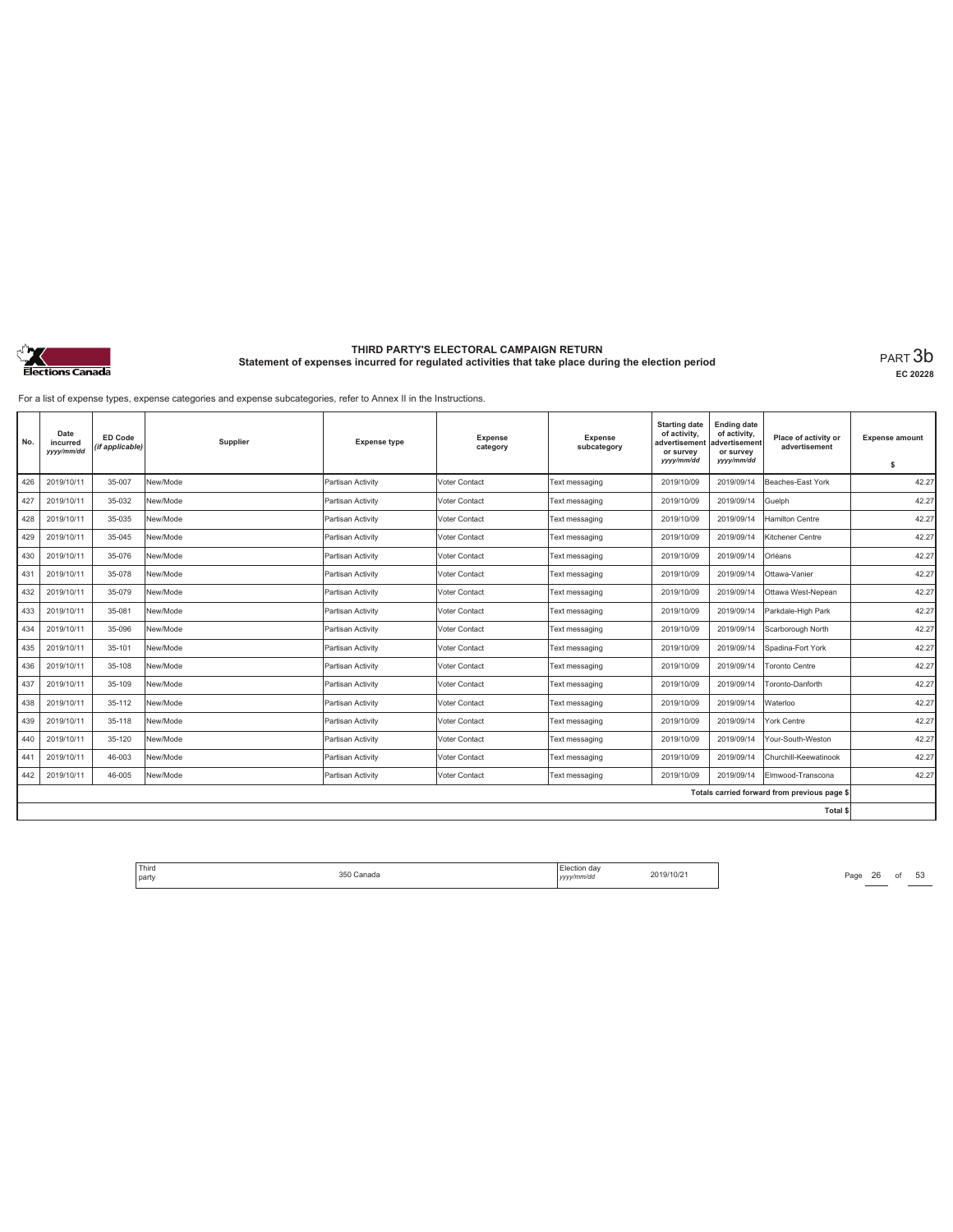

**EC 20228**

For a list of expense types, expense categories and expense subcategories, refer to Annex II in the Instructions.

| No. | Date<br>incurred<br>yyyy/mm/dd | ED Code<br>(if applicable) | Supplier | <b>Expense type</b> | <b>Expense</b><br>category | <b>Expense</b><br>subcategory | <b>Starting date</b><br>of activity,<br>advertisement<br>or survey<br>yyyy/mm/dd | <b>Ending date</b><br>of activity,<br>advertisement<br>or survey<br>yyyy/mm/dd | Place of activity or<br>advertisement        | <b>Expense amount</b><br>\$ |
|-----|--------------------------------|----------------------------|----------|---------------------|----------------------------|-------------------------------|----------------------------------------------------------------------------------|--------------------------------------------------------------------------------|----------------------------------------------|-----------------------------|
| 426 | 2019/10/11                     | 35-007                     | New/Mode | Partisan Activity   | Voter Contact              | Text messaging                | 2019/10/09                                                                       | 2019/09/14                                                                     | Beaches-East York                            | 42.27                       |
| 427 | 2019/10/11                     | 35-032                     | New/Mode | Partisan Activity   | Voter Contact              | Text messaging                | 2019/10/09                                                                       | 2019/09/14                                                                     | Guelph                                       | 42.27                       |
| 428 | 2019/10/11                     | 35-035                     | New/Mode | Partisan Activity   | Voter Contact              | Text messaging                | 2019/10/09                                                                       | 2019/09/14                                                                     | Hamilton Centre                              | 42.27                       |
| 429 | 2019/10/11                     | 35-045                     | New/Mode | Partisan Activity   | Voter Contact              | Text messaging                | 2019/10/09                                                                       | 2019/09/14                                                                     | Kitchener Centre                             | 42.27                       |
| 430 | 2019/10/11                     | 35-076                     | New/Mode | Partisan Activity   | Voter Contact              | Text messaging                | 2019/10/09                                                                       | 2019/09/14                                                                     | Orléans                                      | 42.27                       |
| 431 | 2019/10/11                     | 35-078                     | New/Mode | Partisan Activity   | Voter Contact              | Text messaging                | 2019/10/09                                                                       | 2019/09/14                                                                     | Ottawa-Vanier                                | 42.27                       |
| 432 | 2019/10/11                     | 35-079                     | New/Mode | Partisan Activity   | Voter Contact              | Text messaging                | 2019/10/09                                                                       | 2019/09/14                                                                     | Ottawa West-Nepean                           | 42.27                       |
| 433 | 2019/10/11                     | 35-081                     | New/Mode | Partisan Activity   | Voter Contact              | Text messaging                | 2019/10/09                                                                       | 2019/09/14                                                                     | Parkdale-High Park                           | 42.27                       |
| 434 | 2019/10/11                     | 35-096                     | New/Mode | Partisan Activity   | Voter Contact              | Text messaging                | 2019/10/09                                                                       | 2019/09/14                                                                     | Scarborough North                            | 42.27                       |
| 435 | 2019/10/11                     | 35-101                     | New/Mode | Partisan Activity   | Voter Contact              | Text messaging                | 2019/10/09                                                                       | 2019/09/14                                                                     | Spadina-Fort York                            | 42.27                       |
| 436 | 2019/10/11                     | 35-108                     | New/Mode | Partisan Activity   | Voter Contact              | Text messaging                | 2019/10/09                                                                       | 2019/09/14                                                                     | <b>Toronto Centre</b>                        | 42.27                       |
| 437 | 2019/10/11                     | 35-109                     | New/Mode | Partisan Activity   | Voter Contact              | Text messaging                | 2019/10/09                                                                       | 2019/09/14                                                                     | Toronto-Danforth                             | 42.27                       |
| 438 | 2019/10/11                     | 35-112                     | New/Mode | Partisan Activity   | Voter Contact              | Text messaging                | 2019/10/09                                                                       | 2019/09/14                                                                     | Waterloo                                     | 42.27                       |
| 439 | 2019/10/11                     | 35-118                     | New/Mode | Partisan Activity   | Voter Contact              | Text messaging                | 2019/10/09                                                                       | 2019/09/14                                                                     | York Centre                                  | 42.27                       |
| 440 | 2019/10/11                     | 35-120                     | New/Mode | Partisan Activity   | Voter Contact              | Text messaging                | 2019/10/09                                                                       | 2019/09/14                                                                     | Your-South-Weston                            | 42.27                       |
| 441 | 2019/10/11                     | 46-003                     | New/Mode | Partisan Activity   | Voter Contact              | Text messaging                | 2019/10/09                                                                       | 2019/09/14                                                                     | Churchill-Keewatinook                        | 42.27                       |
| 442 | 2019/10/11                     | 46-005                     | New/Mode | Partisan Activity   | Voter Contact              | Text messaging                | 2019/10/09                                                                       | 2019/09/14                                                                     | Elmwood-Transcona                            | 42.27                       |
|     |                                |                            |          |                     |                            |                               |                                                                                  |                                                                                | Totals carried forward from previous page \$ |                             |
|     |                                |                            |          |                     |                            |                               |                                                                                  |                                                                                | Total \$                                     |                             |

Third Election day Election day 2019/10/21 Page 26 of 53 Page 26 of 53 party 350 Canada Election day *yyyy/mm/dd* 2019/10/21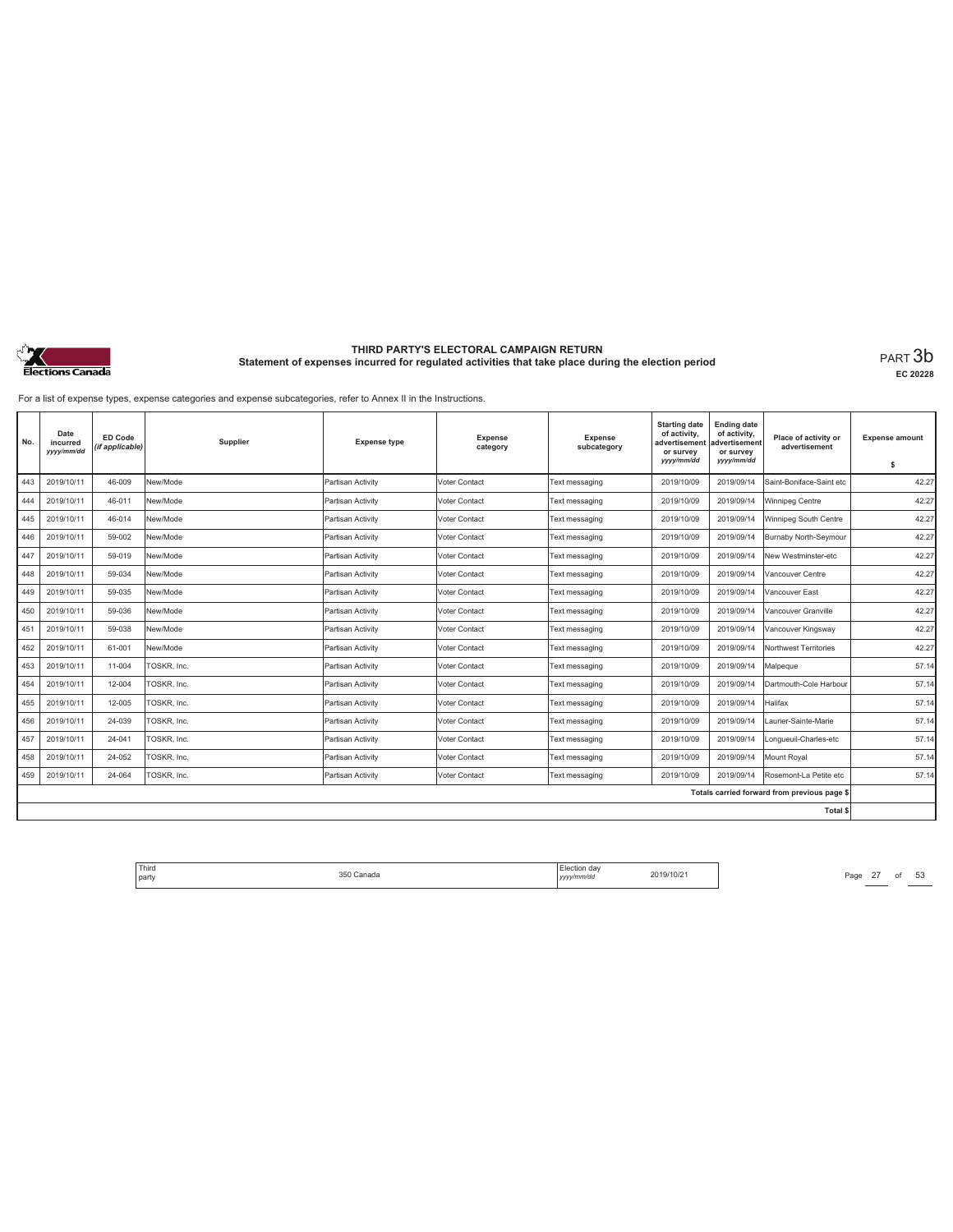

**EC 20228**

For a list of expense types, expense categories and expense subcategories, refer to Annex II in the Instructions.

| No. | Date<br>incurred<br>yyyy/mm/dd | ED Code<br>(if applicable) | Supplier    | <b>Expense type</b> | <b>Expense</b><br>category | <b>Expense</b><br>subcategory | <b>Starting date</b><br>of activity,<br>advertisement<br>or survey<br>yyyy/mm/dd | <b>Ending date</b><br>of activity,<br>advertisement<br>or survey<br>yyyy/mm/dd | Place of activity or<br>advertisement        | <b>Expense amount</b><br>\$ |
|-----|--------------------------------|----------------------------|-------------|---------------------|----------------------------|-------------------------------|----------------------------------------------------------------------------------|--------------------------------------------------------------------------------|----------------------------------------------|-----------------------------|
| 443 | 2019/10/11                     | 46-009                     | New/Mode    | Partisan Activity   | Voter Contact              | Text messaging                | 2019/10/09                                                                       | 2019/09/14                                                                     | Saint-Boniface-Saint etc                     | 42.27                       |
| 444 | 2019/10/11                     | 46-011                     | New/Mode    | Partisan Activity   | Voter Contact              | Text messaging                | 2019/10/09                                                                       | 2019/09/14                                                                     | Winnipeg Centre                              | 42.27                       |
| 445 | 2019/10/11                     | 46-014                     | New/Mode    | Partisan Activity   | Voter Contact              | Text messaging                | 2019/10/09                                                                       | 2019/09/14                                                                     | Winnipeg South Centre                        | 42.27                       |
| 446 | 2019/10/11                     | 59-002                     | New/Mode    | Partisan Activity   | Voter Contact              | Text messaging                | 2019/10/09                                                                       | 2019/09/14                                                                     | Burnaby North-Seymour                        | 42.27                       |
| 447 | 2019/10/11                     | 59-019                     | New/Mode    | Partisan Activity   | Voter Contact              | Text messaging                | 2019/10/09                                                                       | 2019/09/14                                                                     | New Westminster-etc                          | 42.27                       |
| 448 | 2019/10/11                     | 59-034                     | New/Mode    | Partisan Activity   | Voter Contact              | Text messaging                | 2019/10/09                                                                       | 2019/09/14                                                                     | Vancouver Centre                             | 42.27                       |
| 449 | 2019/10/11                     | 59-035                     | New/Mode    | Partisan Activity   | Voter Contact              | Text messaging                | 2019/10/09                                                                       | 2019/09/14                                                                     | Vancouver East                               | 42.27                       |
| 450 | 2019/10/11                     | 59-036                     | New/Mode    | Partisan Activity   | Voter Contact              | Text messaging                | 2019/10/09                                                                       | 2019/09/14                                                                     | Vancouver Granville                          | 42.27                       |
| 451 | 2019/10/11                     | 59-038                     | New/Mode    | Partisan Activity   | Voter Contact              | Text messaging                | 2019/10/09                                                                       | 2019/09/14                                                                     | Vancouver Kingsway                           | 42.27                       |
| 452 | 2019/10/11                     | 61-001                     | New/Mode    | Partisan Activity   | Voter Contact              | Text messaging                | 2019/10/09                                                                       | 2019/09/14                                                                     | Northwest Territories                        | 42.27                       |
| 453 | 2019/10/11                     | 11-004                     | TOSKR, Inc. | Partisan Activity   | Voter Contact              | Text messaging                | 2019/10/09                                                                       | 2019/09/14                                                                     | Malpeque                                     | 57.14                       |
| 454 | 2019/10/11                     | 12-004                     | TOSKR, Inc. | Partisan Activity   | Voter Contact              | Text messaging                | 2019/10/09                                                                       | 2019/09/14                                                                     | Dartmouth-Cole Harbour                       | 57.14                       |
| 455 | 2019/10/11                     | 12-005                     | TOSKR, Inc. | Partisan Activity   | Voter Contact              | Text messaging                | 2019/10/09                                                                       | 2019/09/14                                                                     | Halifax                                      | 57.14                       |
| 456 | 2019/10/11                     | 24-039                     | TOSKR, Inc. | Partisan Activity   | Voter Contact              | Text messaging                | 2019/10/09                                                                       | 2019/09/14                                                                     | Laurier-Sainte-Marie                         | 57.14                       |
| 457 | 2019/10/11                     | 24-041                     | TOSKR, Inc. | Partisan Activity   | Voter Contact              | Text messaging                | 2019/10/09                                                                       | 2019/09/14                                                                     | Longueuil-Charles-etc                        | 57.14                       |
| 458 | 2019/10/11                     | 24-052                     | TOSKR, Inc. | Partisan Activity   | Voter Contact              | Text messaging                | 2019/10/09                                                                       | 2019/09/14                                                                     | Mount Roval                                  | 57.14                       |
| 459 | 2019/10/11                     | 24-064                     | TOSKR. Inc. | Partisan Activity   | Voter Contact              | Text messaging                | 2019/10/09                                                                       | 2019/09/14                                                                     | Rosemont-La Petite etc                       | 57.14                       |
|     |                                |                            |             |                     |                            |                               |                                                                                  |                                                                                | Totals carried forward from previous page \$ |                             |
|     |                                |                            |             |                     |                            |                               |                                                                                  |                                                                                | Total \$                                     |                             |

Third The Same 27 of 53<br>
party Page 27 of 53<br>
party 2019/10/21 Page 27 of 53 party 350 Canada Election day *yyyy/mm/dd* 2019/10/21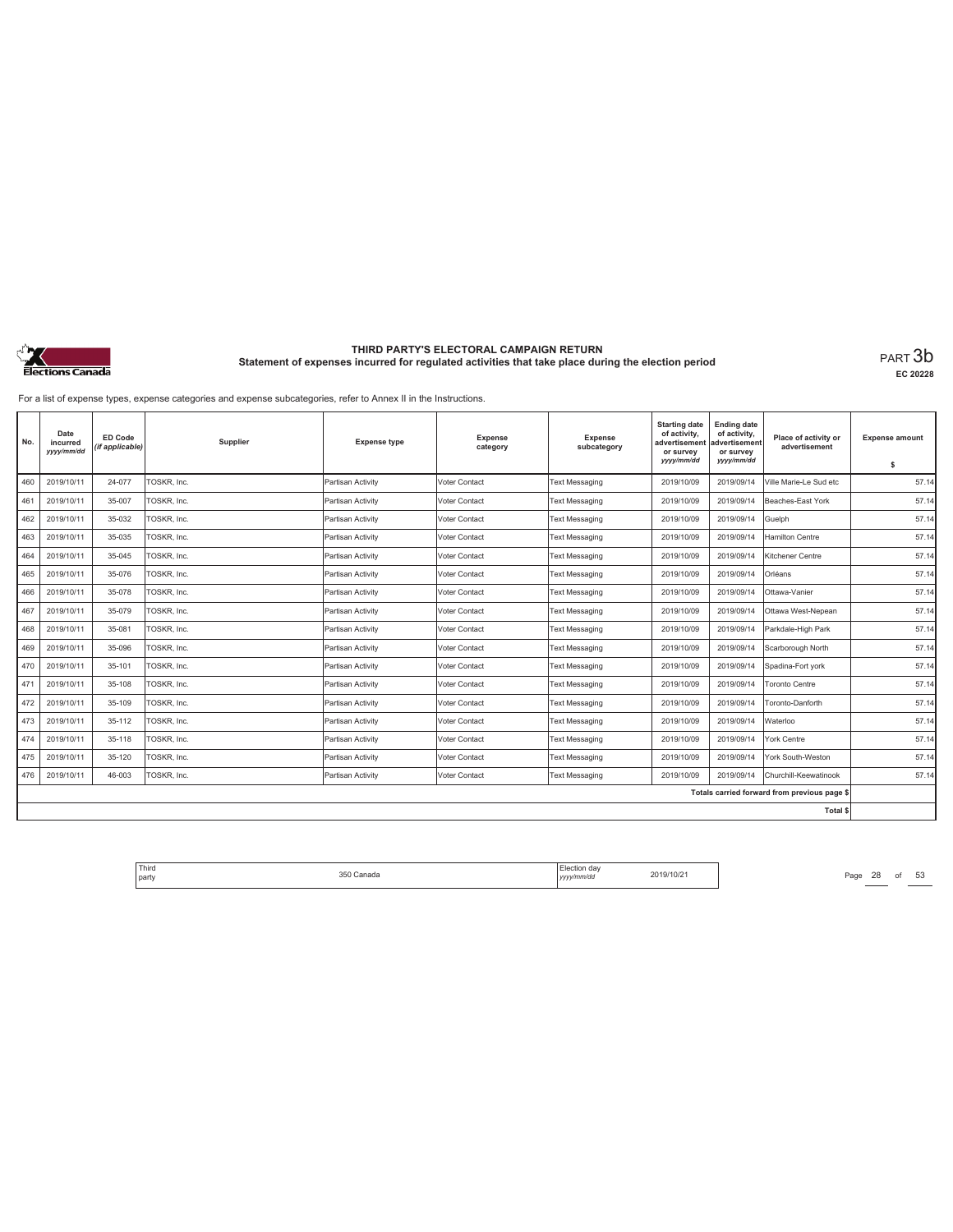

**EC 20228**

For a list of expense types, expense categories and expense subcategories, refer to Annex II in the Instructions.

| No. | Date<br>incurred<br>yyyy/mm/dd | ED Code<br>(if applicable) | Supplier    | <b>Expense type</b> | <b>Expense</b><br>category | <b>Expense</b><br>subcategory | <b>Starting date</b><br>of activity,<br>advertisement<br>or survey<br>yyyy/mm/dd | <b>Ending date</b><br>of activity,<br>advertisement<br>or survey<br>yyyy/mm/dd | Place of activity or<br>advertisement        | <b>Expense amount</b><br>\$ |
|-----|--------------------------------|----------------------------|-------------|---------------------|----------------------------|-------------------------------|----------------------------------------------------------------------------------|--------------------------------------------------------------------------------|----------------------------------------------|-----------------------------|
| 460 | 2019/10/11                     | 24-077                     | TOSKR, Inc. | Partisan Activity   | Voter Contact              | <b>Text Messaging</b>         | 2019/10/09                                                                       | 2019/09/14                                                                     | Ville Marie-Le Sud etc                       | 57.14                       |
| 461 | 2019/10/11                     | 35-007                     | TOSKR, Inc. | Partisan Activity   | Voter Contact              | <b>Text Messaging</b>         | 2019/10/09                                                                       | 2019/09/14                                                                     | Beaches-East York                            | 57.14                       |
| 462 | 2019/10/11                     | 35-032                     | TOSKR, Inc. | Partisan Activity   | Voter Contact              | Text Messaging                | 2019/10/09                                                                       | 2019/09/14                                                                     | Guelph                                       | 57.14                       |
| 463 | 2019/10/11                     | 35-035                     | TOSKR, Inc. | Partisan Activity   | Voter Contact              | <b>Text Messaging</b>         | 2019/10/09                                                                       | 2019/09/14                                                                     | <b>Hamilton Centre</b>                       | 57.14                       |
| 464 | 2019/10/11                     | 35-045                     | TOSKR, Inc. | Partisan Activity   | Voter Contact              | <b>Text Messaging</b>         | 2019/10/09                                                                       | 2019/09/14                                                                     | Kitchener Centre                             | 57.14                       |
| 465 | 2019/10/11                     | 35-076                     | TOSKR, Inc. | Partisan Activity   | Voter Contact              | <b>Text Messaging</b>         | 2019/10/09                                                                       | 2019/09/14                                                                     | Orléans                                      | 57.14                       |
| 466 | 2019/10/11                     | 35-078                     | TOSKR, Inc. | Partisan Activity   | Voter Contact              | <b>Text Messaging</b>         | 2019/10/09                                                                       | 2019/09/14                                                                     | Ottawa-Vanier                                | 57.14                       |
| 467 | 2019/10/11                     | 35-079                     | TOSKR, Inc. | Partisan Activity   | Voter Contact              | <b>Text Messaging</b>         | 2019/10/09                                                                       | 2019/09/14                                                                     | Ottawa West-Nepean                           | 57.14                       |
| 468 | 2019/10/11                     | 35-081                     | TOSKR, Inc. | Partisan Activity   | Voter Contact              | <b>Text Messaging</b>         | 2019/10/09                                                                       | 2019/09/14                                                                     | Parkdale-High Park                           | 57.14                       |
| 469 | 2019/10/11                     | 35-096                     | TOSKR, Inc. | Partisan Activity   | Voter Contact              | Text Messaging                | 2019/10/09                                                                       | 2019/09/14                                                                     | Scarborough North                            | 57.14                       |
| 470 | 2019/10/11                     | 35-101                     | TOSKR, Inc. | Partisan Activity   | Voter Contact              | <b>Text Messaging</b>         | 2019/10/09                                                                       | 2019/09/14                                                                     | Spadina-Fort york                            | 57.14                       |
| 471 | 2019/10/11                     | 35-108                     | TOSKR, Inc. | Partisan Activity   | Voter Contact              | <b>Text Messaging</b>         | 2019/10/09                                                                       | 2019/09/14                                                                     | <b>Toronto Centre</b>                        | 57.14                       |
| 472 | 2019/10/11                     | 35-109                     | TOSKR, Inc. | Partisan Activity   | Voter Contact              | <b>Text Messaging</b>         | 2019/10/09                                                                       | 2019/09/14                                                                     | Toronto-Danforth                             | 57.14                       |
| 473 | 2019/10/11                     | 35-112                     | TOSKR, Inc. | Partisan Activity   | Voter Contact              | <b>Text Messaging</b>         | 2019/10/09                                                                       | 2019/09/14                                                                     | Waterloo                                     | 57.14                       |
| 474 | 2019/10/11                     | 35-118                     | TOSKR, Inc. | Partisan Activity   | Voter Contact              | <b>Text Messaging</b>         | 2019/10/09                                                                       | 2019/09/14                                                                     | York Centre                                  | 57.14                       |
| 475 | 2019/10/11                     | 35-120                     | TOSKR, Inc. | Partisan Activity   | Voter Contact              | <b>Text Messaging</b>         | 2019/10/09                                                                       | 2019/09/14                                                                     | York South-Weston                            | 57.14                       |
| 476 | 2019/10/11                     | 46-003                     | TOSKR. Inc. | Partisan Activity   | Voter Contact              | <b>Text Messaging</b>         | 2019/10/09                                                                       | 2019/09/14                                                                     | Churchill-Keewatinook                        | 57.14                       |
|     |                                |                            |             |                     |                            |                               |                                                                                  |                                                                                | Totals carried forward from previous page \$ |                             |
|     |                                |                            |             |                     |                            |                               |                                                                                  |                                                                                | Total \$                                     |                             |

Third Election day Election day 2019/10/21 Page 28 of 53 Page 28 of 53 party 350 Canada Election day *yyyy/mm/dd* 2019/10/21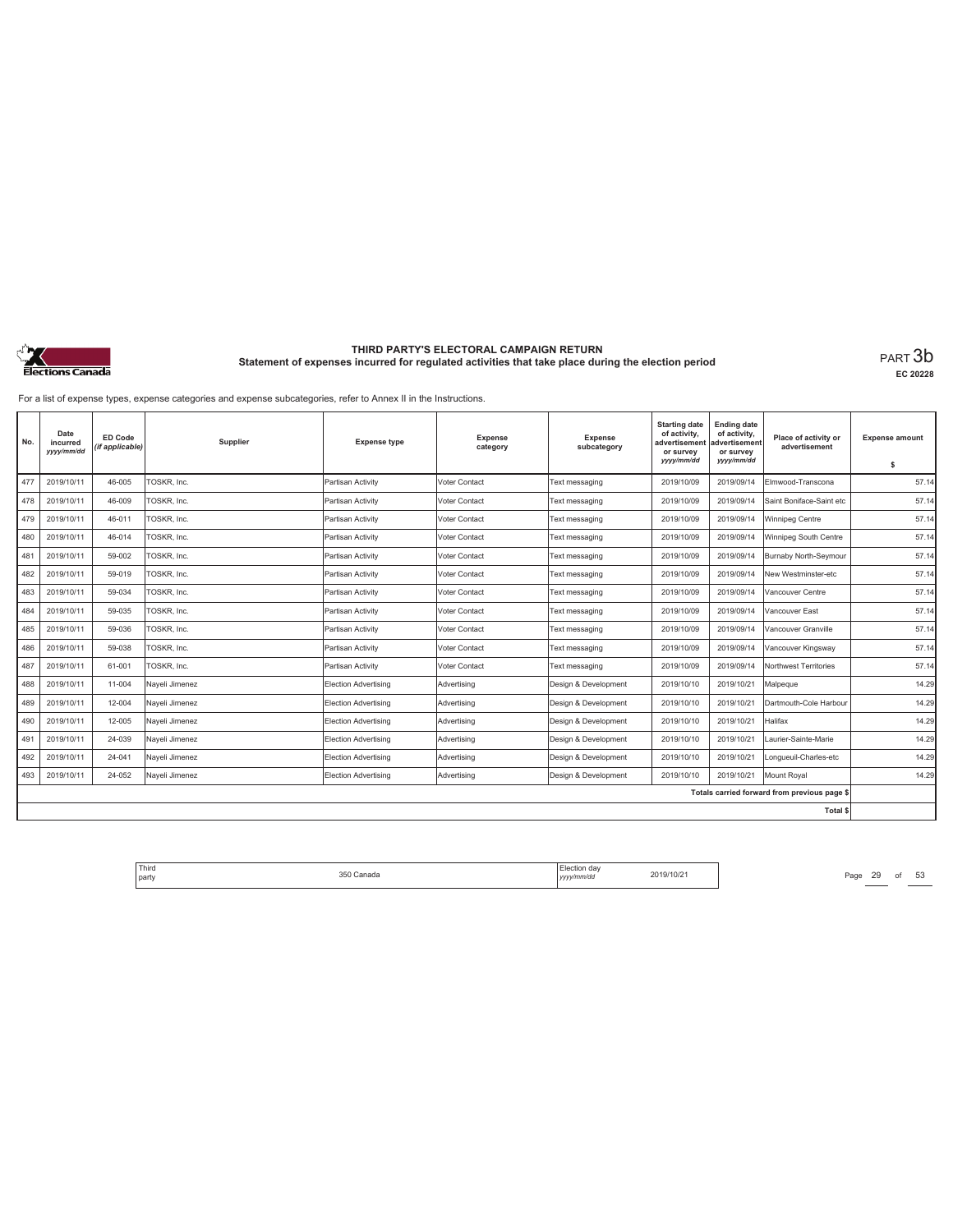

**EC 20228**

For a list of expense types, expense categories and expense subcategories, refer to Annex II in the Instructions.

| No. | Date<br>incurred<br>yyyy/mm/dd | ED Code<br>(if applicable) | Supplier       | <b>Expense type</b>         | <b>Expense</b><br>category | <b>Expense</b><br>subcategory | <b>Starting date</b><br>of activity,<br>advertisement<br>or survey<br>yyyy/mm/dd | <b>Ending date</b><br>of activity,<br>advertisement<br>or survey<br>yyyy/mm/dd | Place of activity or<br>advertisement        | <b>Expense amount</b><br>\$ |
|-----|--------------------------------|----------------------------|----------------|-----------------------------|----------------------------|-------------------------------|----------------------------------------------------------------------------------|--------------------------------------------------------------------------------|----------------------------------------------|-----------------------------|
| 477 | 2019/10/11                     | 46-005                     | TOSKR, Inc.    | Partisan Activity           | Voter Contact              | Text messaging                | 2019/10/09                                                                       | 2019/09/14                                                                     | Elmwood-Transcona                            | 57.14                       |
| 478 | 2019/10/11                     | 46-009                     | TOSKR, Inc.    | Partisan Activity           | Voter Contact              | Text messaging                | 2019/10/09                                                                       | 2019/09/14                                                                     | Saint Boniface-Saint etc                     | 57.14                       |
| 479 | 2019/10/11                     | 46-011                     | TOSKR, Inc.    | Partisan Activity           | Voter Contact              | Text messaging                | 2019/10/09                                                                       | 2019/09/14                                                                     | Winnipeg Centre                              | 57.14                       |
| 480 | 2019/10/11                     | 46-014                     | TOSKR, Inc.    | Partisan Activity           | Voter Contact              | Text messaging                | 2019/10/09                                                                       | 2019/09/14                                                                     | Winnipeg South Centre                        | 57.14                       |
| 481 | 2019/10/11                     | 59-002                     | TOSKR, Inc.    | Partisan Activity           | Voter Contact              | Text messaging                | 2019/10/09                                                                       | 2019/09/14                                                                     | Burnaby North-Seymour                        | 57.14                       |
| 482 | 2019/10/11                     | 59-019                     | TOSKR, Inc.    | Partisan Activity           | Voter Contact              | Text messaging                | 2019/10/09                                                                       | 2019/09/14                                                                     | New Westminster-etc                          | 57.14                       |
| 483 | 2019/10/11                     | 59-034                     | TOSKR, Inc.    | Partisan Activity           | Voter Contact              | Text messaging                | 2019/10/09                                                                       | 2019/09/14                                                                     | Vancouver Centre                             | 57.14                       |
| 484 | 2019/10/11                     | 59-035                     | TOSKR, Inc.    | Partisan Activity           | Voter Contact              | Text messaging                | 2019/10/09                                                                       | 2019/09/14                                                                     | Vancouver East                               | 57.14                       |
| 485 | 2019/10/11                     | 59-036                     | TOSKR, Inc.    | Partisan Activity           | Voter Contact              | Text messaging                | 2019/10/09                                                                       | 2019/09/14                                                                     | Vancouver Granville                          | 57.14                       |
| 486 | 2019/10/11                     | 59-038                     | TOSKR, Inc.    | Partisan Activity           | Voter Contact              | Text messaging                | 2019/10/09                                                                       | 2019/09/14                                                                     | Vancouver Kingsway                           | 57.14                       |
| 487 | 2019/10/11                     | 61-001                     | TOSKR, Inc.    | Partisan Activity           | Voter Contact              | Text messaging                | 2019/10/09                                                                       | 2019/09/14                                                                     | Northwest Territories                        | 57.14                       |
| 488 | 2019/10/11                     | 11-004                     | Nayeli Jimenez | <b>Election Advertising</b> | Advertising                | Design & Development          | 2019/10/10                                                                       | 2019/10/21                                                                     | Malpeque                                     | 14.29                       |
| 489 | 2019/10/11                     | 12-004                     | Nayeli Jimenez | Election Advertising        | Advertising                | Design & Development          | 2019/10/10                                                                       | 2019/10/21                                                                     | Dartmouth-Cole Harbour                       | 14.29                       |
| 490 | 2019/10/11                     | 12-005                     | Nayeli Jimenez | <b>Election Advertising</b> | Advertising                | Design & Development          | 2019/10/10                                                                       | 2019/10/21                                                                     | Halifax                                      | 14.29                       |
| 491 | 2019/10/11                     | 24-039                     | Nayeli Jimenez | <b>Election Advertising</b> | Advertising                | Design & Development          | 2019/10/10                                                                       | 2019/10/21                                                                     | Laurier-Sainte-Marie                         | 14.29                       |
| 492 | 2019/10/11                     | 24-041                     | Naveli Jimenez | Election Advertising        | Advertising                | Design & Development          | 2019/10/10                                                                       | 2019/10/21                                                                     | Longueuil-Charles-etc                        | 14.29                       |
| 493 | 2019/10/11                     | 24-052                     | Nayeli Jimenez | Election Advertising        | Advertising                | Design & Development          | 2019/10/10                                                                       | 2019/10/21                                                                     | Mount Roval                                  | 14.29                       |
|     |                                |                            |                |                             |                            |                               |                                                                                  |                                                                                | Totals carried forward from previous page \$ |                             |
|     |                                |                            |                |                             |                            |                               |                                                                                  |                                                                                | Total \$                                     |                             |

Third Election day Election day 2019/10/21 Page 29 of 53 Page 29 Of 53 party 350 Canada Election day *yyyy/mm/dd* 2019/10/21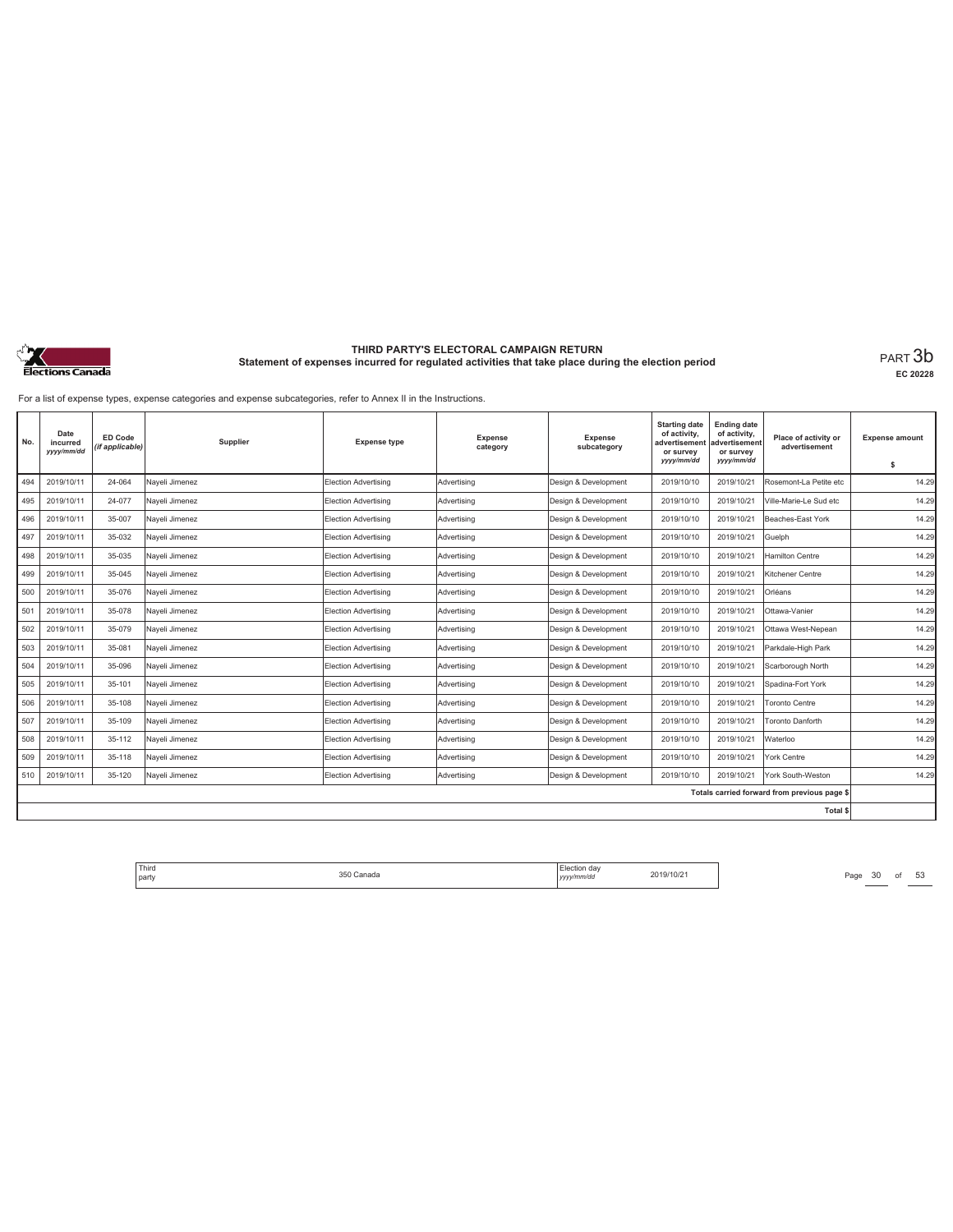

**EC 20228**

For a list of expense types, expense categories and expense subcategories, refer to Annex II in the Instructions.

| No. | Date<br>incurred<br>yyyy/mm/dd | <b>ED Code</b><br>(if applicable) | Supplier       | <b>Expense type</b>         | <b>Expense</b><br>category | <b>Expense</b><br>subcategory | <b>Starting date</b><br>of activity,<br>advertisement<br>or survey<br>yyyy/mm/dd | <b>Ending date</b><br>of activity,<br>advertisement<br>or survey<br>yyyy/mm/dd | Place of activity or<br>advertisement        | <b>Expense amount</b><br>s |
|-----|--------------------------------|-----------------------------------|----------------|-----------------------------|----------------------------|-------------------------------|----------------------------------------------------------------------------------|--------------------------------------------------------------------------------|----------------------------------------------|----------------------------|
| 494 | 2019/10/11                     | 24-064                            | Naveli Jimenez | <b>Election Advertising</b> | Advertisina                | Design & Development          | 2019/10/10                                                                       | 2019/10/21                                                                     | Rosemont-La Petite etc                       | 14.29                      |
|     |                                |                                   |                |                             |                            |                               |                                                                                  |                                                                                |                                              |                            |
| 495 | 2019/10/11                     | 24-077                            | Nayeli Jimenez | Election Advertising        | Advertising                | Design & Development          | 2019/10/10                                                                       | 2019/10/21                                                                     | Ville-Marie-Le Sud etc                       | 14.29                      |
| 496 | 2019/10/11                     | 35-007                            | Naveli Jimenez | Election Advertising        | Advertising                | Design & Development          | 2019/10/10                                                                       | 2019/10/21                                                                     | Beaches-East York                            | 14.29                      |
| 497 | 2019/10/11                     | 35-032                            | Nayeli Jimenez | <b>Election Advertising</b> | Advertising                | Design & Development          | 2019/10/10                                                                       | 2019/10/21                                                                     | Guelph                                       | 14.29                      |
| 498 | 2019/10/11                     | 35-035                            | Naveli Jimenez | Election Advertising        | Advertisina                | Design & Development          | 2019/10/10                                                                       | 2019/10/21                                                                     | Hamilton Centre                              | 14.29                      |
| 499 | 2019/10/11                     | 35-045                            | Nayeli Jimenez | Election Advertising        | Advertising                | Design & Development          | 2019/10/10                                                                       | 2019/10/21                                                                     | Kitchener Centre                             | 14.29                      |
| 500 | 2019/10/11                     | 35-076                            | Nayeli Jimenez | Election Advertising        | Advertising                | Design & Development          | 2019/10/10                                                                       | 2019/10/21                                                                     | Orléans                                      | 14.29                      |
| 501 | 2019/10/11                     | 35-078                            | Nayeli Jimenez | Election Advertising        | Advertising                | Design & Development          | 2019/10/10                                                                       | 2019/10/21                                                                     | Ottawa-Vanier                                | 14.29                      |
| 502 | 2019/10/11                     | 35-079                            | Naveli Jimenez | Election Advertising        | Advertisina                | Design & Development          | 2019/10/10                                                                       | 2019/10/21                                                                     | Ottawa West-Nepean                           | 14.29                      |
| 503 | 2019/10/11                     | 35-081                            | Naveli Jimenez | Election Advertising        | Advertisina                | Design & Development          | 2019/10/10                                                                       | 2019/10/21                                                                     | Parkdale-High Park                           | 14.29                      |
| 504 | 2019/10/11                     | 35-096                            | Nayeli Jimenez | Election Advertising        | Advertising                | Design & Development          | 2019/10/10                                                                       | 2019/10/21                                                                     | Scarborough North                            | 14.29                      |
| 505 | 2019/10/11                     | 35-101                            | Nayeli Jimenez | Election Advertising        | Advertising                | Design & Development          | 2019/10/10                                                                       | 2019/10/21                                                                     | Spadina-Fort York                            | 14.29                      |
| 506 | 2019/10/11                     | 35-108                            | Nayeli Jimenez | Election Advertising        | Advertising                | Design & Development          | 2019/10/10                                                                       | 2019/10/21                                                                     | Toronto Centre                               | 14.29                      |
| 507 | 2019/10/11                     | 35-109                            | Nayeli Jimenez | Election Advertising        | Advertising                | Design & Development          | 2019/10/10                                                                       | 2019/10/21                                                                     | Toronto Danforth                             | 14.29                      |
| 508 | 2019/10/11                     | 35-112                            | Nayeli Jimenez | Election Advertising        | Advertising                | Design & Development          | 2019/10/10                                                                       | 2019/10/21                                                                     | Waterloo                                     | 14.29                      |
| 509 | 2019/10/11                     | 35-118                            | Naveli Jimenez | Election Advertising        | Advertising                | Design & Development          | 2019/10/10                                                                       | 2019/10/21                                                                     | York Centre                                  | 14.29                      |
| 510 | 2019/10/11                     | 35-120                            | Nayeli Jimenez | Election Advertising        | Advertising                | Design & Development          | 2019/10/10                                                                       | 2019/10/21                                                                     | York South-Weston                            | 14.29                      |
|     |                                |                                   |                |                             |                            |                               |                                                                                  |                                                                                | Totals carried forward from previous page \$ |                            |
|     |                                |                                   |                |                             |                            |                               |                                                                                  |                                                                                | <b>Total \$</b>                              |                            |

Third Election day Election day 2019/10/21 Page 30 of 53 Page 30 of 53 party 350 Canada Election day *yyyy/mm/dd* 2019/10/21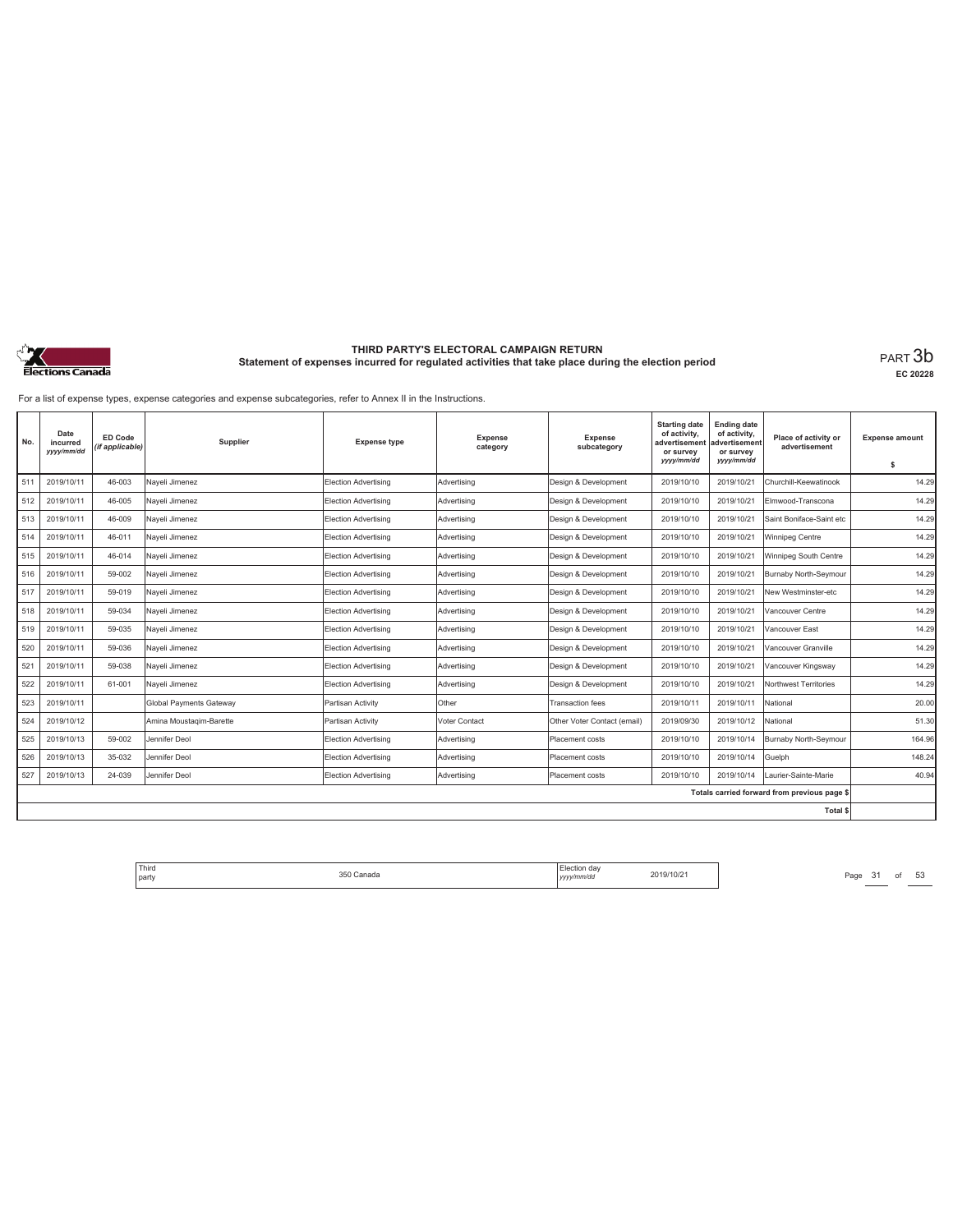

**EC 20228**

For a list of expense types, expense categories and expense subcategories, refer to Annex II in the Instructions.

| No. | Date<br>incurred<br>yyyy/mm/dd | ED Code<br>(if applicable) | Supplier                       | <b>Expense type</b>         | <b>Expense</b><br>category | <b>Expense</b><br>subcategory | <b>Starting date</b><br>of activity,<br>advertisement<br>or survey<br>yyyy/mm/dd | <b>Ending date</b><br>of activity,<br>advertisement<br>or survey<br>yyyy/mm/dd | Place of activity or<br>advertisement        | <b>Expense amount</b> |
|-----|--------------------------------|----------------------------|--------------------------------|-----------------------------|----------------------------|-------------------------------|----------------------------------------------------------------------------------|--------------------------------------------------------------------------------|----------------------------------------------|-----------------------|
|     |                                |                            |                                |                             |                            |                               |                                                                                  |                                                                                |                                              | s                     |
| 511 | 2019/10/11                     | 46-003                     | Naveli Jimenez                 | Election Advertising        | Advertising                | Design & Development          | 2019/10/10                                                                       | 2019/10/21                                                                     | Churchill-Keewatinook                        | 14.29                 |
| 512 | 2019/10/11                     | 46-005                     | Nayeli Jimenez                 | Election Advertising        | Advertising                | Design & Development          | 2019/10/10                                                                       | 2019/10/21                                                                     | Elmwood-Transcona                            | 14.29                 |
| 513 | 2019/10/11                     | 46-009                     | Nayeli Jimenez                 | Election Advertising        | Advertising                | Design & Development          | 2019/10/10                                                                       | 2019/10/21                                                                     | Saint Boniface-Saint etc                     | 14.29                 |
| 514 | 2019/10/11                     | 46-011                     | Nayeli Jimenez                 | Election Advertising        | Advertising                | Design & Development          | 2019/10/10                                                                       | 2019/10/21                                                                     | Winnipeg Centre                              | 14.29                 |
| 515 | 2019/10/11                     | 46-014                     | Nayeli Jimenez                 | Election Advertising        | Advertising                | Design & Development          | 2019/10/10                                                                       | 2019/10/21                                                                     | Winnipeg South Centre                        | 14.29                 |
| 516 | 2019/10/11                     | 59-002                     | Nayeli Jimenez                 | Election Advertising        | Advertising                | Design & Development          | 2019/10/10                                                                       | 2019/10/21                                                                     | Burnaby North-Seymour                        | 14.29                 |
| 517 | 2019/10/11                     | 59-019                     | Nayeli Jimenez                 | <b>Election Advertising</b> | Advertising                | Design & Development          | 2019/10/10                                                                       | 2019/10/21                                                                     | New Westminster-etc                          | 14.29                 |
| 518 | 2019/10/11                     | 59-034                     | Nayeli Jimenez                 | Election Advertising        | Advertising                | Design & Development          | 2019/10/10                                                                       | 2019/10/21                                                                     | Vancouver Centre                             | 14.29                 |
| 519 | 2019/10/11                     | 59-035                     | Nayeli Jimenez                 | <b>Election Advertising</b> | Advertising                | Design & Development          | 2019/10/10                                                                       | 2019/10/21                                                                     | Vancouver East                               | 14.29                 |
| 520 | 2019/10/11                     | 59-036                     | Nayeli Jimenez                 | <b>Election Advertising</b> | Advertising                | Design & Development          | 2019/10/10                                                                       | 2019/10/21                                                                     | Vancouver Granville                          | 14.29                 |
| 521 | 2019/10/11                     | 59-038                     | Naveli Jimenez                 | Election Advertising        | Advertising                | Design & Development          | 2019/10/10                                                                       | 2019/10/21                                                                     | Vancouver Kingsway                           | 14.29                 |
| 522 | 2019/10/11                     | 61-001                     | Naveli Jimenez                 | Election Advertising        | Advertising                | Design & Development          | 2019/10/10                                                                       | 2019/10/21                                                                     | Northwest Territories                        | 14.29                 |
| 523 | 2019/10/11                     |                            | <b>Global Payments Gateway</b> | Partisan Activity           | Other                      | Transaction fees              | 2019/10/11                                                                       | 2019/10/11                                                                     | National                                     | 20.00                 |
| 524 | 2019/10/12                     |                            | Amina Moustagim-Barette        | Partisan Activity           | Voter Contact              | Other Voter Contact (email)   | 2019/09/30                                                                       | 2019/10/12                                                                     | National                                     | 51.30                 |
| 525 | 2019/10/13                     | 59-002                     | Jennifer Deol                  | Election Advertising        | Advertising                | Placement costs               | 2019/10/10                                                                       | 2019/10/14                                                                     | Burnaby North-Seymour                        | 164.96                |
| 526 | 2019/10/13                     | 35-032                     | Jennifer Deol                  | Election Advertising        | Advertising                | Placement costs               | 2019/10/10                                                                       | 2019/10/14                                                                     | Guelph                                       | 148.24                |
| 527 | 2019/10/13                     | 24-039                     | Jennifer Deol                  | Election Advertising        | Advertising                | Placement costs               | 2019/10/10                                                                       | 2019/10/14                                                                     | Laurier-Sainte-Marie                         | 40.94                 |
|     |                                |                            |                                |                             |                            |                               |                                                                                  |                                                                                | Totals carried forward from previous page \$ |                       |
|     |                                |                            |                                |                             |                            |                               |                                                                                  |                                                                                | Total \$                                     |                       |

Third Election day Election day 2019/10/21 Page 31 of 53 Page 31 of 53 party 350 Canada Election day *yyyy/mm/dd* 2019/10/21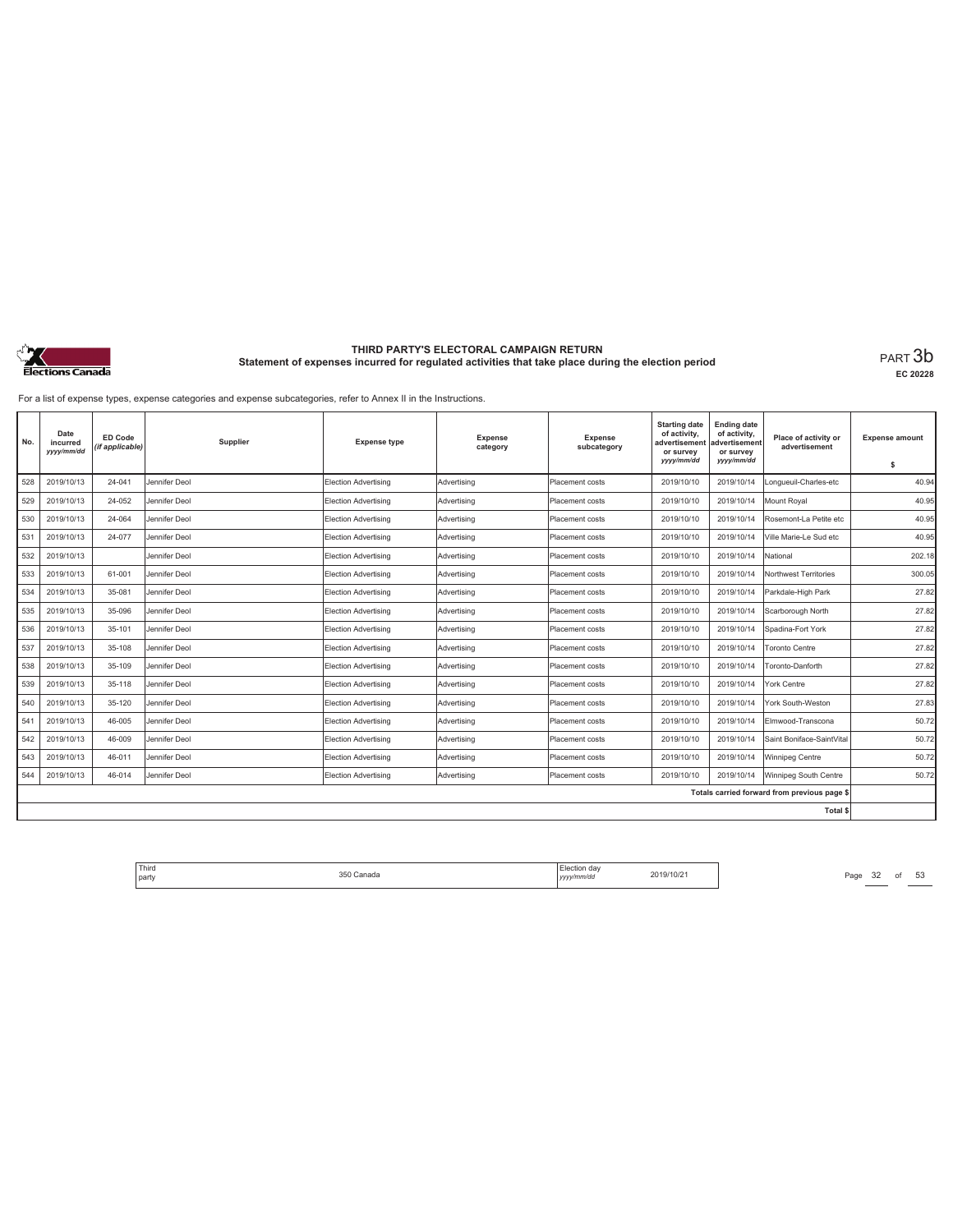

**EC 20228**

For a list of expense types, expense categories and expense subcategories, refer to Annex II in the Instructions.

| No. | Date<br>incurred<br>yyyy/mm/dd | <b>ED Code</b><br>(if applicable) | Supplier      | <b>Expense type</b>         | <b>Expense</b><br>category | <b>Expense</b><br>subcategory | <b>Starting date</b><br>of activity,<br>advertisement<br>or survey<br>yyyy/mm/dd | <b>Ending date</b><br>of activity,<br>advertisement<br>or survey<br>yyyy/mm/dd | Place of activity or<br>advertisement        | <b>Expense amount</b><br>\$ |
|-----|--------------------------------|-----------------------------------|---------------|-----------------------------|----------------------------|-------------------------------|----------------------------------------------------------------------------------|--------------------------------------------------------------------------------|----------------------------------------------|-----------------------------|
| 528 | 2019/10/13                     | 24-041                            | Jennifer Deol | <b>Election Advertising</b> | Advertisina                | Placement costs               | 2019/10/10                                                                       | 2019/10/14                                                                     | Longueuil-Charles-etc                        | 40.94                       |
| 529 | 2019/10/13                     | 24-052                            | Jennifer Deol | Election Advertising        | Advertising                | Placement costs               | 2019/10/10                                                                       | 2019/10/14                                                                     | Mount Royal                                  | 40.95                       |
| 530 | 2019/10/13                     | 24-064                            | Jennifer Deol | Election Advertising        | Advertising                | Placement costs               | 2019/10/10                                                                       | 2019/10/14                                                                     | Rosemont-La Petite etc                       | 40.95                       |
| 531 | 2019/10/13                     | 24-077                            | Jennifer Deol | <b>Election Advertising</b> | Advertising                | Placement costs               | 2019/10/10                                                                       | 2019/10/14                                                                     | Ville Marie-Le Sud etc                       | 40.95                       |
| 532 | 2019/10/13                     |                                   | Jennifer Deol | Election Advertising        | Advertisina                | Placement costs               | 2019/10/10                                                                       | 2019/10/14                                                                     | National                                     | 202.18                      |
| 533 | 2019/10/13                     | 61-001                            | Jennifer Deol | Election Advertising        | Advertising                | Placement costs               | 2019/10/10                                                                       | 2019/10/14                                                                     | Northwest Territories                        | 300.05                      |
| 534 | 2019/10/13                     | 35-081                            | Jennifer Deol | Election Advertising        | Advertising                | Placement costs               | 2019/10/10                                                                       | 2019/10/14                                                                     | Parkdale-High Park                           | 27.82                       |
| 535 | 2019/10/13                     | 35-096                            | Jennifer Deol | Election Advertising        | Advertising                | Placement costs               | 2019/10/10                                                                       | 2019/10/14                                                                     | Scarborough North                            | 27.82                       |
| 536 | 2019/10/13                     | 35-101                            | Jennifer Deol | Election Advertising        | Advertisina                | Placement costs               | 2019/10/10                                                                       | 2019/10/14                                                                     | Spadina-Fort York                            | 27.82                       |
| 537 | 2019/10/13                     | 35-108                            | Jennifer Deol | Election Advertising        | Advertising                | Placement costs               | 2019/10/10                                                                       | 2019/10/14                                                                     | Toronto Centre                               | 27.82                       |
| 538 | 2019/10/13                     | 35-109                            | Jennifer Deol | Election Advertising        | Advertising                | Placement costs               | 2019/10/10                                                                       | 2019/10/14                                                                     | Toronto-Danforth                             | 27.82                       |
| 539 | 2019/10/13                     | 35-118                            | Jennifer Deol | <b>Election Advertising</b> | Advertising                | Placement costs               | 2019/10/10                                                                       | 2019/10/14                                                                     | York Centre                                  | 27.82                       |
| 540 | 2019/10/13                     | 35-120                            | Jennifer Deol | <b>Election Advertising</b> | Advertising                | Placement costs               | 2019/10/10                                                                       | 2019/10/14                                                                     | York South-Weston                            | 27.83                       |
| 541 | 2019/10/13                     | 46-005                            | Jennifer Deol | <b>Election Advertising</b> | Advertising                | Placement costs               | 2019/10/10                                                                       | 2019/10/14                                                                     | Elmwood-Transcona                            | 50.72                       |
| 542 | 2019/10/13                     | 46-009                            | Jennifer Deol | <b>Election Advertising</b> | Advertising                | Placement costs               | 2019/10/10                                                                       | 2019/10/14                                                                     | Saint Boniface-SaintVital                    | 50.72                       |
| 543 | 2019/10/13                     | 46-011                            | Jennifer Deol | Election Advertising        | Advertisina                | Placement costs               | 2019/10/10                                                                       | 2019/10/14                                                                     | Winnipeg Centre                              | 50.72                       |
| 544 | 2019/10/13                     | 46-014                            | Jennifer Deol | Election Advertising        | Advertising                | Placement costs               | 2019/10/10                                                                       | 2019/10/14                                                                     | Winnipeg South Centre                        | 50.72                       |
|     |                                |                                   |               |                             |                            |                               |                                                                                  |                                                                                | Totals carried forward from previous page \$ |                             |
|     |                                |                                   |               |                             |                            |                               |                                                                                  |                                                                                | <b>Total \$</b>                              |                             |

Third Election day Election day 2019/10/21 Page 32 of 53 Page 32 of 53 party 350 Canada Election day *yyyy/mm/dd* 2019/10/21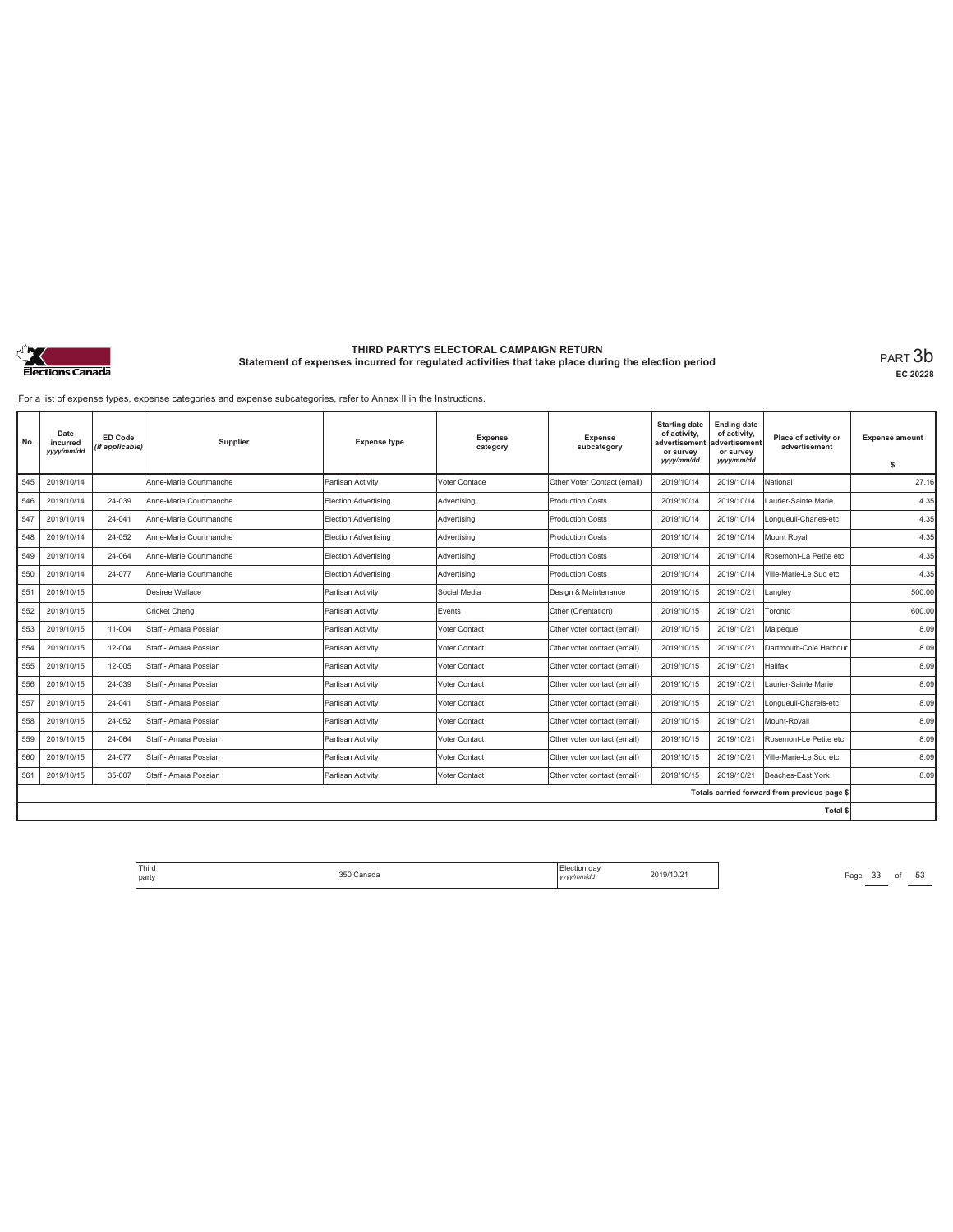

**EC 20228**

For a list of expense types, expense categories and expense subcategories, refer to Annex II in the Instructions.

| No. | Date<br>incurred<br>yyyy/mm/dd | <b>ED Code</b><br>(if applicable) | Supplier               | <b>Expense type</b>         | <b>Expense</b><br>category | Expense<br>subcategory      | <b>Starting date</b><br>of activity,<br>advertisement<br>or survey<br>yyyy/mm/dd | <b>Ending date</b><br>of activity,<br>advertisement<br>or survey<br>yyyy/mm/dd | Place of activity or<br>advertisement        | <b>Expense amount</b><br>\$ |
|-----|--------------------------------|-----------------------------------|------------------------|-----------------------------|----------------------------|-----------------------------|----------------------------------------------------------------------------------|--------------------------------------------------------------------------------|----------------------------------------------|-----------------------------|
| 545 | 2019/10/14                     |                                   | Anne-Marie Courtmanche | Partisan Activity           | Voter Contace              | Other Voter Contact (email) | 2019/10/14                                                                       | 2019/10/14                                                                     | National                                     | 27.16                       |
| 546 | 2019/10/14                     | 24-039                            | Anne-Marie Courtmanche | <b>Election Advertising</b> | Advertising                | <b>Production Costs</b>     | 2019/10/14                                                                       | 2019/10/14                                                                     | Laurier-Sainte Marie                         | 4.35                        |
| 547 | 2019/10/14                     | 24-041                            | Anne-Marie Courtmanche | Election Advertising        | Advertisina                | Production Costs            | 2019/10/14                                                                       | 2019/10/14                                                                     | Longueuil-Charles-etc                        | 4.35                        |
| 548 | 2019/10/14                     | 24-052                            | Anne-Marie Courtmanche | Election Advertising        | Advertisina                | <b>Production Costs</b>     | 2019/10/14                                                                       | 2019/10/14                                                                     | Mount Roval                                  | 4.35                        |
| 549 | 2019/10/14                     | 24-064                            | Anne-Marie Courtmanche | Election Advertising        | Advertising                | Production Costs            | 2019/10/14                                                                       | 2019/10/14                                                                     | Rosemont-La Petite etc                       | 4.35                        |
| 550 | 2019/10/14                     | 24-077                            | Anne-Marie Courtmanche | Election Advertising        | Advertising                | Production Costs            | 2019/10/14                                                                       | 2019/10/14                                                                     | Ville-Marie-Le Sud etc                       | 4.35                        |
| 551 | 2019/10/15                     |                                   | Desiree Wallace        | Partisan Activity           | Social Media               | Design & Maintenance        | 2019/10/15                                                                       | 2019/10/21                                                                     | Langley                                      | 500.00                      |
| 552 | 2019/10/15                     |                                   | Cricket Chena          | Partisan Activity           | Events                     | Other (Orientation)         | 2019/10/15                                                                       | 2019/10/21                                                                     | Toronto                                      | 600.00                      |
| 553 | 2019/10/15                     | 11-004                            | Staff - Amara Possian  | Partisan Activity           | Voter Contact              | Other voter contact (email) | 2019/10/15                                                                       | 2019/10/21                                                                     | Malpeque                                     | 8.09                        |
| 554 | 2019/10/15                     | 12-004                            | Staff - Amara Possian  | Partisan Activity           | Voter Contact              | Other voter contact (email) | 2019/10/15                                                                       | 2019/10/21                                                                     | Dartmouth-Cole Harbour                       | 8.09                        |
| 555 | 2019/10/15                     | 12-005                            | Staff - Amara Possian  | Partisan Activity           | Voter Contact              | Other voter contact (email) | 2019/10/15                                                                       | 2019/10/21                                                                     | Halifax                                      | 8.09                        |
| 556 | 2019/10/15                     | 24-039                            | Staff - Amara Possian  | Partisan Activity           | Voter Contact              | Other voter contact (email) | 2019/10/15                                                                       | 2019/10/21                                                                     | Laurier-Sainte Marie                         | 8.09                        |
| 557 | 2019/10/15                     | 24-041                            | Staff - Amara Possian  | Partisan Activity           | <b>Voter Contact</b>       | Other voter contact (email) | 2019/10/15                                                                       | 2019/10/21                                                                     | Longueuil-Charels-etc                        | 8.09                        |
| 558 | 2019/10/15                     | 24-052                            | Staff - Amara Possian  | Partisan Activity           | Voter Contact              | Other voter contact (email) | 2019/10/15                                                                       | 2019/10/21                                                                     | Mount-Rovall                                 | 8.09                        |
| 559 | 2019/10/15                     | 24-064                            | Staff - Amara Possian  | Partisan Activity           | Voter Contact              | Other voter contact (email) | 2019/10/15                                                                       | 2019/10/21                                                                     | Rosemont-Le Petite etc                       | 8.09                        |
| 560 | 2019/10/15                     | 24-077                            | Staff - Amara Possian  | Partisan Activity           | Voter Contact              | Other voter contact (email) | 2019/10/15                                                                       | 2019/10/21                                                                     | Ville-Marie-Le Sud etc                       | 8.09                        |
| 561 | 2019/10/15                     | 35-007                            | Staff - Amara Possian  | Partisan Activity           | Voter Contact              | Other voter contact (email) | 2019/10/15                                                                       | 2019/10/21                                                                     | Beaches-East York                            | 8.09                        |
|     |                                |                                   |                        |                             |                            |                             |                                                                                  |                                                                                | Totals carried forward from previous page \$ |                             |
|     |                                |                                   |                        |                             |                            |                             |                                                                                  |                                                                                | Total \$                                     |                             |

Third Election day Election day 2019/10/21 Page 33 of 53 Page 33 of 53 Page 33 Of 53 Page 33 Of 53 Page 33 Of 53 Page 33 Of 53 Page 33 Of 53 Page 33 Of 53 Page 34 Page 34 Page 34 Page 34 Page 34 Page 34 Page 34 Page 34 Pag party 350 Canada Election day *yyyy/mm/dd* 2019/10/21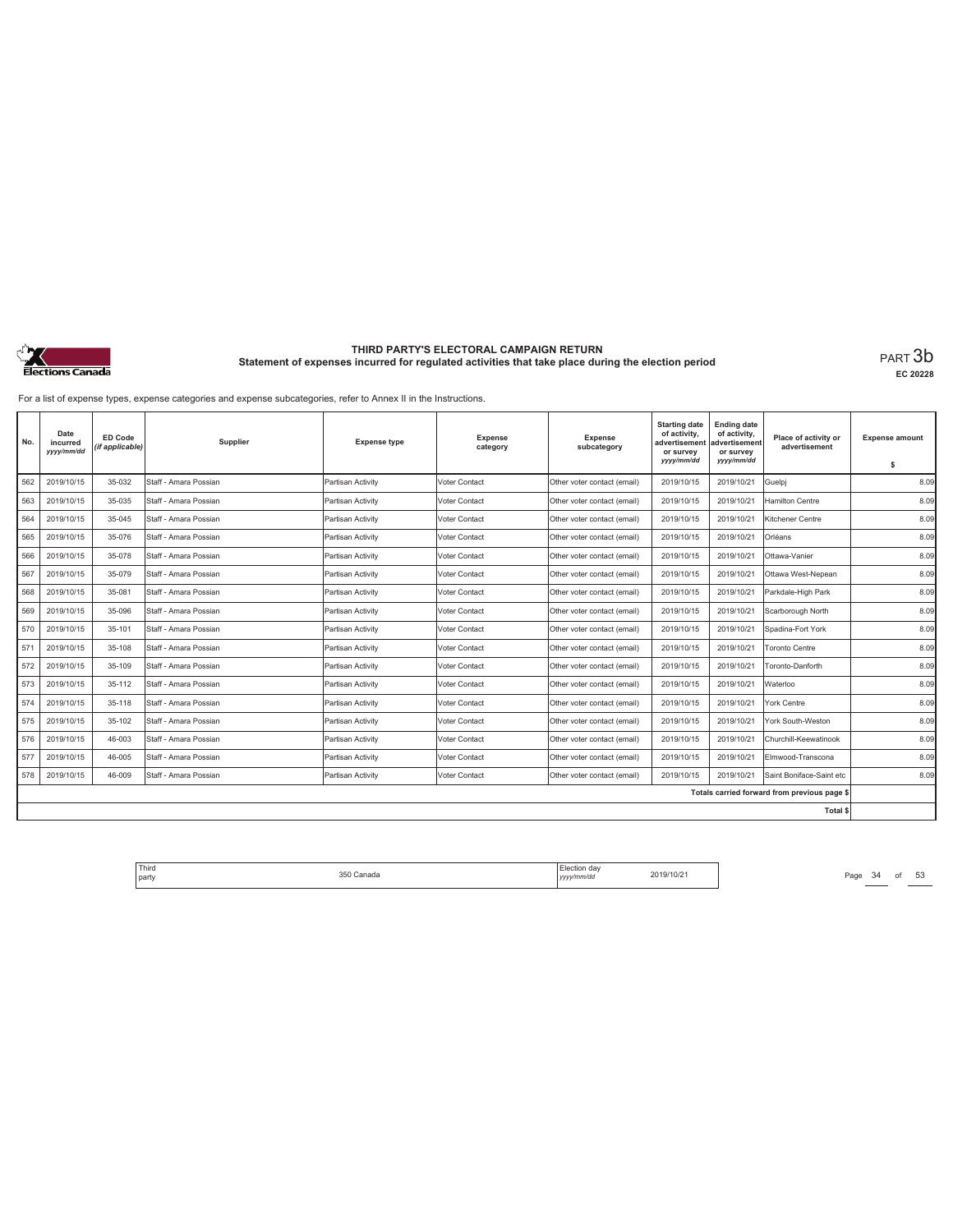

**EC 20228**

For a list of expense types, expense categories and expense subcategories, refer to Annex II in the Instructions.

| No. | Date<br>incurred<br>yyyy/mm/dd | <b>ED Code</b><br>(if applicable) | Supplier              | <b>Expense type</b> | <b>Expense</b><br>category | <b>Expense</b><br>subcategory | <b>Starting date</b><br>of activity,<br>advertisemen<br>or survey<br>yyyy/mm/dd | <b>Ending date</b><br>of activity,<br>advertisement<br>or survey<br>yyy/mm/dd | Place of activity or<br>advertisement        | <b>Expense amount</b><br>\$ |
|-----|--------------------------------|-----------------------------------|-----------------------|---------------------|----------------------------|-------------------------------|---------------------------------------------------------------------------------|-------------------------------------------------------------------------------|----------------------------------------------|-----------------------------|
| 562 | 2019/10/15                     | 35-032                            | Staff - Amara Possian | Partisan Activity   | <b>Voter Contact</b>       | Other voter contact (email)   | 2019/10/15                                                                      | 2019/10/21                                                                    | Guelpj                                       | 8.09                        |
| 563 | 2019/10/15                     | 35-035                            | Staff - Amara Possian | Partisan Activity   | Voter Contact              | Other voter contact (email)   | 2019/10/15                                                                      | 2019/10/21                                                                    | <b>Hamilton Centre</b>                       | 8.09                        |
| 564 | 2019/10/15                     | 35-045                            | Staff - Amara Possian | Partisan Activity   | <b>Voter Contact</b>       | Other voter contact (email)   | 2019/10/15                                                                      | 2019/10/21                                                                    | Kitchener Centre                             | 8.09                        |
| 565 | 2019/10/15                     | 35-076                            | Staff - Amara Possian | Partisan Activity   | Voter Contact              | Other voter contact (email)   | 2019/10/15                                                                      | 2019/10/21                                                                    | Orléans                                      | 8.09                        |
| 566 | 2019/10/15                     | 35-078                            | Staff - Amara Possian | Partisan Activity   | Voter Contact              | Other voter contact (email)   | 2019/10/15                                                                      | 2019/10/21                                                                    | Ottawa-Vanier                                | 8.09                        |
| 567 | 2019/10/15                     | 35-079                            | Staff - Amara Possian | Partisan Activity   | <b>Voter Contact</b>       | Other voter contact (email)   | 2019/10/15                                                                      | 2019/10/21                                                                    | Ottawa West-Nepean                           | 8.09                        |
| 568 | 2019/10/15                     | 35-081                            | Staff - Amara Possian | Partisan Activity   | Voter Contact              | Other voter contact (email)   | 2019/10/15                                                                      | 2019/10/21                                                                    | Parkdale-High Park                           | 8.09                        |
| 569 | 2019/10/15                     | 35-096                            | Staff - Amara Possian | Partisan Activity   | Voter Contact              | Other voter contact (email)   | 2019/10/15                                                                      | 2019/10/21                                                                    | Scarborough North                            | 8.09                        |
| 570 | 2019/10/15                     | 35-101                            | Staff - Amara Possian | Partisan Activity   | Voter Contact              | Other voter contact (email)   | 2019/10/15                                                                      | 2019/10/21                                                                    | Spadina-Fort York                            | 8.09                        |
| 571 | 2019/10/15                     | 35-108                            | Staff - Amara Possian | Partisan Activity   | Voter Contact              | Other voter contact (email)   | 2019/10/15                                                                      | 2019/10/21                                                                    | <b>Toronto Centre</b>                        | 8.09                        |
| 572 | 2019/10/15                     | 35-109                            | Staff - Amara Possian | Partisan Activity   | Voter Contact              | Other voter contact (email)   | 2019/10/15                                                                      | 2019/10/21                                                                    | Toronto-Danforth                             | 8.09                        |
| 573 | 2019/10/15                     | 35-112                            | Staff - Amara Possian | Partisan Activity   | Voter Contact              | Other voter contact (email)   | 2019/10/15                                                                      | 2019/10/21                                                                    | Waterloo                                     | 8.09                        |
| 574 | 2019/10/15                     | 35-118                            | Staff - Amara Possian | Partisan Activity   | Voter Contact              | Other voter contact (email)   | 2019/10/15                                                                      | 2019/10/21                                                                    | York Centre                                  | 8.09                        |
| 575 | 2019/10/15                     | 35-102                            | Staff - Amara Possian | Partisan Activity   | Voter Contact              | Other voter contact (email)   | 2019/10/15                                                                      | 2019/10/21                                                                    | York South-Weston                            | 8.09                        |
| 576 | 2019/10/15                     | 46-003                            | Staff - Amara Possian | Partisan Activity   | <b>Voter Contact</b>       | Other voter contact (email)   | 2019/10/15                                                                      | 2019/10/21                                                                    | Churchill-Keewatinook                        | 8.09                        |
| 577 | 2019/10/15                     | 46-005                            | Staff - Amara Possian | Partisan Activity   | Voter Contact              | Other voter contact (email)   | 2019/10/15                                                                      | 2019/10/21                                                                    | Elmwood-Transcona                            | 8.09                        |
| 578 | 2019/10/15                     | 46-009                            | Staff - Amara Possian | Partisan Activity   | <b>Voter Contact</b>       | Other voter contact (email)   | 2019/10/15                                                                      | 2019/10/21                                                                    | Saint Boniface-Saint etc                     | 8.09                        |
|     |                                |                                   |                       |                     |                            |                               |                                                                                 |                                                                               | Totals carried forward from previous page \$ |                             |
|     |                                |                                   |                       |                     |                            |                               |                                                                                 |                                                                               | <b>Total \$</b>                              |                             |

Third Election day Election day 2019/10/21 Page 34 of 53 Page 34 of 53 party 350 Canada Election day *yyyy/mm/dd* 2019/10/21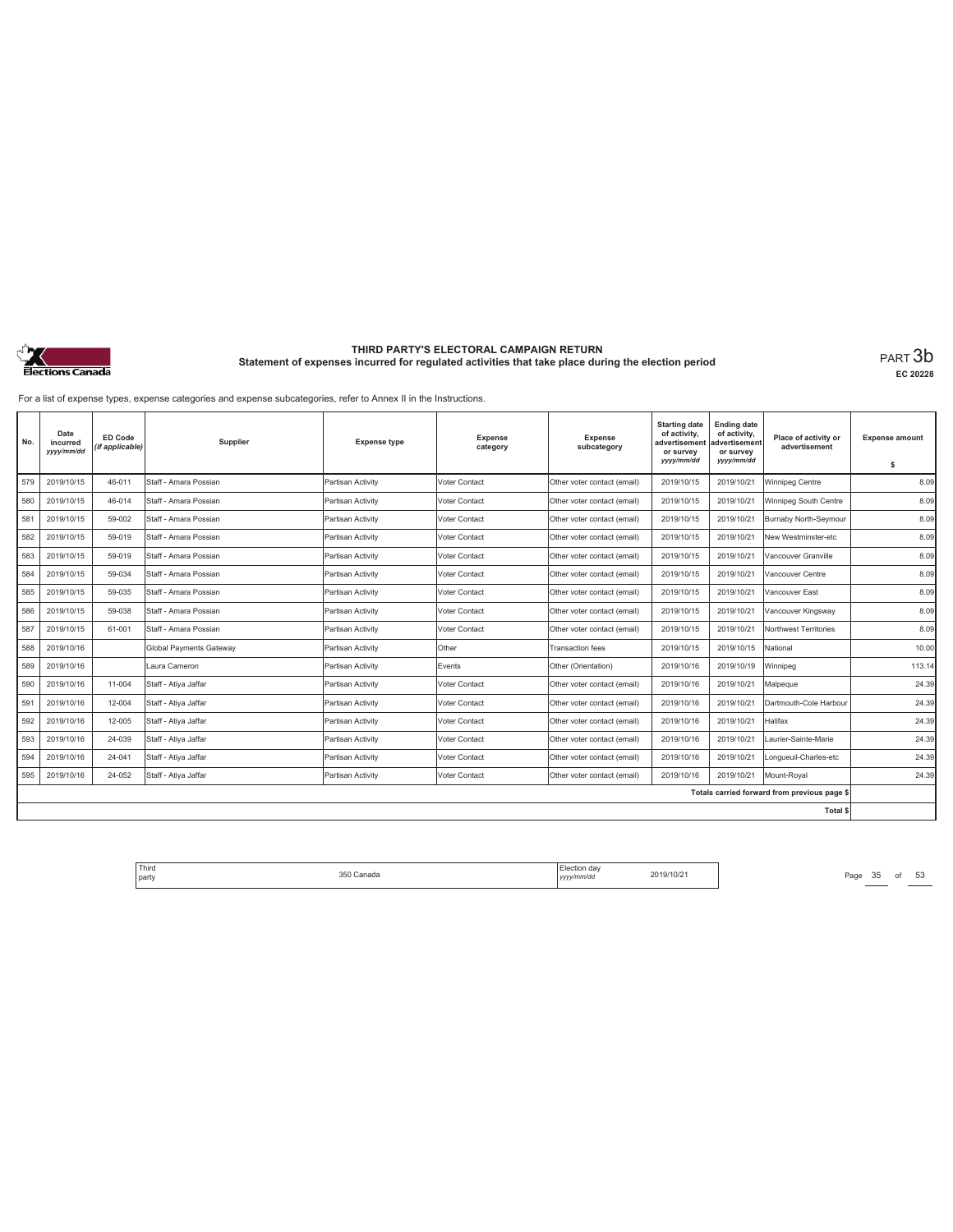

**EC 20228**

For a list of expense types, expense categories and expense subcategories, refer to Annex II in the Instructions.

| No. | Date<br>incurred<br>yyyy/mm/dd | <b>ED Code</b><br>(if applicable) | Supplier                       | <b>Expense type</b> | Expense<br>category  | Expense<br>subcategory      | <b>Starting date</b><br>of activity,<br>advertisemen<br>or survey<br>yyyy/mm/dd | <b>Ending date</b><br>of activity,<br>advertisement<br>or survey<br>yyyy/mm/dd | Place of activity or<br>advertisement        | <b>Expense amount</b><br>s |
|-----|--------------------------------|-----------------------------------|--------------------------------|---------------------|----------------------|-----------------------------|---------------------------------------------------------------------------------|--------------------------------------------------------------------------------|----------------------------------------------|----------------------------|
| 579 | 2019/10/15                     | 46-011                            | Staff - Amara Possian          | Partisan Activity   | Voter Contact        | Other voter contact (email) | 2019/10/15                                                                      | 2019/10/21                                                                     | Winnipeg Centre                              | 8.09                       |
| 580 | 2019/10/15                     | 46-014                            | Staff - Amara Possian          | Partisan Activity   | Voter Contact        | Other voter contact (email) | 2019/10/15                                                                      | 2019/10/21                                                                     | Winnipeg South Centre                        | 8.09                       |
| 581 | 2019/10/15                     | 59-002                            | Staff - Amara Possian          | Partisan Activity   | Voter Contact        | Other voter contact (email) | 2019/10/15                                                                      | 2019/10/21                                                                     | Burnaby North-Seymour                        | 8.09                       |
| 582 | 2019/10/15                     | 59-019                            | Staff - Amara Possian          | Partisan Activity   | Voter Contact        | Other voter contact (email) | 2019/10/15                                                                      | 2019/10/21                                                                     | New Westminster-etc                          | 8.09                       |
| 583 | 2019/10/15                     | 59-019                            | Staff - Amara Possian          | Partisan Activity   | Voter Contact        | Other voter contact (email) | 2019/10/15                                                                      | 2019/10/21                                                                     | Vancouver Granville                          | 8.09                       |
| 584 | 2019/10/15                     | 59-034                            | Staff - Amara Possian          | Partisan Activity   | Voter Contact        | Other voter contact (email) | 2019/10/15                                                                      | 2019/10/21                                                                     | Vancouver Centre                             | 8.09                       |
| 585 | 2019/10/15                     | 59-035                            | Staff - Amara Possian          | Partisan Activity   | Voter Contact        | Other voter contact (email) | 2019/10/15                                                                      | 2019/10/21                                                                     | Vancouver East                               | 8.09                       |
| 586 | 2019/10/15                     | 59-038                            | Staff - Amara Possian          | Partisan Activity   | Voter Contact        | Other voter contact (email) | 2019/10/15                                                                      | 2019/10/21                                                                     | Vancouver Kingsway                           | 8.09                       |
| 587 | 2019/10/15                     | 61-001                            | Staff - Amara Possian          | Partisan Activity   | Voter Contact        | Other voter contact (email) | 2019/10/15                                                                      | 2019/10/21                                                                     | Northwest Territories                        | 8.09                       |
| 588 | 2019/10/16                     |                                   | <b>Global Payments Gateway</b> | Partisan Activity   | Other                | <b>Transaction fees</b>     | 2019/10/15                                                                      | 2019/10/15                                                                     | National                                     | 10.00                      |
| 589 | 2019/10/16                     |                                   | Laura Cameron                  | Partisan Activity   | Events               | Other (Orientation)         | 2019/10/16                                                                      | 2019/10/19                                                                     | Winnipeg                                     | 113.14                     |
| 590 | 2019/10/16                     | 11-004                            | Staff - Atiya Jaffar           | Partisan Activity   | <b>Voter Contact</b> | Other voter contact (email) | 2019/10/16                                                                      | 2019/10/21                                                                     | Malpeque                                     | 24.39                      |
| 591 | 2019/10/16                     | 12-004                            | Staff - Ativa Jaffar           | Partisan Activity   | Voter Contact        | Other voter contact (email) | 2019/10/16                                                                      | 2019/10/21                                                                     | Dartmouth-Cole Harbour                       | 24.39                      |
| 592 | 2019/10/16                     | 12-005                            | Staff - Atiya Jaffar           | Partisan Activity   | Voter Contact        | Other voter contact (email) | 2019/10/16                                                                      | 2019/10/21                                                                     | Halifax                                      | 24.39                      |
| 593 | 2019/10/16                     | 24-039                            | Staff - Ativa Jaffar           | Partisan Activity   | Voter Contact        | Other voter contact (email) | 2019/10/16                                                                      | 2019/10/21                                                                     | Laurier-Sainte-Marie                         | 24.39                      |
| 594 | 2019/10/16                     | 24-041                            | Staff - Atiya Jaffar           | Partisan Activity   | Voter Contact        | Other voter contact (email) | 2019/10/16                                                                      | 2019/10/21                                                                     | Longueuil-Charles-etc                        | 24.39                      |
| 595 | 2019/10/16                     | 24-052                            | Staff - Atiya Jaffar           | Partisan Activity   | Voter Contact        | Other voter contact (email) | 2019/10/16                                                                      | 2019/10/21                                                                     | Mount-Royal                                  | 24.39                      |
|     |                                |                                   |                                |                     |                      |                             |                                                                                 |                                                                                | Totals carried forward from previous page \$ |                            |
|     |                                |                                   |                                |                     |                      |                             |                                                                                 |                                                                                | Total \$                                     |                            |

Third Election day Election day 2019/10/21 Page 35 of 53 Page 35 of 53 party 350 Canada Election day *yyyy/mm/dd* 2019/10/21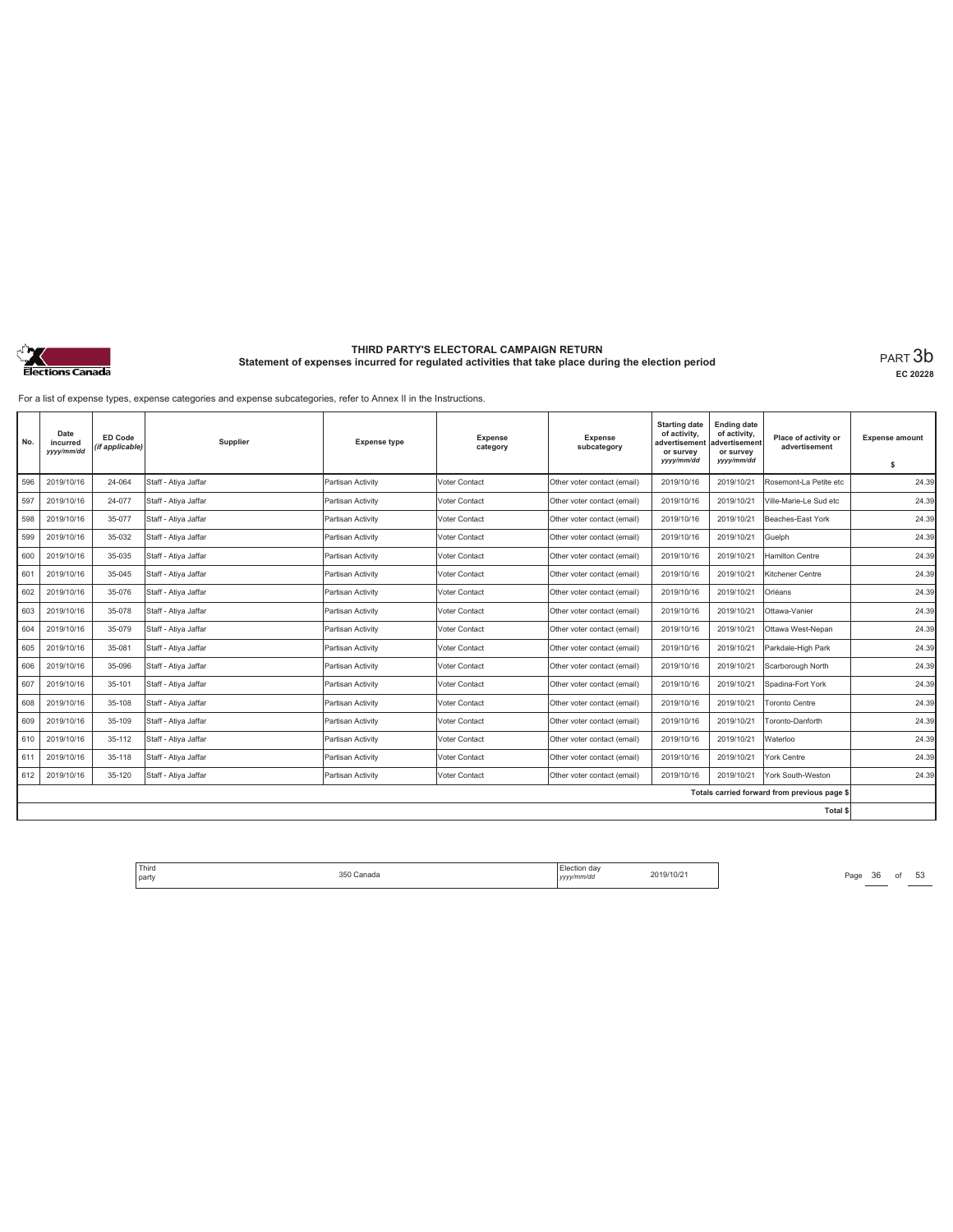

**EC 20228**

For a list of expense types, expense categories and expense subcategories, refer to Annex II in the Instructions.

| No. | Date<br>incurred<br>yyyy/mm/dd | <b>ED Code</b><br>(if applicable) | Supplier             | <b>Expense type</b> | <b>Expense</b><br>category | <b>Expense</b><br>subcategory | <b>Starting date</b><br>of activity,<br>advertisement<br>or survey<br>yyyy/mm/dd | <b>Ending date</b><br>of activity,<br>advertisement<br>or survey<br>yyyy/mm/dd | Place of activity or<br>advertisement        | <b>Expense amount</b><br>s |
|-----|--------------------------------|-----------------------------------|----------------------|---------------------|----------------------------|-------------------------------|----------------------------------------------------------------------------------|--------------------------------------------------------------------------------|----------------------------------------------|----------------------------|
| 596 | 2019/10/16                     | 24-064                            | Staff - Atiya Jaffar | Partisan Activity   | Voter Contact              | Other voter contact (email)   | 2019/10/16                                                                       | 2019/10/21                                                                     | Rosemont-La Petite etc                       | 24.39                      |
|     |                                |                                   |                      |                     |                            |                               |                                                                                  |                                                                                |                                              |                            |
| 597 | 2019/10/16                     | 24-077                            | Staff - Atiya Jaffar | Partisan Activity   | Voter Contact              | Other voter contact (email)   | 2019/10/16                                                                       | 2019/10/21                                                                     | Ville-Marie-Le Sud etc                       | 24.39                      |
| 598 | 2019/10/16                     | 35-077                            | Staff - Ativa Jaffar | Partisan Activity   | Voter Contact              | Other voter contact (email)   | 2019/10/16                                                                       | 2019/10/21                                                                     | Beaches-East York                            | 24.39                      |
| 599 | 2019/10/16                     | 35-032                            | Staff - Atiya Jaffar | Partisan Activity   | Voter Contact              | Other voter contact (email)   | 2019/10/16                                                                       | 2019/10/21                                                                     | Guelph                                       | 24.39                      |
| 600 | 2019/10/16                     | 35-035                            | Staff - Atiya Jaffar | Partisan Activity   | Voter Contact              | Other voter contact (email)   | 2019/10/16                                                                       | 2019/10/21                                                                     | <b>Hamilton Centre</b>                       | 24.39                      |
| 601 | 2019/10/16                     | 35-045                            | Staff - Atiya Jaffar | Partisan Activity   | Voter Contact              | Other voter contact (email)   | 2019/10/16                                                                       | 2019/10/21                                                                     | Kitchener Centre                             | 24.39                      |
| 602 | 2019/10/16                     | 35-076                            | Staff - Atiya Jaffar | Partisan Activity   | Voter Contact              | Other voter contact (email)   | 2019/10/16                                                                       | 2019/10/21                                                                     | Orléans                                      | 24.39                      |
| 603 | 2019/10/16                     | 35-078                            | Staff - Atiya Jaffar | Partisan Activity   | Voter Contact              | Other voter contact (email)   | 2019/10/16                                                                       | 2019/10/21                                                                     | Ottawa-Vanier                                | 24.39                      |
| 604 | 2019/10/16                     | 35-079                            | Staff - Atiya Jaffar | Partisan Activity   | Voter Contact              | Other voter contact (email)   | 2019/10/16                                                                       | 2019/10/21                                                                     | Ottawa West-Nepan                            | 24.39                      |
| 605 | 2019/10/16                     | 35-081                            | Staff - Atiya Jaffar | Partisan Activity   | Voter Contact              | Other voter contact (email)   | 2019/10/16                                                                       | 2019/10/21                                                                     | Parkdale-High Park                           | 24.39                      |
| 606 | 2019/10/16                     | 35-096                            | Staff - Atiya Jaffar | Partisan Activity   | Voter Contact              | Other voter contact (email)   | 2019/10/16                                                                       | 2019/10/21                                                                     | Scarborough North                            | 24.39                      |
| 607 | 2019/10/16                     | 35-101                            | Staff - Atiya Jaffar | Partisan Activity   | Voter Contact              | Other voter contact (email)   | 2019/10/16                                                                       | 2019/10/21                                                                     | Spadina-Fort York                            | 24.39                      |
| 608 | 2019/10/16                     | 35-108                            | Staff - Atiya Jaffar | Partisan Activity   | Voter Contact              | Other voter contact (email)   | 2019/10/16                                                                       | 2019/10/21                                                                     | <b>Toronto Centre</b>                        | 24.39                      |
| 609 | 2019/10/16                     | 35-109                            | Staff - Atiya Jaffar | Partisan Activity   | Voter Contact              | Other voter contact (email)   | 2019/10/16                                                                       | 2019/10/21                                                                     | Toronto-Danforth                             | 24.39                      |
| 610 | 2019/10/16                     | 35-112                            | Staff - Atiya Jaffar | Partisan Activity   | Voter Contact              | Other voter contact (email)   | 2019/10/16                                                                       | 2019/10/21                                                                     | Waterloo                                     | 24.39                      |
| 611 | 2019/10/16                     | 35-118                            | Staff - Atiya Jaffar | Partisan Activity   | Voter Contact              | Other voter contact (email)   | 2019/10/16                                                                       | 2019/10/21                                                                     | York Centre                                  | 24.39                      |
| 612 | 2019/10/16                     | 35-120                            | Staff - Atiya Jaffar | Partisan Activity   | Voter Contact              | Other voter contact (email)   | 2019/10/16                                                                       | 2019/10/21                                                                     | York South-Weston                            | 24.39                      |
|     |                                |                                   |                      |                     |                            |                               |                                                                                  |                                                                                | Totals carried forward from previous page \$ |                            |
|     |                                |                                   |                      |                     |                            |                               |                                                                                  |                                                                                | Total \$                                     |                            |

Third Election day Election day 2019/10/21 Page 36 of 53 Page 36 of 53 party 350 Canada Election day *yyyy/mm/dd* 2019/10/21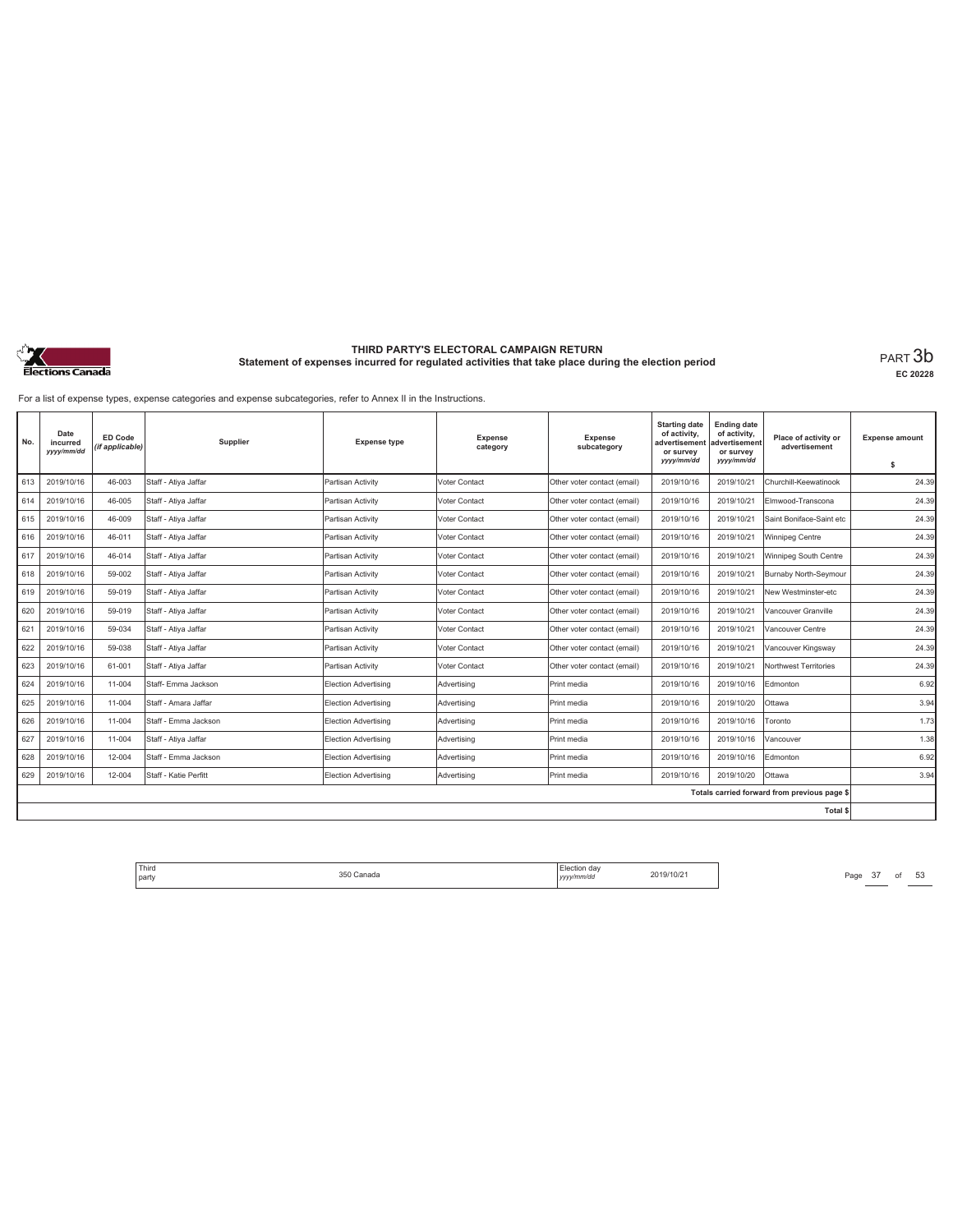

**EC 20228**

For a list of expense types, expense categories and expense subcategories, refer to Annex II in the Instructions.

| No. | Date<br>incurred<br>yyyy/mm/dd | <b>ED Code</b><br>(if applicable) | Supplier              | <b>Expense type</b>         | <b>Expense</b><br>category | Expense<br>subcategory      | <b>Starting date</b><br>of activity,<br>advertisement<br>or survey<br>yyyy/mm/dd | <b>Ending date</b><br>of activity,<br>advertisement<br>or survey<br>yyyy/mm/dd | Place of activity or<br>advertisement        | <b>Expense amount</b><br>\$ |
|-----|--------------------------------|-----------------------------------|-----------------------|-----------------------------|----------------------------|-----------------------------|----------------------------------------------------------------------------------|--------------------------------------------------------------------------------|----------------------------------------------|-----------------------------|
| 613 | 2019/10/16                     | 46-003                            | Staff - Atiya Jaffar  | Partisan Activity           | Voter Contact              | Other voter contact (email) | 2019/10/16                                                                       | 2019/10/21                                                                     | Churchill-Keewatinook                        | 24.39                       |
| 614 | 2019/10/16                     | 46-005                            | Staff - Atiya Jaffar  | Partisan Activity           | Voter Contact              | Other voter contact (email) | 2019/10/16                                                                       | 2019/10/21                                                                     | Elmwood-Transcona                            | 24.39                       |
| 615 | 2019/10/16                     | 46-009                            | Staff - Ativa Jaffar  | Partisan Activity           | Voter Contact              | Other voter contact (email) | 2019/10/16                                                                       | 2019/10/21                                                                     | Saint Boniface-Saint etc                     | 24.39                       |
| 616 | 2019/10/16                     | 46-011                            | Staff - Atiya Jaffar  | Partisan Activity           | Voter Contact              | Other voter contact (email) | 2019/10/16                                                                       | 2019/10/21                                                                     | Winnipeg Centre                              | 24.39                       |
| 617 | 2019/10/16                     | 46-014                            | Staff - Atiya Jaffar  | Partisan Activity           | Voter Contact              | Other voter contact (email) | 2019/10/16                                                                       | 2019/10/21                                                                     | Winnipeg South Centre                        | 24.39                       |
| 618 | 2019/10/16                     | 59-002                            | Staff - Atiya Jaffar  | Partisan Activity           | Voter Contact              | Other voter contact (email) | 2019/10/16                                                                       | 2019/10/21                                                                     | Burnaby North-Seymour                        | 24.39                       |
| 619 | 2019/10/16                     | 59-019                            | Staff - Atiya Jaffar  | Partisan Activity           | Voter Contact              | Other voter contact (email) | 2019/10/16                                                                       | 2019/10/21                                                                     | New Westminster-etc                          | 24.39                       |
| 620 | 2019/10/16                     | 59-019                            | Staff - Atiya Jaffar  | Partisan Activity           | Voter Contact              | Other voter contact (email) | 2019/10/16                                                                       | 2019/10/21                                                                     | Vancouver Granville                          | 24.39                       |
| 621 | 2019/10/16                     | 59-034                            | Staff - Atiya Jaffar  | Partisan Activity           | Voter Contact              | Other voter contact (email) | 2019/10/16                                                                       | 2019/10/21                                                                     | Vancouver Centre                             | 24.39                       |
| 622 | 2019/10/16                     | 59-038                            | Staff - Atiya Jaffar  | Partisan Activity           | Voter Contact              | Other voter contact (email) | 2019/10/16                                                                       | 2019/10/21                                                                     | Vancouver Kingsway                           | 24.39                       |
| 623 | 2019/10/16                     | 61-001                            | Staff - Atiya Jaffar  | Partisan Activity           | Voter Contact              |                             | 2019/10/16                                                                       | 2019/10/21                                                                     | Northwest Territories                        | 24.39                       |
|     |                                |                                   |                       |                             |                            | Other voter contact (email) |                                                                                  |                                                                                |                                              |                             |
| 624 | 2019/10/16                     | 11-004                            | Staff- Emma Jackson   | Election Advertising        | Advertisina                | Print media                 | 2019/10/16                                                                       | 2019/10/16                                                                     | Edmonton                                     | 6.92                        |
| 625 | 2019/10/16                     | 11-004                            | Staff - Amara Jaffar  | Election Advertising        | Advertising                | Print media                 | 2019/10/16                                                                       | 2019/10/20                                                                     | Ottawa                                       | 3.94                        |
| 626 | 2019/10/16                     | 11-004                            | Staff - Emma Jackson  | Election Advertising        | Advertising                | Print media                 | 2019/10/16                                                                       | 2019/10/16                                                                     | Toronto                                      | 1.73                        |
| 627 | 2019/10/16                     | 11-004                            | Staff - Atiya Jaffar  | Election Advertising        | Advertising                | Print media                 | 2019/10/16                                                                       | 2019/10/16                                                                     | Vancouver                                    | 1.38                        |
| 628 | 2019/10/16                     | 12-004                            | Staff - Emma Jackson  | <b>Election Advertising</b> | Advertising                | Print media                 | 2019/10/16                                                                       | 2019/10/16                                                                     | Edmonton                                     | 6.92                        |
| 629 | 2019/10/16                     | 12-004                            | Staff - Katie Perfitt | Election Advertising        | Advertising                | Print media                 | 2019/10/16                                                                       | 2019/10/20                                                                     | Ottawa                                       | 3.94                        |
|     |                                |                                   |                       |                             |                            |                             |                                                                                  |                                                                                | Totals carried forward from previous page \$ |                             |
|     |                                |                                   |                       |                             |                            |                             |                                                                                  |                                                                                | Total \$                                     |                             |

Third The Same 350 Canada 350 Canada 2019/10/21 Page 37 of 53 party 350 Canada Election day *yyyy/mm/dd* 2019/10/21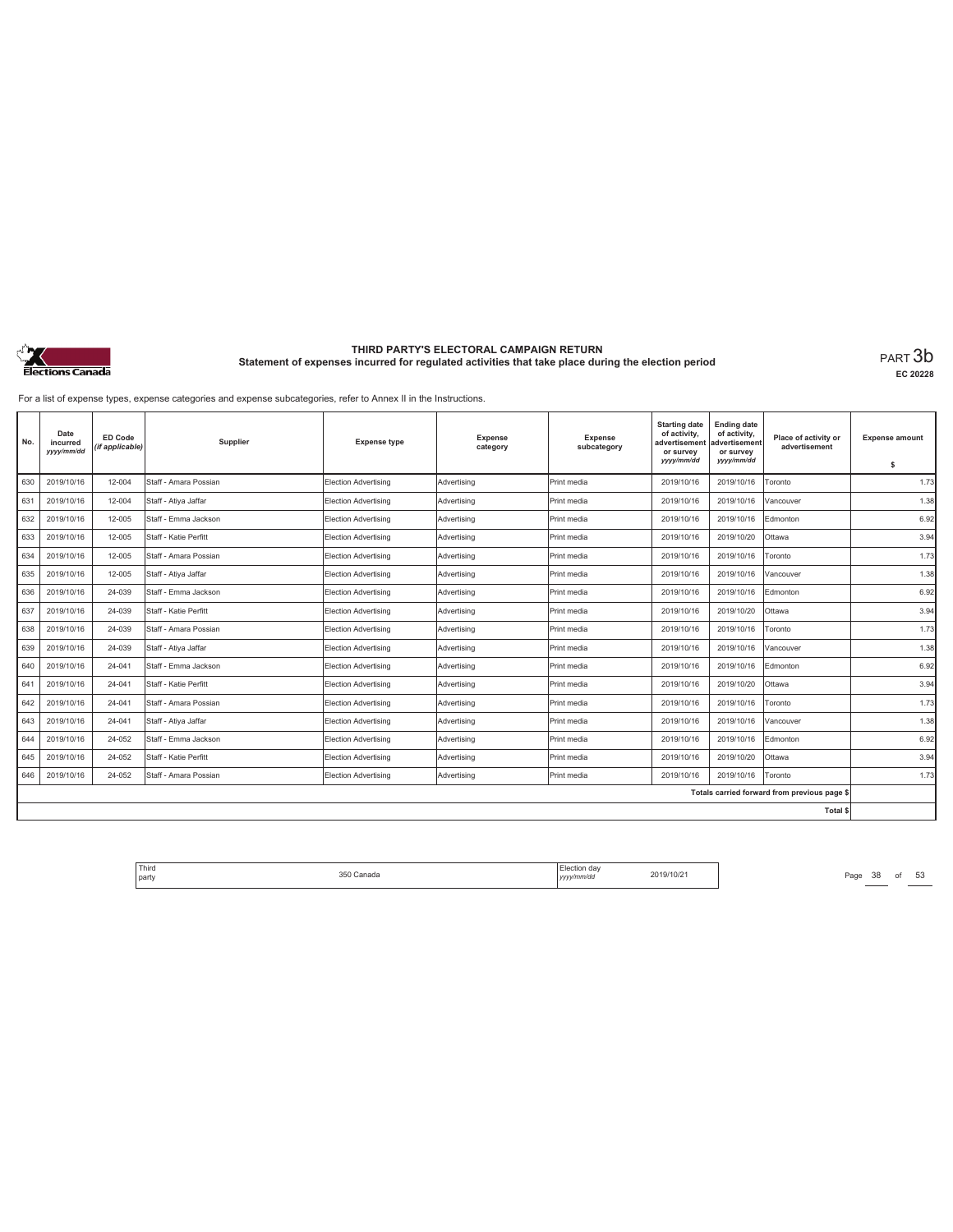

**EC 20228**

For a list of expense types, expense categories and expense subcategories, refer to Annex II in the Instructions.

| No. | Date<br>incurred<br>yyyy/mm/dd | <b>ED Code</b><br>(if applicable) | Supplier              | <b>Expense type</b>         | <b>Expense</b><br>category | Expense<br>subcategory | <b>Starting date</b><br>of activity,<br>advertisement<br>or survey<br>yyyy/mm/dd | <b>Ending date</b><br>of activity,<br>advertisement<br>or survey<br>yyyy/mm/dd | Place of activity or<br>advertisement        | <b>Expense amount</b><br>\$ |
|-----|--------------------------------|-----------------------------------|-----------------------|-----------------------------|----------------------------|------------------------|----------------------------------------------------------------------------------|--------------------------------------------------------------------------------|----------------------------------------------|-----------------------------|
| 630 | 2019/10/16                     | 12-004                            | Staff - Amara Possian | <b>Election Advertising</b> | Advertising                | Print media            | 2019/10/16                                                                       | 2019/10/16                                                                     | Toronto                                      | 1.73                        |
| 631 | 2019/10/16                     | 12-004                            | Staff - Atiya Jaffar  | Election Advertising        | Advertising                | Print media            | 2019/10/16                                                                       | 2019/10/16                                                                     | Vancouver                                    | 1.38                        |
| 632 | 2019/10/16                     | 12-005                            | Staff - Emma Jackson  | Election Advertising        | Advertisina                | Print media            | 2019/10/16                                                                       | 2019/10/16                                                                     | Edmonton                                     | 6.92                        |
| 633 | 2019/10/16                     | 12-005                            | Staff - Katie Perfitt | Election Advertising        | Advertising                | Print media            | 2019/10/16                                                                       | 2019/10/20                                                                     | Ottawa                                       | 3.94                        |
| 634 | 2019/10/16                     | 12-005                            | Staff - Amara Possian | <b>Election Advertising</b> | Advertising                | Print media            | 2019/10/16                                                                       | 2019/10/16                                                                     | Toronto                                      | 1.73                        |
| 635 | 2019/10/16                     | 12-005                            | Staff - Ativa Jaffar  | Election Advertising        | Advertisina                | Print media            | 2019/10/16                                                                       | 2019/10/16                                                                     | Vancouver                                    | 1.38                        |
| 636 | 2019/10/16                     | 24-039                            | Staff - Emma Jackson  | Election Advertising        | Advertising                | Print media            | 2019/10/16                                                                       | 2019/10/16                                                                     | Edmonton                                     | 6.92                        |
| 637 | 2019/10/16                     | 24-039                            | Staff - Katie Perfitt | Election Advertising        | Advertising                | Print media            | 2019/10/16                                                                       | 2019/10/20                                                                     | Ottawa                                       | 3.94                        |
| 638 | 2019/10/16                     | 24-039                            | Staff - Amara Possian | Election Advertising        | Advertisina                | Print media            | 2019/10/16                                                                       | 2019/10/16                                                                     | Toronto                                      | 1.73                        |
| 639 | 2019/10/16                     | 24-039                            | Staff - Atiya Jaffar  | Election Advertising        | Advertisina                | Print media            | 2019/10/16                                                                       | 2019/10/16                                                                     | Vancouver                                    | 1.38                        |
| 640 | 2019/10/16                     | 24-041                            | Staff - Emma Jackson  | Election Advertising        | Advertising                | Print media            | 2019/10/16                                                                       | 2019/10/16                                                                     | Edmonton                                     | 6.92                        |
| 641 | 2019/10/16                     | 24-041                            | Staff - Katie Perfitt | Election Advertising        | Advertising                | Print media            | 2019/10/16                                                                       | 2019/10/20                                                                     | Ottawa                                       | 3.94                        |
| 642 | 2019/10/16                     | 24-041                            | Staff - Amara Possian | Election Advertising        | Advertisina                | Print media            | 2019/10/16                                                                       | 2019/10/16                                                                     | Toronto                                      | 1.73                        |
| 643 | 2019/10/16                     | 24-041                            | Staff - Atiya Jaffar  | Election Advertising        | Advertising                | Print media            | 2019/10/16                                                                       | 2019/10/16                                                                     | Vancouver                                    | 1.38                        |
| 644 | 2019/10/16                     | 24-052                            | Staff - Emma Jackson  | Election Advertising        | Advertising                | Print media            | 2019/10/16                                                                       | 2019/10/16                                                                     | Edmonton                                     | 6.92                        |
| 645 | 2019/10/16                     | 24-052                            | Staff - Katie Perfitt | Election Advertising        | Advertisina                | Print media            | 2019/10/16                                                                       | 2019/10/20                                                                     | Ottawa                                       | 3.94                        |
| 646 | 2019/10/16                     | 24-052                            | Staff - Amara Possian | Election Advertising        | Advertising                | Print media            | 2019/10/16                                                                       | 2019/10/16                                                                     | Toronto                                      | 1.73                        |
|     |                                |                                   |                       |                             |                            |                        |                                                                                  |                                                                                | Totals carried forward from previous page \$ |                             |
|     |                                |                                   |                       |                             |                            |                        |                                                                                  |                                                                                | Total \$                                     |                             |

Third Election day Election day 2019/10/21 Page 38 of 53 Page 38 of 53 party 350 Canada Election day *yyyy/mm/dd* 2019/10/21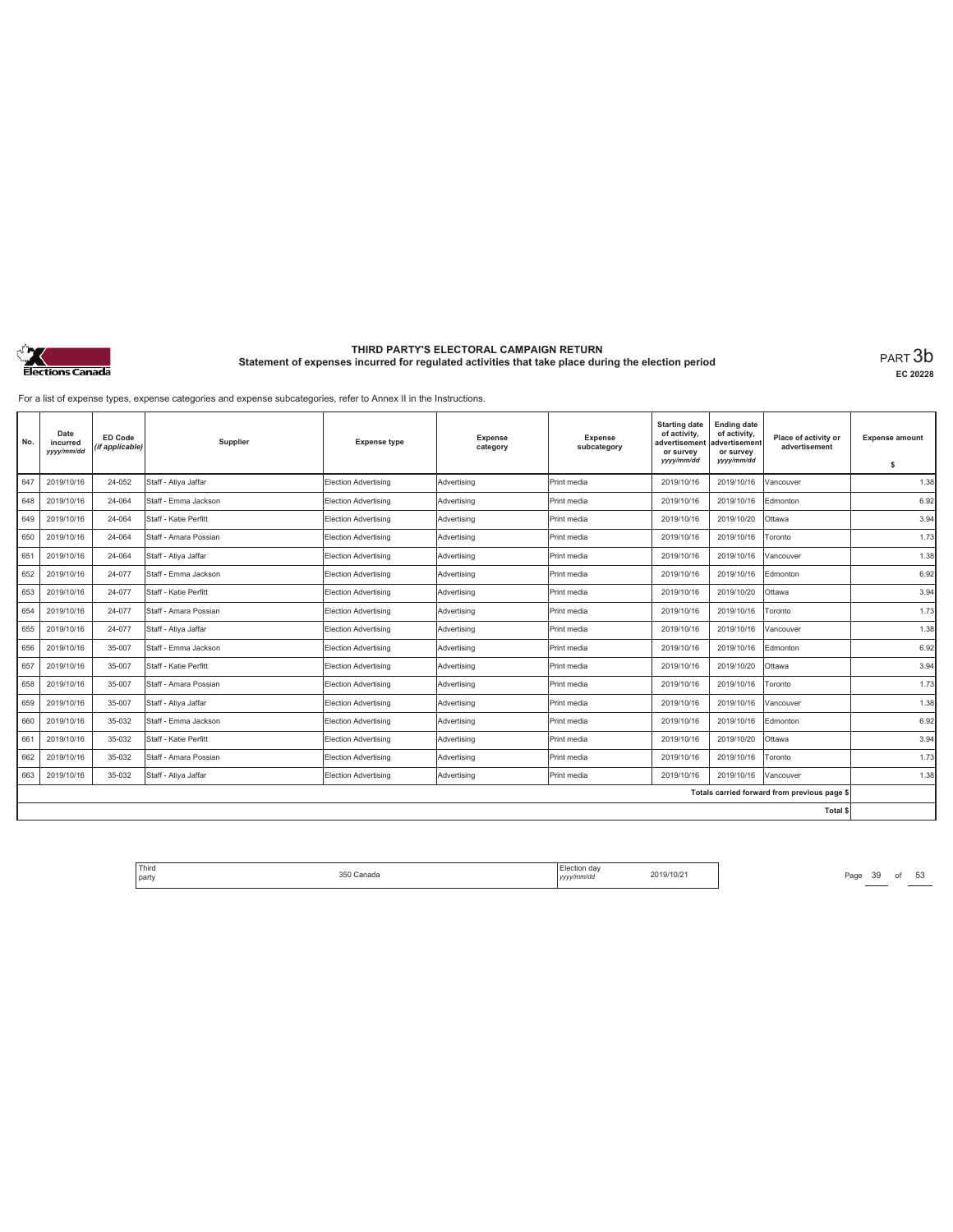

**EC 20228**

For a list of expense types, expense categories and expense subcategories, refer to Annex II in the Instructions.

| No. | Date<br>incurred<br>yyyy/mm/dd | <b>ED Code</b><br>(if applicable) | Supplier              | <b>Expense type</b>         | <b>Expense</b><br>category | Expense<br>subcategory | <b>Starting date</b><br>of activity,<br>advertisement<br>or survey<br>yyyy/mm/dd | <b>Ending date</b><br>of activity,<br>advertisement<br>or survey<br>yyyy/mm/dd | Place of activity or<br>advertisement        | <b>Expense amount</b><br>\$ |
|-----|--------------------------------|-----------------------------------|-----------------------|-----------------------------|----------------------------|------------------------|----------------------------------------------------------------------------------|--------------------------------------------------------------------------------|----------------------------------------------|-----------------------------|
| 647 | 2019/10/16                     | 24-052                            | Staff - Atiya Jaffar  | Election Advertising        | Advertisina                | Print media            | 2019/10/16                                                                       | 2019/10/16                                                                     | Vancouver                                    | 1.38                        |
| 648 | 2019/10/16                     | 24-064                            | Staff - Emma Jackson  | Election Advertising        | Advertising                | Print media            | 2019/10/16                                                                       | 2019/10/16                                                                     | Edmonton                                     | 6.92                        |
| 649 | 2019/10/16                     | 24-064                            | Staff - Katie Perfitt | Election Advertising        | Advertisina                | Print media            | 2019/10/16                                                                       | 2019/10/20                                                                     | Ottawa                                       | 3.94                        |
| 650 | 2019/10/16                     | 24-064                            | Staff - Amara Possian | Election Advertising        | Advertisina                | Print media            | 2019/10/16                                                                       | 2019/10/16                                                                     | Toronto                                      | 1.73                        |
| 651 | 2019/10/16                     | 24-064                            | Staff - Atiya Jaffar  | Election Advertising        | Advertisina                | Print media            | 2019/10/16                                                                       | 2019/10/16                                                                     | Vancouver                                    | 1.38                        |
| 652 | 2019/10/16                     | 24-077                            | Staff - Emma Jackson  | Election Advertising        | Advertising                | Print media            | 2019/10/16                                                                       | 2019/10/16                                                                     | Edmonton                                     | 6.92                        |
| 653 | 2019/10/16                     | 24-077                            | Staff - Katie Perfitt | Election Advertising        | Advertisina                | Print media            | 2019/10/16                                                                       | 2019/10/20                                                                     | Ottawa                                       | 3.94                        |
| 654 | 2019/10/16                     | 24-077                            | Staff - Amara Possian | Election Advertising        | Advertising                | Print media            | 2019/10/16                                                                       | 2019/10/16                                                                     | Toronto                                      | 1.73                        |
| 655 | 2019/10/16                     | 24-077                            | Staff - Ativa Jaffar  | Election Advertising        | Advertisina                | Print media            | 2019/10/16                                                                       | 2019/10/16                                                                     | Vancouver                                    | 1.38                        |
| 656 | 2019/10/16                     | 35-007                            | Staff - Emma Jackson  | Election Advertising        | Advertising                | Print media            | 2019/10/16                                                                       | 2019/10/16                                                                     | Edmonton                                     | 6.92                        |
| 657 | 2019/10/16                     | 35-007                            | Staff - Katie Perfitt | Election Advertising        | Advertisina                | Print media            | 2019/10/16                                                                       | 2019/10/20                                                                     | Ottawa                                       | 3.94                        |
| 658 | 2019/10/16                     | 35-007                            | Staff - Amara Possian | Election Advertising        | Advertisina                | Print media            | 2019/10/16                                                                       | 2019/10/16                                                                     | Toronto                                      | 1.73                        |
| 659 | 2019/10/16                     | 35-007                            | Staff - Atiya Jaffar  | Election Advertising        | Advertisina                | Print media            | 2019/10/16                                                                       | 2019/10/16                                                                     | Vancouver                                    | 1.38                        |
| 660 | 2019/10/16                     | 35-032                            | Staff - Emma Jackson  | Election Advertising        | Advertising                | Print media            | 2019/10/16                                                                       | 2019/10/16                                                                     | Edmonton                                     | 6.92                        |
| 661 | 2019/10/16                     | 35-032                            | Staff - Katie Perfitt | Election Advertising        | Advertisina                | Print media            | 2019/10/16                                                                       | 2019/10/20                                                                     | Ottawa                                       | 3.94                        |
| 662 | 2019/10/16                     | 35-032                            | Staff - Amara Possian | Election Advertising        | Advertising                | Print media            | 2019/10/16                                                                       | 2019/10/16                                                                     | Toronto                                      | 1.73                        |
| 663 | 2019/10/16                     | 35-032                            | Staff - Atiya Jaffar  | <b>Election Advertising</b> | Advertising                | Print media            | 2019/10/16                                                                       | 2019/10/16                                                                     | Vancouver                                    | 1.38                        |
|     |                                |                                   |                       |                             |                            |                        |                                                                                  |                                                                                | Totals carried forward from previous page \$ |                             |
|     |                                |                                   |                       |                             |                            |                        |                                                                                  |                                                                                | Total \$                                     |                             |

Third Election day Election day 2019/10/21 Page 39 of 53 Page 39 of 53 party 350 Canada Election day *yyyy/mm/dd* 2019/10/21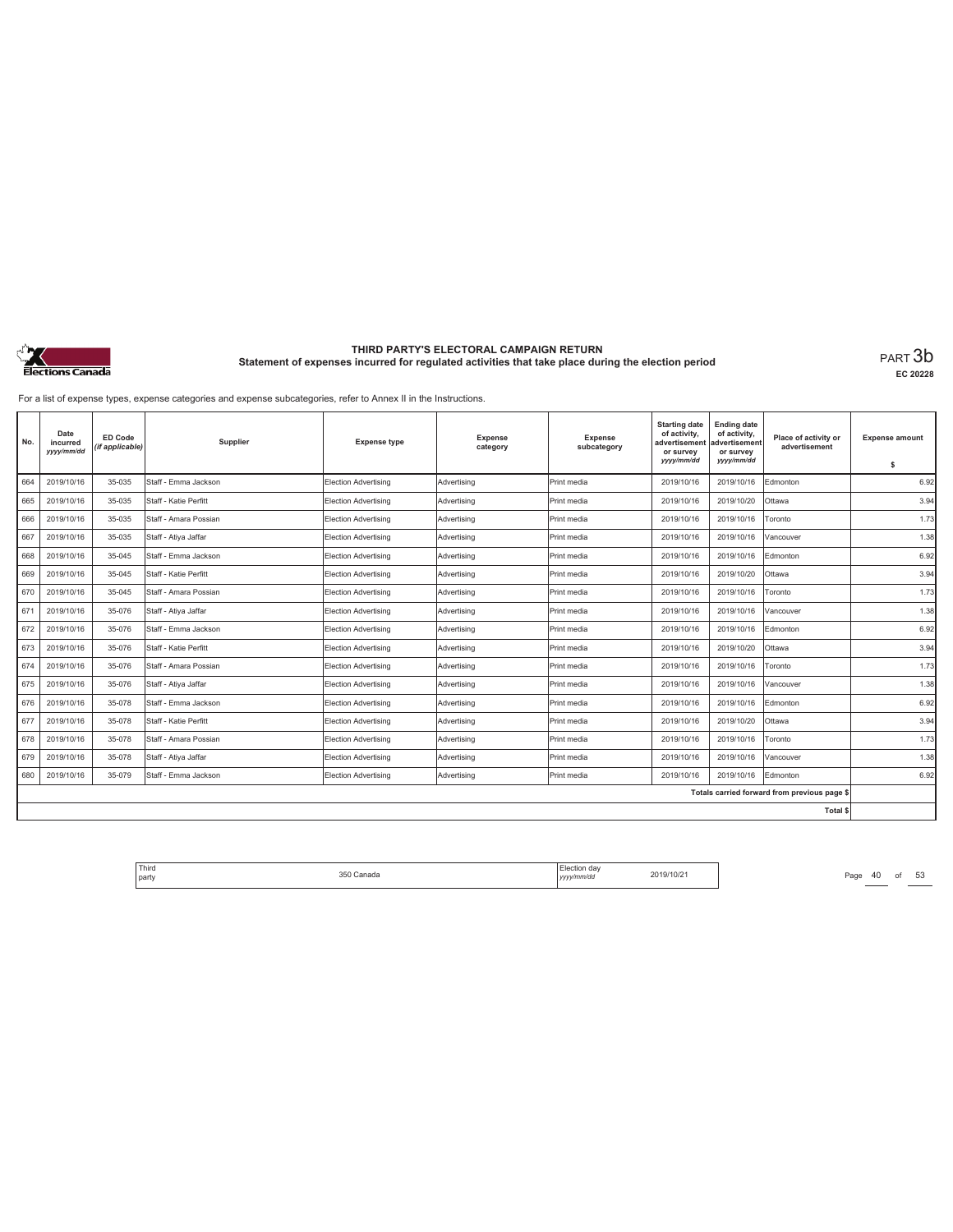

**EC 20228**

For a list of expense types, expense categories and expense subcategories, refer to Annex II in the Instructions.

| No. | Date<br>incurred<br>yyyy/mm/dd | ED Code<br>(if applicable) | Supplier              | <b>Expense type</b>         | <b>Expense</b><br>category | <b>Expense</b><br>subcategory | <b>Starting date</b><br>of activity,<br>advertisement<br>or survey<br>yyyy/mm/dd | <b>Ending date</b><br>of activity,<br>advertisement<br>or survey<br>yyyy/mm/dd | Place of activity or<br>advertisement        | <b>Expense amount</b><br>\$ |
|-----|--------------------------------|----------------------------|-----------------------|-----------------------------|----------------------------|-------------------------------|----------------------------------------------------------------------------------|--------------------------------------------------------------------------------|----------------------------------------------|-----------------------------|
| 664 | 2019/10/16                     | 35-035                     | Staff - Emma Jackson  | <b>Election Advertising</b> | Advertising                | Print media                   | 2019/10/16                                                                       | 2019/10/16                                                                     | Edmonton                                     | 6.92                        |
| 665 | 2019/10/16                     | 35-035                     | Staff - Katie Perfitt | Election Advertising        | Advertising                | Print media                   | 2019/10/16                                                                       | 2019/10/20                                                                     | Ottawa                                       | 3.94                        |
| 666 | 2019/10/16                     | 35-035                     | Staff - Amara Possian | Election Advertising        | Advertisina                | Print media                   | 2019/10/16                                                                       | 2019/10/16                                                                     | Toronto                                      | 1.73                        |
| 667 | 2019/10/16                     | 35-035                     | Staff - Atiya Jaffar  | Election Advertising        | Advertising                | Print media                   | 2019/10/16                                                                       | 2019/10/16                                                                     | Vancouver                                    | 1.38                        |
| 668 | 2019/10/16                     | 35-045                     | Staff - Emma Jackson  | Election Advertising        | Advertising                | Print media                   | 2019/10/16                                                                       | 2019/10/16                                                                     | Edmonton                                     | 6.92                        |
| 669 | 2019/10/16                     | 35-045                     | Staff - Katie Perfitt | Election Advertising        | Advertising                | Print media                   | 2019/10/16                                                                       | 2019/10/20                                                                     | Ottawa                                       | 3.94                        |
| 670 | 2019/10/16                     | 35-045                     | Staff - Amara Possian | Election Advertising        | Advertisina                | Print media                   | 2019/10/16                                                                       | 2019/10/16                                                                     | Toronto                                      | 1.73                        |
| 671 | 2019/10/16                     | 35-076                     | Staff - Atiya Jaffar  | Election Advertising        | Advertising                | Print media                   | 2019/10/16                                                                       | 2019/10/16                                                                     | Vancouver                                    | 1.38                        |
| 672 | 2019/10/16                     | 35-076                     | Staff - Emma Jackson  | Election Advertising        | Advertising                | Print media                   | 2019/10/16                                                                       | 2019/10/16                                                                     | Edmonton                                     | 6.92                        |
| 673 | 2019/10/16                     | 35-076                     | Staff - Katie Perfitt | Election Advertising        | Advertisina                | Print media                   | 2019/10/16                                                                       | 2019/10/20                                                                     | Ottawa                                       | 3.94                        |
| 674 | 2019/10/16                     | 35-076                     | Staff - Amara Possian | Election Advertising        | Advertisina                | Print media                   | 2019/10/16                                                                       | 2019/10/16                                                                     | Toronto                                      | 1.73                        |
| 675 | 2019/10/16                     | 35-076                     | Staff - Atiya Jaffar  | Election Advertising        | Advertisina                | Print media                   | 2019/10/16                                                                       | 2019/10/16                                                                     | Vancouver                                    | 1.38                        |
| 676 | 2019/10/16                     | 35-078                     | Staff - Emma Jackson  | Election Advertising        | Advertisina                | Print media                   | 2019/10/16                                                                       | 2019/10/16                                                                     | Edmonton                                     | 6.92                        |
| 677 | 2019/10/16                     | 35-078                     | Staff - Katie Perfitt | Election Advertising        | Advertising                | Print media                   | 2019/10/16                                                                       | 2019/10/20                                                                     | Ottawa                                       | 3.94                        |
| 678 | 2019/10/16                     | 35-078                     | Staff - Amara Possian | Election Advertising        | Advertising                | Print media                   | 2019/10/16                                                                       | 2019/10/16                                                                     | Toronto                                      | 1.73                        |
| 679 | 2019/10/16                     | 35-078                     | Staff - Atiya Jaffar  | Election Advertising        | Advertising                | Print media                   | 2019/10/16                                                                       | 2019/10/16                                                                     | Vancouver                                    | 1.38                        |
| 680 | 2019/10/16                     | 35-079                     | Staff - Emma Jackson  | <b>Election Advertising</b> | Advertising                | Print media                   | 2019/10/16                                                                       | 2019/10/16                                                                     | Edmonton                                     | 6.92                        |
|     |                                |                            |                       |                             |                            |                               |                                                                                  |                                                                                | Totals carried forward from previous page \$ |                             |
|     |                                |                            |                       |                             |                            |                               |                                                                                  |                                                                                | Total \$                                     |                             |

Third Election day Election day 2019/10/21 Page 40 of 53 Page 40 of 53 party 350 Canada Election day *yyyy/mm/dd* 2019/10/21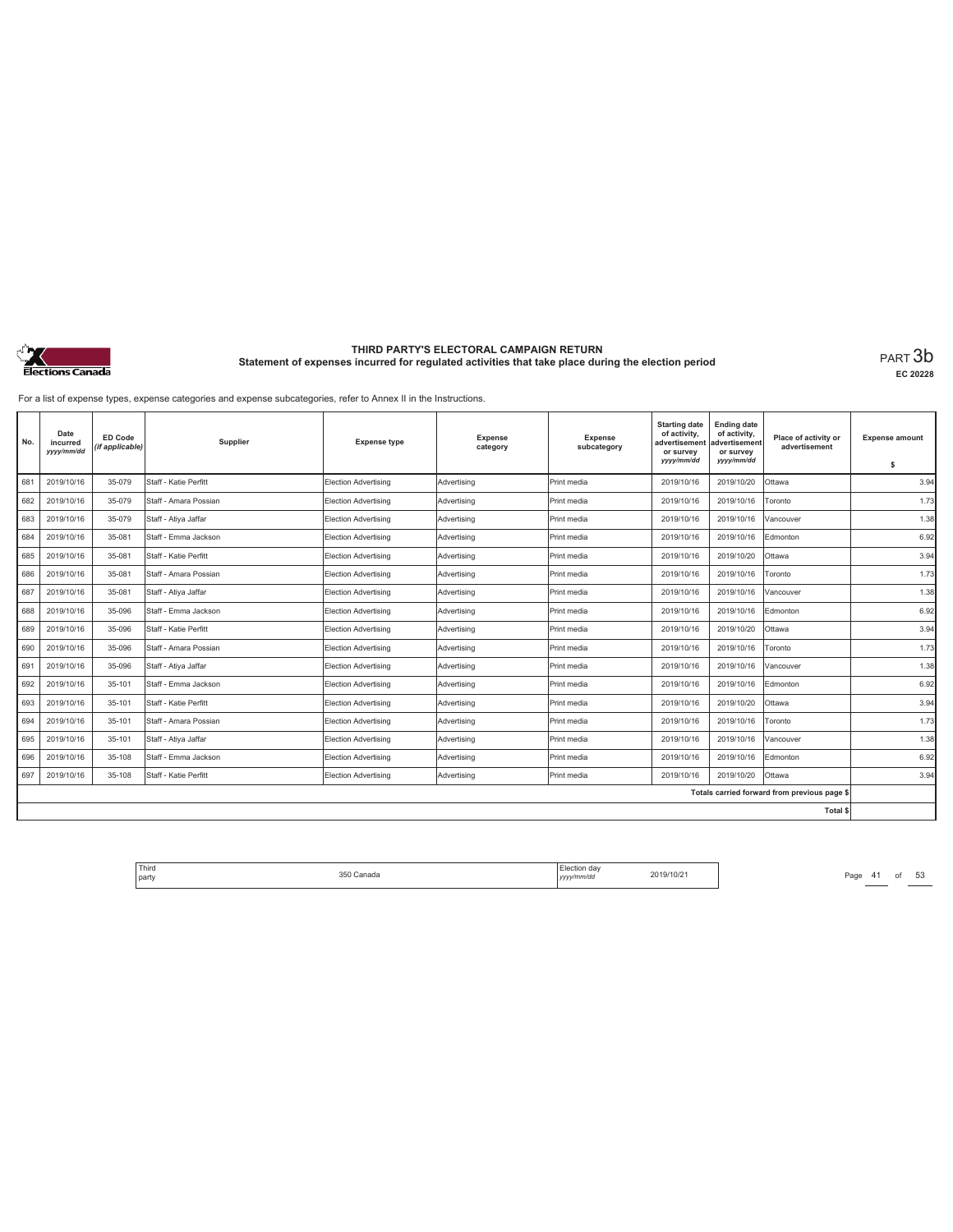

**EC 20228**

For a list of expense types, expense categories and expense subcategories, refer to Annex II in the Instructions.

| No. | Date<br>incurred<br>yyyy/mm/dd | <b>ED Code</b><br>(if applicable) | Supplier              | <b>Expense type</b>         | <b>Expense</b><br>category | Expense<br>subcategory | <b>Starting date</b><br>of activity,<br>advertisement<br>or survey<br>yyyy/mm/dd | <b>Ending date</b><br>of activity,<br>advertisement<br>or survey<br>yyyy/mm/dd | Place of activity or<br>advertisement        | <b>Expense amount</b><br>\$ |
|-----|--------------------------------|-----------------------------------|-----------------------|-----------------------------|----------------------------|------------------------|----------------------------------------------------------------------------------|--------------------------------------------------------------------------------|----------------------------------------------|-----------------------------|
| 681 | 2019/10/16                     | 35-079                            | Staff - Katie Perfitt | <b>Election Advertising</b> | Advertising                | Print media            | 2019/10/16                                                                       | 2019/10/20                                                                     | Ottawa                                       | 3.94                        |
| 682 | 2019/10/16                     | 35-079                            | Staff - Amara Possian | Election Advertising        | Advertising                | Print media            | 2019/10/16                                                                       | 2019/10/16                                                                     | Toronto                                      | 1.73                        |
| 683 | 2019/10/16                     | 35-079                            | Staff - Atiya Jaffar  | Election Advertising        | Advertisina                | Print media            | 2019/10/16                                                                       | 2019/10/16                                                                     | Vancouver                                    | 1.38                        |
| 684 | 2019/10/16                     | 35-081                            | Staff - Emma Jackson  | Election Advertising        | Advertising                | Print media            | 2019/10/16                                                                       | 2019/10/16                                                                     | Edmonton                                     | 6.92                        |
| 685 | 2019/10/16                     | 35-081                            | Staff - Katie Perfitt | <b>Election Advertising</b> | Advertising                | Print media            | 2019/10/16                                                                       | 2019/10/20                                                                     | Ottawa                                       | 3.94                        |
| 686 | 2019/10/16                     | 35-081                            | Staff - Amara Possian | Election Advertising        | Advertisina                | Print media            | 2019/10/16                                                                       | 2019/10/16                                                                     | Toronto                                      | 1.73                        |
| 687 | 2019/10/16                     | 35-081                            | Staff - Atiya Jaffar  | Election Advertising        | Advertising                | Print media            | 2019/10/16                                                                       | 2019/10/16                                                                     | Vancouver                                    | 1.38                        |
| 688 | 2019/10/16                     | 35-096                            | Staff - Emma Jackson  | Election Advertising        | Advertising                | Print media            | 2019/10/16                                                                       | 2019/10/16                                                                     | Edmonton                                     | 6.92                        |
| 689 | 2019/10/16                     | 35-096                            | Staff - Katie Perfitt | Election Advertising        | Advertisina                | Print media            | 2019/10/16                                                                       | 2019/10/20                                                                     | Ottawa                                       | 3.94                        |
| 690 | 2019/10/16                     | 35-096                            | Staff - Amara Possian | Election Advertising        | Advertisina                | Print media            | 2019/10/16                                                                       | 2019/10/16                                                                     | Toronto                                      | 1.73                        |
| 691 | 2019/10/16                     | 35-096                            | Staff - Atiya Jaffar  | Election Advertising        | Advertising                | Print media            | 2019/10/16                                                                       | 2019/10/16                                                                     | Vancouver                                    | 1.38                        |
| 692 | 2019/10/16                     | 35-101                            | Staff - Emma Jackson  | Election Advertising        | Advertising                | Print media            | 2019/10/16                                                                       | 2019/10/16                                                                     | Edmonton                                     | 6.92                        |
| 693 | 2019/10/16                     | 35-101                            | Staff - Katie Perfitt | Election Advertising        | Advertisina                | Print media            | 2019/10/16                                                                       | 2019/10/20                                                                     | Ottawa                                       | 3.94                        |
| 694 | 2019/10/16                     | 35-101                            | Staff - Amara Possian | Election Advertising        | Advertising                | Print media            | 2019/10/16                                                                       | 2019/10/16                                                                     | Toronto                                      | 1.73                        |
| 695 | 2019/10/16                     | 35-101                            | Staff - Atiya Jaffar  | Election Advertising        | Advertising                | Print media            | 2019/10/16                                                                       | 2019/10/16                                                                     | Vancouver                                    | 1.38                        |
| 696 | 2019/10/16                     | 35-108                            | Staff - Emma Jackson  | Election Advertising        | Advertisina                | Print media            | 2019/10/16                                                                       | 2019/10/16                                                                     | Edmonton                                     | 6.92                        |
| 697 | 2019/10/16                     | 35-108                            | Staff - Katie Perfitt | Election Advertising        | Advertising                | Print media            | 2019/10/16                                                                       | 2019/10/20                                                                     | Ottawa                                       | 3.94                        |
|     |                                |                                   |                       |                             |                            |                        |                                                                                  |                                                                                | Totals carried forward from previous page \$ |                             |
|     |                                |                                   |                       |                             |                            |                        |                                                                                  |                                                                                | Total \$                                     |                             |

Third Election day Election day 2019/10/21 Page 41 of 53 Page 41 of 53 party 350 Canada Election day *yyyy/mm/dd* 2019/10/21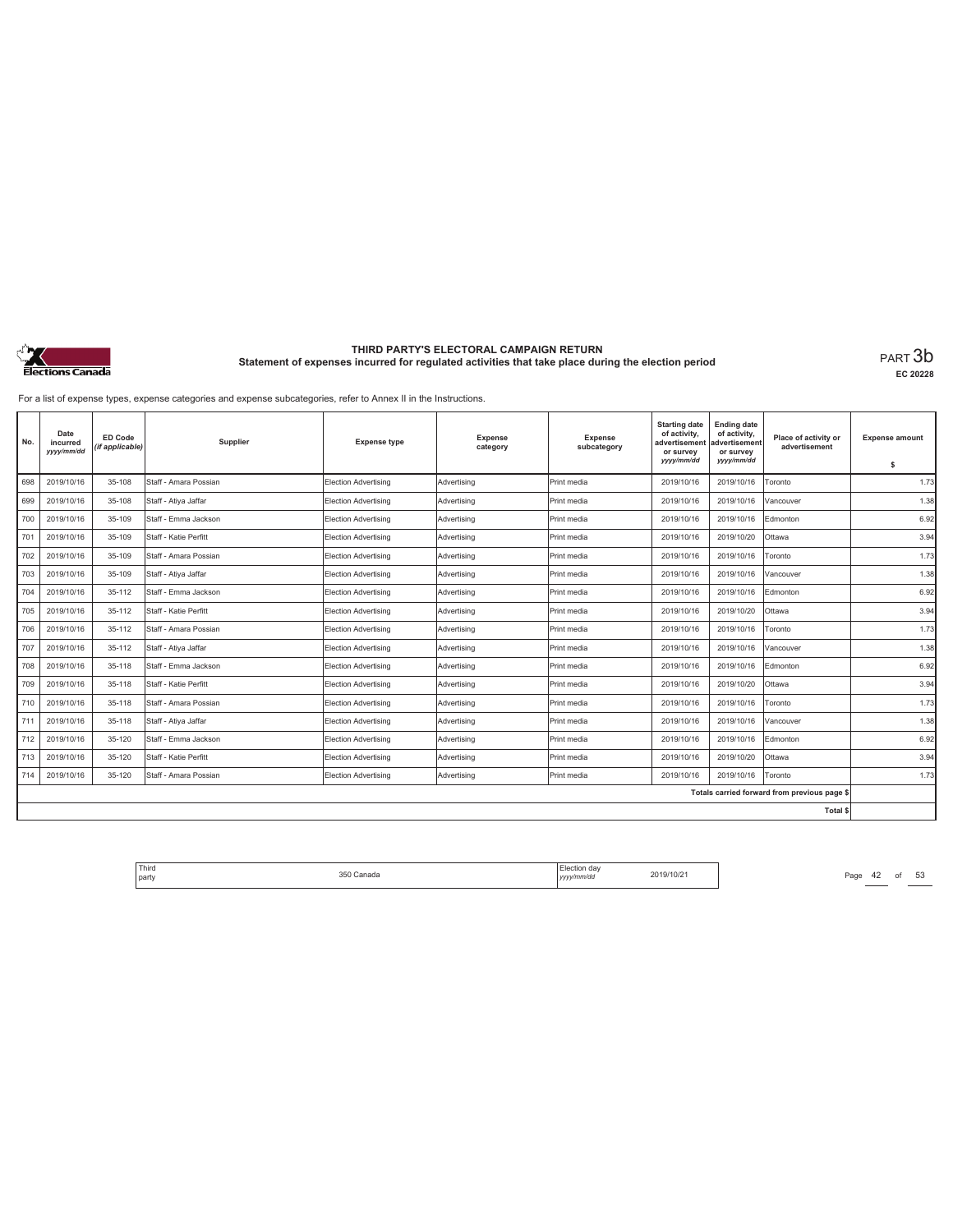

**EC 20228**

For a list of expense types, expense categories and expense subcategories, refer to Annex II in the Instructions.

| No. | Date<br>incurred<br>yyyy/mm/dd | <b>ED Code</b><br>(if applicable) | Supplier              | <b>Expense type</b>         | <b>Expense</b><br>category | Expense<br>subcategory | <b>Starting date</b><br>of activity,<br>advertisement<br>or survey<br>yyyy/mm/dd | <b>Ending date</b><br>of activity,<br>advertisement<br>or survey<br>yyyy/mm/dd | Place of activity or<br>advertisement        | <b>Expense amount</b><br>\$ |
|-----|--------------------------------|-----------------------------------|-----------------------|-----------------------------|----------------------------|------------------------|----------------------------------------------------------------------------------|--------------------------------------------------------------------------------|----------------------------------------------|-----------------------------|
| 698 | 2019/10/16                     | 35-108                            | Staff - Amara Possian | <b>Election Advertising</b> | Advertising                | Print media            | 2019/10/16                                                                       | 2019/10/16                                                                     | Toronto                                      | 1.73                        |
| 699 | 2019/10/16                     | 35-108                            | Staff - Atiya Jaffar  | Election Advertising        | Advertising                | Print media            | 2019/10/16                                                                       | 2019/10/16                                                                     | Vancouver                                    | 1.38                        |
| 700 | 2019/10/16                     | 35-109                            | Staff - Emma Jackson  | Election Advertising        | Advertisina                | Print media            | 2019/10/16                                                                       | 2019/10/16                                                                     | Edmonton                                     | 6.92                        |
| 701 | 2019/10/16                     | 35-109                            | Staff - Katie Perfitt | Election Advertising        | Advertising                | Print media            | 2019/10/16                                                                       | 2019/10/20                                                                     | Ottawa                                       | 3.94                        |
| 702 | 2019/10/16                     | 35-109                            | Staff - Amara Possian | <b>Election Advertising</b> | Advertising                | Print media            | 2019/10/16                                                                       | 2019/10/16                                                                     | Toronto                                      | 1.73                        |
| 703 | 2019/10/16                     | 35-109                            | Staff - Ativa Jaffar  | Election Advertising        | Advertisina                | Print media            | 2019/10/16                                                                       | 2019/10/16                                                                     | Vancouver                                    | 1.38                        |
| 704 | 2019/10/16                     | 35-112                            | Staff - Emma Jackson  | Election Advertising        | Advertising                | Print media            | 2019/10/16                                                                       | 2019/10/16                                                                     | Edmonton                                     | 6.92                        |
| 705 | 2019/10/16                     | 35-112                            | Staff - Katie Perfitt | Election Advertising        | Advertising                | Print media            | 2019/10/16                                                                       | 2019/10/20                                                                     | Ottawa                                       | 3.94                        |
| 706 | 2019/10/16                     | 35-112                            | Staff - Amara Possian | Election Advertising        | Advertisina                | Print media            | 2019/10/16                                                                       | 2019/10/16                                                                     | Toronto                                      | 1.73                        |
| 707 | 2019/10/16                     | 35-112                            | Staff - Atiya Jaffar  | Election Advertising        | Advertisina                | Print media            | 2019/10/16                                                                       | 2019/10/16                                                                     | Vancouver                                    | 1.38                        |
| 708 | 2019/10/16                     | 35-118                            | Staff - Emma Jackson  | Election Advertising        | Advertising                | Print media            | 2019/10/16                                                                       | 2019/10/16                                                                     | Edmonton                                     | 6.92                        |
| 709 | 2019/10/16                     | 35-118                            | Staff - Katie Perfitt | Election Advertising        | Advertising                | Print media            | 2019/10/16                                                                       | 2019/10/20                                                                     | Ottawa                                       | 3.94                        |
| 710 | 2019/10/16                     | 35-118                            | Staff - Amara Possian | Election Advertising        | Advertisina                | Print media            | 2019/10/16                                                                       | 2019/10/16                                                                     | Toronto                                      | 1.73                        |
| 711 | 2019/10/16                     | 35-118                            | Staff - Atiya Jaffar  | Election Advertising        | Advertising                | Print media            | 2019/10/16                                                                       | 2019/10/16                                                                     | Vancouver                                    | 1.38                        |
| 712 | 2019/10/16                     | 35-120                            | Staff - Emma Jackson  | Election Advertising        | Advertising                | Print media            | 2019/10/16                                                                       | 2019/10/16                                                                     | Edmonton                                     | 6.92                        |
| 713 | 2019/10/16                     | 35-120                            | Staff - Katie Perfitt | Election Advertising        | Advertisina                | Print media            | 2019/10/16                                                                       | 2019/10/20                                                                     | Ottawa                                       | 3.94                        |
| 714 | 2019/10/16                     | 35-120                            | Staff - Amara Possian | Election Advertising        | Advertising                | Print media            | 2019/10/16                                                                       | 2019/10/16                                                                     | Toronto                                      | 1.73                        |
|     |                                |                                   |                       |                             |                            |                        |                                                                                  |                                                                                | Totals carried forward from previous page \$ |                             |
|     |                                |                                   |                       |                             |                            |                        |                                                                                  |                                                                                | Total \$                                     |                             |

Third The Same 350 Canada 350 Canada 2019/10/21 Page 42 of 53 party 350 Canada Election day *yyyy/mm/dd* 2019/10/21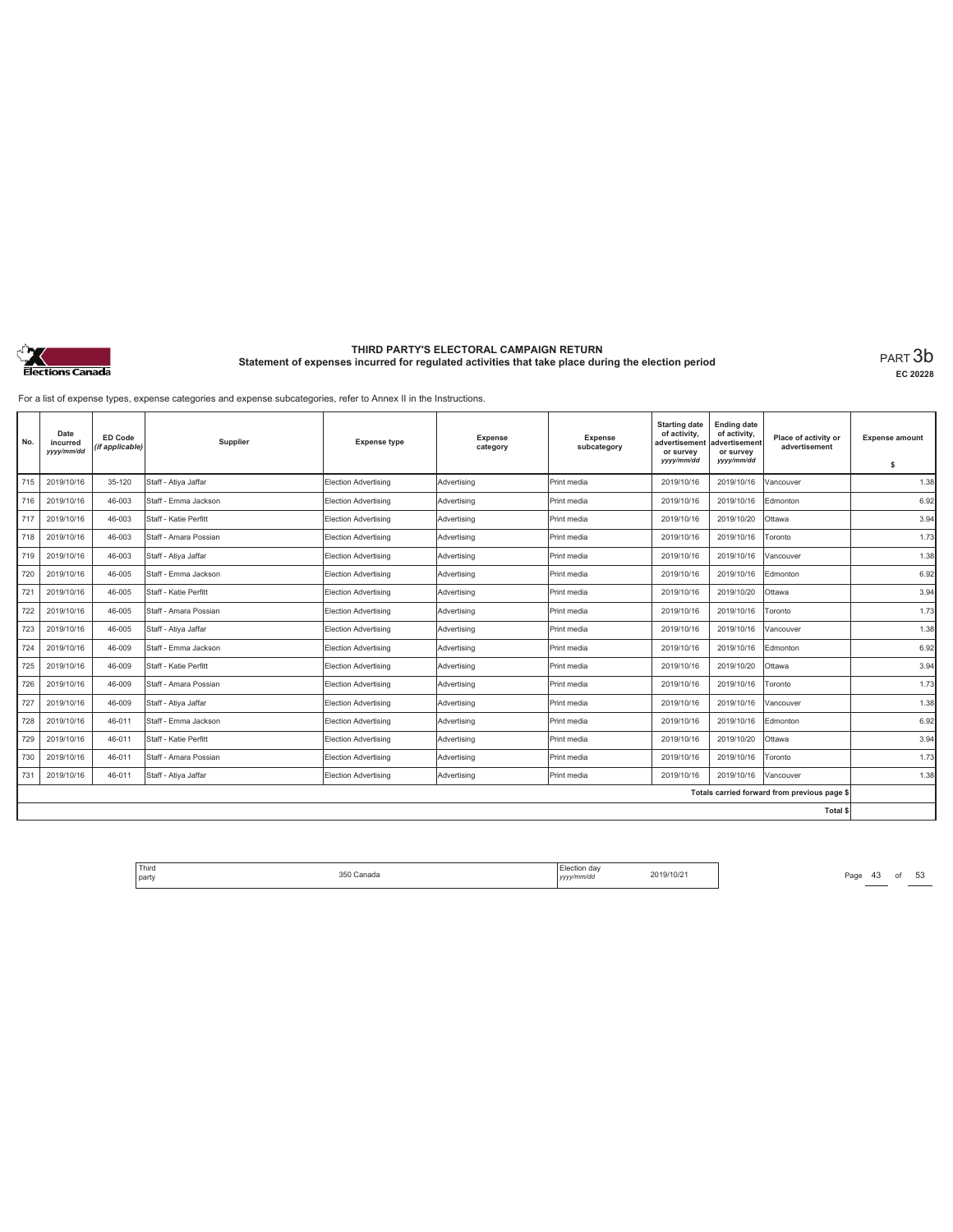

**EC 20228**

For a list of expense types, expense categories and expense subcategories, refer to Annex II in the Instructions.

| No. | Date<br>incurred<br>yyyy/mm/dd | <b>ED Code</b><br>(if applicable) | Supplier              | <b>Expense type</b>         | <b>Expense</b><br>category | Expense<br>subcategory | <b>Starting date</b><br>of activity,<br>advertisement<br>or survey<br>yyyy/mm/dd | <b>Ending date</b><br>of activity,<br>advertisement<br>or survey<br>yyyy/mm/dd | Place of activity or<br>advertisement        | <b>Expense amount</b><br>\$ |
|-----|--------------------------------|-----------------------------------|-----------------------|-----------------------------|----------------------------|------------------------|----------------------------------------------------------------------------------|--------------------------------------------------------------------------------|----------------------------------------------|-----------------------------|
| 715 | 2019/10/16                     | 35-120                            | Staff - Atiya Jaffar  | <b>Election Advertising</b> | Advertising                | Print media            | 2019/10/16                                                                       | 2019/10/16                                                                     | Vancouver                                    | 1.38                        |
| 716 | 2019/10/16                     | 46-003                            | Staff - Emma Jackson  | Election Advertising        | Advertising                | Print media            | 2019/10/16                                                                       | 2019/10/16                                                                     | Edmonton                                     | 6.92                        |
| 717 | 2019/10/16                     | 46-003                            | Staff - Katie Perfitt | Election Advertising        | Advertisina                | Print media            | 2019/10/16                                                                       | 2019/10/20                                                                     | Ottawa                                       | 3.94                        |
| 718 | 2019/10/16                     | 46-003                            | Staff - Amara Possian | Election Advertising        | Advertising                | Print media            | 2019/10/16                                                                       | 2019/10/16                                                                     | Toronto                                      | 1.73                        |
| 719 | 2019/10/16                     | 46-003                            | Staff - Atiya Jaffar  | Election Advertising        | Advertising                | Print media            | 2019/10/16                                                                       | 2019/10/16                                                                     | Vancouver                                    | 1.38                        |
| 720 | 2019/10/16                     | 46-005                            | Staff - Emma Jackson  | Election Advertising        | Advertisina                | Print media            | 2019/10/16                                                                       | 2019/10/16                                                                     | Edmonton                                     | 6.92                        |
| 721 | 2019/10/16                     | 46-005                            | Staff - Katie Perfitt | Election Advertising        | Advertising                | Print media            | 2019/10/16                                                                       | 2019/10/20                                                                     | Ottawa                                       | 3.94                        |
| 722 | 2019/10/16                     | 46-005                            | Staff - Amara Possian | Election Advertising        | Advertising                | Print media            | 2019/10/16                                                                       | 2019/10/16                                                                     | Toronto                                      | 1.73                        |
| 723 | 2019/10/16                     | 46-005                            | Staff - Ativa Jaffar  | Election Advertising        | Advertisina                | Print media            | 2019/10/16                                                                       | 2019/10/16                                                                     | Vancouver                                    | 1.38                        |
| 724 | 2019/10/16                     | 46-009                            | Staff - Emma Jackson  | Election Advertising        | Advertisina                | Print media            | 2019/10/16                                                                       | 2019/10/16                                                                     | Edmonton                                     | 6.92                        |
| 725 | 2019/10/16                     | 46-009                            | Staff - Katie Perfitt | Election Advertising        | Advertising                | Print media            | 2019/10/16                                                                       | 2019/10/20                                                                     | Ottawa                                       | 3.94                        |
| 726 | 2019/10/16                     | 46-009                            | Staff - Amara Possian | Election Advertising        | Advertising                | Print media            | 2019/10/16                                                                       | 2019/10/16                                                                     | Toronto                                      | 1.73                        |
| 727 | 2019/10/16                     | 46-009                            | Staff - Atiya Jaffar  | Election Advertising        | Advertisina                | Print media            | 2019/10/16                                                                       | 2019/10/16                                                                     | Vancouver                                    | 1.38                        |
| 728 | 2019/10/16                     | 46-011                            | Staff - Emma Jackson  | Election Advertising        | Advertising                | Print media            | 2019/10/16                                                                       | 2019/10/16                                                                     | Edmonton                                     | 6.92                        |
| 729 | 2019/10/16                     | 46-011                            | Staff - Katie Perfitt | Election Advertising        | Advertising                | Print media            | 2019/10/16                                                                       | 2019/10/20                                                                     | Ottawa                                       | 3.94                        |
| 730 | 2019/10/16                     | 46-011                            | Staff - Amara Possian | Election Advertising        | Advertisina                | Print media            | 2019/10/16                                                                       | 2019/10/16                                                                     | Toronto                                      | 1.73                        |
| 731 | 2019/10/16                     | 46-011                            | Staff - Atiya Jaffar  | Election Advertising        | Advertising                | Print media            | 2019/10/16                                                                       | 2019/10/16                                                                     | Vancouver                                    | 1.38                        |
|     |                                |                                   |                       |                             |                            |                        |                                                                                  |                                                                                | Totals carried forward from previous page \$ |                             |
|     |                                |                                   |                       |                             |                            |                        |                                                                                  |                                                                                | Total \$                                     |                             |

Third The Same 1989 Canada (Bection day 2019/10/21 Page 43 of 53 Page 43 of 53 party 350 Canada Election day *yyyy/mm/dd* 2019/10/21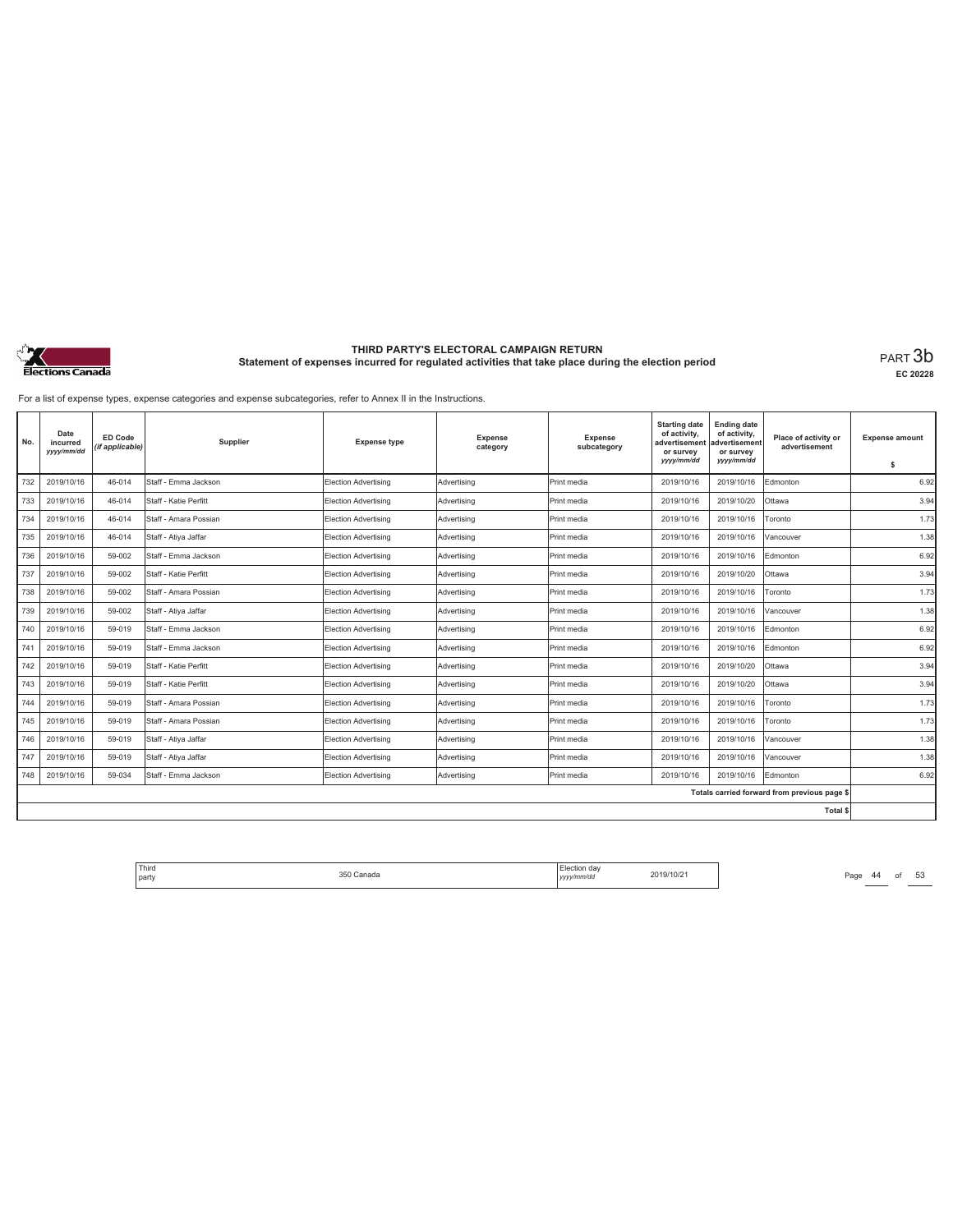

**EC 20228**

For a list of expense types, expense categories and expense subcategories, refer to Annex II in the Instructions.

| No. | Date<br>incurred<br>yyyy/mm/dd | ED Code<br>(if applicable) | Supplier              | <b>Expense type</b>         | <b>Expense</b><br>category | <b>Expense</b><br>subcategory | <b>Starting date</b><br>of activity,<br>advertisement<br>or survey<br>yyyy/mm/dd | <b>Ending date</b><br>of activity,<br>advertisement<br>or survey<br>yyyy/mm/dd | Place of activity or<br>advertisement        | <b>Expense amount</b><br>\$ |
|-----|--------------------------------|----------------------------|-----------------------|-----------------------------|----------------------------|-------------------------------|----------------------------------------------------------------------------------|--------------------------------------------------------------------------------|----------------------------------------------|-----------------------------|
| 732 | 2019/10/16                     | 46-014                     | Staff - Emma Jackson  | <b>Election Advertising</b> | Advertising                | Print media                   | 2019/10/16                                                                       | 2019/10/16                                                                     | Edmonton                                     | 6.92                        |
| 733 | 2019/10/16                     | 46-014                     | Staff - Katie Perfitt | Election Advertising        | Advertising                | Print media                   | 2019/10/16                                                                       | 2019/10/20                                                                     | Ottawa                                       | 3.94                        |
| 734 | 2019/10/16                     | 46-014                     | Staff - Amara Possian | Election Advertising        | Advertisina                | Print media                   | 2019/10/16                                                                       | 2019/10/16                                                                     | Toronto                                      | 1.73                        |
| 735 | 2019/10/16                     | 46-014                     | Staff - Atiya Jaffar  | Election Advertising        | Advertising                | Print media                   | 2019/10/16                                                                       | 2019/10/16                                                                     | Vancouver                                    | 1.38                        |
| 736 | 2019/10/16                     | 59-002                     | Staff - Emma Jackson  | Election Advertising        | Advertising                | Print media                   | 2019/10/16                                                                       | 2019/10/16                                                                     | Edmonton                                     | 6.92                        |
| 737 | 2019/10/16                     | 59-002                     | Staff - Katie Perfitt | Election Advertising        | Advertising                | Print media                   | 2019/10/16                                                                       | 2019/10/20                                                                     | Ottawa                                       | 3.94                        |
| 738 | 2019/10/16                     | 59-002                     | Staff - Amara Possian | Election Advertising        | Advertisina                | Print media                   | 2019/10/16                                                                       | 2019/10/16                                                                     | Toronto                                      | 1.73                        |
| 739 | 2019/10/16                     | 59-002                     | Staff - Atiya Jaffar  | Election Advertising        | Advertising                | Print media                   | 2019/10/16                                                                       | 2019/10/16                                                                     | Vancouver                                    | 1.38                        |
| 740 | 2019/10/16                     | 59-019                     | Staff - Emma Jackson  | Election Advertising        | Advertising                | Print media                   | 2019/10/16                                                                       | 2019/10/16                                                                     | Edmonton                                     | 6.92                        |
| 741 | 2019/10/16                     | 59-019                     | Staff - Emma Jackson  | Election Advertising        | Advertisina                | Print media                   | 2019/10/16                                                                       | 2019/10/16                                                                     | Edmonton                                     | 6.92                        |
| 742 | 2019/10/16                     | 59-019                     | Staff - Katie Perfitt | Election Advertising        | Advertisina                | Print media                   | 2019/10/16                                                                       | 2019/10/20                                                                     | Ottawa                                       | 3.94                        |
| 743 | 2019/10/16                     | 59-019                     | Staff - Katie Perfitt | Election Advertising        | Advertisina                | Print media                   | 2019/10/16                                                                       | 2019/10/20                                                                     | Ottawa                                       | 3.94                        |
| 744 | 2019/10/16                     | 59-019                     | Staff - Amara Possian | Election Advertising        | Advertisina                | Print media                   | 2019/10/16                                                                       | 2019/10/16                                                                     | Toronto                                      | 1.73                        |
| 745 | 2019/10/16                     | 59-019                     | Staff - Amara Possian | Election Advertising        | Advertising                | Print media                   | 2019/10/16                                                                       | 2019/10/16                                                                     | Toronto                                      | 1.73                        |
| 746 | 2019/10/16                     | 59-019                     | Staff - Atiya Jaffar  | Election Advertising        | Advertising                | Print media                   | 2019/10/16                                                                       | 2019/10/16                                                                     | Vancouver                                    | 1.38                        |
| 747 | 2019/10/16                     | 59-019                     | Staff - Atiya Jaffar  | Election Advertising        | Advertising                | Print media                   | 2019/10/16                                                                       | 2019/10/16                                                                     | Vancouver                                    | 1.38                        |
| 748 | 2019/10/16                     | 59-034                     | Staff - Emma Jackson  | <b>Election Advertising</b> | Advertising                | Print media                   | 2019/10/16                                                                       | 2019/10/16                                                                     | Edmonton                                     | 6.92                        |
|     |                                |                            |                       |                             |                            |                               |                                                                                  |                                                                                | Totals carried forward from previous page \$ |                             |
|     |                                |                            |                       |                             |                            |                               |                                                                                  |                                                                                | Total \$                                     |                             |

Third Election day Election day 2019/10/21 Page 44 of 53 Page 44 of 53 party 350 Canada Election day *yyyy/mm/dd* 2019/10/21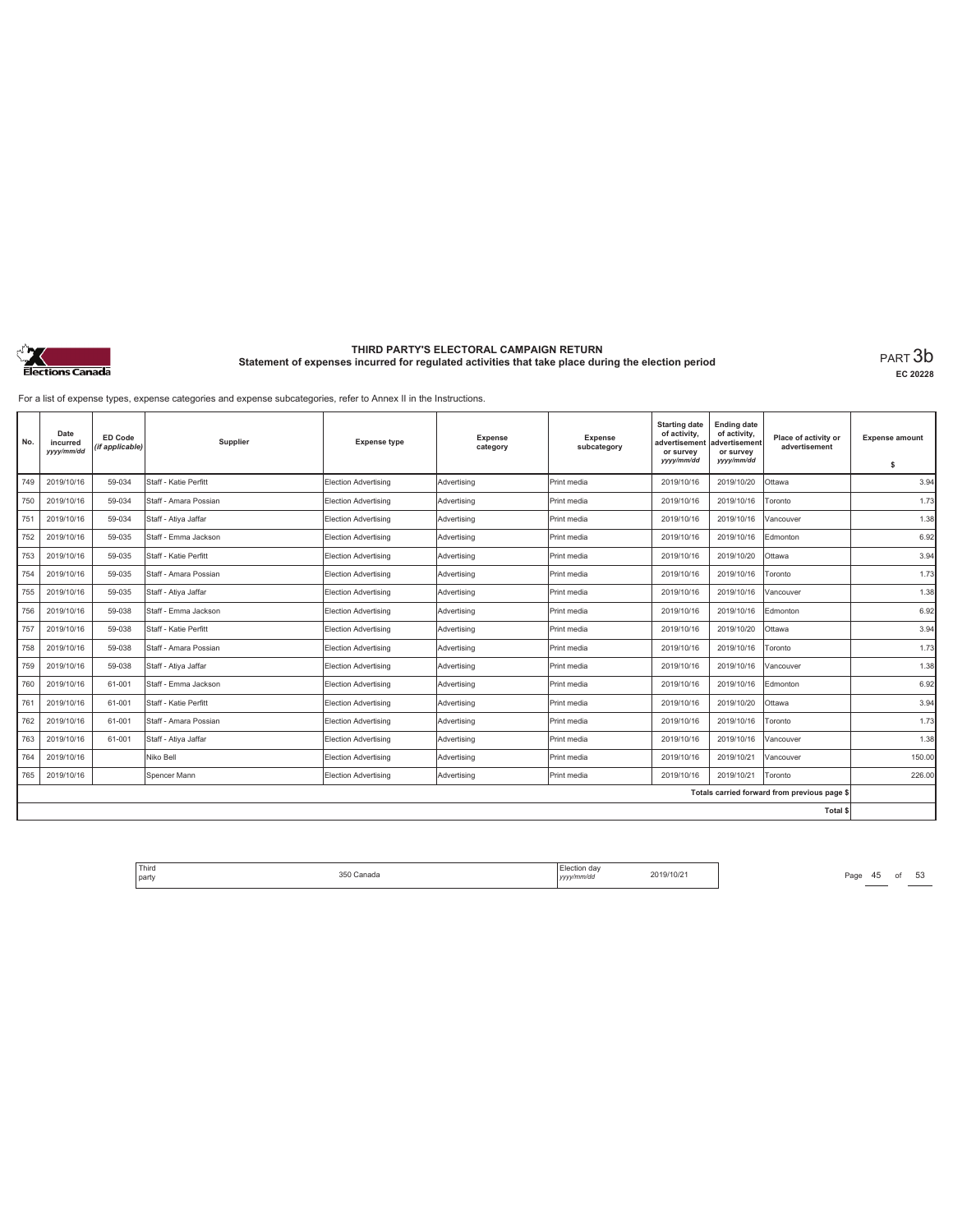

**EC 20228**

For a list of expense types, expense categories and expense subcategories, refer to Annex II in the Instructions.

| No. | Date<br>incurred<br>yyyy/mm/dd | <b>ED Code</b><br>(if applicable) | Supplier              | <b>Expense type</b>         | <b>Expense</b><br>category | Expense<br>subcategory | <b>Starting date</b><br>of activity,<br>advertisement<br>or survey<br>yyyy/mm/dd | <b>Ending date</b><br>of activity,<br>advertisement<br>or survey<br>yyyy/mm/dd | Place of activity or<br>advertisement        | <b>Expense amount</b><br>\$ |
|-----|--------------------------------|-----------------------------------|-----------------------|-----------------------------|----------------------------|------------------------|----------------------------------------------------------------------------------|--------------------------------------------------------------------------------|----------------------------------------------|-----------------------------|
| 749 | 2019/10/16                     | 59-034                            | Staff - Katie Perfitt | <b>Election Advertising</b> | Advertising                | Print media            | 2019/10/16                                                                       | 2019/10/20                                                                     | Ottawa                                       | 3.94                        |
| 750 | 2019/10/16                     | 59-034                            | Staff - Amara Possian | Election Advertising        | Advertising                | Print media            | 2019/10/16                                                                       | 2019/10/16                                                                     | Toronto                                      | 1.73                        |
| 751 | 2019/10/16                     | 59-034                            | Staff - Atiya Jaffar  | Election Advertising        | Advertisina                | Print media            | 2019/10/16                                                                       | 2019/10/16                                                                     | Vancouver                                    | 1.38                        |
| 752 | 2019/10/16                     | 59-035                            | Staff - Emma Jackson  | Election Advertising        | Advertising                | Print media            | 2019/10/16                                                                       | 2019/10/16                                                                     | Edmonton                                     | 6.92                        |
| 753 | 2019/10/16                     | 59-035                            | Staff - Katie Perfitt | Election Advertising        | Advertising                | Print media            | 2019/10/16                                                                       | 2019/10/20                                                                     | Ottawa                                       | 3.94                        |
| 754 | 2019/10/16                     | 59-035                            | Staff - Amara Possian | Election Advertising        | Advertisina                | Print media            | 2019/10/16                                                                       | 2019/10/16                                                                     | Toronto                                      | 1.73                        |
| 755 | 2019/10/16                     | 59-035                            | Staff - Atiya Jaffar  | Election Advertising        | Advertising                | Print media            | 2019/10/16                                                                       | 2019/10/16                                                                     | Vancouver                                    | 1.38                        |
| 756 | 2019/10/16                     | 59-038                            | Staff - Emma Jackson  | Election Advertising        | Advertising                | Print media            | 2019/10/16                                                                       | 2019/10/16                                                                     | Edmonton                                     | 6.92                        |
| 757 | 2019/10/16                     | 59-038                            | Staff - Katie Perfitt | Election Advertising        | Advertisina                | Print media            | 2019/10/16                                                                       | 2019/10/20                                                                     | Ottawa                                       | 3.94                        |
| 758 | 2019/10/16                     | 59-038                            | Staff - Amara Possian | Election Advertising        | Advertisina                | Print media            | 2019/10/16                                                                       | 2019/10/16                                                                     | Toronto                                      | 1.73                        |
| 759 | 2019/10/16                     | 59-038                            | Staff - Atiya Jaffar  | Election Advertising        | Advertising                | Print media            | 2019/10/16                                                                       | 2019/10/16                                                                     | Vancouver                                    | 1.38                        |
| 760 | 2019/10/16                     | 61-001                            | Staff - Emma Jackson  | Election Advertising        | Advertising                | Print media            | 2019/10/16                                                                       | 2019/10/16                                                                     | Edmonton                                     | 6.92                        |
| 761 | 2019/10/16                     | 61-001                            | Staff - Katie Perfitt | Election Advertising        | Advertisina                | Print media            | 2019/10/16                                                                       | 2019/10/20                                                                     | Ottawa                                       | 3.94                        |
| 762 | 2019/10/16                     | 61-001                            | Staff - Amara Possian | Election Advertising        | Advertising                | Print media            | 2019/10/16                                                                       | 2019/10/16                                                                     | Toronto                                      | 1.73                        |
| 763 | 2019/10/16                     | 61-001                            | Staff - Atiya Jaffar  | Election Advertising        | Advertising                | Print media            | 2019/10/16                                                                       | 2019/10/16                                                                     | Vancouver                                    | 1.38                        |
| 764 | 2019/10/16                     |                                   | Niko Bell             | Election Advertising        | Advertisina                | Print media            | 2019/10/16                                                                       | 2019/10/21                                                                     | Vancouver                                    | 150.00                      |
| 765 | 2019/10/16                     |                                   | Spencer Mann          | Election Advertising        | Advertising                | Print media            | 2019/10/16                                                                       | 2019/10/21                                                                     | Toronto                                      | 226.00                      |
|     |                                |                                   |                       |                             |                            |                        |                                                                                  |                                                                                | Totals carried forward from previous page \$ |                             |
|     |                                |                                   |                       |                             |                            |                        |                                                                                  |                                                                                | Total \$                                     |                             |

Third Election day Election day 2019/10/21 Page 45 of 53 Page 45 of 53 party 350 Canada Election day *yyyy/mm/dd* 2019/10/21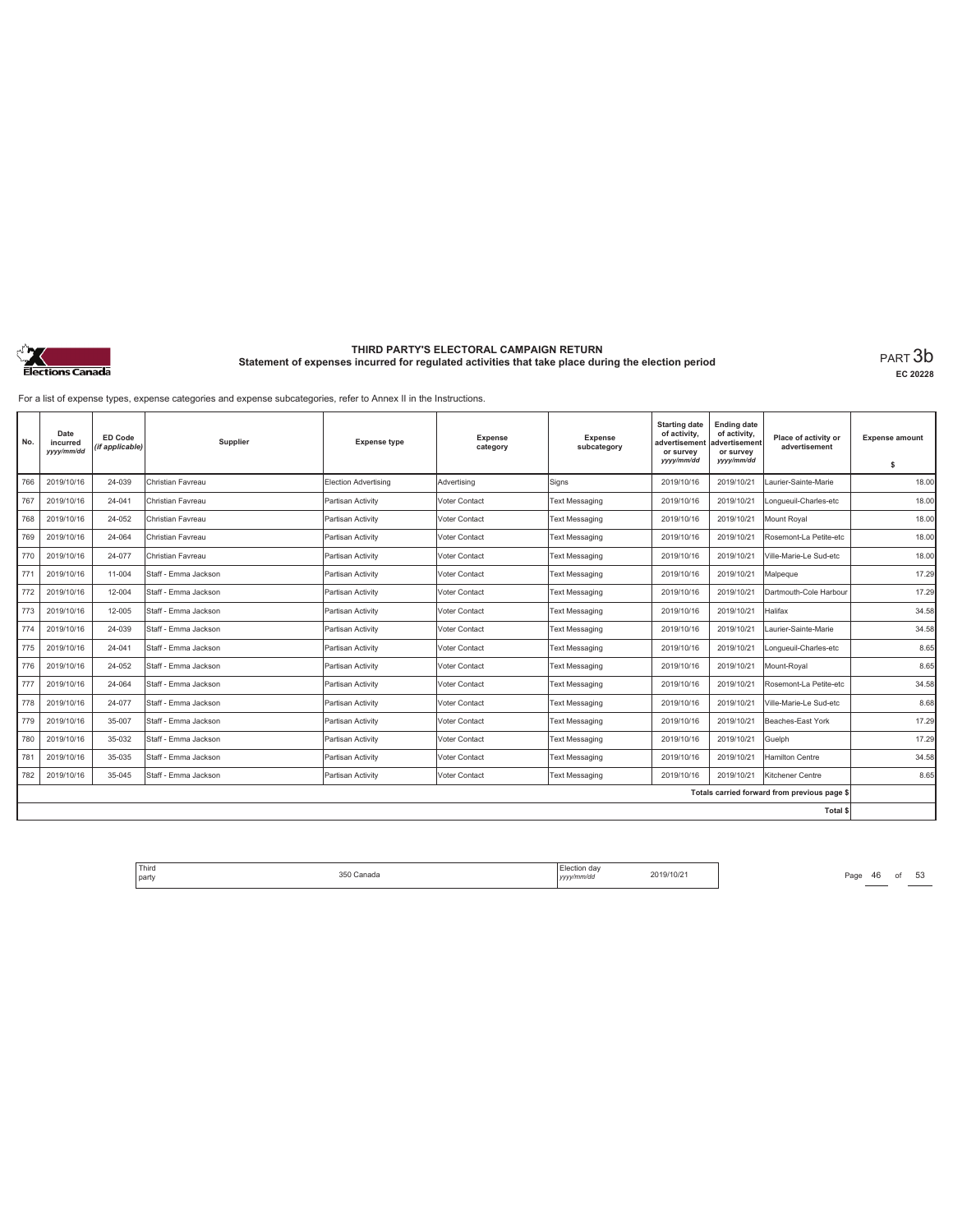

**EC 20228**

For a list of expense types, expense categories and expense subcategories, refer to Annex II in the Instructions.

| No. | Date<br>incurred<br>yyy/mm/dd | <b>ED Code</b><br>(if applicable) | Supplier             | <b>Expense type</b>         | <b>Expense</b><br>category | <b>Expense</b><br>subcategory | <b>Starting date</b><br>of activity,<br>advertisement<br>or survey<br>yyyy/mm/dd | <b>Ending date</b><br>of activity,<br>advertisement<br>or survey<br>yyyy/mm/dd | Place of activity or<br>advertisement        | <b>Expense amount</b><br>s |
|-----|-------------------------------|-----------------------------------|----------------------|-----------------------------|----------------------------|-------------------------------|----------------------------------------------------------------------------------|--------------------------------------------------------------------------------|----------------------------------------------|----------------------------|
| 766 | 2019/10/16                    | 24-039                            | Christian Favreau    | <b>Election Advertising</b> | Advertising                | Signs                         | 2019/10/16                                                                       | 2019/10/21                                                                     | Laurier-Sainte-Marie                         | 18.00                      |
| 767 | 2019/10/16                    | 24-041                            | Christian Favreau    | Partisan Activity           | Voter Contact              | <b>Text Messaging</b>         | 2019/10/16                                                                       | 2019/10/21                                                                     | Longueuil-Charles-etc                        | 18.00                      |
| 768 | 2019/10/16                    | 24-052                            | Christian Favreau    | Partisan Activity           | Voter Contact              | <b>Text Messaging</b>         | 2019/10/16                                                                       | 2019/10/21                                                                     | Mount Roval                                  | 18.00                      |
| 769 | 2019/10/16                    | 24-064                            | Christian Favreau    | Partisan Activity           | Voter Contact              | <b>Text Messaging</b>         | 2019/10/16                                                                       | 2019/10/21                                                                     | Rosemont-La Petite-etc                       | 18.00                      |
| 770 | 2019/10/16                    | 24-077                            | Christian Favreau    | Partisan Activity           | Voter Contact              | <b>Text Messaging</b>         | 2019/10/16                                                                       | 2019/10/21                                                                     | Ville-Marie-Le Sud-etc                       | 18.00                      |
| 771 | 2019/10/16                    | 11-004                            | Staff - Emma Jackson | Partisan Activity           | Voter Contact              | <b>Text Messaging</b>         | 2019/10/16                                                                       | 2019/10/21                                                                     | Malpeque                                     | 17.29                      |
| 772 | 2019/10/16                    | 12-004                            | Staff - Emma Jackson | Partisan Activity           | Voter Contact              | <b>Text Messaging</b>         | 2019/10/16                                                                       | 2019/10/21                                                                     | Dartmouth-Cole Harbour                       | 17.29                      |
| 773 | 2019/10/16                    | 12-005                            | Staff - Emma Jackson | Partisan Activity           | Voter Contact              | <b>Text Messaging</b>         | 2019/10/16                                                                       | 2019/10/21                                                                     | Halifax                                      | 34.58                      |
| 774 | 2019/10/16                    | 24-039                            | Staff - Emma Jackson | Partisan Activity           | Voter Contact              | <b>Text Messaging</b>         | 2019/10/16                                                                       | 2019/10/21                                                                     | Laurier-Sainte-Marie                         | 34.58                      |
| 775 | 2019/10/16                    | 24-041                            | Staff - Emma Jackson | Partisan Activity           | Voter Contact              | <b>Text Messaging</b>         | 2019/10/16                                                                       | 2019/10/21                                                                     | Longueuil-Charles-etc                        | 8.65                       |
| 776 | 2019/10/16                    | 24-052                            | Staff - Emma Jackson | Partisan Activity           | Voter Contact              | <b>Text Messaging</b>         | 2019/10/16                                                                       | 2019/10/21                                                                     | Mount-Royal                                  | 8.65                       |
| 777 | 2019/10/16                    | 24-064                            | Staff - Emma Jackson | Partisan Activity           | Voter Contact              | <b>Text Messaging</b>         | 2019/10/16                                                                       | 2019/10/21                                                                     | Rosemont-La Petite-etc                       | 34.58                      |
| 778 | 2019/10/16                    | 24-077                            | Staff - Emma Jackson | Partisan Activity           | Voter Contact              | <b>Text Messaging</b>         | 2019/10/16                                                                       | 2019/10/21                                                                     | Ville-Marie-Le Sud-etc                       | 8.68                       |
| 779 | 2019/10/16                    | 35-007                            | Staff - Emma Jackson | Partisan Activity           | Voter Contact              | <b>Text Messaging</b>         | 2019/10/16                                                                       | 2019/10/21                                                                     | Beaches-East York                            | 17.29                      |
| 780 | 2019/10/16                    | 35-032                            | Staff - Emma Jackson | Partisan Activity           | Voter Contact              | <b>Text Messaging</b>         | 2019/10/16                                                                       | 2019/10/21                                                                     | Guelph                                       | 17.29                      |
| 781 | 2019/10/16                    | 35-035                            | Staff - Emma Jackson | Partisan Activity           | Voter Contact              | <b>Text Messaging</b>         | 2019/10/16                                                                       | 2019/10/21                                                                     | Hamilton Centre                              | 34.58                      |
| 782 | 2019/10/16                    | 35-045                            | Staff - Emma Jackson | Partisan Activity           | Voter Contact              | <b>Text Messaging</b>         | 2019/10/16                                                                       | 2019/10/21                                                                     | Kitchener Centre                             | 8.65                       |
|     |                               |                                   |                      |                             |                            |                               |                                                                                  |                                                                                | Totals carried forward from previous page \$ |                            |
|     |                               |                                   |                      |                             |                            |                               |                                                                                  |                                                                                | <b>Total \$</b>                              |                            |

Third Election day Election day 2019/10/21 Page 46 of 53 Page 46 of 53 party 350 Canada Election day *yyyy/mm/dd* 2019/10/21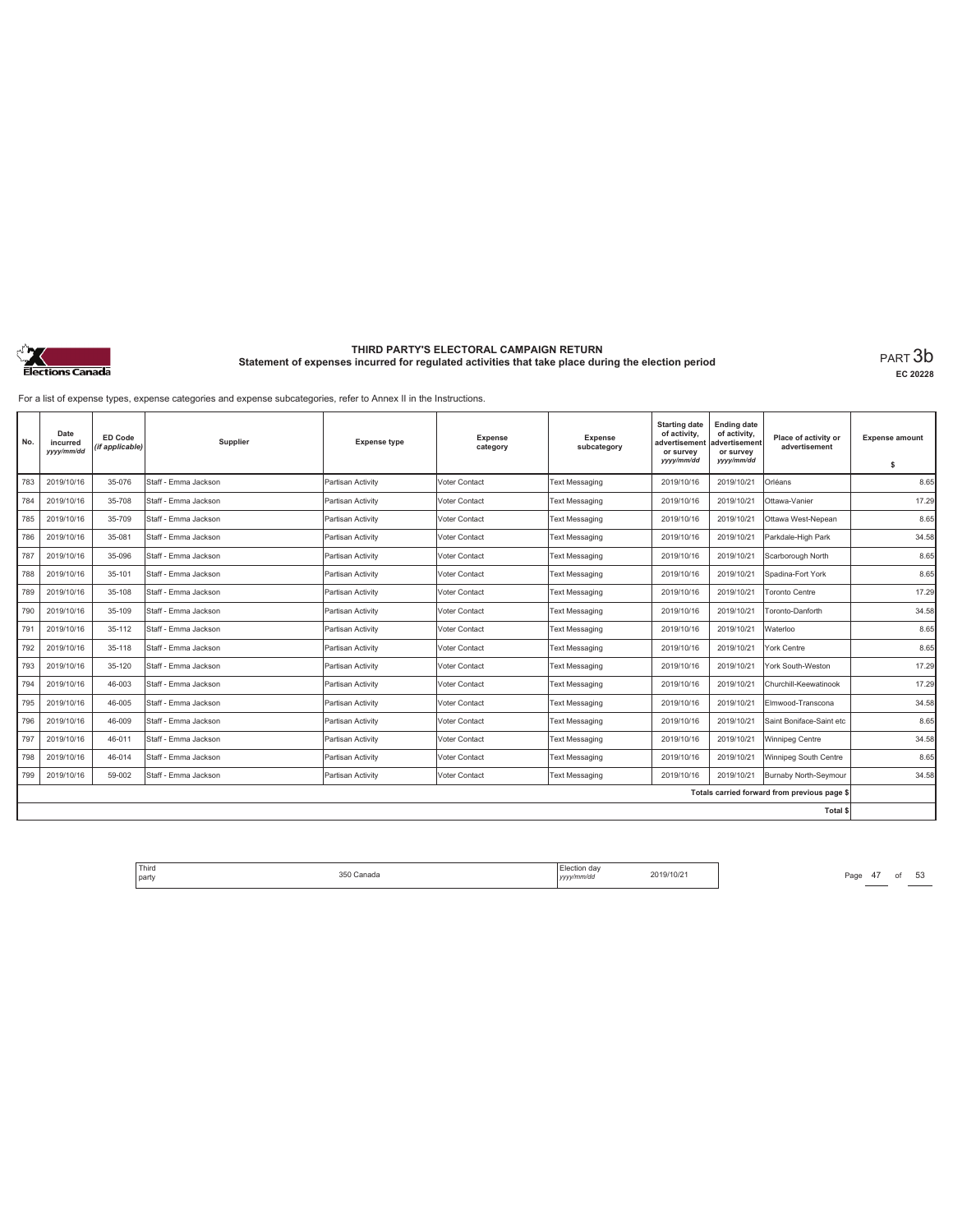

**EC 20228**

For a list of expense types, expense categories and expense subcategories, refer to Annex II in the Instructions.

| No. | Date<br>incurred<br>yyyy/mm/dd | <b>ED Code</b><br>(if applicable) | Supplier             | <b>Expense type</b> | <b>Expense</b><br>category | Expense<br>subcategory | <b>Starting date</b><br>of activity,<br>advertisement<br>or survey<br>yyyy/mm/dd | <b>Ending date</b><br>of activity,<br>advertisement<br>or survey<br>yyyy/mm/dd | Place of activity or<br>advertisement        | <b>Expense amount</b><br>\$ |
|-----|--------------------------------|-----------------------------------|----------------------|---------------------|----------------------------|------------------------|----------------------------------------------------------------------------------|--------------------------------------------------------------------------------|----------------------------------------------|-----------------------------|
| 783 | 2019/10/16                     | 35-076                            | Staff - Emma Jackson | Partisan Activity   | Voter Contact              | <b>Text Messaging</b>  | 2019/10/16                                                                       | 2019/10/21                                                                     | Orléans                                      | 8.65                        |
| 784 | 2019/10/16                     | 35-708                            | Staff - Emma Jackson | Partisan Activity   | Voter Contact              | <b>Text Messaging</b>  | 2019/10/16                                                                       | 2019/10/21                                                                     | Ottawa-Vanier                                | 17.29                       |
| 785 | 2019/10/16                     | 35-709                            | Staff - Emma Jackson | Partisan Activity   | Voter Contact              | <b>Text Messaging</b>  | 2019/10/16                                                                       | 2019/10/21                                                                     | Ottawa West-Nepean                           | 8.65                        |
| 786 | 2019/10/16                     | 35-081                            | Staff - Emma Jackson | Partisan Activity   | <b>Voter Contact</b>       | <b>Text Messaging</b>  | 2019/10/16                                                                       | 2019/10/21                                                                     | Parkdale-High Park                           | 34.58                       |
| 787 | 2019/10/16                     | 35-096                            | Staff - Emma Jackson | Partisan Activity   | Voter Contact              | <b>Text Messaging</b>  | 2019/10/16                                                                       | 2019/10/21                                                                     | Scarborough North                            | 8.65                        |
| 788 | 2019/10/16                     | 35-101                            | Staff - Emma Jackson | Partisan Activity   | Voter Contact              | <b>Text Messaging</b>  | 2019/10/16                                                                       | 2019/10/21                                                                     | Spadina-Fort York                            | 8.65                        |
| 789 | 2019/10/16                     | 35-108                            | Staff - Emma Jackson | Partisan Activity   | Voter Contact              | <b>Text Messaging</b>  | 2019/10/16                                                                       | 2019/10/21                                                                     | <b>Toronto Centre</b>                        | 17.29                       |
| 790 | 2019/10/16                     | 35-109                            | Staff - Emma Jackson | Partisan Activity   | Voter Contact              | Text Messaging         | 2019/10/16                                                                       | 2019/10/21                                                                     | Toronto-Danforth                             | 34.58                       |
| 791 | 2019/10/16                     | 35-112                            | Staff - Emma Jackson | Partisan Activity   | Voter Contact              | <b>Text Messaging</b>  | 2019/10/16                                                                       | 2019/10/21                                                                     | Waterloo                                     | 8.65                        |
| 792 | 2019/10/16                     | 35-118                            | Staff - Emma Jackson | Partisan Activity   | Voter Contact              | <b>Text Messaging</b>  | 2019/10/16                                                                       | 2019/10/21                                                                     | York Centre                                  | 8.65                        |
| 793 | 2019/10/16                     | 35-120                            | Staff - Emma Jackson | Partisan Activity   | Voter Contact              | <b>Text Messaging</b>  | 2019/10/16                                                                       | 2019/10/21                                                                     | York South-Weston                            | 17.29                       |
| 794 | 2019/10/16                     | 46-003                            | Staff - Emma Jackson | Partisan Activity   | Voter Contact              | <b>Text Messaging</b>  | 2019/10/16                                                                       | 2019/10/21                                                                     | Churchill-Keewatinook                        | 17.29                       |
| 795 | 2019/10/16                     | 46-005                            | Staff - Emma Jackson | Partisan Activity   | <b>Voter Contact</b>       | <b>Text Messaging</b>  | 2019/10/16                                                                       | 2019/10/21                                                                     | Elmwood-Transcona                            | 34.58                       |
| 796 | 2019/10/16                     | 46-009                            | Staff - Emma Jackson | Partisan Activity   | Voter Contact              | <b>Text Messaging</b>  | 2019/10/16                                                                       | 2019/10/21                                                                     | Saint Boniface-Saint etc                     | 8.65                        |
| 797 | 2019/10/16                     | 46-011                            | Staff - Emma Jackson | Partisan Activity   | Voter Contact              | <b>Text Messaging</b>  | 2019/10/16                                                                       | 2019/10/21                                                                     | Winnipeg Centre                              | 34.58                       |
| 798 | 2019/10/16                     | 46-014                            | Staff - Emma Jackson | Partisan Activity   | Voter Contact              | <b>Text Messaging</b>  | 2019/10/16                                                                       | 2019/10/21                                                                     | Winnipeg South Centre                        | 8.65                        |
| 799 | 2019/10/16                     | 59-002                            | Staff - Emma Jackson | Partisan Activity   | Voter Contact              | <b>Text Messaging</b>  | 2019/10/16                                                                       | 2019/10/21                                                                     | Burnaby North-Seymour                        | 34.58                       |
|     |                                |                                   |                      |                     |                            |                        |                                                                                  |                                                                                | Totals carried forward from previous page \$ |                             |
|     |                                |                                   |                      |                     |                            |                        |                                                                                  |                                                                                | Total \$                                     |                             |

Third The Same 350 Canada 350 Canada 2019/10/21 Page 47 of 53 party 350 Canada Election day *yyyy/mm/dd* 2019/10/21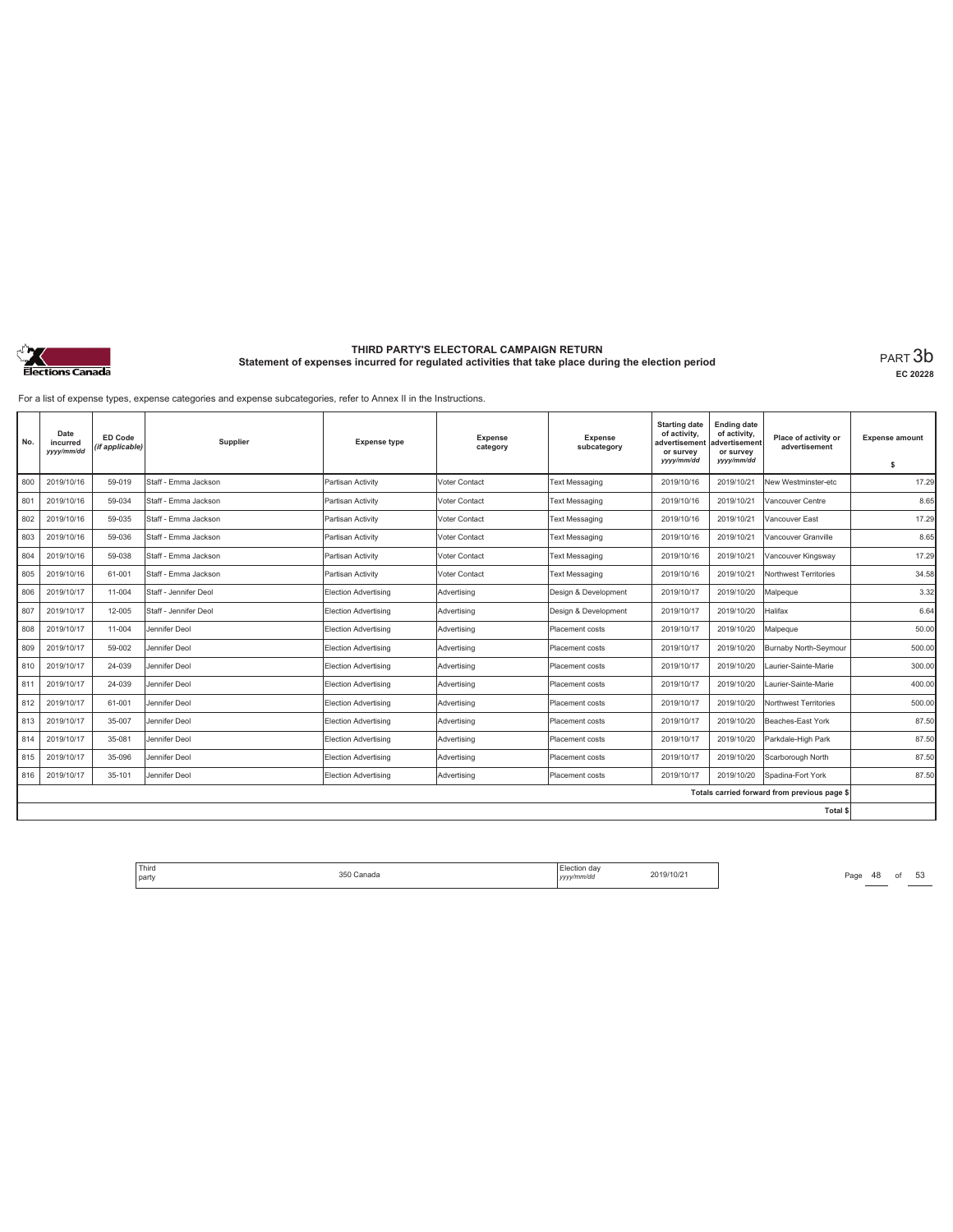

**EC 20228**

For a list of expense types, expense categories and expense subcategories, refer to Annex II in the Instructions.

| No. | Date<br>incurred<br>yyyy/mm/dd | ED Code<br>(if applicable) | Supplier              | <b>Expense type</b>         | <b>Expense</b><br>category | Expense<br>subcategory | <b>Starting date</b><br>of activity,<br>advertisement<br>or survey<br>yyyy/mm/dd | <b>Ending date</b><br>of activity,<br>advertisement<br>or survey<br>yyyy/mm/dd | Place of activity or<br>advertisement        | <b>Expense amount</b><br>\$ |
|-----|--------------------------------|----------------------------|-----------------------|-----------------------------|----------------------------|------------------------|----------------------------------------------------------------------------------|--------------------------------------------------------------------------------|----------------------------------------------|-----------------------------|
| 800 | 2019/10/16                     | 59-019                     | Staff - Emma Jackson  | Partisan Activity           | <b>Voter Contact</b>       | <b>Text Messaging</b>  | 2019/10/16                                                                       | 2019/10/21                                                                     | New Westminster-etc                          | 17.29                       |
| 801 | 2019/10/16                     | 59-034                     | Staff - Emma Jackson  | Partisan Activity           | Voter Contact              | <b>Text Messaging</b>  | 2019/10/16                                                                       | 2019/10/21                                                                     | Vancouver Centre                             | 8.65                        |
| 802 | 2019/10/16                     | 59-035                     | Staff - Emma Jackson  | Partisan Activity           | Voter Contact              | <b>Text Messaging</b>  | 2019/10/16                                                                       | 2019/10/21                                                                     | Vancouver East                               | 17.29                       |
| 803 | 2019/10/16                     | 59-036                     | Staff - Emma Jackson  | Partisan Activity           | Voter Contact              | <b>Text Messaging</b>  | 2019/10/16                                                                       | 2019/10/21                                                                     | Vancouver Granville                          | 8.65                        |
| 804 | 2019/10/16                     | 59-038                     | Staff - Emma Jackson  | Partisan Activity           | Voter Contact              | <b>Text Messaging</b>  | 2019/10/16                                                                       | 2019/10/21                                                                     | Vancouver Kingsway                           | 17.29                       |
| 805 | 2019/10/16                     | 61-001                     | Staff - Emma Jackson  | Partisan Activity           | Voter Contact              | <b>Text Messaging</b>  | 2019/10/16                                                                       | 2019/10/21                                                                     | Northwest Territories                        | 34.58                       |
| 806 | 2019/10/17                     | 11-004                     | Staff - Jennifer Deol | Election Advertising        | Advertising                | Design & Development   | 2019/10/17                                                                       | 2019/10/20                                                                     | Malpeque                                     | 3.32                        |
| 807 | 2019/10/17                     | 12-005                     | Staff - Jennifer Deol | Election Advertising        | Advertising                | Design & Development   | 2019/10/17                                                                       | 2019/10/20                                                                     | Halifax                                      | 6.64                        |
| 808 | 2019/10/17                     | 11-004                     | Jennifer Deol         | <b>Election Advertising</b> | Advertising                | Placement costs        | 2019/10/17                                                                       | 2019/10/20                                                                     | Malpeque                                     | 50.00                       |
| 809 | 2019/10/17                     | 59-002                     | Jennifer Deol         | Election Advertising        | Advertising                | Placement costs        | 2019/10/17                                                                       | 2019/10/20                                                                     | Burnaby North-Seymour                        | 500.00                      |
| 810 | 2019/10/17                     | 24-039                     | Jennifer Deol         | Election Advertising        | Advertisina                | <b>Placement costs</b> | 2019/10/17                                                                       | 2019/10/20                                                                     | Laurier-Sainte-Marie                         | 300.00                      |
| 811 | 2019/10/17                     | 24-039                     | Jennifer Deol         | Election Advertising        | Advertisina                | Placement costs        | 2019/10/17                                                                       | 2019/10/20                                                                     | Laurier-Sainte-Marie                         | 400.00                      |
| 812 | 2019/10/17                     | 61-001                     | Jennifer Deol         | Election Advertising        | Advertisina                | Placement costs        | 2019/10/17                                                                       | 2019/10/20                                                                     | Northwest Territories                        | 500.00                      |
| 813 | 2019/10/17                     | 35-007                     | Jennifer Deol         | Election Advertising        | Advertisina                | Placement costs        | 2019/10/17                                                                       | 2019/10/20                                                                     | Beaches-East York                            | 87.50                       |
| 814 | 2019/10/17                     | 35-081                     | Jennifer Deol         | Election Advertising        | Advertisina                | Placement costs        | 2019/10/17                                                                       | 2019/10/20                                                                     | Parkdale-High Park                           | 87.50                       |
| 815 | 2019/10/17                     | 35-096                     | Jennifer Deol         | Election Advertising        | Advertising                | Placement costs        | 2019/10/17                                                                       | 2019/10/20                                                                     | Scarborough North                            | 87.50                       |
| 816 | 2019/10/17                     | 35-101                     | Jennifer Deol         | <b>Election Advertising</b> | Advertising                | Placement costs        | 2019/10/17                                                                       | 2019/10/20                                                                     | Spadina-Fort York                            | 87.50                       |
|     |                                |                            |                       |                             |                            |                        |                                                                                  |                                                                                | Totals carried forward from previous page \$ |                             |
|     |                                |                            |                       |                             |                            |                        |                                                                                  |                                                                                | Total \$                                     |                             |

Third Election day Election day 2019/10/21 Page 48 of 53 Page 48 of 53 party 350 Canada Election day *yyyy/mm/dd* 2019/10/21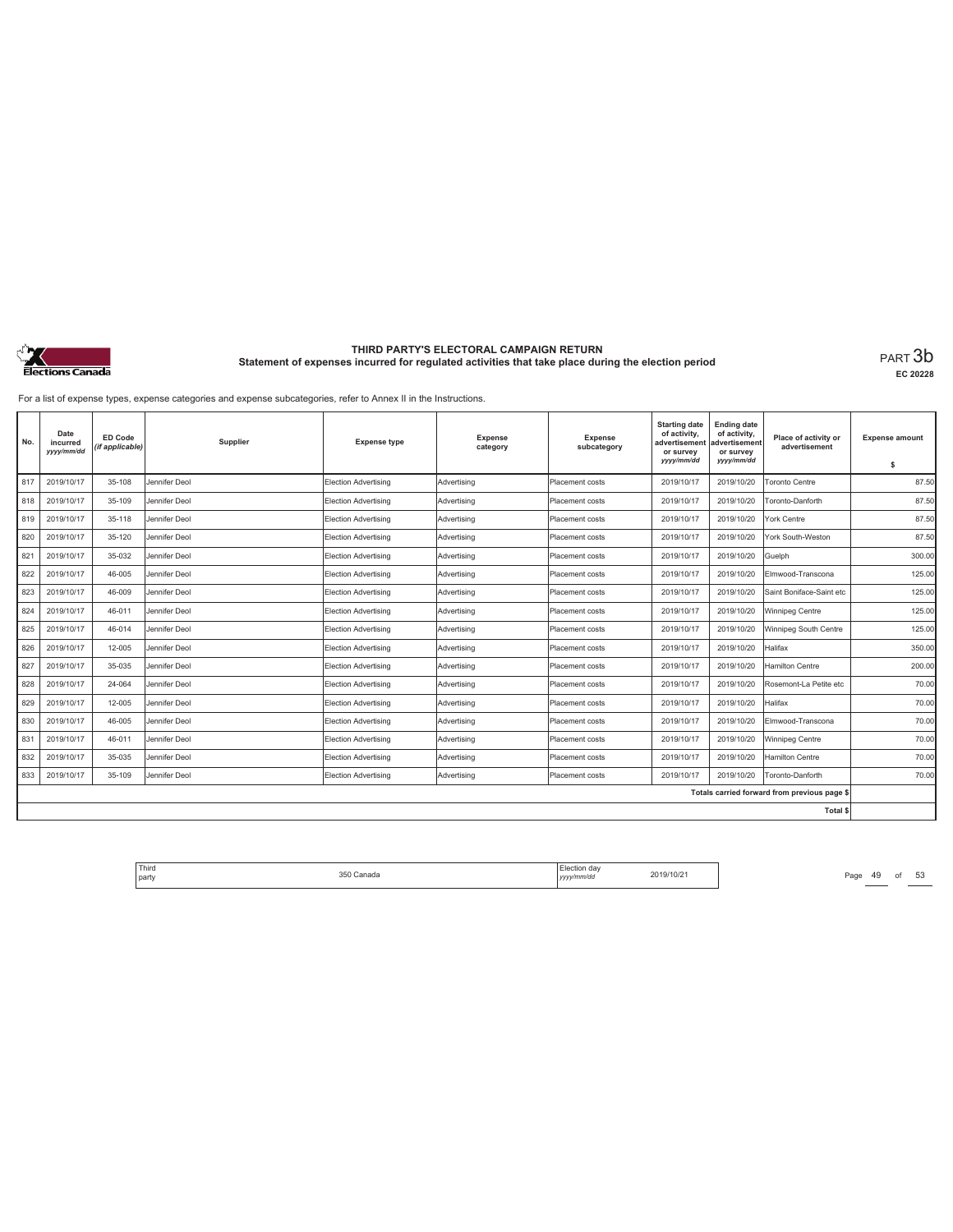

**EC 20228**

For a list of expense types, expense categories and expense subcategories, refer to Annex II in the Instructions.

| No. | Date<br>incurred<br>yyyy/mm/dd | ED Code<br>(if applicable) | Supplier      | <b>Expense type</b>         | <b>Expense</b><br>category | Expense<br>subcategory | <b>Starting date</b><br>of activity,<br>advertisement<br>or survey<br>yyyy/mm/dd | <b>Ending date</b><br>of activity,<br>advertisement<br>or survey<br>yyyy/mm/dd | Place of activity or<br>advertisement        | <b>Expense amount</b><br>\$ |
|-----|--------------------------------|----------------------------|---------------|-----------------------------|----------------------------|------------------------|----------------------------------------------------------------------------------|--------------------------------------------------------------------------------|----------------------------------------------|-----------------------------|
| 817 | 2019/10/17                     | 35-108                     | Jennifer Deol | <b>Election Advertising</b> | Advertising                | Placement costs        | 2019/10/17                                                                       | 2019/10/20                                                                     | <b>Toronto Centre</b>                        | 87.50                       |
| 818 | 2019/10/17                     | 35-109                     | Jennifer Deol | <b>Election Advertising</b> | Advertising                | Placement costs        | 2019/10/17                                                                       | 2019/10/20                                                                     | Toronto-Danforth                             | 87.50                       |
| 819 | 2019/10/17                     | 35-118                     | Jennifer Deol | Election Advertising        | Advertising                | Placement costs        | 2019/10/17                                                                       | 2019/10/20                                                                     | York Centre                                  | 87.50                       |
| 820 | 2019/10/17                     | 35-120                     | Jennifer Deol | Election Advertising        | Advertising                | Placement costs        | 2019/10/17                                                                       | 2019/10/20                                                                     | York South-Weston                            | 87.50                       |
| 821 | 2019/10/17                     | 35-032                     | Jennifer Deol | Election Advertising        | Advertising                | Placement costs        | 2019/10/17                                                                       | 2019/10/20                                                                     | Guelph                                       | 300.00                      |
| 822 | 2019/10/17                     | 46-005                     | Jennifer Deol | Election Advertising        | Advertising                | Placement costs        | 2019/10/17                                                                       | 2019/10/20                                                                     | Elmwood-Transcona                            | 125.00                      |
| 823 | 2019/10/17                     | 46-009                     | Jennifer Deol | Election Advertising        | Advertising                | Placement costs        | 2019/10/17                                                                       | 2019/10/20                                                                     | Saint Boniface-Saint etc                     | 125.00                      |
| 824 | 2019/10/17                     | 46-011                     | Jennifer Deol | <b>Election Advertising</b> | Advertising                | Placement costs        | 2019/10/17                                                                       | 2019/10/20                                                                     | Winnipeg Centre                              | 125.00                      |
| 825 | 2019/10/17                     | 46-014                     | Jennifer Deol | Election Advertising        | Advertising                | Placement costs        | 2019/10/17                                                                       | 2019/10/20                                                                     | Winnipeg South Centre                        | 125.00                      |
| 826 | 2019/10/17                     | 12-005                     | Jennifer Deol | Election Advertising        | Advertising                | Placement costs        | 2019/10/17                                                                       | 2019/10/20                                                                     | Halifax                                      | 350.00                      |
| 827 | 2019/10/17                     | 35-035                     | Jennifer Deol | <b>Election Advertising</b> | Advertising                | Placement costs        | 2019/10/17                                                                       | 2019/10/20                                                                     | Hamilton Centre                              | 200.00                      |
| 828 | 2019/10/17                     | 24-064                     | Jennifer Deol | Election Advertising        | Advertising                | Placement costs        | 2019/10/17                                                                       | 2019/10/20                                                                     | Rosemont-La Petite etc                       | 70.00                       |
| 829 | 2019/10/17                     | 12-005                     | Jennifer Deol | Election Advertising        | Advertising                | Placement costs        | 2019/10/17                                                                       | 2019/10/20                                                                     | Halifax                                      | 70.00                       |
| 830 | 2019/10/17                     | 46-005                     | Jennifer Deol | Election Advertising        | Advertising                | Placement costs        | 2019/10/17                                                                       | 2019/10/20                                                                     | Elmwood-Transcona                            | 70.00                       |
| 831 | 2019/10/17                     | 46-011                     | Jennifer Deol | Election Advertising        | Advertising                | Placement costs        | 2019/10/17                                                                       | 2019/10/20                                                                     | Winnipeg Centre                              | 70.00                       |
| 832 | 2019/10/17                     | 35-035                     | Jennifer Deol | Election Advertising        | Advertisina                | Placement costs        | 2019/10/17                                                                       | 2019/10/20                                                                     | <b>Hamilton Centre</b>                       | 70.00                       |
| 833 | 2019/10/17                     | 35-109                     | Jennifer Deol | Election Advertising        | Advertising                | Placement costs        | 2019/10/17                                                                       | 2019/10/20                                                                     | Toronto-Danforth                             | 70.00                       |
|     |                                |                            |               |                             |                            |                        |                                                                                  |                                                                                | Totals carried forward from previous page \$ |                             |
|     |                                |                            |               |                             |                            |                        |                                                                                  |                                                                                | <b>Total \$</b>                              |                             |

Third Election day Election day 2019/10/21 Page 49 of 53 Page 49 of 53 party 350 Canada Election day *yyyy/mm/dd* 2019/10/21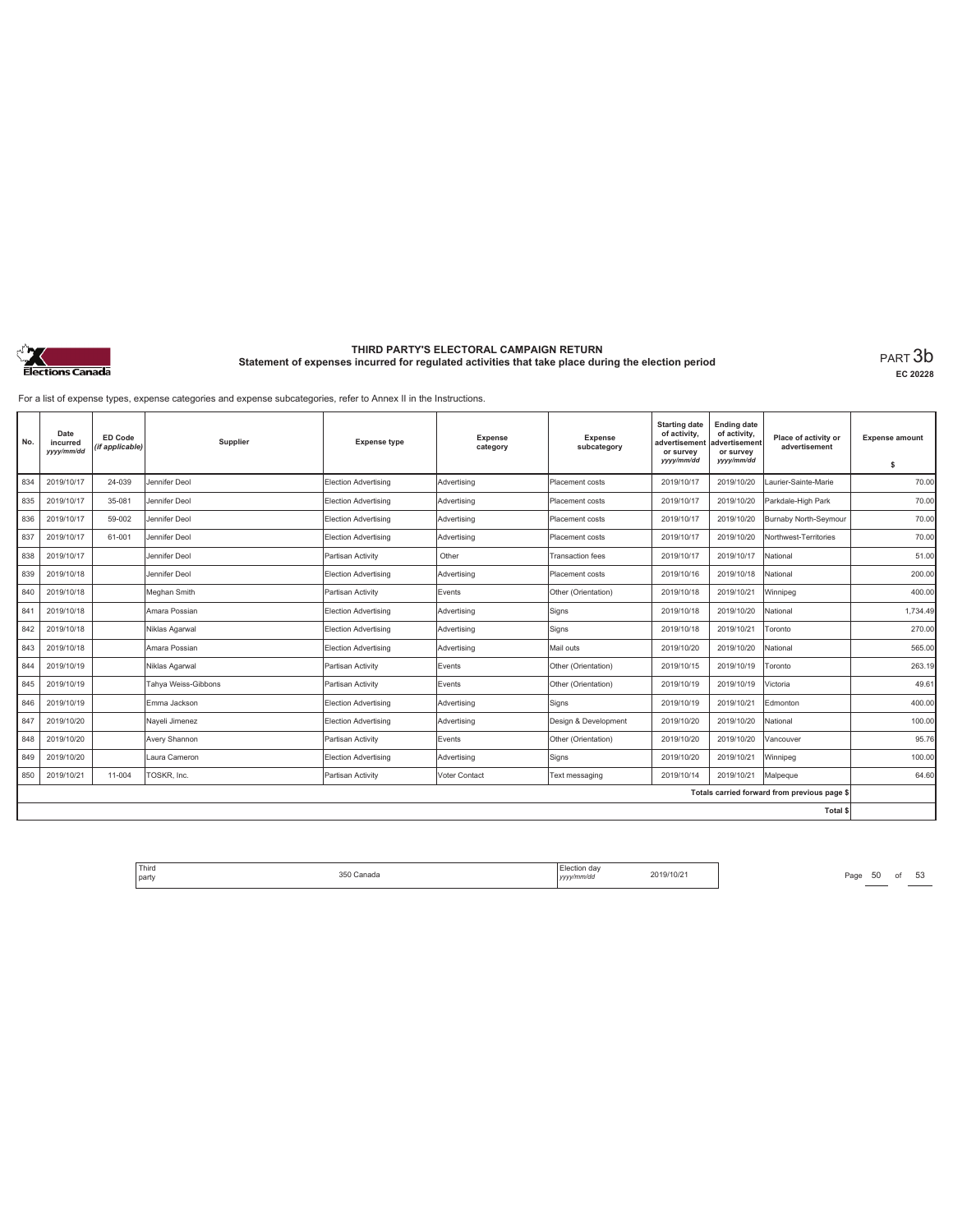

**EC 20228**

For a list of expense types, expense categories and expense subcategories, refer to Annex II in the Instructions.

| No. | Date<br>incurred<br>yyyy/mm/dd | ED Code<br>(if applicable) | Supplier            | <b>Expense type</b>         | <b>Expense</b><br>category | <b>Expense</b><br>subcategory | <b>Starting date</b><br>of activity,<br>advertisement<br>or survey<br>yyyy/mm/dd | <b>Ending date</b><br>of activity,<br>advertisement<br>or survey<br>yyyy/mm/dd | Place of activity or<br>advertisement        | <b>Expense amount</b><br>\$ |
|-----|--------------------------------|----------------------------|---------------------|-----------------------------|----------------------------|-------------------------------|----------------------------------------------------------------------------------|--------------------------------------------------------------------------------|----------------------------------------------|-----------------------------|
| 834 | 2019/10/17                     | 24-039                     | Jennifer Deol       | <b>Election Advertising</b> | Advertising                | Placement costs               | 2019/10/17                                                                       | 2019/10/20                                                                     | Laurier-Sainte-Marie                         | 70.00                       |
| 835 | 2019/10/17                     | 35-081                     | Jennifer Deol       | Election Advertising        | Advertising                | Placement costs               | 2019/10/17                                                                       | 2019/10/20                                                                     | Parkdale-High Park                           | 70.00                       |
| 836 | 2019/10/17                     | 59-002                     | Jennifer Deol       | Election Advertising        | Advertising                | Placement costs               | 2019/10/17                                                                       | 2019/10/20                                                                     | Burnaby North-Seymour                        | 70.00                       |
| 837 | 2019/10/17                     | 61-001                     | Jennifer Deol       | <b>Election Advertising</b> | Advertising                | Placement costs               | 2019/10/17                                                                       | 2019/10/20                                                                     | Northwest-Territories                        | 70.00                       |
| 838 | 2019/10/17                     |                            | Jennifer Deol       | Partisan Activity           | Other                      | <b>Transaction fees</b>       | 2019/10/17                                                                       | 2019/10/17                                                                     | National                                     | 51.00                       |
| 839 | 2019/10/18                     |                            | Jennifer Deol       | Election Advertising        | Advertising                | Placement costs               | 2019/10/16                                                                       | 2019/10/18                                                                     | National                                     | 200.00                      |
| 840 | 2019/10/18                     |                            | Meghan Smith        | Partisan Activity           | Events                     | Other (Orientation)           | 2019/10/18                                                                       | 2019/10/21                                                                     | Winnipeg                                     | 400.00                      |
| 841 | 2019/10/18                     |                            | Amara Possian       | Election Advertising        | Advertising                | Signs                         | 2019/10/18                                                                       | 2019/10/20                                                                     | National                                     | 1.734.49                    |
| 842 | 2019/10/18                     |                            | Niklas Agarwal      | Election Advertising        | Advertisina                | Signs                         | 2019/10/18                                                                       | 2019/10/21                                                                     | Toronto                                      | 270.00                      |
| 843 | 2019/10/18                     |                            | Amara Possian       | Election Advertising        | Advertising                | Mail outs                     | 2019/10/20                                                                       | 2019/10/20                                                                     | National                                     | 565.00                      |
| 844 | 2019/10/19                     |                            | Niklas Agarwal      | Partisan Activity           | Events                     | Other (Orientation)           | 2019/10/15                                                                       | 2019/10/19                                                                     | Toronto                                      | 263.19                      |
| 845 | 2019/10/19                     |                            | Tahya Weiss-Gibbons | Partisan Activity           | Events                     | Other (Orientation)           | 2019/10/19                                                                       | 2019/10/19                                                                     | Victoria                                     | 49.61                       |
| 846 | 2019/10/19                     |                            | Emma Jackson        | Election Advertising        | Advertising                | Signs                         | 2019/10/19                                                                       | 2019/10/21                                                                     | Edmonton                                     | 400.00                      |
| 847 | 2019/10/20                     |                            | Nayeli Jimenez      | <b>Election Advertising</b> | Advertising                | Design & Development          | 2019/10/20                                                                       | 2019/10/20                                                                     | National                                     | 100.00                      |
| 848 | 2019/10/20                     |                            | Avery Shannon       | Partisan Activity           | Events                     | Other (Orientation)           | 2019/10/20                                                                       | 2019/10/20                                                                     | Vancouver                                    | 95.76                       |
| 849 | 2019/10/20                     |                            | Laura Cameron       | Election Advertising        | Advertisina                | Signs                         | 2019/10/20                                                                       | 2019/10/21                                                                     | Winnipeg                                     | 100.00                      |
| 850 | 2019/10/21                     | 11-004                     | TOSKR. Inc.         | Partisan Activity           | Voter Contact              | Text messaging                | 2019/10/14                                                                       | 2019/10/21                                                                     | Malpeque                                     | 64.60                       |
|     |                                |                            |                     |                             |                            |                               |                                                                                  |                                                                                | Totals carried forward from previous page \$ |                             |
|     |                                |                            |                     |                             |                            |                               |                                                                                  |                                                                                | Total \$                                     |                             |

Third Election day Election day 2019/10/21 Page 50 of 53 Page 50 of 53 party 350 Canada Election day *yyyy/mm/dd* 2019/10/21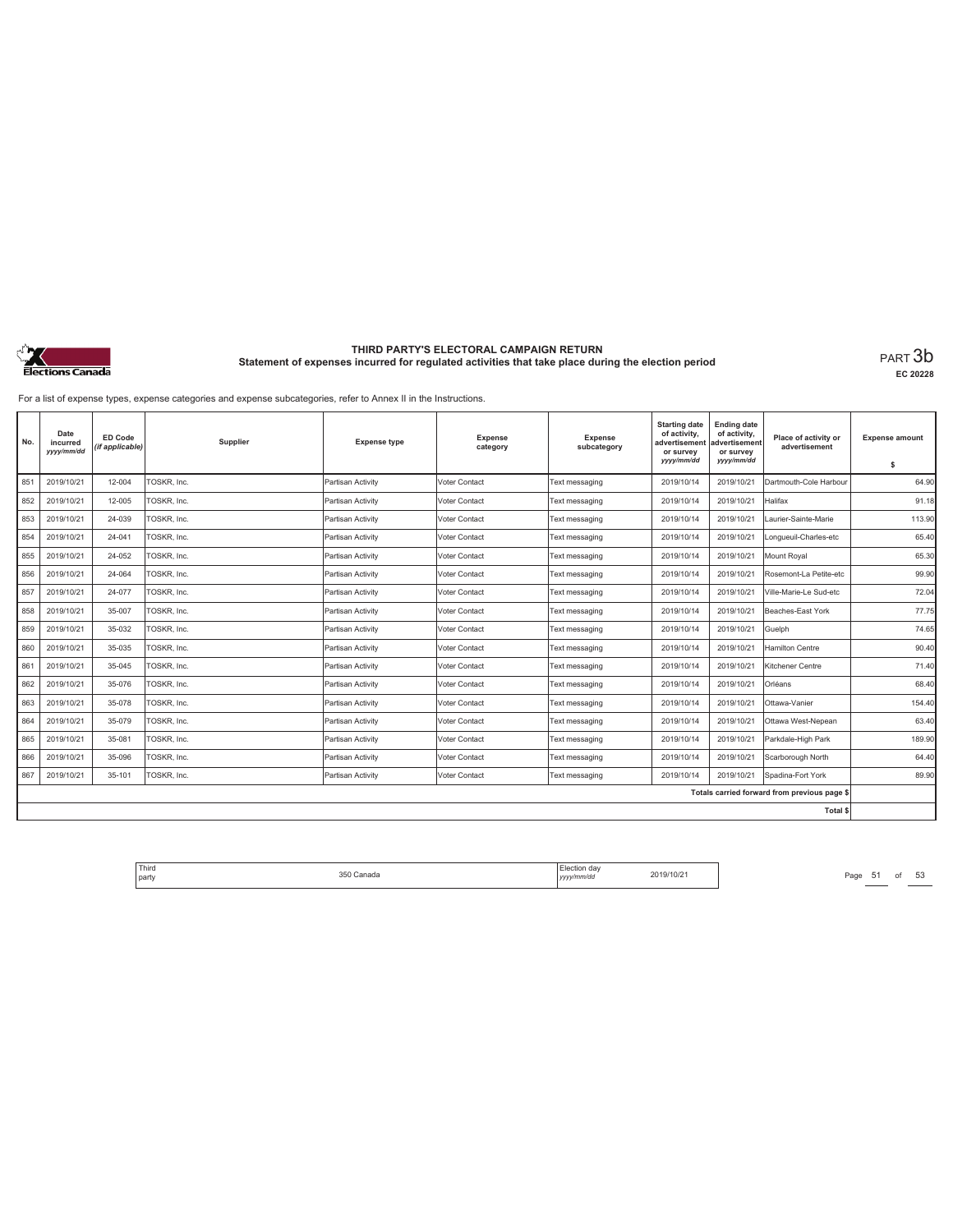

**EC 20228**

For a list of expense types, expense categories and expense subcategories, refer to Annex II in the Instructions.

| No. | Date<br>incurred<br>yyyy/mm/dd | <b>ED Code</b><br>(if applicable) | Supplier    | <b>Expense type</b> | <b>Expense</b><br>category | <b>Expense</b><br>subcategory | <b>Starting date</b><br>of activity,<br>advertisement<br>or survey<br>yyyy/mm/dd | <b>Ending date</b><br>of activity,<br>advertisement<br>or survey<br>yyyy/mm/dd | Place of activity or<br>advertisement        | <b>Expense amount</b><br>\$ |
|-----|--------------------------------|-----------------------------------|-------------|---------------------|----------------------------|-------------------------------|----------------------------------------------------------------------------------|--------------------------------------------------------------------------------|----------------------------------------------|-----------------------------|
| 851 | 2019/10/21                     | 12-004                            | TOSKR, Inc. | Partisan Activity   | Voter Contact              | Text messaging                | 2019/10/14                                                                       | 2019/10/21                                                                     | Dartmouth-Cole Harbour                       | 64.90                       |
| 852 | 2019/10/21                     | 12-005                            | TOSKR, Inc. | Partisan Activity   | Voter Contact              | Text messaging                | 2019/10/14                                                                       | 2019/10/21                                                                     | Halifax                                      | 91.18                       |
| 853 | 2019/10/21                     | 24-039                            | TOSKR, Inc. | Partisan Activity   | Voter Contact              | Text messaging                | 2019/10/14                                                                       | 2019/10/21                                                                     | Laurier-Sainte-Marie                         | 113.90                      |
| 854 | 2019/10/21                     | 24-041                            | TOSKR, Inc. | Partisan Activity   | Voter Contact              | Text messaging                | 2019/10/14                                                                       | 2019/10/21                                                                     | Longueuil-Charles-etc                        | 65.40                       |
| 855 | 2019/10/21                     | 24-052                            | TOSKR, Inc. | Partisan Activity   | Voter Contact              | Text messaging                | 2019/10/14                                                                       | 2019/10/21                                                                     | Mount Royal                                  | 65.30                       |
| 856 | 2019/10/21                     | 24-064                            | TOSKR, Inc. | Partisan Activity   | Voter Contact              | Text messaging                | 2019/10/14                                                                       | 2019/10/21                                                                     | Rosemont-La Petite-etc                       | 99.90                       |
| 857 | 2019/10/21                     | 24-077                            | TOSKR, Inc. | Partisan Activity   | Voter Contact              | Text messaging                | 2019/10/14                                                                       | 2019/10/21                                                                     | Ville-Marie-Le Sud-etc                       | 72.04                       |
| 858 | 2019/10/21                     | 35-007                            | TOSKR, Inc. | Partisan Activity   | Voter Contact              | Text messaging                | 2019/10/14                                                                       | 2019/10/21                                                                     | Beaches-East York                            | 77.75                       |
| 859 | 2019/10/21                     | 35-032                            | TOSKR, Inc. | Partisan Activity   | Voter Contact              | Text messaging                | 2019/10/14                                                                       | 2019/10/21                                                                     | Guelph                                       | 74.65                       |
| 860 | 2019/10/21                     | 35-035                            | TOSKR, Inc. | Partisan Activity   | Voter Contact              | Text messaging                | 2019/10/14                                                                       | 2019/10/21                                                                     | Hamilton Centre                              | 90.40                       |
| 861 | 2019/10/21                     | 35-045                            | TOSKR, Inc. | Partisan Activity   | Voter Contact              | Text messaging                | 2019/10/14                                                                       | 2019/10/21                                                                     | Kitchener Centre                             | 71.40                       |
| 862 | 2019/10/21                     | 35-076                            | TOSKR, Inc. | Partisan Activity   | Voter Contact              | Text messaging                | 2019/10/14                                                                       | 2019/10/21                                                                     | Orléans                                      | 68.40                       |
| 863 | 2019/10/21                     | 35-078                            | TOSKR, Inc. | Partisan Activity   | Voter Contact              | Text messaging                | 2019/10/14                                                                       | 2019/10/21                                                                     | Ottawa-Vanier                                | 154.40                      |
| 864 | 2019/10/21                     | 35-079                            | TOSKR, Inc. | Partisan Activity   | Voter Contact              | Text messaging                | 2019/10/14                                                                       | 2019/10/21                                                                     | Ottawa West-Nepean                           | 63.40                       |
| 865 | 2019/10/21                     | 35-081                            | TOSKR, Inc. | Partisan Activity   | Voter Contact              | Text messaging                | 2019/10/14                                                                       | 2019/10/21                                                                     | Parkdale-High Park                           | 189.90                      |
| 866 | 2019/10/21                     | 35-096                            | TOSKR, Inc. | Partisan Activity   | Voter Contact              | Text messaging                | 2019/10/14                                                                       | 2019/10/21                                                                     | Scarborough North                            | 64.40                       |
| 867 | 2019/10/21                     | 35-101                            | TOSKR. Inc. | Partisan Activity   | Voter Contact              | Text messaging                | 2019/10/14                                                                       | 2019/10/21                                                                     | Spadina-Fort York                            | 89.90                       |
|     |                                |                                   |             |                     |                            |                               |                                                                                  |                                                                                | Totals carried forward from previous page \$ |                             |
|     |                                |                                   |             |                     |                            |                               |                                                                                  |                                                                                | Total \$                                     |                             |

Third Election day Election day 2019/10/21 Page 51 of 53 Page 51 of 53 party 350 Canada Election day *yyyy/mm/dd* 2019/10/21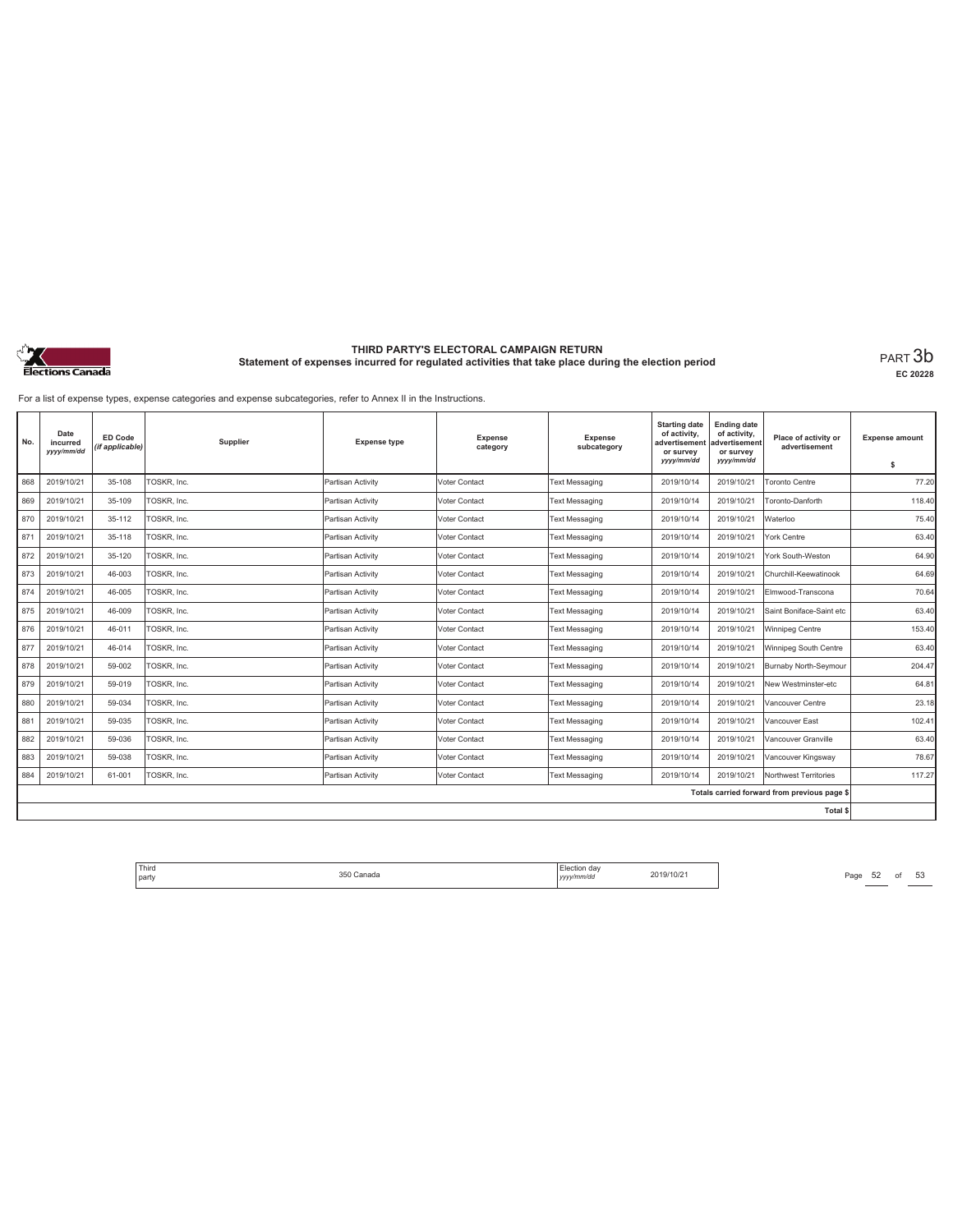

**EC 20228**

For a list of expense types, expense categories and expense subcategories, refer to Annex II in the Instructions.

| No. | Date<br>incurred<br>yyyy/mm/dd | ED Code<br>(if applicable) | Supplier    | <b>Expense type</b> | Expense<br>category | Expense<br>subcategory | <b>Starting date</b><br>of activity,<br>advertisement<br>or survey<br>yyyy/mm/dd | <b>Ending date</b><br>of activity,<br>advertisement<br>or survey<br>yyyy/mm/dd | Place of activity or<br>advertisement        | <b>Expense amount</b><br>\$ |
|-----|--------------------------------|----------------------------|-------------|---------------------|---------------------|------------------------|----------------------------------------------------------------------------------|--------------------------------------------------------------------------------|----------------------------------------------|-----------------------------|
| 868 | 2019/10/21                     | 35-108                     | TOSKR, Inc. | Partisan Activity   | Voter Contact       | <b>Text Messaging</b>  | 2019/10/14                                                                       | 2019/10/21                                                                     | <b>Toronto Centre</b>                        | 77.20                       |
| 869 | 2019/10/21                     | 35-109                     | TOSKR, Inc. | Partisan Activity   | Voter Contact       | <b>Text Messaging</b>  | 2019/10/14                                                                       | 2019/10/21                                                                     | Toronto-Danforth                             | 118.40                      |
| 870 | 2019/10/21                     | 35-112                     | TOSKR, Inc. | Partisan Activity   | Voter Contact       | Text Messaging         | 2019/10/14                                                                       | 2019/10/21                                                                     | Waterloo                                     | 75.40                       |
| 871 | 2019/10/21                     | 35-118                     | TOSKR, Inc. | Partisan Activity   | Voter Contact       | <b>Text Messaging</b>  | 2019/10/14                                                                       | 2019/10/21                                                                     | York Centre                                  | 63.40                       |
| 872 | 2019/10/21                     | 35-120                     | TOSKR, Inc. | Partisan Activity   | Voter Contact       | <b>Text Messaging</b>  | 2019/10/14                                                                       | 2019/10/21                                                                     | York South-Weston                            | 64.90                       |
| 873 | 2019/10/21                     | 46-003                     | TOSKR, Inc. | Partisan Activity   | Voter Contact       | <b>Text Messaging</b>  | 2019/10/14                                                                       | 2019/10/21                                                                     | Churchill-Keewatinook                        | 64.69                       |
| 874 | 2019/10/21                     | 46-005                     | TOSKR, Inc. | Partisan Activity   | Voter Contact       | <b>Text Messaging</b>  | 2019/10/14                                                                       | 2019/10/21                                                                     | Elmwood-Transcona                            | 70.64                       |
| 875 | 2019/10/21                     | 46-009                     | TOSKR, Inc. | Partisan Activity   | Voter Contact       | <b>Text Messaging</b>  | 2019/10/14                                                                       | 2019/10/21                                                                     | Saint Boniface-Saint etc                     | 63.40                       |
| 876 | 2019/10/21                     | 46-011                     | TOSKR, Inc. | Partisan Activity   | Voter Contact       | <b>Text Messaging</b>  | 2019/10/14                                                                       | 2019/10/21                                                                     | Winnipeg Centre                              | 153.40                      |
| 877 | 2019/10/21                     | 46-014                     | TOSKR, Inc. | Partisan Activity   | Voter Contact       | <b>Text Messaging</b>  | 2019/10/14                                                                       | 2019/10/21                                                                     | Winnipeg South Centre                        | 63.40                       |
| 878 | 2019/10/21                     | 59-002                     | TOSKR, Inc. | Partisan Activity   | Voter Contact       | <b>Text Messaging</b>  | 2019/10/14                                                                       | 2019/10/21                                                                     | Burnaby North-Seymour                        | 204.47                      |
| 879 | 2019/10/21                     | 59-019                     | TOSKR, Inc. | Partisan Activity   | Voter Contact       | <b>Text Messaging</b>  | 2019/10/14                                                                       | 2019/10/21                                                                     | New Westminster-etc                          | 64.81                       |
| 880 | 2019/10/21                     | 59-034                     | TOSKR, Inc. | Partisan Activity   | Voter Contact       | <b>Text Messaging</b>  | 2019/10/14                                                                       | 2019/10/21                                                                     | Vancouver Centre                             | 23.18                       |
| 881 | 2019/10/21                     | 59-035                     | TOSKR, Inc. | Partisan Activity   | Voter Contact       | <b>Text Messaging</b>  | 2019/10/14                                                                       | 2019/10/21                                                                     | Vancouver East                               | 102.41                      |
| 882 | 2019/10/21                     | 59-036                     | TOSKR, Inc. | Partisan Activity   | Voter Contact       | <b>Text Messaging</b>  | 2019/10/14                                                                       | 2019/10/21                                                                     | Vancouver Granville                          | 63.40                       |
| 883 | 2019/10/21                     | 59-038                     | TOSKR, Inc. | Partisan Activity   | Voter Contact       | Text Messaging         | 2019/10/14                                                                       | 2019/10/21                                                                     | Vancouver Kingsway                           | 78.67                       |
| 884 | 2019/10/21                     | 61-001                     | TOSKR. Inc. | Partisan Activity   | Voter Contact       | <b>Text Messaging</b>  | 2019/10/14                                                                       | 2019/10/21                                                                     | Northwest Territories                        | 117.27                      |
|     |                                |                            |             |                     |                     |                        |                                                                                  |                                                                                | Totals carried forward from previous page \$ |                             |
|     |                                |                            |             |                     |                     |                        |                                                                                  |                                                                                | <b>Total \$</b>                              |                             |

Third Election day Election day 2019/10/21 Page 52 of 53 Page 52 of 53 party 350 Canada Election day *yyyy/mm/dd* 2019/10/21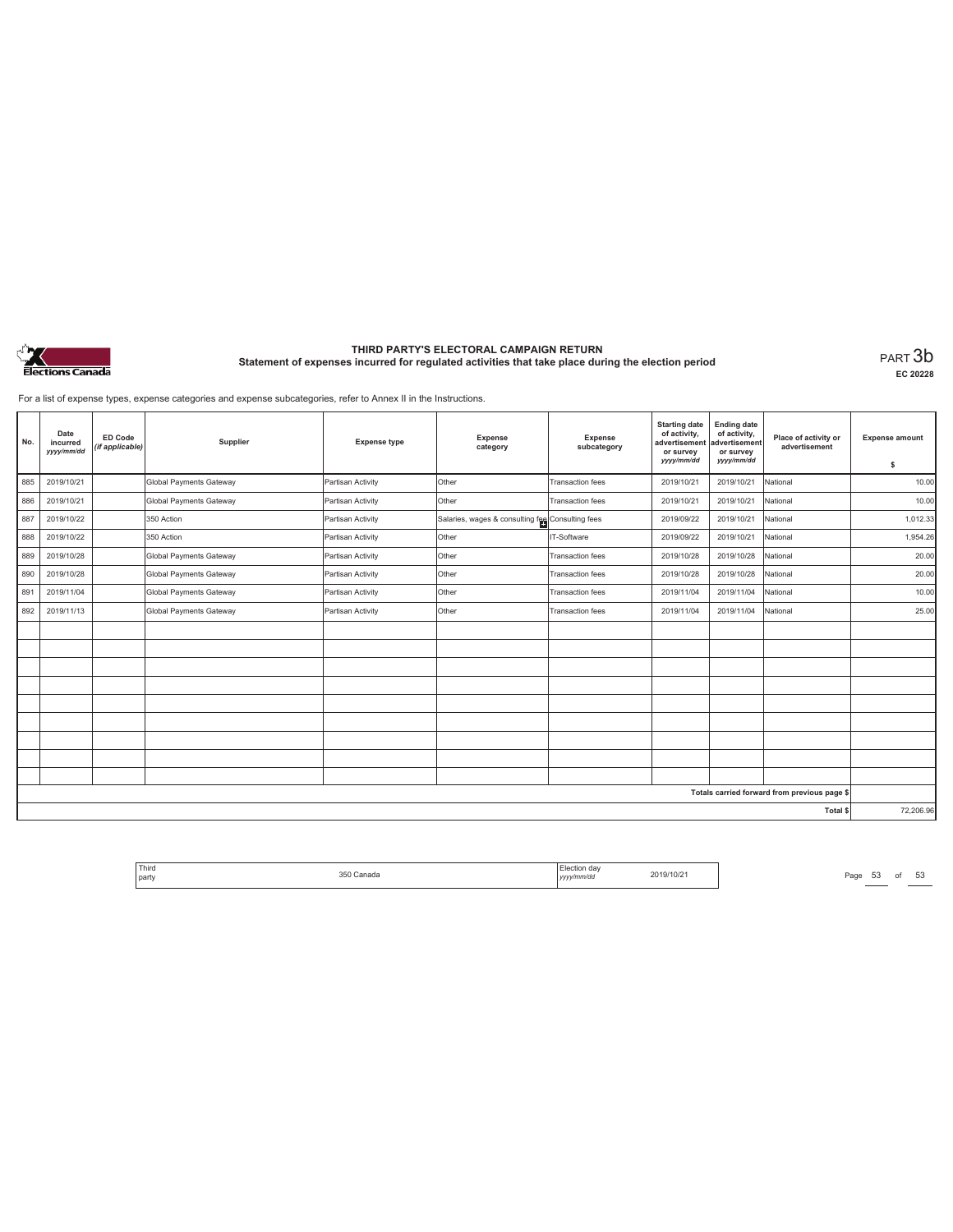

**EC 20228**

For a list of expense types, expense categories and expense subcategories, refer to Annex II in the Instructions.

| No. | Date<br>incurred<br>yyyy/mm/dd | ED Code<br>(if applicable) | Supplier                | <b>Expense type</b> | Expense<br>category                              | <b>Expense</b><br>subcategory | <b>Starting date</b><br>of activity,<br>advertisement<br>or survey<br>yyyy/mm/dd | <b>Ending date</b><br>of activity,<br>advertisement<br>or survey<br>yyyy/mm/dd | Place of activity or<br>advertisement        | <b>Expense amount</b><br>\$ |
|-----|--------------------------------|----------------------------|-------------------------|---------------------|--------------------------------------------------|-------------------------------|----------------------------------------------------------------------------------|--------------------------------------------------------------------------------|----------------------------------------------|-----------------------------|
| 885 | 2019/10/21                     |                            | Global Payments Gateway | Partisan Activity   | Other                                            | Transaction fees              | 2019/10/21                                                                       | 2019/10/21                                                                     | National                                     | 10.00                       |
| 886 | 2019/10/21                     |                            | Global Payments Gateway | Partisan Activity   | <b>Other</b>                                     | Transaction fees              | 2019/10/21                                                                       | 2019/10/21                                                                     | National                                     | 10.00                       |
| 887 | 2019/10/22                     |                            | 350 Action              | Partisan Activity   | Salaries, wages & consulting fee Consulting fees |                               | 2019/09/22                                                                       | 2019/10/21                                                                     | National                                     | 1,012.33                    |
| 888 | 2019/10/22                     |                            | 350 Action              | Partisan Activity   | Other                                            | IT-Software                   | 2019/09/22                                                                       | 2019/10/21                                                                     | National                                     | 1,954.26                    |
| 889 | 2019/10/28                     |                            | Global Payments Gateway | Partisan Activity   | Other                                            | <b>Transaction fees</b>       | 2019/10/28                                                                       | 2019/10/28                                                                     | National                                     | 20.00                       |
| 890 | 2019/10/28                     |                            | Global Payments Gateway | Partisan Activity   | Other                                            | <b>Transaction fees</b>       | 2019/10/28                                                                       | 2019/10/28                                                                     | National                                     | 20.00                       |
| 891 | 2019/11/04                     |                            | Global Payments Gateway | Partisan Activity   | Other                                            | Transaction fees              | 2019/11/04                                                                       | 2019/11/04                                                                     | National                                     | 10.00                       |
| 892 | 2019/11/13                     |                            | Global Payments Gateway | Partisan Activity   | Other                                            | <b>Transaction fees</b>       | 2019/11/04                                                                       | 2019/11/04                                                                     | National                                     | 25.00                       |
|     |                                |                            |                         |                     |                                                  |                               |                                                                                  |                                                                                |                                              |                             |
|     |                                |                            |                         |                     |                                                  |                               |                                                                                  |                                                                                |                                              |                             |
|     |                                |                            |                         |                     |                                                  |                               |                                                                                  |                                                                                |                                              |                             |
|     |                                |                            |                         |                     |                                                  |                               |                                                                                  |                                                                                |                                              |                             |
|     |                                |                            |                         |                     |                                                  |                               |                                                                                  |                                                                                |                                              |                             |
|     |                                |                            |                         |                     |                                                  |                               |                                                                                  |                                                                                |                                              |                             |
|     |                                |                            |                         |                     |                                                  |                               |                                                                                  |                                                                                |                                              |                             |
|     |                                |                            |                         |                     |                                                  |                               |                                                                                  |                                                                                |                                              |                             |
|     |                                |                            |                         |                     |                                                  |                               |                                                                                  |                                                                                |                                              |                             |
|     |                                |                            |                         |                     |                                                  |                               |                                                                                  |                                                                                | Totals carried forward from previous page \$ |                             |
|     |                                |                            |                         |                     |                                                  |                               |                                                                                  |                                                                                | Total \$                                     | 72,206.96                   |

| <sup>1</sup> Third<br>party | 350<br>Canada<br>. | Election dav<br>yyyy/mm/dd | 2019/10/21 |
|-----------------------------|--------------------|----------------------------|------------|
|                             |                    |                            |            |

Page  $53$  of  $53$